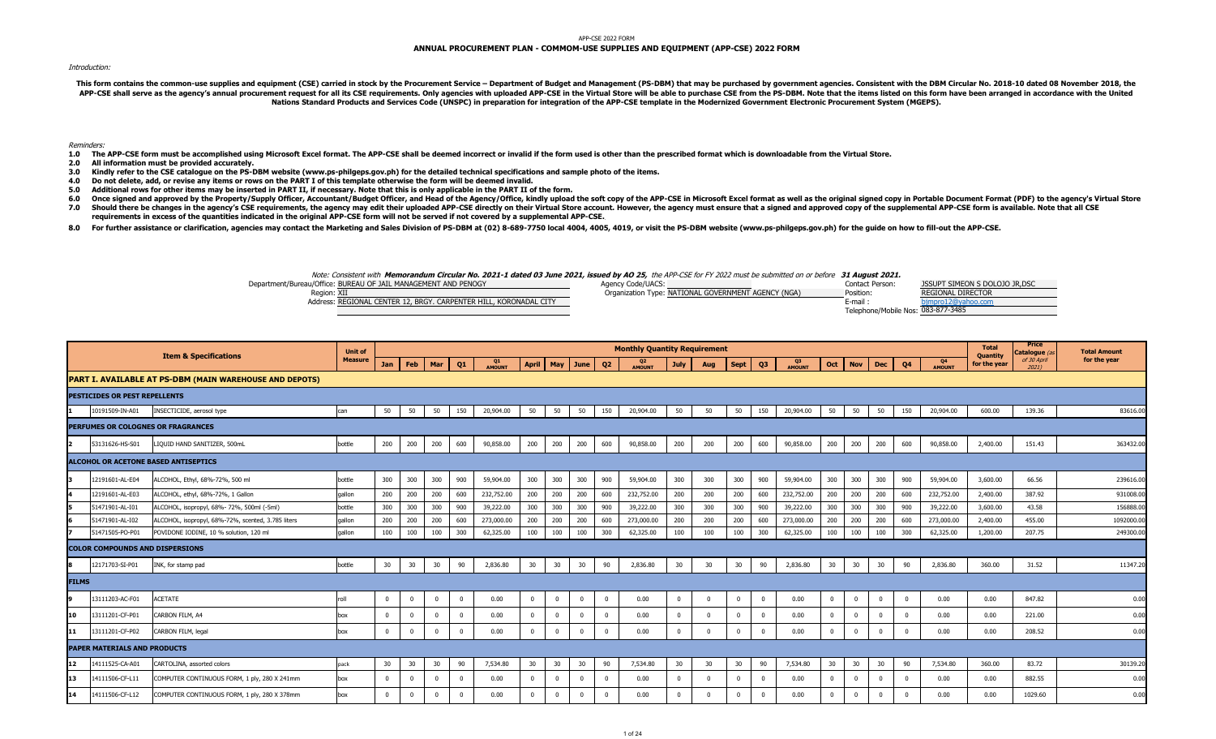#### APP-CSE 2022 FORM

# **ANNUAL PROCUREMENT PLAN - COMMOM-USE SUPPLIES AND EQUIPMENT (APP-CSE) 2022 FORM**

## Introduction:

This form contains the common-use supplies and equipment (CSE) carried in stock by the Procurement Service - Department of Budget and Management (PS-DBM) that may be purchased by government agencies. Consistent with the DB APP-CSE shall serve as the agency's annual procurement request for all its CSE requirements. Only agencies with uploaded APP-CSE in the Virtual Store will be able to purchase CSE from the PS-DBM. Note that the items listed **Nations Standard Products and Services Code (UNSPC) in preparation for integration of the APP-CSE template in the Modernized Government Electronic Procurement System (MGEPS).** 

#### Reminders:

- 1.0 The APP-CSE form must be accomplished using Microsoft Excel format. The APP-CSE shall be deemed incorrect or invalid if the form used is other than the prescribed format which is downloadable from the Virtual Store.
- **2.0 All information must be provided accurately.**
- **3.0 Kindly refer to the CSE catalogue on the PS-DBM website (www.ps-philgeps.gov.ph) for the detailed technical specifications and sample photo of the items.**
- **4.0 Do not delete, add, or revise any items or rows on the PART I of this template otherwise the form will be deemed invalid.**
- **5.0 Additional rows for other items may be inserted in PART II, if necessary. Note that this is only applicable in the PART II of the form.**
- **6.0 7.0** Once signed and approved by the Property/Supply Officer, Accountant/Budget Officer, and Head of the Agency/Office, kindly upload the soft copy of the APP-CSE in Microsoft Excel format as well as the original signed copy in Should there be changes in the agency's CSE requirements, the agency may edit their uploaded APP-CSE directly on their Virtual Store account. However, the agency must ensure that a signed and approved copy of the supplemen **requirements in excess of the quantities indicated in the original APP-CSE form will not be served if not covered by a supplemental APP-CSE.**
- 8.0 For further assistance or clarification, agencies may contact the Marketing and Sales Division of PS-DBM at (02) 8-689-7750 local 4004, 4005, 4019, or visit the PS-DBM website (www.ps-philgeps.gov.ph) for the guide on

## Note: Consistent with **Memorandum Circular No. 2021-1 dated 03 June 2021, issued by AO 25,** the APP-CSE for FY 2022 must be submitted on or before **31 August 2021.**

Department/Bureau/Office: Agency Code/UACS: Contact Person: BUREAU OF JAIL MANAGEMENT AND PENOGY Region: Organization Type: Position: XII NATIONAL GOVERNMENT AGENCY (NGA)

| Region: XII                                                       | Organization Type: NATIONAL GOVERNMENT AGENCY (NGA) | Position:                          | <b>REGIONAL DIRECTOR</b> |
|-------------------------------------------------------------------|-----------------------------------------------------|------------------------------------|--------------------------|
| Address: REGIONAL CENTER 12, BRGY, CARPENTER HILL, KORONADAL CITY |                                                     | E-mail                             | noro120                  |
|                                                                   |                                                     | Telephone/Mobile Nos: 083-877-3485 |                          |

| 21. |                                |
|-----|--------------------------------|
| n:  | JSSUPT SIMEON S DOLOJO JR, DSC |
|     | <b>REGIONAL DIRECTOR</b>       |
|     | bimpro12@vahoo.com             |
|     | bile Nos: 083-877-3485         |

|              |                                        | <b>Item &amp; Specifications</b>                        | <b>Unit of</b> |             |             |            |                |              |                |             |             |                | <b>Monthly Quantity Requirement</b> |                |                |             |                |              |             |             |              |              |                     | <b>Total</b><br>Quantity | Price<br>Catalogue (a | <b>Total Amount</b> |
|--------------|----------------------------------------|---------------------------------------------------------|----------------|-------------|-------------|------------|----------------|--------------|----------------|-------------|-------------|----------------|-------------------------------------|----------------|----------------|-------------|----------------|--------------|-------------|-------------|--------------|--------------|---------------------|--------------------------|-----------------------|---------------------|
|              |                                        |                                                         | <b>Measure</b> | <b>Jan</b>  | Feb         | Mar        | Q <sub>1</sub> | Q1<br>AMOUNT | <b>April</b>   | May         | June        | Q <sub>2</sub> | Q2<br>AMOUNT                        | <b>July</b>    | Aug            | <b>Sept</b> | Q <sub>3</sub> | Q3<br>AMOUNT | Oct         | Nov         | <b>Dec</b>   | Q4           | Q4<br><b>AMOUNT</b> | for the year             | of 30 April           | for the year        |
|              |                                        | PART I. AVAILABLE AT PS-DBM (MAIN WAREHOUSE AND DEPOTS) |                |             |             |            |                |              |                |             |             |                |                                     |                |                |             |                |              |             |             |              |              |                     |                          |                       |                     |
|              | PESTICIDES OR PEST REPELLENTS          |                                                         |                |             |             |            |                |              |                |             |             |                |                                     |                |                |             |                |              |             |             |              |              |                     |                          |                       |                     |
|              | 10191509-IN-A01                        | INSECTICIDE, aerosol type                               | can            | 50          | 50          | 50         | 150            | 20,904.00    | 50             | 50          | 50          | 150            | 20,904.00                           | 50             | 50             | 50          | 150            | 20,904.00    | 50          | 50          | 50           | 150          | 20,904.00           | 600.00                   | 139.36                | 83616.00            |
|              |                                        | PERFUMES OR COLOGNES OR FRAGRANCES                      |                |             |             |            |                |              |                |             |             |                |                                     |                |                |             |                |              |             |             |              |              |                     |                          |                       |                     |
| 2            | 53131626-HS-S01                        | IQUID HAND SANITIZER, 500mL                             | bottle         | 200         | 200         | 200        | 600            | 90,858.00    | 200            | 200         | 200         | 600            | 90,858.00                           | 200            | 200            | 200         | 600            | 90,858.00    | 200         | 200         | 200          | 600          | 90,858.00           | 2,400.00                 | 151.43                | 363432.00           |
|              |                                        | ALCOHOL OR ACETONE BASED ANTISEPTICS                    |                |             |             |            |                |              |                |             |             |                |                                     |                |                |             |                |              |             |             |              |              |                     |                          |                       |                     |
|              | 12191601-AL-E04                        | ALCOHOL, Ethyl, 68%-72%, 500 ml                         | bottle         | 300         | 300         | 300        | 900            | 59,904.00    | 300            | 300         | 300         | 900            | 59,904.00                           | 300            | 300            | 300         | 900            | 59,904.00    | 300         | 300         | 300          | 900          | 59,904.00           | 3,600.00                 | 66.56                 | 239616.00           |
|              | 12191601-AL-E03                        | ALCOHOL, ethyl, 68%-72%, 1 Gallon                       | qallon         | 200         | 200         | 200        | 600            | 232,752.00   | 200            | 200         | 200         | 600            | 232,752.00                          | 200            | 200            | 200         | 600            | 232,752.00   | 200         | 200         | 200          | 600          | 232,752.00          | 2,400.00                 | 387.92                | 931008.00           |
|              | 51471901-AL-I01                        | ALCOHOL, isopropyl, 68%- 72%, 500ml (-5ml)              | bottle         | 300         | 300         | 300        | 900            | 39,222.00    | 300            | 300         | 300         | 900            | 39,222.00                           | 300            | 300            | 300         | 900            | 39,222.00    | 300         | 300         | 300          | 900          | 39,222.00           | 3,600.00                 | 43.58                 | 156888.0            |
|              | 51471901-AL-I02                        | ALCOHOL, isopropyl, 68%-72%, scented, 3.785 liters      | gallon         | 200         | 200         | 200        | 600            | 273,000.00   | 200            | 200         | 200         | 600            | 273,000.00                          | 200            | 200            | 200         | 600            | 273,000.00   | 200         | 200         | 200          | 600          | 273,000.00          | 2,400.00                 | 455.00                | 1092000.0           |
|              | 51471505-PO-P01                        | POVIDONE IODINE, 10 % solution, 120 ml                  | qallon         | 100         | 100         | 100        | 300            | 62,325.00    | 100            | 100         | 100         | 300            | 62,325.00                           | 100            | 100            | 100         | 300            | 62,325.00    | 100         | 100         | 100          | 300          | 62,325.00           | 1,200.00                 | 207.75                | 249300.0            |
|              | <b>COLOR COMPOUNDS AND DISPERSIONS</b> |                                                         |                |             |             |            |                |              |                |             |             |                |                                     |                |                |             |                |              |             |             |              |              |                     |                          |                       |                     |
|              | 12171703-SI-P01                        | INK, for stamp pad                                      | bottle         | 30          | 30          | 30         | 90             | 2,836.80     | 30             | 30          | 30          | 90             | 2,836.80                            | 30             | 30             | 30          | 90             | 2,836.80     | 30          | 30          | 30           | 90           | 2,836.80            | 360.00                   | 31.52                 | 11347.20            |
| <b>FILMS</b> |                                        |                                                         |                |             |             |            |                |              |                |             |             |                |                                     |                |                |             |                |              |             |             |              |              |                     |                          |                       |                     |
|              | 13111203-AC-F01                        | <b>ACETATE</b>                                          | roll           | $\bf{0}$    | $\mathbf 0$ | $^{\circ}$ | $\mathbf 0$    | 0.00         | $\overline{0}$ | $\mathbf 0$ | $\mathbf 0$ | $\overline{0}$ | 0.00                                | $\overline{0}$ | $\overline{0}$ | $\mathbf 0$ | $\overline{0}$ | 0.00         | $\bf{0}$    | $\mathbf 0$ | $\mathbf{0}$ | $\mathbf{0}$ | 0.00                | 0.00                     | 847.82                | 0.00                |
| 10           | 13111201-CF-P01                        | CARBON FILM, A4                                         | box            | $^{\circ}$  | $\Omega$    | $\Omega$   | $\bf{0}$       | 0.00         | $\mathbf{0}$   | $\Omega$    | $\Omega$    | $\overline{0}$ | 0.00                                | $\mathbf{0}$   | $\overline{0}$ | - 0         | $^{\circ}$     | 0.00         | $\Omega$    | $\Omega$    | $\Omega$     | $\Omega$     | 0.00                | 0.00                     | 221.00                | 0.00                |
| 11           | 13111201-CF-P02                        | CARBON FILM, legal                                      | box            | $\mathbf 0$ | $\Omega$    | $\Omega$   | $\mathbf 0$    | 0.00         | $\mathbf{0}$   | $\mathbf 0$ | $\mathbf 0$ | $\Omega$       | 0.00                                | $\Omega$       |                | $\Omega$    | $\mathbf 0$    | 0.00         | $\mathbf 0$ | $\Omega$    | $\Omega$     | $\Omega$     | 0.00                | 0.00                     | 208.52                | 0.00                |
|              | PAPER MATERIALS AND PRODUCTS           |                                                         |                |             |             |            |                |              |                |             |             |                |                                     |                |                |             |                |              |             |             |              |              |                     |                          |                       |                     |
| 12           | 14111525-CA-A01                        | CARTOLINA, assorted colors                              | pack           | 30          | 30          | 30         | 90             | 7,534.80     | 30             | 30          | 30          | 90             | 7,534.80                            | 30             | 30             | 30          | 90             | 7,534.80     | 30          | 30          | 30           | 90           | 7,534.80            | 360.00                   | 83.72                 | 30139.20            |
| 13           | 4111506-CF-L11                         | COMPUTER CONTINUOUS FORM, 1 ply, 280 X 241mm            | box            | $\mathbf 0$ |             |            | $\Omega$       | 0.00         | $\Omega$       |             | $\Omega$    |                | 0.00                                | $\Omega$       |                |             | $\Omega$       | 0.00         |             | $\Omega$    |              | $\Omega$     | 0.00                | 0.00                     | 882.55                | 0.00                |
| 14           | 14111506-CF-L12                        | COMPUTER CONTINUOUS FORM, 1 ply, 280 X 378mm            | box            | $\mathbf 0$ | $\Omega$    |            | $\Omega$       | 0.00         | $\Omega$       |             | $\Omega$    | $\sqrt{2}$     | 0.00                                | $\Omega$       |                | $\Omega$    | $\Omega$       | 0.00         | $\Omega$    | $\Omega$    | $\Omega$     | $\Omega$     | 0.00                | 0.00                     | 1029.60               | 0.00                |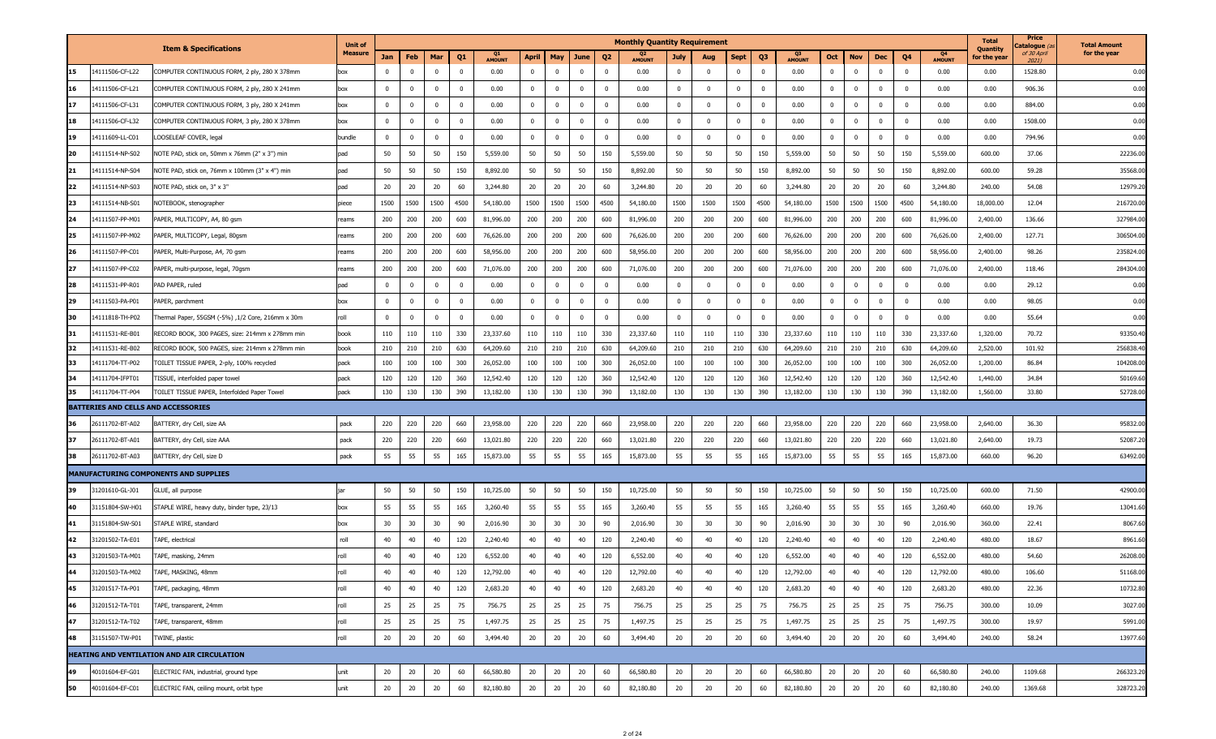|    |                                     |                                                   | <b>Unit of</b> |              |                |                         |                         |               |              |             |                |                         | <b>Monthly Quantity Requirement</b> |                |              |            |                |               |                |                |              |                |                     | <b>Total</b><br>Quantity | Price<br>C <b>atalogue</b> (a | <b>Total Amount</b> |
|----|-------------------------------------|---------------------------------------------------|----------------|--------------|----------------|-------------------------|-------------------------|---------------|--------------|-------------|----------------|-------------------------|-------------------------------------|----------------|--------------|------------|----------------|---------------|----------------|----------------|--------------|----------------|---------------------|--------------------------|-------------------------------|---------------------|
|    |                                     | <b>Item &amp; Specifications</b>                  | Measure        | Jan          | Feb            | Mar                     | Q <sub>1</sub>          | <b>AMOUNT</b> | <b>April</b> | May         | June           | Q <sub>2</sub>          | <b>AMOUNT</b>                       | <b>July</b>    | Aug          | Sept       | Q <sub>3</sub> | <b>AMOUNT</b> | Oct            | <b>Nov</b>     | Dec          | Q4             | Q4<br><b>AMOUNT</b> | for the year             | of 30 April<br>20211          | for the year        |
| 15 | 14111506-CF-L22                     | COMPUTER CONTINUOUS FORM, 2 ply, 280 X 378mm      | box            | $^{\circ}$   | $\mathbf 0$    | 0                       | $\overline{\mathbf{0}}$ | 0.00          | $\bf{0}$     | $\mathbf 0$ | $\mathbf{0}$   | $\mathbf{0}$            | 0.00                                | $\mathbf{0}$   | $\mathbf{0}$ | $\Omega$   | $\mathbf{0}$   | 0.00          | $\mathbf{0}$   | $\overline{0}$ | $\mathbf{0}$ | $\overline{0}$ | 0.00                | 0.00                     | 1528.80                       | 0.00                |
| 16 | 14111506-CF-L21                     | COMPUTER CONTINUOUS FORM, 2 ply, 280 X 241mm      | box            | $\mathbf{0}$ | $\mathbf 0$    | $\overline{0}$          | $\overline{0}$          | 0.00          | $\mathbf 0$  | $^{\circ}$  | $\mathbf{0}$   | $\mathbf{0}$            | 0.00                                | $\overline{0}$ | $\mathbf{0}$ | $\Omega$   | $\mathbf{0}$   | 0.00          | $\mathbf{0}$   | $\overline{0}$ | $\mathbf 0$  | $\mathbf 0$    | 0.00                | 0.00                     | 906.36                        | 0.00                |
| 17 | 14111506-CF-L31                     | COMPUTER CONTINUOUS FORM, 3 ply, 280 X 241mm      | box            | $^{\circ}$   | $\mathbf 0$    | 0                       | $\overline{\mathbf{0}}$ | 0.00          | $\mathbf 0$  | $\mathbf 0$ | $^{\circ}$     | $\overline{\mathbf{0}}$ | 0.00                                | $\mathbf{0}$   | $\mathbf{0}$ | $\Omega$   | $\mathbf{0}$   | 0.00          | $\mathbf{0}$   | $\overline{0}$ | $\mathbf 0$  | $\overline{0}$ | 0.00                | 0.00                     | 884.00                        | 0.00                |
| 18 | 14111506-CF-L32                     | COMPUTER CONTINUOUS FORM, 3 ply, 280 X 378mm      | box            | $\mathbf{0}$ | $\overline{0}$ | $\Omega$                | $\overline{\mathbf{0}}$ | 0.00          | $\mathbf 0$  | $\Omega$    | $\overline{0}$ | $\mathbf 0$             | 0.00                                | $\bf{0}$       | $\mathbf 0$  | $\Omega$   | $\overline{0}$ | 0.00          | $\Omega$       | $\overline{0}$ | $\mathbf 0$  | $\overline{0}$ | 0.00                | 0.00                     | 1508.00                       | 0.00                |
| 19 | 14111609-LL-C01                     | LOOSELEAF COVER, legal                            | bundle         | $\mathbf 0$  | $\mathbf 0$    | $\overline{\mathbf{0}}$ | $\overline{\mathbf{0}}$ | 0.00          | $\bf{0}$     | $\mathbf 0$ | $\mathbf 0$    | $\mathbf{0}$            | 0.00                                | $\mathbf 0$    | $\mathbf{0}$ | $\Omega$   | $\mathbf 0$    | 0.00          | $\mathbf{0}$   | $\overline{0}$ | $\bf{0}$     | $\overline{0}$ | 0.00                | 0.00                     | 794.96                        | 0.00                |
| 20 | 14111514-NP-S02                     | NOTE PAD, stick on, 50mm x 76mm (2" x 3") min     | pad            | 50           | 50             | 50                      | 150                     | 5,559.00      | 50           | 50          | 50             | 150                     | 5,559.00                            | 50             | 50           | 50         | 150            | 5,559.00      | 50             | 50             | 50           | 150            | 5,559.00            | 600.00                   | 37.06                         | 22236.0             |
| 21 | 14111514-NP-S04                     | NOTE PAD, stick on, 76mm x 100mm (3" x 4") min    | pad            | 50           | 50             | 50                      | 150                     | 8,892.00      | 50           | 50          | 50             | 150                     | 8,892.00                            | 50             | 50           | 50         | 150            | 8,892.00      | 50             | 50             | 50           | 150            | 8,892.00            | 600.00                   | 59.28                         | 35568.0             |
| 22 | 14111514-NP-S03                     | NOTE PAD, stick on, 3" x 3"                       | pad            | 20           | 20             | 20                      | 60                      | 3,244.80      | 20           | 20          | 20             | 60                      | 3,244.80                            | 20             | 20           | 20         | 60             | 3,244.80      | 20             | 20             | 20           | 60             | 3,244.80            | 240.00                   | 54.08                         | 12979.2             |
| 23 | 14111514-NB-S01                     | NOTEBOOK, stenographer                            | piece          | 1500         | 1500           | 1500                    | 4500                    | 54,180.00     | 1500         | 1500        | 1500           | 4500                    | 54,180.00                           | 1500           | 1500         | 1500       | 4500           | 54,180.00     | 1500           | 1500           | 1500         | 4500           | 54,180.00           | 18,000.00                | 12.04                         | 216720.0            |
| 24 | 14111507-PP-M01                     | PAPER, MULTICOPY, A4, 80 gsm                      | reams          | 200          | 200            | 200                     | 600                     | 81,996.00     | 200          | 200         | 200            | 600                     | 81,996.00                           | 200            | 200          | 200        | 600            | 81,996.00     | 200            | 200            | 200          | 600            | 81,996.00           | 2,400.00                 | 136.66                        | 327984.0            |
| 25 | 14111507-PP-M02                     | PAPER, MULTICOPY, Legal, 80gsm                    | reams          | 200          | 200            | 200                     | 600                     | 76,626.00     | 200          | 200         | 200            | 600                     | 76,626.00                           | 200            | 200          | 200        | 600            | 76,626.00     | 200            | 200            | 200          | 600            | 76,626.00           | 2,400.00                 | 127.71                        | 306504.0            |
| 26 | 14111507-PP-C01                     | PAPER, Multi-Purpose, A4, 70 gsm                  | reams          | 200          | 200            | 200                     | 600                     | 58,956.00     | 200          | 200         | 200            | 600                     | 58,956.00                           | 200            | 200          | 200        | 600            | 58,956.00     | 200            | 200            | 200          | 600            | 58,956.00           | 2,400.00                 | 98.26                         | 235824.0            |
| 27 | 14111507-PP-C02                     | PAPER, multi-purpose, legal, 70gsm                | eams           | 200          | 200            | 200                     | 600                     | 71,076.00     | 200          | 200         | 200            | 600                     | 71,076.00                           | 200            | 200          | 200        | 600            | 71,076.00     | 200            | 200            | 200          | 600            | 71,076.00           | 2,400.00                 | 118.46                        | 284304.00           |
| 28 | 14111531-PP-R01                     | PAD PAPER, ruled                                  | pad            | $^{\circ}$   | $\mathbf 0$    | 0                       | $\overline{\mathbf{0}}$ | 0.00          | $\bf{0}$     | $^{\circ}$  | $^{\circ}$     | $\overline{\mathbf{0}}$ | 0.00                                | $\mathbf{0}$   | $\mathbf{0}$ | $\Omega$   | $\mathbf{0}$   | 0.00          | $\mathbf{0}$   | $\overline{0}$ | $\mathbf 0$  | $\overline{0}$ | 0.00                | 0.00                     | 29.12                         | 0.00                |
| 29 | 14111503-PA-P01                     | PAPER, parchment                                  | box            | $^{\circ}$   | $\mathbf 0$    | $^{\circ}$              | $\overline{\mathbf{0}}$ | 0.00          | $\bf{0}$     | $\mathbf 0$ | $\mathbf 0$    | $\overline{\mathbf{0}}$ | 0.00                                | $\bf{0}$       | $\mathbf{0}$ | $^{\circ}$ | $\mathbf{0}$   | 0.00          | $\overline{0}$ | $\overline{0}$ | $\mathbf 0$  | $\overline{0}$ | 0.00                | 0.00                     | 98.05                         | 0.00                |
| 30 | 14111818-TH-P02                     | Thermal Paper, 55GSM (-5%) ,1/2 Core, 216mm x 30m | roll           | $\mathbf{0}$ | $\mathbf 0$    | $\overline{\mathbf{0}}$ | $\overline{\mathbf{0}}$ | 0.00          | $\bf{0}$     | $\Omega$    | $\overline{0}$ | $\mathbf 0$             | 0.00                                | $\mathbf 0$    | $\mathbf 0$  |            | $\mathbf 0$    | 0.00          | $\mathbf{0}$   | $\mathbf{0}$   | $\mathbf 0$  | $\overline{0}$ | 0.00                | 0.00                     | 55.64                         | 0.00                |
| 31 | 14111531-RE-B01                     | RECORD BOOK, 300 PAGES, size: 214mm x 278mm min   | book           | 110          | 110            | 110                     | 330                     | 23,337.60     | 110          | 110         | 110            | 330                     | 23,337.60                           | 110            | 110          | 110        | 330            | 23,337.60     | 110            | 110            | 110          | 330            | 23,337.60           | 1,320.00                 | 70.72                         | 93350.4             |
| 32 | 14111531-RE-B02                     | RECORD BOOK, 500 PAGES, size: 214mm x 278mm min   | book           | 210          | 210            | 210                     | 630                     | 64,209.60     | 210          | 210         | 210            | 630                     | 64,209.60                           | 210            | 210          | 210        | 630            | 64,209.60     | 210            | 210            | 210          | 630            | 64,209.60           | 2,520.00                 | 101.92                        | 256838.4            |
| 33 | 14111704-TT-P02                     | TOILET TISSUE PAPER, 2-ply, 100% recycled         | pack           | 100          | 100            | 100                     | 300                     | 26,052.00     | 100          | 100         | 100            | 300                     | 26,052.00                           | 100            | 100          | 100        | 300            | 26,052.00     | 100            | 100            | 100          | 300            | 26,052.00           | 1,200.00                 | 86.84                         | 104208.0            |
| 34 | 14111704-IFPT01                     | TISSUE, interfolded paper towel                   | pack           | 120          | 120            | 120                     | 360                     | 12,542.40     | 120          | 120         | 120            | 360                     | 12,542.40                           | 120            | 120          | 120        | 360            | 12,542.40     | 120            | 120            | 120          | 360            | 12,542.40           | 1,440.00                 | 34.84                         | 50169.6             |
| 35 | 14111704-TT-P04                     | TOILET TISSUE PAPER, Interfolded Paper Towel      | pack           | 130          | 130            | 130                     | 390                     | 13,182.00     | 130          | 130         | 130            | 390                     | 13,182.00                           | 130            | 130          | 130        | 390            | 13,182.00     | 130            | 130            | 130          | 390            | 13,182.00           | 1,560.00                 | 33.80                         | 52728.0             |
|    | BATTERIES AND CELLS AND ACCESSORIES |                                                   |                |              |                |                         |                         |               |              |             |                |                         |                                     |                |              |            |                |               |                |                |              |                |                     |                          |                               |                     |
| 36 | 26111702-BT-A02                     | BATTERY, dry Cell, size AA                        | pack           | 220          | 220            | 220                     | 660                     | 23,958.00     | 220          | 220         | 220            | 660                     | 23,958.00                           | 220            | 220          | 220        | 660            | 23,958.00     | 220            | 220            | 220          | 660            | 23,958.00           | 2,640.00                 | 36.30                         | 95832.0             |
| 37 | 26111702-BT-A01                     | BATTERY, dry Cell, size AAA                       | pack           | 220          | 220            | 220                     | 660                     | 13,021.80     | 220          | 220         | 220            | 660                     | 13,021.80                           | 220            | 220          | 220        | 660            | 13,021.80     | 220            | 220            | 220          | 660            | 13,021.80           | 2,640.00                 | 19.73                         | 52087.2             |
|    | 26111702-BT-A03                     | BATTERY, dry Cell, size D                         | pack           | 55           | 55             | 55                      | 165                     | 15,873.00     | 55           | 55          | 55             | 165                     | 15,873.00                           | 55             | 55           | 55         | 165            | 15,873.00     | 55             | 55             | 55           | 165            | 15,873.00           | 660.00                   | 96.20                         | 63492.00            |
|    |                                     | MANUFACTURING COMPONENTS AND SUPPLIES             |                |              |                |                         |                         |               |              |             |                |                         |                                     |                |              |            |                |               |                |                |              |                |                     |                          |                               |                     |
| 39 | 31201610-GL-J01                     | GLUE, all purpose                                 |                | 50           | 50             | 50                      | 150                     | 10,725.00     | 50           | 50          | 50             | 150                     | 10,725.00                           | 50             | 50           | 50         | 150            | 10,725.00     | 50             | 50             | 50           | 150            | 10,725.00           | 600.00                   | 71.50                         | 42900.0             |
| 40 | 31151804-SW-H01                     | STAPLE WIRE, heavy duty, binder type, 23/13       | box            | 55           | 55             | 55                      | 165                     | 3,260.40      | 55           | 55          | 55             | 165                     | 3,260.40                            | 55             | 55           | 55         | 165            | 3,260.40      | 55             | 55             | 55           | 165            | 3,260.40            | 660.00                   | 19.76                         | 13041.60            |
| 41 | 31151804-SW-S01                     | STAPLE WIRE, standard                             | box            | 30           | 30             | 30                      | 90                      | 2,016.90      | 30           | 30          | 30             | 90                      | 2,016.90                            | 30             | 30           | 30         | 90             | 2,016.90      | 30             | 30             | 30           | 90             | 2,016.90            | 360.00                   | 22.41                         | 8067.6              |
| 42 | 31201502-TA-E01                     | TAPE, electrical                                  | roll           | 40           | 40             | 40                      | 120                     | 2,240.40      | 40           | 40          | 40             | 120                     | 2,240.40                            | 40             | 40           | 40         | 120            | 2,240.40      | 40             | 40             | 40           | 120            | 2,240.40            | 480.00                   | 18.67                         | 8961.60             |
| 43 | 31201503-TA-M01                     | TAPE, masking, 24mm                               | roll           | 40           | 40             | 40                      | 120                     | 6,552.00      | 40           | 40          | 40             | 120                     | 6,552.00                            | 40             | 40           | 40         | 120            | 6,552.00      | 40             | 40             | 40           | 120            | 6,552.00            | 480.00                   | 54.60                         | 26208.00            |
| 44 | 31201503-TA-M02                     | TAPE, MASKING, 48mm                               |                | 40           | 40             | 40                      | 120                     | 12,792.00     | 40           | 40          | 40             | 120                     | 12,792.00                           | 40             | 40           | 40         | 120            | 12,792.00     | 40             | 40             | 40           | 120            | 12,792.00           | 480.00                   | 106.60                        | 51168.00            |
| 45 | 31201517-TA-P01                     | TAPE, packaging, 48mm                             | roll           | 40           | 40             | 40                      | 120                     | 2,683.20      | 40           | 40          | 40             | 120                     | 2,683.20                            | 40             | 40           | 40         | 120            | 2,683.20      | 40             | 40             | 40           | 120            | 2,683.20            | 480.00                   | 22.36                         | 10732.80            |
| 46 | 31201512-TA-T01                     | TAPE, transparent, 24mm                           | roll           | 25           | 25             | 25                      | 75                      | 756.75        | 25           | 25          | 25             | 75                      | 756.75                              | 25             | 25           | 25         | 75             | 756.75        | 25             | 25             | 25           | 75             | 756.75              | 300.00                   | 10.09                         | 3027.00             |
| 47 | 31201512-TA-T02                     | TAPE, transparent, 48mm                           | roll           | 25           | 25             | 25                      | 75                      | 1,497.75      | 25           | 25          | 25             | 75                      | 1,497.75                            | 25             | 25           | 25         | 75             | 1,497.75      | 25             | 25             | 25           | 75             | 1,497.75            | 300.00                   | 19.97                         | 5991.00             |
| 48 | 31151507-TW-P01                     | TWINE, plastic                                    | roll           | 20           | 20             | 20                      | 60                      | 3,494.40      | 20           | 20          | 20             | 60                      | 3,494.40                            | 20             | 20           | 20         | 60             | 3,494.40      | 20             | 20             | 20           | 60             | 3,494.40            | 240.00                   | 58.24                         | 13977.60            |
|    |                                     | HEATING AND VENTILATION AND AIR CIRCULATION       |                |              |                |                         |                         |               |              |             |                |                         |                                     |                |              |            |                |               |                |                |              |                |                     |                          |                               |                     |
| 49 | 40101604-EF-G01                     | ELECTRIC FAN, industrial, ground type             | unit           | 20           | 20             | 20                      | 60                      | 66,580.80     | 20           | 20          | 20             | 60                      | 66,580.80                           | 20             | 20           | 20         | 60             | 66,580.80     | 20             | 20             | 20           | 60             | 66,580.80           | 240.00                   | 1109.68                       | 266323.20           |
| 50 | 40101604-EF-C01                     | ELECTRIC FAN, ceiling mount, orbit type           | unit           | 20           | 20             | 20                      | 60                      | 82,180.80     | 20           | 20          | 20             | 60                      | 82,180.80                           | 20             | 20           | 20         | 60             | 82,180.80     | 20             | 20             | 20           | 60             | 82,180.80           | 240.00                   | 1369.68                       | 328723.20           |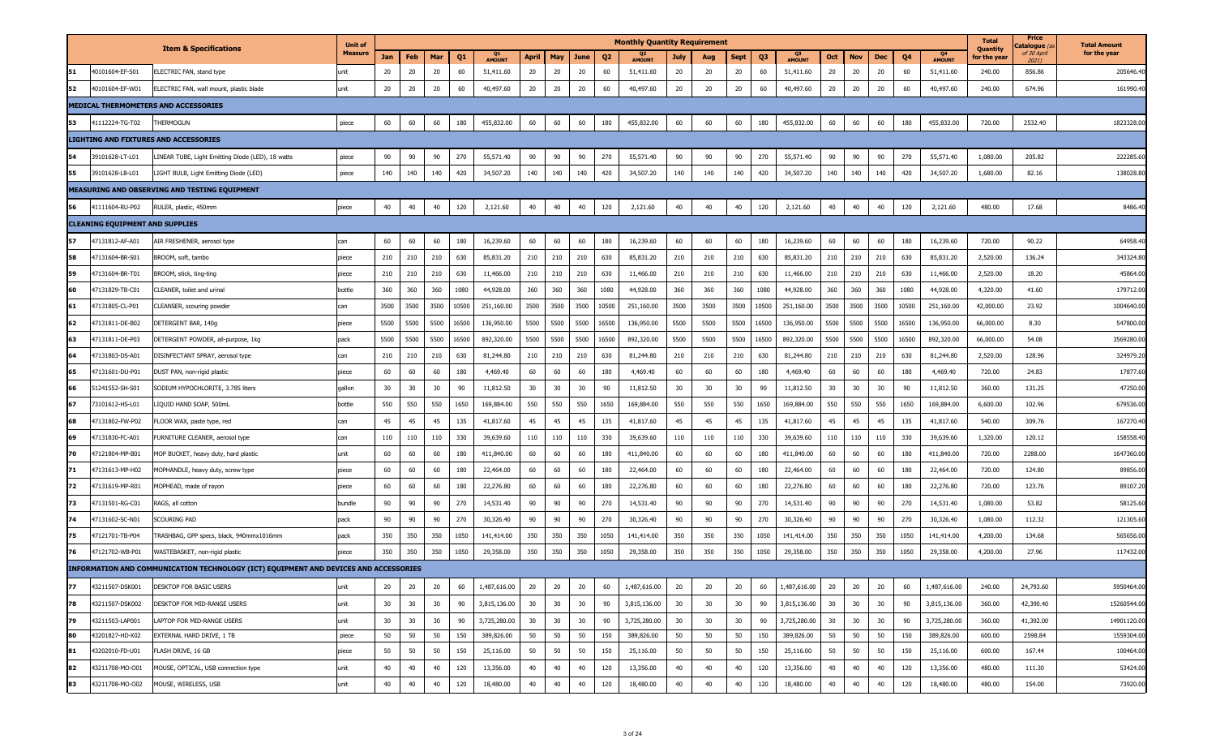|    |                                        |                                                                                      | <b>Unit of</b> |      |      |      |       |               |              |      |      |                | <b>Monthly Quantity Requirement</b> |             |      |             |                |               |      |            |      |       |                     | <b>Total</b><br>Quantity | Price<br>C <b>atalogue</b> (a | <b>Total Amount</b> |
|----|----------------------------------------|--------------------------------------------------------------------------------------|----------------|------|------|------|-------|---------------|--------------|------|------|----------------|-------------------------------------|-------------|------|-------------|----------------|---------------|------|------------|------|-------|---------------------|--------------------------|-------------------------------|---------------------|
|    |                                        | <b>Item &amp; Specifications</b>                                                     | <b>Measure</b> | Jan  | Feb  | Mar  | Q1    | <b>AMOUNT</b> | <b>April</b> | May  | June | Q <sub>2</sub> | <b>AMOUNT</b>                       | <b>July</b> | Aug  | <b>Sept</b> | Q <sub>3</sub> | <b>AMOUNT</b> | Oct  | <b>Nov</b> | Dec  | Q4    | Q4<br><b>AMOUNT</b> | for the year             | of 30 April<br>20211          | for the year        |
| 51 | 40101604-EF-S01                        | LECTRIC FAN, stand type                                                              | unit           | 20   | 20   | 20   | 60    | 51,411.60     | 20           | 20   | 20   | 60             | 51,411.60                           | 20          | 20   | 20          | 60             | 51,411.60     | 20   | 20         | 20   | 60    | 51,411.60           | 240.00                   | 856.86                        | 205646.40           |
| 52 | 0101604-EF-W01                         | ELECTRIC FAN, wall mount, plastic blade                                              | unit           | 20   | 20   | 20   | 60    | 40,497.60     | 20           | 20   | 20   | 60             | 40,497.60                           | 20          | 20   | 20          | 60             | 40,497.60     | 20   | 20         | 20   | 60    | 40,497.60           | 240.00                   | 674.96                        | 161990.4            |
|    |                                        | MEDICAL THERMOMETERS AND ACCESSORIES                                                 |                |      |      |      |       |               |              |      |      |                |                                     |             |      |             |                |               |      |            |      |       |                     |                          |                               |                     |
| 53 | 41112224-TG-T02                        | <b>HERMOGUN</b>                                                                      | piece          | 60   | 60   | 60   | 180   | 455,832.00    | 60           | 60   | 60   | 180            | 455,832.00                          | 60          | 60   | 60          | 180            | 455,832.00    | 60   | 60         | 60   | 180   | 455,832.00          | 720.00                   | 2532.40                       | 1823328.0           |
|    |                                        | LIGHTING AND FIXTURES AND ACCESSORIES                                                |                |      |      |      |       |               |              |      |      |                |                                     |             |      |             |                |               |      |            |      |       |                     |                          |                               |                     |
| 54 | 39101628-LT-L01                        | INEAR TUBE, Light Emitting Diode (LED), 18 watts                                     | piece          | 90   | 90   | 90   | 270   | 55,571.40     | 90           | 90   | 90   | 270            | 55,571.40                           | 90          | 90   | 90          | 270            | 55,571.40     | 90   | 90         | 90   | 270   | 55,571.40           | 1,080.00                 | 205.82                        | 222285.6            |
|    | 39101628-LB-L01                        | IGHT BULB, Light Emitting Diode (LED)                                                | piece          | 140  | 140  | 140  | 420   | 34,507.20     | 140          | 140  | 140  | 420            | 34,507.20                           | 140         | 140  | 140         | 420            | 34,507.20     | 140  | 140        | 140  | 420   | 34,507.20           | 1,680.00                 | 82.16                         | 138028.8            |
|    |                                        | MEASURING AND OBSERVING AND TESTING EQUIPMENT                                        |                |      |      |      |       |               |              |      |      |                |                                     |             |      |             |                |               |      |            |      |       |                     |                          |                               |                     |
| 56 | 41111604-RU-P02                        | RULER, plastic, 450mm                                                                | piece          | 40   | 40   | 40   | 120   | 2,121.60      | 40           | 40   | 40   | 120            | 2,121.60                            | 40          | 40   | 40          | 120            | 2,121.60      | 40   | 40         | 40   | 120   | 2,121.60            | 480.00                   | 17.68                         | 8486.4              |
|    | <b>CLEANING EQUIPMENT AND SUPPLIES</b> |                                                                                      |                |      |      |      |       |               |              |      |      |                |                                     |             |      |             |                |               |      |            |      |       |                     |                          |                               |                     |
| 57 | 17131812-AF-A01                        | AIR FRESHENER, aerosol type                                                          | can            | 60   | 60   | 60   | 180   | 16,239.60     | 60           | 60   | 60   | 180            | 16,239.60                           | 60          | 60   | 60          | 180            | 16,239.60     | 60   | 60         | 60   | 180   | 16,239.60           | 720.00                   | 90.22                         | 64958.4             |
| 58 | 7131604-BR-S01                         | ROOM, soft, tambo                                                                    | piece          | 210  | 210  | 210  | 630   | 85,831.20     | 210          | 210  | 210  | 630            | 85,831.20                           | 210         | 210  | 210         | 630            | 85,831.20     | 210  | 210        | 210  | 630   | 85,831.20           | 2,520.00                 | 136.24                        | 343324.8            |
| 59 | 47131604-BR-T01                        | 3ROOM, stick, ting-ting                                                              | piece          | 210  | 210  | 210  | 630   | 11,466.00     | 210          | 210  | 210  | 630            | 11,466.00                           | 210         | 210  | 210         | 630            | 11,466.00     | 210  | 210        | 210  | 630   | 11,466.00           | 2,520.00                 | 18.20                         | 45864.00            |
| 60 | 47131829-TB-C01                        | LEANER, toilet and urinal                                                            | bottle         | 360  | 360  | 360  | 1080  | 44,928.00     | 360          | 360  | 360  | 1080           | 44,928.00                           | 360         | 360  | 360         | 1080           | 44,928.00     | 360  | 360        | 360  | 1080  | 44,928.00           | 4,320.00                 | 41.60                         | 179712.0            |
| 61 | 7131805-CL-P01                         | LEANSER, scouring powder                                                             | can            | 3500 | 3500 | 3500 | 10500 | 251,160.00    | 3500         | 3500 | 3500 | 10500          | 251,160.00                          | 3500        | 3500 | 3500        | 10500          | 251,160.00    | 3500 | 3500       | 3500 | 10500 | 251,160.00          | 42,000.00                | 23.92                         | 1004640.0           |
| 62 | 7131811-DE-B02                         | DETERGENT BAR, 140g                                                                  | piece          | 5500 | 5500 | 5500 | 16500 | 136,950.00    | 5500         | 5500 | 5500 | 16500          | 136,950.00                          | 5500        | 5500 | 5500        | 16500          | 136,950.00    | 5500 | 5500       | 5500 | 16500 | 136,950.00          | 66,000.00                | 8.30                          | 547800.0            |
| 63 | 47131811-DE-P03                        | DETERGENT POWDER, all-purpose, 1kg                                                   | pack           | 5500 | 5500 | 5500 | 16500 | 892,320.00    | 5500         | 5500 | 5500 | 16500          | 892,320.00                          | 5500        | 5500 | 5500        | 16500          | 892,320.00    | 5500 | 5500       | 5500 | 16500 | 892,320.00          | 66,000.00                | 54.08                         | 3569280.0           |
| 64 | 47131803-DS-A01                        | )ISINFECTANT SPRAY, aerosol type                                                     | can            | 210  | 210  | 210  | 630   | 81,244.80     | 210          | 210  | 210  | 630            | 81,244.80                           | 210         | 210  | 210         | 630            | 81,244.80     | 210  | 210        | 210  | 630   | 81,244.80           | 2,520.00                 | 128.96                        | 324979.2            |
| 65 | 7131601-DU-P01                         | DUST PAN, non-rigid plastic                                                          | piece          | 60   | 60   | 60   | 180   | 4,469.40      | 60           | 60   | 60   | 180            | 4,469.40                            | 60          | 60   | 60          | 180            | 4,469.40      | 60   | 60         | 60   | 180   | 4,469.40            | 720.00                   | 24.83                         | 17877.6             |
| 66 | 1241552-SH-S01                         | SODIUM HYPOCHLORITE, 3.785 liters                                                    | gallon         | 30   | 30   | 30   | 90    | 11,812.50     | 30           | 30   | 30   | 90             | 11,812.50                           | 30          | 30   | 30          | 90             | 11,812.50     | 30   | 30         | 30   | 90    | 11,812.50           | 360.00                   | 131.25                        | 47250.0             |
| 67 | 73101612-HS-L01                        | IQUID HAND SOAP, 500mL                                                               | bottle         | 550  | 550  | 550  | 1650  | 169,884.00    | 550          | 550  | 550  | 1650           | 169,884.00                          | 550         | 550  | 550         | 1650           | 169,884.00    | 550  | 550        | 550  | 1650  | 169,884.00          | 6,600.00                 | 102.96                        | 679536.0            |
| 68 | 47131802-FW-P02                        | LOOR WAX, paste type, red                                                            | can            | 45   | 45   | 45   | 135   | 41,817.60     | 45           | 45   | 45   | 135            | 41,817.60                           | 45          | 45   | 45          | 135            | 41,817.60     | 45   | 45         | 45   | 135   | 41,817.60           | 540.00                   | 309.76                        | 167270.4            |
| 69 | 7131830-FC-A01                         | URNITURE CLEANER, aerosol type                                                       | can            | 110  | 110  | 110  | 330   | 39,639.60     | 110          | 110  | 110  | 330            | 39,639.60                           | 110         | 110  | 110         | 330            | 39,639.60     | 110  | 110        | 110  | 330   | 39,639.60           | 1,320.00                 | 120.12                        | 158558.4            |
| 70 | 7121804-MP-B01                         | MOP BUCKET, heavy duty, hard plastic                                                 | unit           | 60   | 60   | 60   | 180   | 411,840.00    | 60           | 60   | 60   | 180            | 411,840.00                          | 60          | 60   | 60          | 180            | 411,840.00    | 60   | 60         | 60   | 180   | 411,840.00          | 720.00                   | 2288.00                       | 1647360.0           |
| 71 | 7131613-MP-H02                         | 10PHANDLE, heavy duty, screw type                                                    | piece          | 60   | 60   | 60   | 180   | 22,464.00     | 60           | 60   | 60   | 180            | 22,464.00                           | 60          | 60   | 60          | 180            | 22,464.00     | 60   | 60         | 60   | 180   | 22,464.00           | 720.00                   | 124.80                        | 89856.0             |
| 72 | 47131619-MP-R01                        | MOPHEAD, made of rayon                                                               | piece          | 60   | 60   | 60   | 180   | 22,276.80     | 60           | 60   | 60   | 180            | 22,276.80                           | 60          | 60   | 60          | 180            | 22,276.80     | 60   | 60         | 60   | 180   | 22,276.80           | 720.00                   | 123.76                        | 89107.2             |
| 73 | 7131501-RG-C01                         | <b>AGS</b> , all cotton                                                              | bundle         | 90   | 90   | 90   | 270   | 14,531.40     | 90           | 90   | 90   | 270            | 14,531.40                           | 90          | 90   | 90          | 270            | 14,531.40     | 90   | 90         | 90   | 270   | 14,531.40           | 1,080.00                 | 53.82                         | 58125.6             |
| 74 | 7131602-SC-N01                         | Couring Pad                                                                          | pack           | 90   | 90   | 90   | 270   | 30,326.40     | 90           | 90   | 90   | 270            | 30,326.40                           | 90          | 90   | 90          | 270            | 30,326.40     | 90   | 90         | 90   | 270   | 30,326.40           | 1,080.00                 | 112.32                        | 121305.6            |
| 75 | 47121701-TB-P04                        | FRASHBAG, GPP specs, black, 940mmx1016mm                                             | pack           | 350  | 350  | 350  | 1050  | 141,414.00    | 350          | 350  | 350  | 1050           | 141,414.00                          | 350         | 350  | 350         | 1050           | 141,414.00    | 350  | 350        | 350  | 1050  | 141,414.00          | 4,200.00                 | 134.68                        | 565656.0            |
| 76 | 7121702-WB-P01                         | WASTEBASKET, non-rigid plastic                                                       | piece          | 350  | 350  | 350  | 1050  | 29,358.00     | 350          | 350  | 350  | 1050           | 29,358.00                           | 350         | 350  | 350         | 1050           | 29,358.00     | 350  | 350        | 350  | 1050  | 29,358.00           | 4,200.00                 | 27.96                         | 117432.0            |
|    |                                        | INFORMATION AND COMMUNICATION TECHNOLOGY (ICT) EQUIPMENT AND DEVICES AND ACCESSORIES |                |      |      |      |       |               |              |      |      |                |                                     |             |      |             |                |               |      |            |      |       |                     |                          |                               |                     |
| 77 | 43211507-DSK001                        | DESKTOP FOR BASIC USERS                                                              | unit           | 20   | 20   | 20   | 60    | 1,487,616.00  | 20           | 20   | 20   | 60             | 1,487,616.00                        | 20          | 20   | 20          | 60             | 1,487,616.00  | 20   | 20         | 20   | 60    | 1,487,616.00        | 240.00                   | 24,793.60                     | 5950464.00          |
| 78 | 43211507-DSK002                        | DESKTOP FOR MID-RANGE USERS                                                          | unit           | 30   | 30   | 30   | 90    | 3,815,136.00  | 30           | 30   | 30   | 90             | 3,815,136.00                        | 30          | 30   | 30          | 90             | 3,815,136.00  | 30   | 30         | 30   | 90    | 3,815,136.00        | 360.00                   | 42,390.40                     | 15260544.00         |
| 79 | 43211503-LAP001                        | LAPTOP FOR MID-RANGE USERS                                                           | unit           | 30   | 30   | 30   | 90    | 3,725,280.00  | 30           | 30   | 30   | 90             | 3,725,280.00                        | 30          | 30   | 30          | 90             | 3,725,280.00  | 30   | 30         | 30   | 90    | 3,725,280.00        | 360.00                   | 41,392.00                     | 14901120.00         |
| 80 | 43201827-HD-X02                        | EXTERNAL HARD DRIVE, 1 TB                                                            | piece          | 50   | 50   | 50   | 150   | 389,826.00    | 50           | 50   | 50   | 150            | 389,826.00                          | 50          | 50   | 50          | 150            | 389,826.00    | 50   | 50         | 50   | 150   | 389,826.00          | 600.00                   | 2598.84                       | 1559304.00          |
| 81 | 43202010-FD-U01                        | FLASH DRIVE, 16 GB                                                                   | piece          | 50   | 50   | 50   | 150   | 25,116.00     | 50           | 50   | 50   | 150            | 25,116.00                           | 50          | 50   | 50          | 150            | 25,116.00     | 50   | 50         | 50   | 150   | 25,116.00           | 600.00                   | 167.44                        | 100464.00           |
| 82 | 43211708-MO-O01                        | MOUSE, OPTICAL, USB connection type                                                  | unit           | 40   | 40   | 40   | 120   | 13,356.00     | 40           | 40   | 40   | 120            | 13,356.00                           | 40          | 40   | 40          | 120            | 13,356.00     | 40   | 40         | 40   | 120   | 13,356.00           | 480.00                   | 111.30                        | 53424.00            |
| 83 | 43211708-MO-O02                        | MOUSE, WIRELESS, USB                                                                 | unit           | 40   | 40   | 40   | 120   | 18,480.00     | 40           | 40   | 40   | 120            | 18,480.00                           | 40          | 40   | 40          | 120            | 18,480.00     | 40   | 40         | 40   | 120   | 18,480.00           | 480.00                   | 154.00                        | 73920.00            |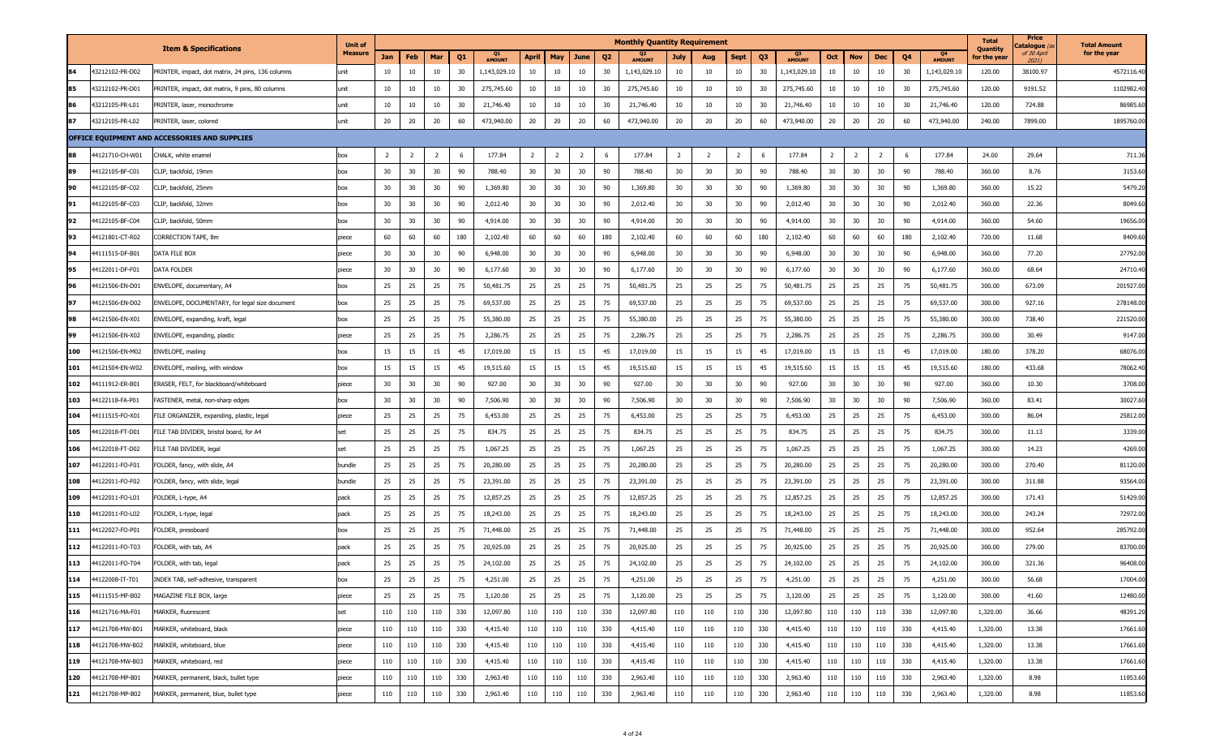|     |                 |                                                   | <b>Unit of</b> |                |     |     |     |              |                |                |      |                | <b>Monthly Quantity Requirement</b> |                |                |                |     |                     |     |                |                |                |                            | <b>Total</b>             | Price<br><b>`atalogue</b> (a | <b>Total Amount</b> |
|-----|-----------------|---------------------------------------------------|----------------|----------------|-----|-----|-----|--------------|----------------|----------------|------|----------------|-------------------------------------|----------------|----------------|----------------|-----|---------------------|-----|----------------|----------------|----------------|----------------------------|--------------------------|------------------------------|---------------------|
|     |                 | <b>Item &amp; Specifications</b>                  | <b>Measure</b> | Jan            | Feb | Mar | Q1  | Q1<br>AMOUNT | <b>April</b>   | May            | June | Q <sub>2</sub> | <b>AMOUNT</b>                       | <b>July</b>    | Aug            | <b>Sept</b>    | Q3  | Q3<br><b>AMOUNT</b> | Oct | <b>Nov</b>     | Dec            | Q <sub>4</sub> | <b>Q4</b><br><b>AMOUNT</b> | Quantity<br>for the year | of 30 April<br>20211         | for the year        |
| 84  | 43212102-PR-D02 | PRINTER, impact, dot matrix, 24 pins, 136 columns | unit           | 10             | 10  | 10  | 30  | 1,143,029.10 | 10             | 10             | 10   | 30             | 1,143,029.10                        | 10             | 10             | 10             | 30  | 1,143,029.10        | 10  | 10             | 10             | 30             | 1,143,029.10               | 120.00                   | 38100.97                     | 4572116.40          |
| 85  | 43212102-PR-D01 | PRINTER, impact, dot matrix, 9 pins, 80 columns   | unit           | 10             | 10  | 10  | 30  | 275,745.60   | 10             | 10             | 10   | 30             | 275,745.60                          | 10             | 10             | 10             | 30  | 275,745.60          | 10  | 10             | 10             | 30             | 275,745.60                 | 120.00                   | 9191.52                      | 1102982.4           |
| 86  | 43212105-PR-L01 | PRINTER, laser, monochrome                        | unit           | 10             | 10  | 10  | 30  | 21,746.40    | 10             | 10             | 10   | 30             | 21,746.40                           | 10             | 10             | 10             | 30  | 21,746.40           | 10  | 10             | 10             | 30             | 21,746.40                  | 120.00                   | 724.88                       | 86985.60            |
| 87  | 43212105-PR-L02 | PRINTER, laser, colored                           | unit           | 20             | 20  | 20  | 60  | 473,940.00   | 20             | 20             | 20   | 60             | 473,940.00                          | 20             | 20             | 20             | 60  | 473,940.00          | 20  | 20             | 20             | 60             | 473,940.00                 | 240.00                   | 7899.00                      | 1895760.00          |
|     |                 | OFFICE EQUIPMENT AND ACCESSORIES AND SUPPLIES     |                |                |     |     |     |              |                |                |      |                |                                     |                |                |                |     |                     |     |                |                |                |                            |                          |                              |                     |
|     | 44121710-CH-W01 | CHALK, white enamel                               | box            | $\overline{2}$ | 2   | 2   | 6   | 177.84       | $\overline{2}$ | $\overline{2}$ | 2    | 6              | 177.84                              | $\overline{2}$ | $\overline{2}$ | $\overline{2}$ | -6  | 177.84              | 2   | $\overline{2}$ | $\overline{2}$ | 6              | 177.84                     | 24.00                    | 29.64                        | 711.36              |
| 89  | 44122105-BF-C01 | CLIP, backfold, 19mm                              | box            | 30             | 30  | 30  | 90  | 788.40       | 30             | 30             | 30   | 90             | 788.40                              | 30             | 30             | 30             | 90  | 788.40              | 30  | 30             | 30             | 90             | 788.40                     | 360.00                   | 8.76                         | 3153.60             |
| 90  | 44122105-BF-C02 | CLIP, backfold, 25mm                              | box            | 30             | 30  | 30  | 90  | 1,369.80     | 30             | 30             | 30   | 90             | 1,369.80                            | 30             | 30             | 30             | 90  | 1,369.80            | 30  | 30             | 30             | 90             | 1,369.80                   | 360.00                   | 15.22                        | 5479.20             |
| 91  | 44122105-BF-C03 | CLIP, backfold, 32mm                              | box            | 30             | 30  | 30  | 90  | 2,012.40     | 30             | 30             | 30   | 90             | 2,012.40                            | 30             | 30             | 30             | 90  | 2,012.40            | 30  | 30             | 30             | 90             | 2,012.40                   | 360.00                   | 22.36                        | 8049.60             |
| 92  | 44122105-BF-C04 | CLIP, backfold, 50mm                              | box            | 30             | 30  | 30  | 90  | 4,914.00     | 30             | 30             | 30   | 90             | 4,914.00                            | 30             | 30             | 30             | 90  | 4,914.00            | 30  | 30             | 30             | 90             | 4,914.00                   | 360.00                   | 54.60                        | 19656.00            |
| 93  | 44121801-CT-R02 | CORRECTION TAPE, 8m                               | piece          | 60             | 60  | 60  | 180 | 2,102.40     | 60             | 60             | 60   | 180            | 2,102.40                            | 60             | 60             | 60             | 180 | 2,102.40            | 60  | 60             | 60             | 180            | 2,102.40                   | 720.00                   | 11.68                        | 8409.60             |
| 94  | 44111515-DF-B01 | DATA FILE BOX                                     | piece          | 30             | 30  | 30  | 90  | 6,948.00     | 30             | 30             | 30   | 90             | 6,948.00                            | 30             | 30             | 30             | 90  | 6,948.00            | 30  | 30             | 30             | 90             | 6,948.00                   | 360.00                   | 77.20                        | 27792.00            |
| 95  | 44122011-DF-F01 | DATA FOLDER                                       | piece          | 30             | 30  | 30  | 90  | 6,177.60     | 30             | 30             | 30   | 90             | 6,177.60                            | 30             | 30             | 30             | 90  | 6,177.60            | 30  | 30             | 30             | 90             | 6,177.60                   | 360.00                   | 68.64                        | 24710.40            |
| 96  | 44121506-EN-D01 | ENVELOPE, documentary, A4                         | box            | 25             | 25  | 25  | 75  | 50,481.75    | 25             | 25             | 25   | 75             | 50,481.75                           | 25             | 25             | 25             | 75  | 50,481.75           | 25  | 25             | 25             | 75             | 50,481.75                  | 300.00                   | 673.09                       | 201927.00           |
| 97  | 44121506-EN-D02 | ENVELOPE, DOCUMENTARY, for legal size document    | box            | 25             | 25  | 25  | 75  | 69,537.00    | 25             | 25             | 25   | 75             | 69,537.00                           | 25             | 25             | 25             | 75  | 69,537.00           | 25  | 25             | 25             | 75             | 69,537.00                  | 300.00                   | 927.16                       | 278148.00           |
| 98  | 44121506-EN-X01 | ENVELOPE, expanding, kraft, legal                 | box            | 25             | 25  | 25  | 75  | 55,380.00    | 25             | 25             | 25   | 75             | 55,380.00                           | 25             | 25             | 25             | 75  | 55,380.00           | 25  | 25             | 25             | 75             | 55,380.00                  | 300.00                   | 738.40                       | 221520.00           |
| 99  | 44121506-EN-X02 | ENVELOPE, expanding, plastic                      | piece          | 25             | 25  | 25  | 75  | 2,286.75     | 25             | 25             | 25   | 75             | 2,286.75                            | 25             | 25             | 25             | 75  | 2,286.75            | 25  | 25             | 25             | 75             | 2,286.75                   | 300.00                   | 30.49                        | 9147.00             |
| 100 | 4121506-EN-M02  | ENVELOPE, mailing                                 | box            | 15             | 15  | 15  | 45  | 17,019.00    | 15             | 15             | 15   | 45             | 17,019.00                           | 15             | 15             | 15             | 45  | 17,019.00           | 15  | 15             | 15             | 45             | 17,019.00                  | 180.00                   | 378.20                       | 68076.00            |
| 101 | 4121504-EN-W02  | ENVELOPE, mailing, with window                    | box            | 15             | 15  | 15  | 45  | 19,515.60    | 15             | 15             | 15   | 45             | 19,515.60                           | 15             | 15             | 15             | 45  | 19,515.60           | 15  | 15             | 15             | 45             | 19,515.60                  | 180.00                   | 433.68                       | 78062.40            |
| 102 | 44111912-ER-B01 | ERASER, FELT, for blackboard/whiteboard           | piece          | 30             | 30  | 30  | 90  | 927.00       | 30             | 30             | 30   | 90             | 927.00                              | 30             | 30             | 30             | 90  | 927.00              | 30  | 30             | 30             | 90             | 927.00                     | 360.00                   | 10.30                        | 3708.00             |
| 103 | 14122118-FA-P01 | FASTENER, metal, non-sharp edges                  | box            | 30             | 30  | 30  | 90  | 7,506.90     | 30             | 30             | 30   | 90             | 7,506.90                            | 30             | 30             | 30             | 90  | 7,506.90            | 30  | 30             | 30             | 90             | 7,506.90                   | 360.00                   | 83.41                        | 30027.60            |
| 104 | 44111515-FO-X01 | ILE ORGANIZER, expanding, plastic, legal          | piece          | 25             | 25  | 25  | 75  | 6,453.00     | 25             | 25             | 25   | 75             | 6,453.00                            | 25             | 25             | 25             | 75  | 6,453.00            | 25  | 25             | 25             | 75             | 6,453.00                   | 300.00                   | 86.04                        | 25812.00            |
| 105 | 44122018-FT-D01 | FILE TAB DIVIDER, bristol board, for A4           |                | 25             | 25  | 25  | 75  | 834.75       | 25             | 25             | 25   | 75             | 834.75                              | 25             | 25             | 25             | 75  | 834.75              | 25  | 25             | 25             | 75             | 834.75                     | 300.00                   | 11.13                        | 3339.00             |
| 106 | 44122018-FT-D02 | ILE TAB DIVIDER, legal                            |                | 25             | 25  | 25  | 75  | 1,067.25     | 25             | 25             | 25   | 75             | 1,067.25                            | 25             | 25             | 25             | 75  | 1,067.25            | 25  | 25             | 25             | 75             | 1,067.25                   | 300.00                   | 14.23                        | 4269.00             |
| 107 | 44122011-FO-F01 | FOLDER, fancy, with slide, A4                     | bundle         | 25             | 25  | 25  | 75  | 20,280.00    | 25             | 25             | 25   | 75             | 20,280.00                           | 25             | 25             | 25             | 75  | 20,280.00           | 25  | 25             | 25             | 75             | 20,280.00                  | 300.00                   | 270.40                       | 81120.00            |
| 108 | 4122011-FO-F02  | FOLDER, fancy, with slide, legal                  | bundle         | 25             | 25  | 25  | 75  | 23,391.00    | 25             | 25             | 25   | 75             | 23,391.00                           | 25             | 25             | 25             | 75  | 23,391.00           | 25  | 25             | 25             | 75             | 23,391.00                  | 300.00                   | 311.88                       | 93564.00            |
| 109 | 4122011-FO-L01  | FOLDER, L-type, A4                                | pack           | 25             | 25  | 25  | 75  | 12,857.25    | 25             | 25             | 25   | 75             | 12,857.25                           | 25             | 25             | 25             | 75  | 12,857.25           | 25  | 25             | 25             | 75             | 12,857.25                  | 300.00                   | 171.43                       | 51429.00            |
| 110 | 44122011-FO-L02 | FOLDER, L-type, legal                             | pack           | 25             | 25  | 25  | 75  | 18,243.00    | 25             | 25             | 25   | 75             | 18,243.00                           | 25             | 25             | 25             | 75  | 18,243.00           | 25  | 25             | 25             | 75             | 18,243.00                  | 300.00                   | 243.24                       | 72972.00            |
| 111 | 44122027-FO-P01 | FOLDER, pressboard                                | box            | 25             | 25  | 25  | 75  | 71,448.00    | 25             | 25             | 25   | 75             | 71,448.00                           | 25             | 25             | 25             | 75  | 71,448.00           | 25  | 25             | 25             | 75             | 71,448.00                  | 300.00                   | 952.64                       | 285792.00           |
| 112 | 4122011-FO-T03  | FOLDER, with tab, A4                              | pack           | 25             | 25  | 25  | 75  | 20,925.00    | 25             | 25             | 25   | 75             | 20,925.00                           | 25             | 25             | 25             | 75  | 20,925.00           | 25  | 25             | 25             | 75             | 20,925.00                  | 300.00                   | 279.00                       | 83700.00            |
| 113 | 44122011-FO-T04 | FOLDER, with tab, legal                           | pack           | 25             | 25  | 25  | 75  | 24,102.00    | 25             | 25             | 25   | 75             | 24,102.00                           | 25             | 25             | 25             | 75  | 24,102.00           | 25  | 25             | 25             | 75             | 24,102.00                  | 300.00                   | 321.36                       | 96408.00            |
| 114 | 44122008-IT-T01 | INDEX TAB, self-adhesive, transparent             | box            | 25             | 25  | 25  | 75  | 4,251.00     | 25             | 25             | 25   | 75             | 4,251.00                            | 25             | 25             | 25             | 75  | 4,251.00            | 25  | 25             | 25             | 75             | 4,251.00                   | 300.00                   | 56.68                        | 17004.00            |
| 115 | 44111515-MF-B02 | MAGAZINE FILE BOX, large                          | piece          | 25             | 25  | 25  | 75  | 3,120.00     | 25             | 25             | 25   | 75             | 3,120.00                            | 25             | 25             | 25             | 75  | 3,120.00            | 25  | 25             | 25             | 75             | 3,120.00                   | 300.00                   | 41.60                        | 12480.00            |
| 116 | 44121716-MA-F01 | MARKER, fluorescent                               | set            | 110            | 110 | 110 | 330 | 12,097.80    | 110            | 110            | 110  | 330            | 12,097.80                           | 110            | 110            | 110            | 330 | 12,097.80           | 110 | 110            | 110            | 330            | 12,097.80                  | 1,320.00                 | 36.66                        | 48391.20            |
| 117 | 44121708-MW-B01 | MARKER, whiteboard, black                         | piece          | 110            | 110 | 110 | 330 | 4,415.40     | 110            | 110            | 110  | 330            | 4,415.40                            | 110            | 110            | 110            | 330 | 4,415.40            | 110 | 110            | 110            | 330            | 4,415.40                   | 1,320.00                 | 13.38                        | 17661.60            |
| 118 | 44121708-MW-B02 | MARKER, whiteboard, blue                          | piece          | 110            | 110 | 110 | 330 | 4,415.40     | 110            | 110            | 110  | 330            | 4,415.40                            | 110            | 110            | 110            | 330 | 4,415.40            | 110 | 110            | 110            | 330            | 4,415.40                   | 1,320.00                 | 13.38                        | 17661.60            |
| 119 | 44121708-MW-B03 | MARKER, whiteboard, red                           | piece          | 110            | 110 | 110 | 330 | 4,415.40     | 110            | 110            | 110  | 330            | 4,415.40                            | 110            | 110            | 110            | 330 | 4,415.40            | 110 | 110            | 110            | 330            | 4,415.40                   | 1,320.00                 | 13.38                        | 17661.60            |
| 120 | 44121708-MP-B01 | MARKER, permanent, black, bullet type             | piece          | 110            | 110 | 110 | 330 | 2,963.40     | 110            | 110            | 110  | 330            | 2,963.40                            | 110            | 110            | 110            | 330 | 2,963.40            | 110 | 110            | 110            | 330            | 2,963.40                   | 1,320.00                 | 8.98                         | 11853.60            |
| 121 | 44121708-MP-B02 | MARKER, permanent, blue, bullet type              | piece          | 110            | 110 | 110 | 330 | 2,963.40     | 110            | 110            | 110  | 330            | 2,963.40                            | 110            | 110            | 110            | 330 | 2,963.40            | 110 | 110            | 110            | 330            | 2,963.40                   | 1,320.00                 | 8.98                         | 11853.60            |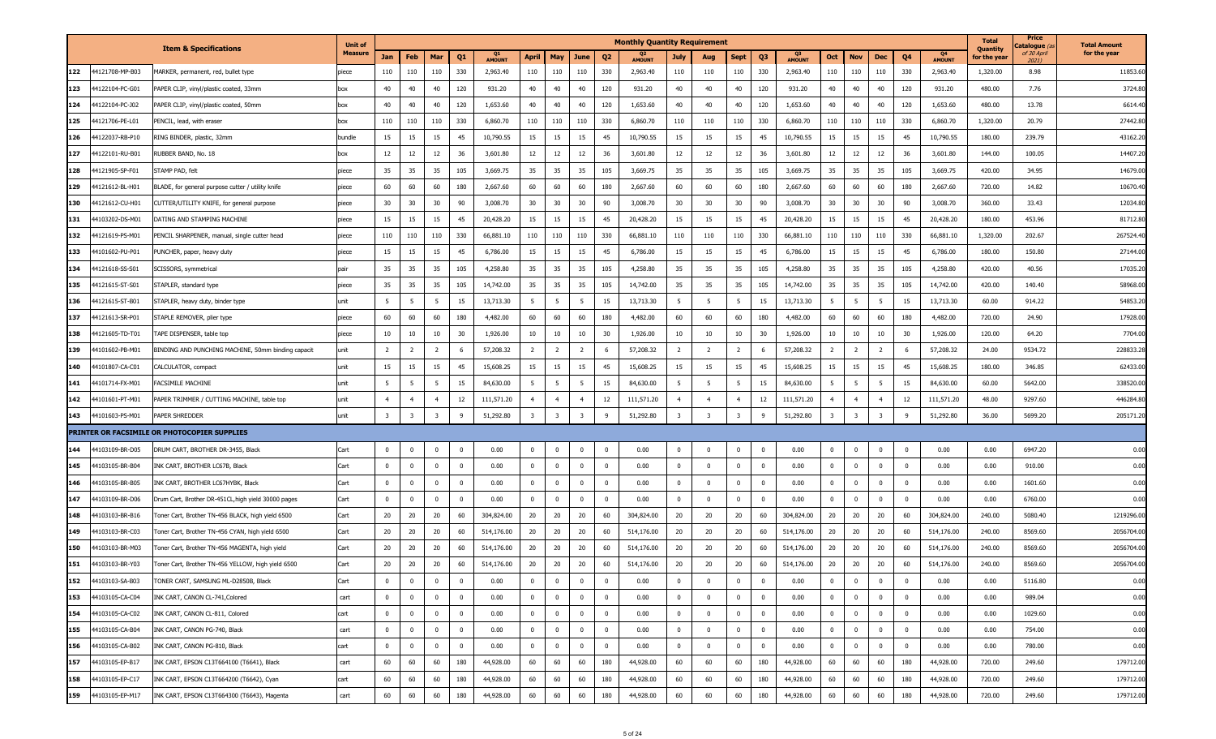|     |                 |                                                    | <b>Unit of</b> |                         |                |                         |                         |                     |                         |                |                         |                | <b>Monthly Quantity Requirement</b> |                         |                         |                         |              |                     |                |                         |                         |                         |                                 | <b>Total</b>             | Price<br>C <b>atalogue</b> (a | <b>Total Amount</b> |
|-----|-----------------|----------------------------------------------------|----------------|-------------------------|----------------|-------------------------|-------------------------|---------------------|-------------------------|----------------|-------------------------|----------------|-------------------------------------|-------------------------|-------------------------|-------------------------|--------------|---------------------|----------------|-------------------------|-------------------------|-------------------------|---------------------------------|--------------------------|-------------------------------|---------------------|
|     |                 | <b>Item &amp; Specifications</b>                   | <b>Measure</b> | Jan                     | Feb            | Mar                     | Q <sub>1</sub>          | Q1<br><b>AMOUNT</b> | <b>April</b>            | May            | June                    | Q <sub>2</sub> | <b>AMOUNT</b>                       | <b>July</b>             | Aug                     | <b>Sept</b>             | Q3           | Q3<br><b>AMOUNT</b> | Oct            | <b>Nov</b>              | Dec                     | Q <sub>4</sub>          | Q <sub>4</sub><br><b>AMOUNT</b> | Quantity<br>for the year | of 30 April<br>2021)          | for the year        |
| 122 | 4121708-MP-B03  | IARKER, permanent, red, bullet type                | piece          | 110                     | 110            | 110                     | 330                     | 2,963.40            | 110                     | 110            | 110                     | 330            | 2,963.40                            | 110                     | 110                     | 110                     | 330          | 2,963.40            | 110            | 110                     | 110                     | 330                     | 2,963.40                        | 1,320.00                 | 8.98                          | 11853.60            |
| 123 | 14122104-PC-G01 | APER CLIP, vinyl/plastic coated, 33mm              | box            | 40                      | 40             | 40                      | 120                     | 931.20              | 40                      | 40             | 40                      | 120            | 931.20                              | 40                      | 40                      | 40                      | 120          | 931.20              | 40             | 40                      | 40                      | 120                     | 931.20                          | 480.00                   | 7.76                          | 3724.80             |
| 124 | 4122104-PC-J02  | APER CLIP, vinyl/plastic coated, 50mm              | box            | 40                      | 40             | 40                      | 120                     | 1,653.60            | 40                      | 40             | 40                      | 120            | 1,653.60                            | 40                      | 40                      | 40                      | 120          | 1,653.60            | 40             | 40                      | 40                      | 120                     | 1,653.60                        | 480.00                   | 13.78                         | 6614.40             |
| 125 | 4121706-PE-L01  | ENCIL, lead, with eraser                           | box            | 110                     | 110            | 110                     | 330                     | 6,860.70            | 110                     | 110            | 110                     | 330            | 6,860.70                            | 110                     | 110                     | 110                     | 330          | 6,860.70            | 110            | 110                     | 110                     | 330                     | 6,860.70                        | 1,320.00                 | 20.79                         | 27442.80            |
| 126 | 4122037-RB-P10  | RING BINDER, plastic, 32mm                         | bundle         | 15                      | 15             | 15                      | 45                      | 10,790.55           | 15                      | 15             | 15                      | 45             | 10,790.55                           | 15                      | 15                      | 15                      | 45           | 10,790.55           | 15             | 15                      | 15                      | 45                      | 10,790.55                       | 180.00                   | 239.79                        | 43162.20            |
| 127 | 4122101-RU-B01  | UBBER BAND, No. 18                                 | lbox           | 12                      | 12             | 12                      | 36                      | 3,601.80            | 12                      | 12             | 12                      | 36             | 3,601.80                            | 12                      | 12                      | 12                      | 36           | 3,601.80            | 12             | 12                      | 12                      | 36                      | 3,601.80                        | 144.00                   | 100.05                        | 14407.2             |
| 128 | 4121905-SP-F01  | TAMP PAD, felt                                     | piece          | 35                      | 35             | 35                      | 105                     | 3,669.75            | 35                      | 35             | 35                      | 105            | 3,669.75                            | 35                      | 35                      | 35                      | 105          | 3,669.75            | 35             | 35                      | 35                      | 105                     | 3,669.75                        | 420.00                   | 34.95                         | 14679.00            |
| 129 | 4121612-BL-H01  | BLADE, for general purpose cutter / utility knife  | piece          | 60                      | 60             | 60                      | 180                     | 2,667.60            | 60                      | 60             | 60                      | 180            | 2,667.60                            | 60                      | 60                      | 60                      | 180          | 2,667.60            | 60             | 60                      | 60                      | 180                     | 2,667.60                        | 720.00                   | 14.82                         | 10670.40            |
| 130 | 4121612-CU-H01  | UTTER/UTILITY KNIFE, for general purpose           | piece          | 30                      | 30             | 30                      | 90                      | 3,008.70            | 30                      | 30             | 30                      | 90             | 3,008.70                            | 30                      | 30                      | 30                      | 90           | 3,008.70            | 30             | 30                      | 30                      | 90                      | 3,008.70                        | 360.00                   | 33.43                         | 12034.80            |
| 131 | 4103202-DS-M01  | <b>DATING AND STAMPING MACHINE</b>                 | piece          | 15                      | 15             | 15                      | 45                      | 20,428.20           | 15                      | 15             | 15                      | 45             | 20,428.20                           | 15                      | 15                      | 15                      | 45           | 20,428.20           | 15             | 15                      | 15                      | 45                      | 20,428.20                       | 180.00                   | 453.96                        | 81712.80            |
| 132 | 4121619-PS-M01  | PENCIL SHARPENER, manual, single cutter head       | piece          | 110                     | 110            | 110                     | 330                     | 66,881.10           | 110                     | 110            | 110                     | 330            | 66,881.10                           | 110                     | 110                     | 110                     | 330          | 66,881.10           | 110            | 110                     | 110                     | 330                     | 66,881.10                       | 1,320.00                 | 202.67                        | 267524.40           |
| 133 | 44101602-PU-P01 | UNCHER, paper, heavy duty                          | piece          | 15                      | 15             | 15                      | 45                      | 6,786.00            | 15                      | 15             | 15                      | 45             | 6,786.00                            | 15                      | 15                      | 15                      | 45           | 6,786.00            | 15             | 15                      | 15                      | 45                      | 6,786.00                        | 180.00                   | 150.80                        | 27144.00            |
| 134 | 44121618-SS-S01 | <b>SCISSORS</b> , symmetrical                      | pair           | 35                      | 35             | 35                      | 105                     | 4,258.80            | 35                      | 35             | 35                      | 105            | 4,258.80                            | 35                      | 35                      | 35                      | 105          | 4,258.80            | 35             | 35                      | 35                      | 105                     | 4,258.80                        | 420.00                   | 40.56                         | 17035.20            |
| 135 | 4121615-ST-S01  | TAPLER, standard type                              | piece          | 35                      | 35             | 35                      | 105                     | 14,742.00           | 35                      | 35             | 35                      | 105            | 14,742.00                           | 35                      | 35                      | 35                      | 105          | 14,742.00           | 35             | 35                      | 35                      | 105                     | 14,742.00                       | 420.00                   | 140.40                        | 58968.00            |
| 136 | 4121615-ST-B01  | TAPLER, heavy duty, binder type                    | unit           | 5                       | -5             | - 5                     | 15                      | 13,713.30           | 5                       | 5              | 5                       | 15             | 13,713.30                           | $5^{\circ}$             | 5                       | 5                       | 15           | 13,713.30           | 5 <sup>5</sup> | 5                       | 5                       | 15                      | 13,713.30                       | 60.00                    | 914.22                        | 54853.20            |
| 137 | 4121613-SR-P01  | TAPLE REMOVER, plier type                          | piece          | 60                      | 60             | 60                      | 180                     | 4,482.00            | 60                      | 60             | 60                      | 180            | 4,482.00                            | 60                      | 60                      | 60                      | 180          | 4,482.00            | 60             | 60                      | 60                      | 180                     | 4,482.00                        | 720.00                   | 24.90                         | 17928.00            |
| 138 | 4121605-TD-T01  | <b>TAPE DISPENSER, table top</b>                   | piece          | 10                      | 10             | 10                      | 30                      | 1,926.00            | 10                      | 10             | 10                      | 30             | 1,926.00                            | 10                      | 10                      | 10                      | 30           | 1,926.00            | 10             | 10                      | 10                      | 30                      | 1,926.00                        | 120.00                   | 64.20                         | 7704.00             |
| 139 | 44101602-PB-M01 | 3INDING AND PUNCHING MACHINE, 50mm binding capacit | unit           | $\overline{2}$          | 2              | $\overline{2}$          | - 6                     | 57,208.32           | $\overline{2}$          | $\overline{2}$ | 2                       | - 6            | 57,208.32                           | $\overline{2}$          | $\overline{2}$          | $\overline{2}$          | -6           | 57,208.32           | $\overline{2}$ | -2                      | $\overline{2}$          | 6                       | 57,208.32                       | 24.00                    | 9534.72                       | 228833.28           |
| 140 | 4101807-CA-C01  | ALCULATOR, compact                                 | unit           | 15                      | 15             | 15                      | 45                      | 15,608.25           | 15                      | 15             | 15                      | 45             | 15,608.25                           | 15                      | 15                      | 15                      | 45           | 15,608.25           | 15             | 15                      | 15                      | 45                      | 15,608.25                       | 180.00                   | 346.85                        | 62433.00            |
| 141 | 4101714-FX-M01  | ACSIMILE MACHINE                                   | unit           | 5                       | -5             | 5                       | 15                      | 84,630.00           | 5 <sup>5</sup>          | 5              | 5                       | 15             | 84,630.00                           | 5                       | 5                       | 5                       | 15           | 84,630.00           | 5              | - 5                     | 5                       | 15                      | 84,630.00                       | 60.00                    | 5642.00                       | 338520.00           |
| 142 | 44101601-PT-M01 | APER TRIMMER / CUTTING MACHINE, table top          | unit           | $\overline{4}$          | $\overline{4}$ | $\overline{4}$          | 12                      | 111,571.20          | $\overline{4}$          | $\overline{4}$ | $\overline{4}$          | 12             | 111,571.20                          | $\overline{4}$          | $\overline{4}$          | $\overline{4}$          | 12           | 111,571.20          | $\overline{4}$ | $\overline{4}$          | $\overline{4}$          | 12                      | 111,571.20                      | 48.00                    | 9297.60                       | 446284.80           |
| 143 | 4101603-PS-M01  | Aper Shredder                                      | unit           | $\overline{\mathbf{3}}$ | 3              | $\overline{\mathbf{3}}$ | - 9                     | 51,292.80           | $\overline{\mathbf{3}}$ | -3             | $\overline{\mathbf{3}}$ | -9             | 51,292.80                           | $\overline{\mathbf{3}}$ | $\overline{\mathbf{3}}$ | $\overline{\mathbf{3}}$ | -9           | 51,292.80           | -3             | $\overline{\mathbf{3}}$ | $\overline{\mathbf{3}}$ | q                       | 51,292.80                       | 36.00                    | 5699.20                       | 205171.20           |
|     |                 | PRINTER OR FACSIMILE OR PHOTOCOPIER SUPPLIES       |                |                         |                |                         |                         |                     |                         |                |                         |                |                                     |                         |                         |                         |              |                     |                |                         |                         |                         |                                 |                          |                               |                     |
| 144 | 44103109-BR-D05 | DRUM CART, BROTHER DR-3455, Black                  | Cart           | $\mathbf 0$             | $\Omega$       | $\bf{0}$                | $\overline{\mathbf{0}}$ | 0.00                | $\mathbf{0}$            | $\mathbf{0}$   | $\mathbf{0}$            | $^{\circ}$     | 0.00                                | $\bf{0}$                | $^{\circ}$              | $\mathbf 0$             | $\bf{0}$     | 0.00                | $\bf{0}$       | $\overline{\mathbf{0}}$ | $\bf{0}$                | $\overline{\mathbf{0}}$ | 0.00                            | 0.00                     | 6947.20                       | 0.00                |
| 145 | 4103105-BR-B04  | INK CART, BROTHER LC67B, Black                     | Cart           | $\mathbf 0$             | $^{\circ}$     | $\mathbf{0}$            | - 0                     | 0.00                | $\mathbf{0}$            | $\mathbf{0}$   | $^{\circ}$              | $^{\circ}$     | 0.00                                | $\bf{0}$                | $^{\circ}$              | $\mathbf 0$             | $\mathbf 0$  | 0.00                | $\mathbf{0}$   | $^{\circ}$              | $\overline{\mathbf{0}}$ | $\bf{0}$                | 0.00                            | 0.00                     | 910.00                        | 0.00                |
| 146 | 4103105-BR-B05  | INK CART, BROTHER LC67HYBK, Black                  | Cart           | $\mathbf 0$             | $^{\circ}$     | $\mathbf{0}$            | $\overline{\mathbf{0}}$ | 0.00                | $\mathbf 0$             | $\mathbf{0}$   | $\mathbf 0$             | $^{\circ}$     | 0.00                                | $\mathbf 0$             | $^{\circ}$              | $\mathbf 0$             | $\mathbf 0$  | 0.00                | $\overline{0}$ | $^{\circ}$              | $\overline{\mathbf{0}}$ | $\bf{0}$                | 0.00                            | 0.00                     | 1601.60                       | 0.00                |
| 147 | 4103109-BR-D06  | Drum Cart, Brother DR-451CL,high yield 30000 pages | Cart           | $\bf{0}$                | $^{\circ}$     | $\mathbf{0}$            | $\overline{\mathbf{0}}$ | 0.00                | $\mathbf 0$             | $\Omega$       | $^{\circ}$              | $^{\circ}$     | 0.00                                | $\bf{0}$                | $^{\circ}$              | $\Omega$                | $\mathbf 0$  | 0.00                | $\overline{0}$ | $\overline{\mathbf{0}}$ | $\overline{\mathbf{0}}$ | $\overline{0}$          | 0.00                            | 0.00                     | 6760.00                       | 0.00                |
| 148 | 44103103-BR-B16 | Foner Cart, Brother TN-456 BLACK, high yield 6500  | Cart           | 20                      | 20             | 20                      | 60                      | 304,824.00          | 20                      | 20             | 20                      | 60             | 304,824.00                          | 20                      | 20                      | 20                      | 60           | 304,824.00          | 20             | 20                      | 20                      | 60                      | 304,824.00                      | 240.00                   | 5080.40                       | 1219296.00          |
| 149 | 4103103-BR-C03  | oner Cart, Brother TN-456 CYAN, high yield 6500    | Cart           | 20                      | 20             | 20                      | 60                      | 514,176.00          | 20                      | 20             | 20                      | 60             | 514,176.00                          | 20                      | 20                      | 20                      | 60           | 514,176.00          | 20             | 20                      | 20                      | 60                      | 514,176.00                      | 240.00                   | 8569.60                       | 2056704.00          |
| 150 | 4103103-BR-M03  | oner Cart, Brother TN-456 MAGENTA, high yield      | Cart           | 20                      | 20             | 20                      | 60                      | 514,176.00          | 20                      | 20             | 20                      | 60             | 514,176.00                          | 20                      | 20                      | 20                      | 60           | 514,176.00          | 20             | 20                      | 20                      | 60                      | 514,176.00                      | 240.00                   | 8569.60                       | 2056704.00          |
| 151 | 4103103-BR-Y03  | Toner Cart, Brother TN-456 YELLOW, high yield 6500 | Cart           | 20                      | 20             | 20                      | 60                      | 514,176.00          | 20                      | 20             | 20                      | 60             | 514,176.00                          | 20                      | 20                      | 20                      | 60           | 514,176.00          | 20             | 20                      | 20                      | 60                      | 514,176.00                      | 240.00                   | 8569.60                       | 2056704.00          |
| 152 | 44103103-SA-B03 | TONER CART, SAMSUNG ML-D2850B, Black               | Cart           | $\mathbf 0$             | $^{\circ}$     | $\mathbf{0}$            | 0                       | 0.00                | $\mathbf{0}$            | $\mathbf{0}$   | $^{\circ}$              | $^{\circ}$     | 0.00                                | $\bf{0}$                | $\Omega$                | $\mathbf 0$             | $\mathbf{0}$ | 0.00                | $\mathbf{0}$   | $\overline{\mathbf{0}}$ | $\bf{0}$                | $\bf{0}$                | 0.00                            | 0.00                     | 5116.80                       | 0.00                |
| 153 | 44103105-CA-C04 | INK CART, CANON CL-741, Colored                    | cart           | $\mathbf{0}$            |                | $\overline{0}$          | $\overline{\mathbf{0}}$ | 0.00                | $\bf{0}$                | $\Omega$       | $\mathbf 0$             | $^{\circ}$     | 0.00                                | $\bf{0}$                | $^{\circ}$              | $\mathbf 0$             | $\mathbf 0$  | 0.00                | $\overline{0}$ | $\overline{\mathbf{0}}$ | $\overline{\mathbf{0}}$ | $\mathbf 0$             | 0.00                            | 0.00                     | 989.04                        | 0.00                |
| 154 | 44103105-CA-C02 | INK CART, CANON CL-811, Colored                    | cart           | $\bf{0}$                | $\mathbf{0}$   | $\mathbf 0$             | $\overline{0}$          | 0.00                | $\overline{0}$          | $\overline{0}$ | $\mathbf 0$             | $\mathbf 0$    | 0.00                                | $\bf{0}$                | $^{\circ}$              | $\mathbf 0$             | $\mathbf{0}$ | 0.00                | $\overline{0}$ | $\overline{0}$          | $\overline{\mathbf{0}}$ | $\overline{0}$          | 0.00                            | 0.00                     | 1029.60                       | 0.00                |
| 155 | 44103105-CA-B04 | INK CART, CANON PG-740, Black                      | cart           | $\bf{0}$                | $^{\circ}$     | $\overline{0}$          | $\overline{0}$          | 0.00                | $\bf{0}$                | $\mathbf{0}$   | $\mathbf 0$             | $\mathbf 0$    | 0.00                                | $\mathbf{0}$            | $^{\circ}$              | $\mathbf 0$             | $\bf{0}$     | 0.00                | $\overline{0}$ | $\overline{\mathbf{0}}$ | $\overline{0}$          | $\mathbf 0$             | 0.00                            | 0.00                     | 754.00                        | 0.00                |
| 156 | 44103105-CA-B02 | INK CART, CANON PG-810, Black                      | cart           | $\bf{0}$                | $^{\circ}$     | $\overline{0}$          | $\overline{\mathbf{0}}$ | 0.00                | $\overline{0}$          | $\mathbf 0$    | $\mathbf 0$             | $\mathbf 0$    | 0.00                                | $\bf{0}$                | $^{\circ}$              | $\mathbf 0$             | $\mathbf 0$  | 0.00                | $\overline{0}$ | $\overline{\mathbf{0}}$ | $\overline{0}$          | $\overline{0}$          | 0.00                            | 0.00                     | 780.00                        | 0.00                |
| 157 | 44103105-EP-B17 | INK CART, EPSON C13T664100 (T6641), Black          | cart           | 60                      | 60             | 60                      | 180                     | 44,928.00           | 60                      | 60             | 60                      | 180            | 44,928.00                           | 60                      | 60                      | 60                      | 180          | 44,928.00           | 60             | 60                      | 60                      | 180                     | 44,928.00                       | 720.00                   | 249.60                        | 179712.00           |
| 158 | 44103105-EP-C17 | INK CART, EPSON C13T664200 (T6642), Cyan           | cart           | 60                      | 60             | 60                      | 180                     | 44,928.00           | 60                      | 60             | 60                      | 180            | 44,928.00                           | 60                      | 60                      | 60                      | 180          | 44,928.00           | 60             | 60                      | 60                      | 180                     | 44,928.00                       | 720.00                   | 249.60                        | 179712.00           |
| 159 | 44103105-EP-M17 | INK CART, EPSON C13T664300 (T6643), Magenta        | cart           | 60                      | 60             | 60                      | 180                     | 44,928.00           | 60                      | 60             | 60                      | 180            | 44,928.00                           | 60                      | 60                      | 60                      | 180          | 44,928.00           | 60             | 60                      | 60                      | 180                     | 44,928.00                       | 720.00                   | 249.60                        | 179712.00           |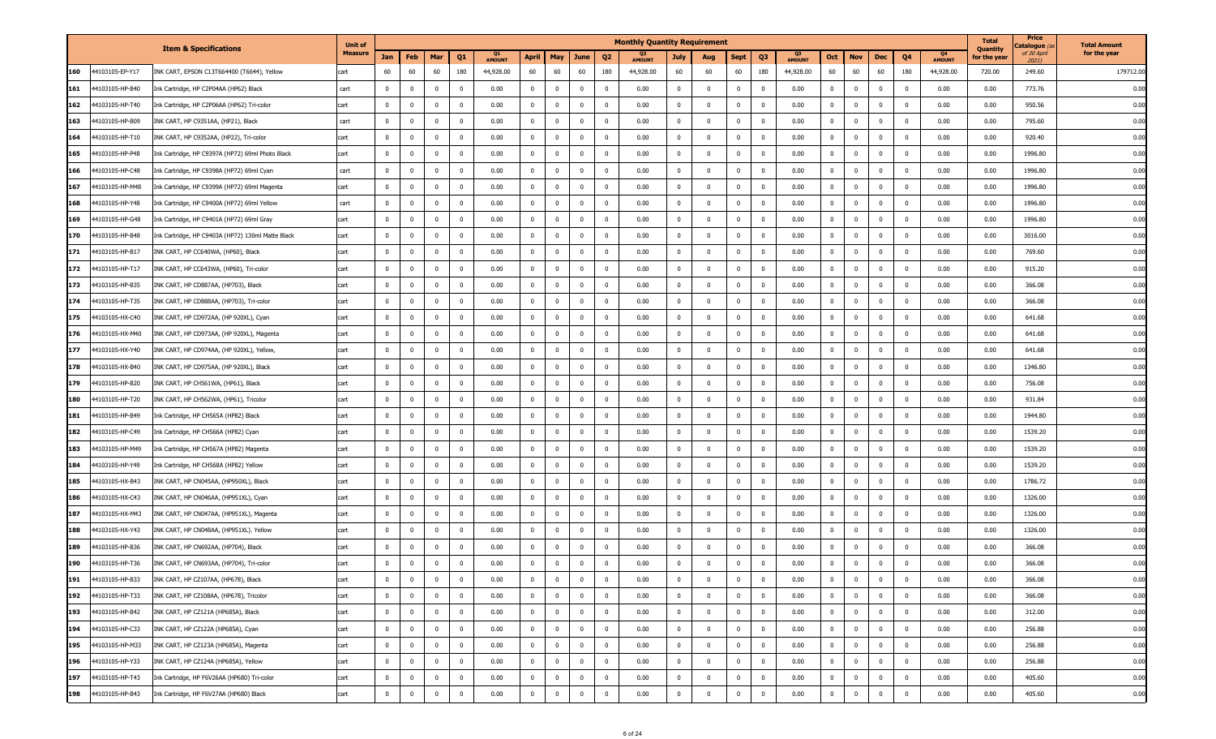| Quantity<br><b>Item &amp; Specifications</b><br><b>Measure</b><br>of 30 April<br>Q4<br>Feb<br>April<br>Q <sub>3</sub><br>Oct<br>Q4<br>Jan<br>Mar<br>Q1<br>May<br>June<br>Q <sub>2</sub><br><b>July</b><br><b>Nov</b><br>Dec<br>for the year<br>Aug<br>Sept<br><b>AMOUNT</b><br><b>AMOUNT</b><br><b>AMOUNT</b><br><b>AMOUNT</b><br>2021)<br>44103105-EP-Y17<br>60<br>180<br>60<br>60<br>180<br>44,928.00<br>60<br>160<br>INK CART, EPSON C13T664400 (T6644), Yellow<br>60<br>60<br>44,928.00<br>60<br>60<br>60<br>60<br>180<br>44,928.00<br>60<br>60<br>180<br>44,928.00<br>720.00<br>249.60<br>cart<br>$\overline{0}$<br>161<br>44103105-HP-B40<br>$\mathbf 0$<br>$\mathbf{0}$<br>$\mathbf 0$<br>$\overline{0}$<br>0.00<br>$\mathbf 0$<br>$\mathbf 0$<br>$\overline{0}$<br>$\overline{\mathbf{0}}$<br>0.00<br>$\mathbf{0}$<br>$\mathbf{0}$<br>0.00<br>$\mathbf{0}$<br>$\overline{\mathbf{0}}$<br>$\mathbf 0$<br>$\bf{0}$<br>0.00<br>0.00<br>773.76<br>Ink Cartridge, HP C2P04AA (HP62) Black<br>cart<br>$\Omega$<br>162<br>44103105-HP-T40<br>$\mathbf 0$<br>$\mathbf{0}$<br>$\overline{\mathbf{0}}$<br>$\overline{0}$<br>0.00<br>$\mathbf{0}$<br>$\mathbf{0}$<br>0<br>$\overline{\mathbf{0}}$<br>0.00<br>$\overline{0}$<br>$\mathbf 0$<br>$\mathbf{0}$<br>0.00<br>$\mathbf{0}$<br>$\overline{\mathbf{0}}$<br>$\mathbf 0$<br>$\overline{\mathbf{0}}$<br>0.00<br>0.00<br>950.56<br>Ink Cartridge, HP C2P06AA (HP62) Tri-color<br>cart<br>$\Omega$<br>$\overline{0}$<br>$\overline{0}$<br>$\overline{\mathbf{0}}$<br>0.00<br>$\bf{0}$<br>$\overline{0}$<br>$\overline{0}$<br>163<br>44103105-HP-B09<br>INK CART, HP C9351AA, (HP21), Black<br>cart<br>$\mathbf 0$<br>$\mathbf{0}$<br>$\overline{\mathbf{0}}$<br>0.00<br>$\bf{0}$<br>$\mathbf 0$<br>$^{\circ}$<br>$\mathbf{0}$<br>0.00<br>$\mathbf{0}$<br>$\mathbf 0$<br>0.00<br>0.00<br>795.60<br>$\Omega$<br>$\bf{0}$<br>$\overline{\mathbf{0}}$<br>$\overline{0}$<br>$\overline{\mathbf{0}}$<br>$\overline{\mathbf{0}}$<br>$\overline{\mathbf{0}}$<br>$\overline{\mathbf{0}}$<br>164<br>44103105-HP-T10<br>INK CART, HP C9352AA, (HP22), Tri-color<br>$\mathbf{0}$<br>0.00<br>$\bf{0}$<br>$\mathbf 0$<br>0.00<br>$\mathbf 0$<br>$\mathbf{0}$<br>$\mathbf{0}$<br>0.00<br>$\mathbf{0}$<br>$\bf{0}$<br>0.00<br>0.00<br>920.40<br>cart<br>$^{\circ}$<br>165<br>44103105-HP-P48<br>$\bf{0}$<br>$\overline{0}$<br>0.00<br>$\overline{0}$<br>$\overline{\mathbf{0}}$<br>0.00<br>$\mathbf 0$<br>$\mathbf 0$<br>$\mathbf 0$<br>0.00<br>$\overline{0}$<br>$\overline{0}$<br>0.00<br>0.00<br>1996.80<br>$\mathbf{0}$<br>$\overline{\mathbf{0}}$<br>$\mathbf 0$<br>$\mathbf 0$<br>$\mathbf{0}$<br>$\mathbf 0$<br>Ink Cartridge, HP C9397A (HP72) 69ml Photo Black<br>cart<br>166<br>44103105-HP-C48<br>$\overline{0}$<br>0.00<br>$\overline{0}$<br>$\overline{\mathbf{0}}$<br>0.00<br>$\mathbf 0$<br>$\mathbf 0$<br>$\overline{\mathbf{0}}$<br>0.00<br>0.00<br>1996.80<br>ink Cartridge, HP C9398A (HP72) 69ml Cyan<br>$\bf{0}$<br>$\mathbf 0$<br>$\overline{\mathbf{0}}$<br>$\mathbf 0$<br>$\mathbf{0}$<br>$\mathbf 0$<br>$\overline{0}$<br>0.00<br>$\mathbf{0}$<br>$\bf{0}$<br>cart<br>167<br>44103105-HP-M48<br>$\bf{0}$<br>$\mathbf{0}$<br>$\overline{\mathbf{0}}$<br>$\overline{0}$<br>0.00<br>$\mathbf{0}$<br>$\overline{0}$<br>$\overline{\mathbf{0}}$<br>0.00<br>$\mathbf 0$<br>$\mathbf 0$<br>$\mathbf 0$<br>0.00<br>$\overline{0}$<br>$\bf{0}$<br>$\overline{0}$<br>0.00<br>0.00<br>1996.80<br>$\mathbf 0$<br>$\mathbf{0}$<br>ink Cartridge, HP C9399A (HP72) 69ml Magenta<br>cart<br>0.00<br>$\overline{\mathbf{0}}$<br>$\overline{\mathbf{0}}$<br>0.00<br>$\overline{\mathbf{0}}$<br>$\overline{\mathbf{0}}$<br>1996.80<br>168<br>44103105-HP-Y48<br>$\bf{0}$<br>$^{\circ}$<br>$\overline{\mathbf{0}}$<br>$\overline{0}$<br>$\mathbf{0}$<br>$\mathbf{0}$<br>$\mathbf 0$<br>$\mathbf{0}$<br>$\overline{0}$<br>0.00<br>$\mathbf{0}$<br>$\bf{0}$<br>0.00<br>0.00<br>ink Cartridge, HP C9400A (HP72) 69ml Yellow<br>cart<br>$\mathbf{0}$<br>0.00<br>0.00<br>$\overline{0}$<br>1996.80<br>169<br>44103105-HP-G48<br>$\mathbf 0$<br>$\mathbf{0}$<br>$\overline{\mathbf{0}}$<br>$\overline{\mathbf{0}}$<br>$\mathbf{0}$<br>$\mathbf 0$<br>$\mathbf 0$<br>$\overline{\mathbf{0}}$<br>$\mathbf 0$<br>$\mathbf 0$<br>$\mathbf{0}$<br>0.00<br>$\mathbf{0}$<br>$\overline{0}$<br>0.00<br>0.00<br>Ink Cartridge, HP C9401A (HP72) 69ml Gray<br>$\mathbf 0$<br>cart<br>170<br>44103105-HP-B48<br>0.00<br>$\overline{\mathbf{0}}$<br>0.00<br>$\bf{0}$<br>$\overline{\mathbf{0}}$<br>0.00<br>Ink Cartridge, HP C9403A (HP72) 130ml Matte Black<br>$\bf{0}$<br>$\overline{0}$<br>$\overline{\mathbf{0}}$<br>$\overline{0}$<br>$^{\circ}$<br>$\mathbf{0}$<br>$\overline{\mathbf{0}}$<br>$\mathbf 0$<br>$\overline{0}$<br>0.00<br>$\mathbf{0}$<br>$\overline{\mathbf{0}}$<br>$\mathbf 0$<br>0.00<br>3016.00<br>$^{\circ}$<br>cart<br>$\mathbf 0$<br>$\mathbf{0}$<br>$\overline{0}$<br>$\overline{0}$<br>$\mathbf{0}$<br>$\overline{0}$<br>$\overline{\mathbf{0}}$<br>$\mathbf 0$<br>$\mathbf 0$<br>$\mathbf 0$<br>$\overline{0}$<br>$\overline{0}$<br>$\mathbf 0$<br>171<br>44103105-HP-B17<br>INK CART, HP CC640WA, (HP60), Black<br>$\mathbf{0}$<br>0.00<br>$\mathbf 0$<br>0.00<br>0.00<br>0.00<br>0.00<br>769.60<br>cart<br>$\Omega$<br>$\overline{0}$<br>$\overline{0}$<br>$\overline{0}$<br>172<br>44103105-HP-T17<br>$\mathbf 0$<br>$\overline{0}$<br>$\overline{\mathbf{0}}$<br>0.00<br>$\mathbf 0$<br>$\mathbf 0$<br>$\overline{\mathbf{0}}$<br>0.00<br>$\mathbf 0$<br>$\mathbf{0}$<br>$\overline{\mathbf{0}}$<br>$\mathbf{0}$<br>$\mathbf 0$<br>0.00<br>0.00<br>915.20<br>INK CART, HP CC643WA, (HP60), Tri-color<br>cart<br>$\mathbf 0$<br>$^{\circ}$<br>0.00<br>173<br>$\bf{0}$<br>$\overline{\mathbf{0}}$<br>$\mathbf{0}$<br>$\overline{0}$<br>$\overline{0}$<br>44103105-HP-B35<br>$\mathbf{0}$<br>$\overline{\mathbf{0}}$<br>0.00<br>$\mathbf 0$<br>0<br>$\overline{\mathbf{0}}$<br>0.00<br>$\overline{\mathbf{0}}$<br>$\mathbf 0$<br>$\mathbf{0}$<br>0.00<br>$\mathbf{0}$<br>$\mathbf 0$<br>0.00<br>0.00<br>366.08<br>INK CART, HP CD887AA, (HP703), Black<br>cart<br>$\Omega$<br>174<br>44103105-HP-T35<br>$\overline{0}$<br>$\overline{0}$<br>$\overline{0}$<br>$\mathbf 0$<br>$\mathbf 0$<br>$\overline{0}$<br>$\overline{\mathbf{0}}$<br>0.00<br>$\mathbf 0$<br>$\mathbf 0$<br>$^{\circ}$<br>$\overline{\mathbf{0}}$<br>0.00<br>$^{\circ}$<br>$\overline{0}$<br>0.00<br>$\mathbf{0}$<br>$\mathbf 0$<br>0.00<br>0.00<br>366.08<br>INK CART, HP CD888AA, (HP703), Tri-color<br>cart<br>$^{\circ}$<br>$\overline{0}$<br>175<br>$\bf{0}$<br>$\overline{\mathbf{0}}$<br>$\overline{0}$<br>$\mathbf{0}$<br>$\overline{\mathbf{0}}$<br>$\overline{\mathbf{0}}$<br>$\mathbf 0$<br>$\mathbf 0$<br>$\overline{0}$<br>$\mathbf 0$<br>641.68<br>44103105-HX-C40<br>$\mathbf{0}$<br>0.00<br>$\mathbf 0$<br>0.00<br>$\mathbf 0$<br>0.00<br>$\mathbf{0}$<br>0.00<br>0.00<br>INK CART, HP CD972AA, (HP 920XL), Cyan<br>cart<br>$\Omega$<br>$\mathbf{0}$<br>$\overline{0}$<br>0.00<br>$\overline{0}$<br>$\overline{0}$<br>$\overline{0}$<br>641.68<br>176<br>44103105-HX-M40<br>$\mathbf 0$<br>$\mathbf{0}$<br>$\overline{0}$<br>$\overline{\mathbf{0}}$<br>0.00<br>$\mathbf 0$<br>$\overline{\mathbf{0}}$<br>$\mathbf{0}$<br>$\overline{\mathbf{0}}$<br>0.00<br>$\mathbf{0}$<br>$\mathbf 0$<br>0.00<br>0.00<br>INK CART, HP CD973AA, (HP 920XL), Magenta<br>cart<br>$^{\circ}$<br>177<br>$\mathbf{0}$<br>0.00<br>$\mathbf 0$<br>$\overline{0}$<br>641.68<br>44103105-HX-Y40<br>INK CART, HP CD974AA, (HP 920XL), Yellow,<br>$\mathbf 0$<br>0<br>$\overline{0}$<br>0.00<br>$^{\circ}$<br>$^{\circ}$<br>$\Omega$<br>$\overline{0}$<br>$\mathbf 0$<br>$\mathbf 0$<br>$\mathbf{0}$<br>0.00<br>$\mathbf{0}$<br>$\mathbf{0}$<br>0.00<br>0.00<br>cart<br>$\overline{\mathbf{0}}$<br>$\overline{0}$<br>0.00<br>$\mathbf 0$<br>$\mathbf 0$<br>$\overline{0}$<br>$\overline{0}$<br>178<br>44103105-HX-B40<br>INK CART, HP CD975AA, (HP 920XL), Black<br>$^{\circ}$<br>$^{\circ}$<br>$\overline{\mathbf{0}}$<br>0.00<br>$^{\circ}$<br>$\mathbf 0$<br>$\overline{\mathbf{0}}$<br>$\mathbf{0}$<br>0.00<br>$\mathbf{0}$<br>$\mathbf{0}$<br>0.00<br>0.00<br>1346.80<br>cart | <b>Total Amount</b> |
|----------------------------------------------------------------------------------------------------------------------------------------------------------------------------------------------------------------------------------------------------------------------------------------------------------------------------------------------------------------------------------------------------------------------------------------------------------------------------------------------------------------------------------------------------------------------------------------------------------------------------------------------------------------------------------------------------------------------------------------------------------------------------------------------------------------------------------------------------------------------------------------------------------------------------------------------------------------------------------------------------------------------------------------------------------------------------------------------------------------------------------------------------------------------------------------------------------------------------------------------------------------------------------------------------------------------------------------------------------------------------------------------------------------------------------------------------------------------------------------------------------------------------------------------------------------------------------------------------------------------------------------------------------------------------------------------------------------------------------------------------------------------------------------------------------------------------------------------------------------------------------------------------------------------------------------------------------------------------------------------------------------------------------------------------------------------------------------------------------------------------------------------------------------------------------------------------------------------------------------------------------------------------------------------------------------------------------------------------------------------------------------------------------------------------------------------------------------------------------------------------------------------------------------------------------------------------------------------------------------------------------------------------------------------------------------------------------------------------------------------------------------------------------------------------------------------------------------------------------------------------------------------------------------------------------------------------------------------------------------------------------------------------------------------------------------------------------------------------------------------------------------------------------------------------------------------------------------------------------------------------------------------------------------------------------------------------------------------------------------------------------------------------------------------------------------------------------------------------------------------------------------------------------------------------------------------------------------------------------------------------------------------------------------------------------------------------------------------------------------------------------------------------------------------------------------------------------------------------------------------------------------------------------------------------------------------------------------------------------------------------------------------------------------------------------------------------------------------------------------------------------------------------------------------------------------------------------------------------------------------------------------------------------------------------------------------------------------------------------------------------------------------------------------------------------------------------------------------------------------------------------------------------------------------------------------------------------------------------------------------------------------------------------------------------------------------------------------------------------------------------------------------------------------------------------------------------------------------------------------------------------------------------------------------------------------------------------------------------------------------------------------------------------------------------------------------------------------------------------------------------------------------------------------------------------------------------------------------------------------------------------------------------------------------------------------------------------------------------------------------------------------------------------------------------------------------------------------------------------------------------------------------------------------------------------------------------------------------------------------------------------------------------------------------------------------------------------------------------------------------------------------------------------------------------------------------------------------------------------------------------------------------------------------------------------------------------------------------------------------------------------------------------------------------------------------------------------------------------------------------------------------------------------------------------------------------------------------------------------------------------------------------------------------------------------------------------------------------------------------------------------------------------------------------------------------------------------------------------------------------------------------------------------------------------------------------------------------------------------------------------------------------------------------------------------------------------------------------------------------------------------------------------------------------------------------------------------------------------------------------------------------------------------------------------------------------------------------------------------------------------------------------------------------------------------------------------------------------------------------------------------------------------------------------------------------------------------------------------------------------------------------------------------------------------------------------------------------------------------------------------------------------------------------------------------------------------------------------------------------------------------------------------------------------------------------------------------------------------------------------------------------------------------------------------------------------------------------------------------------------------------------------------------------------------------------------------------------------------------------------------------------------------------------------------------------------------------------------------------------------------------------------------------------------------------------------------------------------------------------------------------------------------------------------------------------------|---------------------|
|                                                                                                                                                                                                                                                                                                                                                                                                                                                                                                                                                                                                                                                                                                                                                                                                                                                                                                                                                                                                                                                                                                                                                                                                                                                                                                                                                                                                                                                                                                                                                                                                                                                                                                                                                                                                                                                                                                                                                                                                                                                                                                                                                                                                                                                                                                                                                                                                                                                                                                                                                                                                                                                                                                                                                                                                                                                                                                                                                                                                                                                                                                                                                                                                                                                                                                                                                                                                                                                                                                                                                                                                                                                                                                                                                                                                                                                                                                                                                                                                                                                                                                                                                                                                                                                                                                                                                                                                                                                                                                                                                                                                                                                                                                                                                                                                                                                                                                                                                                                                                                                                                                                                                                                                                                                                                                                                                                                                                                                                                                                                                                                                                                                                                                                                                                                                                                                                                                                                                                                                                                                                                                                                                                                                                                                                                                                                                                                                                                                                                                                                                                                                                                                                                                                                                                                                                                                                                                                                                                                                                                                                                                                                                                                                                                                                                                                                                                                                                                                                                                                                                                                                                                                                                                                                                                                                                                                                                                                                                                                                                                                                                                                                                                                              | for the year        |
|                                                                                                                                                                                                                                                                                                                                                                                                                                                                                                                                                                                                                                                                                                                                                                                                                                                                                                                                                                                                                                                                                                                                                                                                                                                                                                                                                                                                                                                                                                                                                                                                                                                                                                                                                                                                                                                                                                                                                                                                                                                                                                                                                                                                                                                                                                                                                                                                                                                                                                                                                                                                                                                                                                                                                                                                                                                                                                                                                                                                                                                                                                                                                                                                                                                                                                                                                                                                                                                                                                                                                                                                                                                                                                                                                                                                                                                                                                                                                                                                                                                                                                                                                                                                                                                                                                                                                                                                                                                                                                                                                                                                                                                                                                                                                                                                                                                                                                                                                                                                                                                                                                                                                                                                                                                                                                                                                                                                                                                                                                                                                                                                                                                                                                                                                                                                                                                                                                                                                                                                                                                                                                                                                                                                                                                                                                                                                                                                                                                                                                                                                                                                                                                                                                                                                                                                                                                                                                                                                                                                                                                                                                                                                                                                                                                                                                                                                                                                                                                                                                                                                                                                                                                                                                                                                                                                                                                                                                                                                                                                                                                                                                                                                                                              | 179712.00           |
|                                                                                                                                                                                                                                                                                                                                                                                                                                                                                                                                                                                                                                                                                                                                                                                                                                                                                                                                                                                                                                                                                                                                                                                                                                                                                                                                                                                                                                                                                                                                                                                                                                                                                                                                                                                                                                                                                                                                                                                                                                                                                                                                                                                                                                                                                                                                                                                                                                                                                                                                                                                                                                                                                                                                                                                                                                                                                                                                                                                                                                                                                                                                                                                                                                                                                                                                                                                                                                                                                                                                                                                                                                                                                                                                                                                                                                                                                                                                                                                                                                                                                                                                                                                                                                                                                                                                                                                                                                                                                                                                                                                                                                                                                                                                                                                                                                                                                                                                                                                                                                                                                                                                                                                                                                                                                                                                                                                                                                                                                                                                                                                                                                                                                                                                                                                                                                                                                                                                                                                                                                                                                                                                                                                                                                                                                                                                                                                                                                                                                                                                                                                                                                                                                                                                                                                                                                                                                                                                                                                                                                                                                                                                                                                                                                                                                                                                                                                                                                                                                                                                                                                                                                                                                                                                                                                                                                                                                                                                                                                                                                                                                                                                                                                              | 0.00                |
|                                                                                                                                                                                                                                                                                                                                                                                                                                                                                                                                                                                                                                                                                                                                                                                                                                                                                                                                                                                                                                                                                                                                                                                                                                                                                                                                                                                                                                                                                                                                                                                                                                                                                                                                                                                                                                                                                                                                                                                                                                                                                                                                                                                                                                                                                                                                                                                                                                                                                                                                                                                                                                                                                                                                                                                                                                                                                                                                                                                                                                                                                                                                                                                                                                                                                                                                                                                                                                                                                                                                                                                                                                                                                                                                                                                                                                                                                                                                                                                                                                                                                                                                                                                                                                                                                                                                                                                                                                                                                                                                                                                                                                                                                                                                                                                                                                                                                                                                                                                                                                                                                                                                                                                                                                                                                                                                                                                                                                                                                                                                                                                                                                                                                                                                                                                                                                                                                                                                                                                                                                                                                                                                                                                                                                                                                                                                                                                                                                                                                                                                                                                                                                                                                                                                                                                                                                                                                                                                                                                                                                                                                                                                                                                                                                                                                                                                                                                                                                                                                                                                                                                                                                                                                                                                                                                                                                                                                                                                                                                                                                                                                                                                                                                              | 0.00                |
|                                                                                                                                                                                                                                                                                                                                                                                                                                                                                                                                                                                                                                                                                                                                                                                                                                                                                                                                                                                                                                                                                                                                                                                                                                                                                                                                                                                                                                                                                                                                                                                                                                                                                                                                                                                                                                                                                                                                                                                                                                                                                                                                                                                                                                                                                                                                                                                                                                                                                                                                                                                                                                                                                                                                                                                                                                                                                                                                                                                                                                                                                                                                                                                                                                                                                                                                                                                                                                                                                                                                                                                                                                                                                                                                                                                                                                                                                                                                                                                                                                                                                                                                                                                                                                                                                                                                                                                                                                                                                                                                                                                                                                                                                                                                                                                                                                                                                                                                                                                                                                                                                                                                                                                                                                                                                                                                                                                                                                                                                                                                                                                                                                                                                                                                                                                                                                                                                                                                                                                                                                                                                                                                                                                                                                                                                                                                                                                                                                                                                                                                                                                                                                                                                                                                                                                                                                                                                                                                                                                                                                                                                                                                                                                                                                                                                                                                                                                                                                                                                                                                                                                                                                                                                                                                                                                                                                                                                                                                                                                                                                                                                                                                                                                              | 0.00                |
|                                                                                                                                                                                                                                                                                                                                                                                                                                                                                                                                                                                                                                                                                                                                                                                                                                                                                                                                                                                                                                                                                                                                                                                                                                                                                                                                                                                                                                                                                                                                                                                                                                                                                                                                                                                                                                                                                                                                                                                                                                                                                                                                                                                                                                                                                                                                                                                                                                                                                                                                                                                                                                                                                                                                                                                                                                                                                                                                                                                                                                                                                                                                                                                                                                                                                                                                                                                                                                                                                                                                                                                                                                                                                                                                                                                                                                                                                                                                                                                                                                                                                                                                                                                                                                                                                                                                                                                                                                                                                                                                                                                                                                                                                                                                                                                                                                                                                                                                                                                                                                                                                                                                                                                                                                                                                                                                                                                                                                                                                                                                                                                                                                                                                                                                                                                                                                                                                                                                                                                                                                                                                                                                                                                                                                                                                                                                                                                                                                                                                                                                                                                                                                                                                                                                                                                                                                                                                                                                                                                                                                                                                                                                                                                                                                                                                                                                                                                                                                                                                                                                                                                                                                                                                                                                                                                                                                                                                                                                                                                                                                                                                                                                                                                              | 0.00                |
|                                                                                                                                                                                                                                                                                                                                                                                                                                                                                                                                                                                                                                                                                                                                                                                                                                                                                                                                                                                                                                                                                                                                                                                                                                                                                                                                                                                                                                                                                                                                                                                                                                                                                                                                                                                                                                                                                                                                                                                                                                                                                                                                                                                                                                                                                                                                                                                                                                                                                                                                                                                                                                                                                                                                                                                                                                                                                                                                                                                                                                                                                                                                                                                                                                                                                                                                                                                                                                                                                                                                                                                                                                                                                                                                                                                                                                                                                                                                                                                                                                                                                                                                                                                                                                                                                                                                                                                                                                                                                                                                                                                                                                                                                                                                                                                                                                                                                                                                                                                                                                                                                                                                                                                                                                                                                                                                                                                                                                                                                                                                                                                                                                                                                                                                                                                                                                                                                                                                                                                                                                                                                                                                                                                                                                                                                                                                                                                                                                                                                                                                                                                                                                                                                                                                                                                                                                                                                                                                                                                                                                                                                                                                                                                                                                                                                                                                                                                                                                                                                                                                                                                                                                                                                                                                                                                                                                                                                                                                                                                                                                                                                                                                                                                              | 0.00                |
|                                                                                                                                                                                                                                                                                                                                                                                                                                                                                                                                                                                                                                                                                                                                                                                                                                                                                                                                                                                                                                                                                                                                                                                                                                                                                                                                                                                                                                                                                                                                                                                                                                                                                                                                                                                                                                                                                                                                                                                                                                                                                                                                                                                                                                                                                                                                                                                                                                                                                                                                                                                                                                                                                                                                                                                                                                                                                                                                                                                                                                                                                                                                                                                                                                                                                                                                                                                                                                                                                                                                                                                                                                                                                                                                                                                                                                                                                                                                                                                                                                                                                                                                                                                                                                                                                                                                                                                                                                                                                                                                                                                                                                                                                                                                                                                                                                                                                                                                                                                                                                                                                                                                                                                                                                                                                                                                                                                                                                                                                                                                                                                                                                                                                                                                                                                                                                                                                                                                                                                                                                                                                                                                                                                                                                                                                                                                                                                                                                                                                                                                                                                                                                                                                                                                                                                                                                                                                                                                                                                                                                                                                                                                                                                                                                                                                                                                                                                                                                                                                                                                                                                                                                                                                                                                                                                                                                                                                                                                                                                                                                                                                                                                                                                              | 0.00                |
|                                                                                                                                                                                                                                                                                                                                                                                                                                                                                                                                                                                                                                                                                                                                                                                                                                                                                                                                                                                                                                                                                                                                                                                                                                                                                                                                                                                                                                                                                                                                                                                                                                                                                                                                                                                                                                                                                                                                                                                                                                                                                                                                                                                                                                                                                                                                                                                                                                                                                                                                                                                                                                                                                                                                                                                                                                                                                                                                                                                                                                                                                                                                                                                                                                                                                                                                                                                                                                                                                                                                                                                                                                                                                                                                                                                                                                                                                                                                                                                                                                                                                                                                                                                                                                                                                                                                                                                                                                                                                                                                                                                                                                                                                                                                                                                                                                                                                                                                                                                                                                                                                                                                                                                                                                                                                                                                                                                                                                                                                                                                                                                                                                                                                                                                                                                                                                                                                                                                                                                                                                                                                                                                                                                                                                                                                                                                                                                                                                                                                                                                                                                                                                                                                                                                                                                                                                                                                                                                                                                                                                                                                                                                                                                                                                                                                                                                                                                                                                                                                                                                                                                                                                                                                                                                                                                                                                                                                                                                                                                                                                                                                                                                                                                              | 0.00                |
|                                                                                                                                                                                                                                                                                                                                                                                                                                                                                                                                                                                                                                                                                                                                                                                                                                                                                                                                                                                                                                                                                                                                                                                                                                                                                                                                                                                                                                                                                                                                                                                                                                                                                                                                                                                                                                                                                                                                                                                                                                                                                                                                                                                                                                                                                                                                                                                                                                                                                                                                                                                                                                                                                                                                                                                                                                                                                                                                                                                                                                                                                                                                                                                                                                                                                                                                                                                                                                                                                                                                                                                                                                                                                                                                                                                                                                                                                                                                                                                                                                                                                                                                                                                                                                                                                                                                                                                                                                                                                                                                                                                                                                                                                                                                                                                                                                                                                                                                                                                                                                                                                                                                                                                                                                                                                                                                                                                                                                                                                                                                                                                                                                                                                                                                                                                                                                                                                                                                                                                                                                                                                                                                                                                                                                                                                                                                                                                                                                                                                                                                                                                                                                                                                                                                                                                                                                                                                                                                                                                                                                                                                                                                                                                                                                                                                                                                                                                                                                                                                                                                                                                                                                                                                                                                                                                                                                                                                                                                                                                                                                                                                                                                                                                              | 0.00                |
|                                                                                                                                                                                                                                                                                                                                                                                                                                                                                                                                                                                                                                                                                                                                                                                                                                                                                                                                                                                                                                                                                                                                                                                                                                                                                                                                                                                                                                                                                                                                                                                                                                                                                                                                                                                                                                                                                                                                                                                                                                                                                                                                                                                                                                                                                                                                                                                                                                                                                                                                                                                                                                                                                                                                                                                                                                                                                                                                                                                                                                                                                                                                                                                                                                                                                                                                                                                                                                                                                                                                                                                                                                                                                                                                                                                                                                                                                                                                                                                                                                                                                                                                                                                                                                                                                                                                                                                                                                                                                                                                                                                                                                                                                                                                                                                                                                                                                                                                                                                                                                                                                                                                                                                                                                                                                                                                                                                                                                                                                                                                                                                                                                                                                                                                                                                                                                                                                                                                                                                                                                                                                                                                                                                                                                                                                                                                                                                                                                                                                                                                                                                                                                                                                                                                                                                                                                                                                                                                                                                                                                                                                                                                                                                                                                                                                                                                                                                                                                                                                                                                                                                                                                                                                                                                                                                                                                                                                                                                                                                                                                                                                                                                                                                              | 0.00                |
|                                                                                                                                                                                                                                                                                                                                                                                                                                                                                                                                                                                                                                                                                                                                                                                                                                                                                                                                                                                                                                                                                                                                                                                                                                                                                                                                                                                                                                                                                                                                                                                                                                                                                                                                                                                                                                                                                                                                                                                                                                                                                                                                                                                                                                                                                                                                                                                                                                                                                                                                                                                                                                                                                                                                                                                                                                                                                                                                                                                                                                                                                                                                                                                                                                                                                                                                                                                                                                                                                                                                                                                                                                                                                                                                                                                                                                                                                                                                                                                                                                                                                                                                                                                                                                                                                                                                                                                                                                                                                                                                                                                                                                                                                                                                                                                                                                                                                                                                                                                                                                                                                                                                                                                                                                                                                                                                                                                                                                                                                                                                                                                                                                                                                                                                                                                                                                                                                                                                                                                                                                                                                                                                                                                                                                                                                                                                                                                                                                                                                                                                                                                                                                                                                                                                                                                                                                                                                                                                                                                                                                                                                                                                                                                                                                                                                                                                                                                                                                                                                                                                                                                                                                                                                                                                                                                                                                                                                                                                                                                                                                                                                                                                                                                              | 0.00                |
|                                                                                                                                                                                                                                                                                                                                                                                                                                                                                                                                                                                                                                                                                                                                                                                                                                                                                                                                                                                                                                                                                                                                                                                                                                                                                                                                                                                                                                                                                                                                                                                                                                                                                                                                                                                                                                                                                                                                                                                                                                                                                                                                                                                                                                                                                                                                                                                                                                                                                                                                                                                                                                                                                                                                                                                                                                                                                                                                                                                                                                                                                                                                                                                                                                                                                                                                                                                                                                                                                                                                                                                                                                                                                                                                                                                                                                                                                                                                                                                                                                                                                                                                                                                                                                                                                                                                                                                                                                                                                                                                                                                                                                                                                                                                                                                                                                                                                                                                                                                                                                                                                                                                                                                                                                                                                                                                                                                                                                                                                                                                                                                                                                                                                                                                                                                                                                                                                                                                                                                                                                                                                                                                                                                                                                                                                                                                                                                                                                                                                                                                                                                                                                                                                                                                                                                                                                                                                                                                                                                                                                                                                                                                                                                                                                                                                                                                                                                                                                                                                                                                                                                                                                                                                                                                                                                                                                                                                                                                                                                                                                                                                                                                                                                              | 0.00                |
|                                                                                                                                                                                                                                                                                                                                                                                                                                                                                                                                                                                                                                                                                                                                                                                                                                                                                                                                                                                                                                                                                                                                                                                                                                                                                                                                                                                                                                                                                                                                                                                                                                                                                                                                                                                                                                                                                                                                                                                                                                                                                                                                                                                                                                                                                                                                                                                                                                                                                                                                                                                                                                                                                                                                                                                                                                                                                                                                                                                                                                                                                                                                                                                                                                                                                                                                                                                                                                                                                                                                                                                                                                                                                                                                                                                                                                                                                                                                                                                                                                                                                                                                                                                                                                                                                                                                                                                                                                                                                                                                                                                                                                                                                                                                                                                                                                                                                                                                                                                                                                                                                                                                                                                                                                                                                                                                                                                                                                                                                                                                                                                                                                                                                                                                                                                                                                                                                                                                                                                                                                                                                                                                                                                                                                                                                                                                                                                                                                                                                                                                                                                                                                                                                                                                                                                                                                                                                                                                                                                                                                                                                                                                                                                                                                                                                                                                                                                                                                                                                                                                                                                                                                                                                                                                                                                                                                                                                                                                                                                                                                                                                                                                                                                              | 0.00                |
|                                                                                                                                                                                                                                                                                                                                                                                                                                                                                                                                                                                                                                                                                                                                                                                                                                                                                                                                                                                                                                                                                                                                                                                                                                                                                                                                                                                                                                                                                                                                                                                                                                                                                                                                                                                                                                                                                                                                                                                                                                                                                                                                                                                                                                                                                                                                                                                                                                                                                                                                                                                                                                                                                                                                                                                                                                                                                                                                                                                                                                                                                                                                                                                                                                                                                                                                                                                                                                                                                                                                                                                                                                                                                                                                                                                                                                                                                                                                                                                                                                                                                                                                                                                                                                                                                                                                                                                                                                                                                                                                                                                                                                                                                                                                                                                                                                                                                                                                                                                                                                                                                                                                                                                                                                                                                                                                                                                                                                                                                                                                                                                                                                                                                                                                                                                                                                                                                                                                                                                                                                                                                                                                                                                                                                                                                                                                                                                                                                                                                                                                                                                                                                                                                                                                                                                                                                                                                                                                                                                                                                                                                                                                                                                                                                                                                                                                                                                                                                                                                                                                                                                                                                                                                                                                                                                                                                                                                                                                                                                                                                                                                                                                                                                              | 0.00                |
|                                                                                                                                                                                                                                                                                                                                                                                                                                                                                                                                                                                                                                                                                                                                                                                                                                                                                                                                                                                                                                                                                                                                                                                                                                                                                                                                                                                                                                                                                                                                                                                                                                                                                                                                                                                                                                                                                                                                                                                                                                                                                                                                                                                                                                                                                                                                                                                                                                                                                                                                                                                                                                                                                                                                                                                                                                                                                                                                                                                                                                                                                                                                                                                                                                                                                                                                                                                                                                                                                                                                                                                                                                                                                                                                                                                                                                                                                                                                                                                                                                                                                                                                                                                                                                                                                                                                                                                                                                                                                                                                                                                                                                                                                                                                                                                                                                                                                                                                                                                                                                                                                                                                                                                                                                                                                                                                                                                                                                                                                                                                                                                                                                                                                                                                                                                                                                                                                                                                                                                                                                                                                                                                                                                                                                                                                                                                                                                                                                                                                                                                                                                                                                                                                                                                                                                                                                                                                                                                                                                                                                                                                                                                                                                                                                                                                                                                                                                                                                                                                                                                                                                                                                                                                                                                                                                                                                                                                                                                                                                                                                                                                                                                                                                              | 0.00                |
|                                                                                                                                                                                                                                                                                                                                                                                                                                                                                                                                                                                                                                                                                                                                                                                                                                                                                                                                                                                                                                                                                                                                                                                                                                                                                                                                                                                                                                                                                                                                                                                                                                                                                                                                                                                                                                                                                                                                                                                                                                                                                                                                                                                                                                                                                                                                                                                                                                                                                                                                                                                                                                                                                                                                                                                                                                                                                                                                                                                                                                                                                                                                                                                                                                                                                                                                                                                                                                                                                                                                                                                                                                                                                                                                                                                                                                                                                                                                                                                                                                                                                                                                                                                                                                                                                                                                                                                                                                                                                                                                                                                                                                                                                                                                                                                                                                                                                                                                                                                                                                                                                                                                                                                                                                                                                                                                                                                                                                                                                                                                                                                                                                                                                                                                                                                                                                                                                                                                                                                                                                                                                                                                                                                                                                                                                                                                                                                                                                                                                                                                                                                                                                                                                                                                                                                                                                                                                                                                                                                                                                                                                                                                                                                                                                                                                                                                                                                                                                                                                                                                                                                                                                                                                                                                                                                                                                                                                                                                                                                                                                                                                                                                                                                              | 0.00                |
|                                                                                                                                                                                                                                                                                                                                                                                                                                                                                                                                                                                                                                                                                                                                                                                                                                                                                                                                                                                                                                                                                                                                                                                                                                                                                                                                                                                                                                                                                                                                                                                                                                                                                                                                                                                                                                                                                                                                                                                                                                                                                                                                                                                                                                                                                                                                                                                                                                                                                                                                                                                                                                                                                                                                                                                                                                                                                                                                                                                                                                                                                                                                                                                                                                                                                                                                                                                                                                                                                                                                                                                                                                                                                                                                                                                                                                                                                                                                                                                                                                                                                                                                                                                                                                                                                                                                                                                                                                                                                                                                                                                                                                                                                                                                                                                                                                                                                                                                                                                                                                                                                                                                                                                                                                                                                                                                                                                                                                                                                                                                                                                                                                                                                                                                                                                                                                                                                                                                                                                                                                                                                                                                                                                                                                                                                                                                                                                                                                                                                                                                                                                                                                                                                                                                                                                                                                                                                                                                                                                                                                                                                                                                                                                                                                                                                                                                                                                                                                                                                                                                                                                                                                                                                                                                                                                                                                                                                                                                                                                                                                                                                                                                                                                              | 0.00                |
|                                                                                                                                                                                                                                                                                                                                                                                                                                                                                                                                                                                                                                                                                                                                                                                                                                                                                                                                                                                                                                                                                                                                                                                                                                                                                                                                                                                                                                                                                                                                                                                                                                                                                                                                                                                                                                                                                                                                                                                                                                                                                                                                                                                                                                                                                                                                                                                                                                                                                                                                                                                                                                                                                                                                                                                                                                                                                                                                                                                                                                                                                                                                                                                                                                                                                                                                                                                                                                                                                                                                                                                                                                                                                                                                                                                                                                                                                                                                                                                                                                                                                                                                                                                                                                                                                                                                                                                                                                                                                                                                                                                                                                                                                                                                                                                                                                                                                                                                                                                                                                                                                                                                                                                                                                                                                                                                                                                                                                                                                                                                                                                                                                                                                                                                                                                                                                                                                                                                                                                                                                                                                                                                                                                                                                                                                                                                                                                                                                                                                                                                                                                                                                                                                                                                                                                                                                                                                                                                                                                                                                                                                                                                                                                                                                                                                                                                                                                                                                                                                                                                                                                                                                                                                                                                                                                                                                                                                                                                                                                                                                                                                                                                                                                              | 0.00                |
|                                                                                                                                                                                                                                                                                                                                                                                                                                                                                                                                                                                                                                                                                                                                                                                                                                                                                                                                                                                                                                                                                                                                                                                                                                                                                                                                                                                                                                                                                                                                                                                                                                                                                                                                                                                                                                                                                                                                                                                                                                                                                                                                                                                                                                                                                                                                                                                                                                                                                                                                                                                                                                                                                                                                                                                                                                                                                                                                                                                                                                                                                                                                                                                                                                                                                                                                                                                                                                                                                                                                                                                                                                                                                                                                                                                                                                                                                                                                                                                                                                                                                                                                                                                                                                                                                                                                                                                                                                                                                                                                                                                                                                                                                                                                                                                                                                                                                                                                                                                                                                                                                                                                                                                                                                                                                                                                                                                                                                                                                                                                                                                                                                                                                                                                                                                                                                                                                                                                                                                                                                                                                                                                                                                                                                                                                                                                                                                                                                                                                                                                                                                                                                                                                                                                                                                                                                                                                                                                                                                                                                                                                                                                                                                                                                                                                                                                                                                                                                                                                                                                                                                                                                                                                                                                                                                                                                                                                                                                                                                                                                                                                                                                                                                              | 0.00                |
| $\overline{0}$<br>$\overline{\mathbf{0}}$<br>$\mathbf{0}$<br>$\mathbf{0}$<br>$\mathbf 0$<br>$\overline{\mathbf{0}}$<br>$\mathbf 0$<br>$\overline{0}$<br>$\overline{\mathbf{0}}$<br>0.00<br>$\Omega$<br>$\mathbf 0$<br>$\mathbf 0$<br>179<br>44103105-HP-B20<br>INK CART, HP CH561WA, (HP61), Black<br>$^{\circ}$<br>0.00<br>$^{\circ}$<br>0.00<br>$\mathbf{0}$<br>0.00<br>0.00<br>756.08<br>cart                                                                                                                                                                                                                                                                                                                                                                                                                                                                                                                                                                                                                                                                                                                                                                                                                                                                                                                                                                                                                                                                                                                                                                                                                                                                                                                                                                                                                                                                                                                                                                                                                                                                                                                                                                                                                                                                                                                                                                                                                                                                                                                                                                                                                                                                                                                                                                                                                                                                                                                                                                                                                                                                                                                                                                                                                                                                                                                                                                                                                                                                                                                                                                                                                                                                                                                                                                                                                                                                                                                                                                                                                                                                                                                                                                                                                                                                                                                                                                                                                                                                                                                                                                                                                                                                                                                                                                                                                                                                                                                                                                                                                                                                                                                                                                                                                                                                                                                                                                                                                                                                                                                                                                                                                                                                                                                                                                                                                                                                                                                                                                                                                                                                                                                                                                                                                                                                                                                                                                                                                                                                                                                                                                                                                                                                                                                                                                                                                                                                                                                                                                                                                                                                                                                                                                                                                                                                                                                                                                                                                                                                                                                                                                                                                                                                                                                                                                                                                                                                                                                                                                                                                                                                                                                                                                                             | 0.00                |
| $\bf{0}$<br>$\mathbf 0$<br>$\overline{0}$<br>$\overline{0}$<br>$\overline{\mathbf{0}}$<br>0.00<br>$\overline{0}$<br>$\overline{0}$<br>$\overline{0}$<br>180<br>44103105-HP-T20<br>INK CART, HP CH562WA, (HP61), Tricolor<br>$^{\circ}$<br>0.00<br>$\mathbf 0$<br>$\mathbf 0$<br>$\mathbf 0$<br>$\mathbf{0}$<br>0.00<br>$\mathbf{0}$<br>$\mathbf 0$<br>0.00<br>0.00<br>931.84<br>cart<br>$\Omega$                                                                                                                                                                                                                                                                                                                                                                                                                                                                                                                                                                                                                                                                                                                                                                                                                                                                                                                                                                                                                                                                                                                                                                                                                                                                                                                                                                                                                                                                                                                                                                                                                                                                                                                                                                                                                                                                                                                                                                                                                                                                                                                                                                                                                                                                                                                                                                                                                                                                                                                                                                                                                                                                                                                                                                                                                                                                                                                                                                                                                                                                                                                                                                                                                                                                                                                                                                                                                                                                                                                                                                                                                                                                                                                                                                                                                                                                                                                                                                                                                                                                                                                                                                                                                                                                                                                                                                                                                                                                                                                                                                                                                                                                                                                                                                                                                                                                                                                                                                                                                                                                                                                                                                                                                                                                                                                                                                                                                                                                                                                                                                                                                                                                                                                                                                                                                                                                                                                                                                                                                                                                                                                                                                                                                                                                                                                                                                                                                                                                                                                                                                                                                                                                                                                                                                                                                                                                                                                                                                                                                                                                                                                                                                                                                                                                                                                                                                                                                                                                                                                                                                                                                                                                                                                                                                                             | 0.00                |
| $\mathbf 0$<br>181<br>44103105-HP-B49<br>ink Cartridge, HP CH565A (HP82) Black<br>$\mathbf 0$<br>$^{\circ}$<br>$\mathbf{0}$<br>$\overline{\mathbf{0}}$<br>0.00<br>$\mathbf 0$<br>$\mathbf 0$<br>$\mathbf 0$<br>$\overline{\mathbf{0}}$<br>0.00<br>$\mathbf 0$<br>$^{\circ}$<br>$\mathbf{0}$<br>0.00<br>$\mathbf{0}$<br>0<br>$\mathbf 0$<br>0.00<br>0.00<br>1944.80<br>cart                                                                                                                                                                                                                                                                                                                                                                                                                                                                                                                                                                                                                                                                                                                                                                                                                                                                                                                                                                                                                                                                                                                                                                                                                                                                                                                                                                                                                                                                                                                                                                                                                                                                                                                                                                                                                                                                                                                                                                                                                                                                                                                                                                                                                                                                                                                                                                                                                                                                                                                                                                                                                                                                                                                                                                                                                                                                                                                                                                                                                                                                                                                                                                                                                                                                                                                                                                                                                                                                                                                                                                                                                                                                                                                                                                                                                                                                                                                                                                                                                                                                                                                                                                                                                                                                                                                                                                                                                                                                                                                                                                                                                                                                                                                                                                                                                                                                                                                                                                                                                                                                                                                                                                                                                                                                                                                                                                                                                                                                                                                                                                                                                                                                                                                                                                                                                                                                                                                                                                                                                                                                                                                                                                                                                                                                                                                                                                                                                                                                                                                                                                                                                                                                                                                                                                                                                                                                                                                                                                                                                                                                                                                                                                                                                                                                                                                                                                                                                                                                                                                                                                                                                                                                                                                                                                                                                   | 0.00                |
| 0.00<br>$\mathbf 0$<br>$\overline{0}$<br>182<br>44103105-HP-C49<br>$\mathbf 0$<br>$^{\circ}$<br>$\overline{\mathbf{0}}$<br>$\overline{\mathbf{0}}$<br>0.00<br>$\mathbf{0}$<br>$\mathbf 0$<br>0<br>$\overline{\mathbf{0}}$<br>$^{\circ}$<br>$\mathbf{0}$<br>0.00<br>$\mathbf{0}$<br>$\overline{0}$<br>$\mathbf 0$<br>0.00<br>0.00<br>1539.20<br>ink Cartridge, HP CH566A (HP82) Cyan<br>cart                                                                                                                                                                                                                                                                                                                                                                                                                                                                                                                                                                                                                                                                                                                                                                                                                                                                                                                                                                                                                                                                                                                                                                                                                                                                                                                                                                                                                                                                                                                                                                                                                                                                                                                                                                                                                                                                                                                                                                                                                                                                                                                                                                                                                                                                                                                                                                                                                                                                                                                                                                                                                                                                                                                                                                                                                                                                                                                                                                                                                                                                                                                                                                                                                                                                                                                                                                                                                                                                                                                                                                                                                                                                                                                                                                                                                                                                                                                                                                                                                                                                                                                                                                                                                                                                                                                                                                                                                                                                                                                                                                                                                                                                                                                                                                                                                                                                                                                                                                                                                                                                                                                                                                                                                                                                                                                                                                                                                                                                                                                                                                                                                                                                                                                                                                                                                                                                                                                                                                                                                                                                                                                                                                                                                                                                                                                                                                                                                                                                                                                                                                                                                                                                                                                                                                                                                                                                                                                                                                                                                                                                                                                                                                                                                                                                                                                                                                                                                                                                                                                                                                                                                                                                                                                                                                                                  | 0.00                |
| $\overline{\mathbf{0}}$<br>$\overline{0}$<br>0.00<br>$\overline{0}$<br>$\overline{0}$<br>183<br>44103105-HP-M49<br>$\mathbf 0$<br>$^{\circ}$<br>$\overline{\mathbf{0}}$<br>0.00<br>$^{\circ}$<br>$\mathbf 0$<br>$\overline{\mathbf{0}}$<br>$\mathbf 0$<br>$^{\circ}$<br>$\mathbf 0$<br>0.00<br>$\mathbf{0}$<br>$\bf{0}$<br>0.00<br>0.00<br>1539.20<br>ink Cartridge, HP CH567A (HP82) Magenta<br>cart                                                                                                                                                                                                                                                                                                                                                                                                                                                                                                                                                                                                                                                                                                                                                                                                                                                                                                                                                                                                                                                                                                                                                                                                                                                                                                                                                                                                                                                                                                                                                                                                                                                                                                                                                                                                                                                                                                                                                                                                                                                                                                                                                                                                                                                                                                                                                                                                                                                                                                                                                                                                                                                                                                                                                                                                                                                                                                                                                                                                                                                                                                                                                                                                                                                                                                                                                                                                                                                                                                                                                                                                                                                                                                                                                                                                                                                                                                                                                                                                                                                                                                                                                                                                                                                                                                                                                                                                                                                                                                                                                                                                                                                                                                                                                                                                                                                                                                                                                                                                                                                                                                                                                                                                                                                                                                                                                                                                                                                                                                                                                                                                                                                                                                                                                                                                                                                                                                                                                                                                                                                                                                                                                                                                                                                                                                                                                                                                                                                                                                                                                                                                                                                                                                                                                                                                                                                                                                                                                                                                                                                                                                                                                                                                                                                                                                                                                                                                                                                                                                                                                                                                                                                                                                                                                                                        | 0.00                |
| $\mathbf 0$<br>184<br>44103105-HP-Y49<br>$\mathbf 0$<br>$^{\circ}$<br>$\mathbf 0$<br>$\overline{\mathbf{0}}$<br>0.00<br>$\mathbf 0$<br>$\mathbf 0$<br>$\overline{0}$<br>$\overline{\mathbf{0}}$<br>0.00<br>$\overline{\mathbf{0}}$<br>$\mathbf 0$<br>$\mathbf{0}$<br>0.00<br>$\Omega$<br>$\overline{\mathbf{0}}$<br>$\mathbf 0$<br>0.00<br>0.00<br>1539.20<br>Ink Cartridge, HP CH568A (HP82) Yellow<br>cart<br>$\Omega$                                                                                                                                                                                                                                                                                                                                                                                                                                                                                                                                                                                                                                                                                                                                                                                                                                                                                                                                                                                                                                                                                                                                                                                                                                                                                                                                                                                                                                                                                                                                                                                                                                                                                                                                                                                                                                                                                                                                                                                                                                                                                                                                                                                                                                                                                                                                                                                                                                                                                                                                                                                                                                                                                                                                                                                                                                                                                                                                                                                                                                                                                                                                                                                                                                                                                                                                                                                                                                                                                                                                                                                                                                                                                                                                                                                                                                                                                                                                                                                                                                                                                                                                                                                                                                                                                                                                                                                                                                                                                                                                                                                                                                                                                                                                                                                                                                                                                                                                                                                                                                                                                                                                                                                                                                                                                                                                                                                                                                                                                                                                                                                                                                                                                                                                                                                                                                                                                                                                                                                                                                                                                                                                                                                                                                                                                                                                                                                                                                                                                                                                                                                                                                                                                                                                                                                                                                                                                                                                                                                                                                                                                                                                                                                                                                                                                                                                                                                                                                                                                                                                                                                                                                                                                                                                                                     | 0.00                |
| $\overline{\mathbf{0}}$<br>185<br>44103105-HX-B43<br>INK CART, HP CN045AA, (HP950XL), Black<br>$\mathbf 0$<br>$^{\circ}$<br>$\overline{\mathbf{0}}$<br>$\overline{0}$<br>0.00<br>$\mathbf 0$<br>$\mathbf{0}$<br>0<br>$\overline{\mathbf{0}}$<br>0.00<br>$\mathbf{0}$<br>$\mathbf 0$<br>$\mathbf{0}$<br>0.00<br>$\mathbf{0}$<br>$\mathbf 0$<br>$\mathbf 0$<br>0.00<br>0.00<br>1786.72<br>cart<br>$\Omega$                                                                                                                                                                                                                                                                                                                                                                                                                                                                                                                                                                                                                                                                                                                                                                                                                                                                                                                                                                                                                                                                                                                                                                                                                                                                                                                                                                                                                                                                                                                                                                                                                                                                                                                                                                                                                                                                                                                                                                                                                                                                                                                                                                                                                                                                                                                                                                                                                                                                                                                                                                                                                                                                                                                                                                                                                                                                                                                                                                                                                                                                                                                                                                                                                                                                                                                                                                                                                                                                                                                                                                                                                                                                                                                                                                                                                                                                                                                                                                                                                                                                                                                                                                                                                                                                                                                                                                                                                                                                                                                                                                                                                                                                                                                                                                                                                                                                                                                                                                                                                                                                                                                                                                                                                                                                                                                                                                                                                                                                                                                                                                                                                                                                                                                                                                                                                                                                                                                                                                                                                                                                                                                                                                                                                                                                                                                                                                                                                                                                                                                                                                                                                                                                                                                                                                                                                                                                                                                                                                                                                                                                                                                                                                                                                                                                                                                                                                                                                                                                                                                                                                                                                                                                                                                                                                                     | 0.00                |
| $\overline{0}$<br>$\overline{\mathbf{0}}$<br>$\bf{0}$<br>$\overline{0}$<br>$\mathbf 0$<br>186<br>44103105-HX-C43<br>INK CART, HP CN046AA, (HP951XL), Cyan<br>$\mathbf 0$<br>$\mathbf{0}$<br>$\overline{0}$<br>0.00<br>$\bf{0}$<br>$\mathbf 0$<br>$\overline{0}$<br>0.00<br>$^{\circ}$<br>$\mathbf{0}$<br>0.00<br>$\mathbf{0}$<br>$\mathbf 0$<br>0.00<br>0.00<br>1326.00<br>cart<br>$\Omega$                                                                                                                                                                                                                                                                                                                                                                                                                                                                                                                                                                                                                                                                                                                                                                                                                                                                                                                                                                                                                                                                                                                                                                                                                                                                                                                                                                                                                                                                                                                                                                                                                                                                                                                                                                                                                                                                                                                                                                                                                                                                                                                                                                                                                                                                                                                                                                                                                                                                                                                                                                                                                                                                                                                                                                                                                                                                                                                                                                                                                                                                                                                                                                                                                                                                                                                                                                                                                                                                                                                                                                                                                                                                                                                                                                                                                                                                                                                                                                                                                                                                                                                                                                                                                                                                                                                                                                                                                                                                                                                                                                                                                                                                                                                                                                                                                                                                                                                                                                                                                                                                                                                                                                                                                                                                                                                                                                                                                                                                                                                                                                                                                                                                                                                                                                                                                                                                                                                                                                                                                                                                                                                                                                                                                                                                                                                                                                                                                                                                                                                                                                                                                                                                                                                                                                                                                                                                                                                                                                                                                                                                                                                                                                                                                                                                                                                                                                                                                                                                                                                                                                                                                                                                                                                                                                                                  | 0.00                |
| $\overline{\mathbf{0}}$<br>$\overline{0}$<br>$\overline{\mathbf{0}}$<br>$\overline{\mathbf{0}}$<br>$\overline{\mathbf{0}}$<br>187<br>44103105-HX-M43<br>INK CART, HP CN047AA, (HP951XL), Magenta<br>$\mathbf 0$<br>$\mathbf{0}$<br>0.00<br>$\bf{0}$<br>$\mathbf 0$<br>$\overline{\mathbf{0}}$<br>0.00<br>$\mathbf 0$<br>$\mathbf{0}$<br>$\mathbf{0}$<br>0.00<br>$\mathbf{0}$<br>$\bf{0}$<br>0.00<br>0.00<br>1326.00<br>cart<br>$\Omega$                                                                                                                                                                                                                                                                                                                                                                                                                                                                                                                                                                                                                                                                                                                                                                                                                                                                                                                                                                                                                                                                                                                                                                                                                                                                                                                                                                                                                                                                                                                                                                                                                                                                                                                                                                                                                                                                                                                                                                                                                                                                                                                                                                                                                                                                                                                                                                                                                                                                                                                                                                                                                                                                                                                                                                                                                                                                                                                                                                                                                                                                                                                                                                                                                                                                                                                                                                                                                                                                                                                                                                                                                                                                                                                                                                                                                                                                                                                                                                                                                                                                                                                                                                                                                                                                                                                                                                                                                                                                                                                                                                                                                                                                                                                                                                                                                                                                                                                                                                                                                                                                                                                                                                                                                                                                                                                                                                                                                                                                                                                                                                                                                                                                                                                                                                                                                                                                                                                                                                                                                                                                                                                                                                                                                                                                                                                                                                                                                                                                                                                                                                                                                                                                                                                                                                                                                                                                                                                                                                                                                                                                                                                                                                                                                                                                                                                                                                                                                                                                                                                                                                                                                                                                                                                                                      | 0.00                |
| $\overline{0}$<br>0.00<br>$\overline{0}$<br>188<br>44103105-HX-Y43<br>INK CART, HP CN048AA, (HP951XL). Yellow<br>$\mathbf 0$<br>$\mathbf{0}$<br>$\mathbf 0$<br>$\overline{0}$<br>0.00<br>$\bf{0}$<br>$\mathbf 0$<br>$\overline{\mathbf{0}}$<br>$\overline{\mathbf{0}}$<br>$\mathbf 0$<br>$\mathbf{0}$<br>0.00<br>$\mathbf{0}$<br>$\overline{\mathbf{0}}$<br>$\mathbf 0$<br>0.00<br>0.00<br>1326.00<br>cart<br>$\Omega$                                                                                                                                                                                                                                                                                                                                                                                                                                                                                                                                                                                                                                                                                                                                                                                                                                                                                                                                                                                                                                                                                                                                                                                                                                                                                                                                                                                                                                                                                                                                                                                                                                                                                                                                                                                                                                                                                                                                                                                                                                                                                                                                                                                                                                                                                                                                                                                                                                                                                                                                                                                                                                                                                                                                                                                                                                                                                                                                                                                                                                                                                                                                                                                                                                                                                                                                                                                                                                                                                                                                                                                                                                                                                                                                                                                                                                                                                                                                                                                                                                                                                                                                                                                                                                                                                                                                                                                                                                                                                                                                                                                                                                                                                                                                                                                                                                                                                                                                                                                                                                                                                                                                                                                                                                                                                                                                                                                                                                                                                                                                                                                                                                                                                                                                                                                                                                                                                                                                                                                                                                                                                                                                                                                                                                                                                                                                                                                                                                                                                                                                                                                                                                                                                                                                                                                                                                                                                                                                                                                                                                                                                                                                                                                                                                                                                                                                                                                                                                                                                                                                                                                                                                                                                                                                                                       | 0.00                |
| $\mathbf 0$<br>189<br>44103105-HP-B36<br>INK CART, HP CN692AA, (HP704), Black<br>$\mathbf 0$<br>$^{\circ}$<br>$\overline{\mathbf{0}}$<br>$\overline{0}$<br>0.00<br>$^{\circ}$<br>$\mathbf 0$<br>$\mathbf 0$<br>$\overline{\mathbf{0}}$<br>0.00<br>$\mathbf 0$<br>$^{\circ}$<br>$\bf{0}$<br>0.00<br>$\mathbf{0}$<br>$\overline{0}$<br>$\mathbf{0}$<br>0.00<br>0.00<br>366.08<br>cart<br>$\Omega$                                                                                                                                                                                                                                                                                                                                                                                                                                                                                                                                                                                                                                                                                                                                                                                                                                                                                                                                                                                                                                                                                                                                                                                                                                                                                                                                                                                                                                                                                                                                                                                                                                                                                                                                                                                                                                                                                                                                                                                                                                                                                                                                                                                                                                                                                                                                                                                                                                                                                                                                                                                                                                                                                                                                                                                                                                                                                                                                                                                                                                                                                                                                                                                                                                                                                                                                                                                                                                                                                                                                                                                                                                                                                                                                                                                                                                                                                                                                                                                                                                                                                                                                                                                                                                                                                                                                                                                                                                                                                                                                                                                                                                                                                                                                                                                                                                                                                                                                                                                                                                                                                                                                                                                                                                                                                                                                                                                                                                                                                                                                                                                                                                                                                                                                                                                                                                                                                                                                                                                                                                                                                                                                                                                                                                                                                                                                                                                                                                                                                                                                                                                                                                                                                                                                                                                                                                                                                                                                                                                                                                                                                                                                                                                                                                                                                                                                                                                                                                                                                                                                                                                                                                                                                                                                                                                              | 0.00                |
| 0.00<br>$\mathbf{0}$<br>190<br>44103105-HP-T36<br>INK CART, HP CN693AA, (HP704), Tri-color<br>$\Omega$<br>$\Omega$<br>$\Omega$<br>$\overline{0}$<br>0.00<br>$\Omega$<br>$\overline{0}$<br>$\Omega$<br>$\overline{\mathbf{0}}$<br>$\mathbf 0$<br>$\Omega$<br>$\mathbf{0}$<br>0.00<br>$\mathbf 0$<br>$\mathbf 0$<br>0.00<br>0.00<br>366.08<br>$\Omega$<br>cart                                                                                                                                                                                                                                                                                                                                                                                                                                                                                                                                                                                                                                                                                                                                                                                                                                                                                                                                                                                                                                                                                                                                                                                                                                                                                                                                                                                                                                                                                                                                                                                                                                                                                                                                                                                                                                                                                                                                                                                                                                                                                                                                                                                                                                                                                                                                                                                                                                                                                                                                                                                                                                                                                                                                                                                                                                                                                                                                                                                                                                                                                                                                                                                                                                                                                                                                                                                                                                                                                                                                                                                                                                                                                                                                                                                                                                                                                                                                                                                                                                                                                                                                                                                                                                                                                                                                                                                                                                                                                                                                                                                                                                                                                                                                                                                                                                                                                                                                                                                                                                                                                                                                                                                                                                                                                                                                                                                                                                                                                                                                                                                                                                                                                                                                                                                                                                                                                                                                                                                                                                                                                                                                                                                                                                                                                                                                                                                                                                                                                                                                                                                                                                                                                                                                                                                                                                                                                                                                                                                                                                                                                                                                                                                                                                                                                                                                                                                                                                                                                                                                                                                                                                                                                                                                                                                                                                 | 0.00                |
| 44103105-HP-B33<br>0.00<br>0.00<br>366.08<br>191<br>INK CART, HP CZ107AA, (HP678), Black<br>$\bf{0}$<br>$\bf{0}$<br>$\overline{\mathbf{0}}$<br>$\overline{\mathbf{0}}$<br>$\bf{0}$<br>$\mathbf 0$<br>$\overline{0}$<br>$\bf{0}$<br>$\bf{0}$<br>$\overline{0}$<br>0.00<br>$\overline{0}$<br>$\mathbf 0$<br>$\bf{0}$<br>$\overline{\mathbf{0}}$<br>0.00<br>0.00<br>$\mathbf{0}$<br>$\mathbf 0$<br>cart                                                                                                                                                                                                                                                                                                                                                                                                                                                                                                                                                                                                                                                                                                                                                                                                                                                                                                                                                                                                                                                                                                                                                                                                                                                                                                                                                                                                                                                                                                                                                                                                                                                                                                                                                                                                                                                                                                                                                                                                                                                                                                                                                                                                                                                                                                                                                                                                                                                                                                                                                                                                                                                                                                                                                                                                                                                                                                                                                                                                                                                                                                                                                                                                                                                                                                                                                                                                                                                                                                                                                                                                                                                                                                                                                                                                                                                                                                                                                                                                                                                                                                                                                                                                                                                                                                                                                                                                                                                                                                                                                                                                                                                                                                                                                                                                                                                                                                                                                                                                                                                                                                                                                                                                                                                                                                                                                                                                                                                                                                                                                                                                                                                                                                                                                                                                                                                                                                                                                                                                                                                                                                                                                                                                                                                                                                                                                                                                                                                                                                                                                                                                                                                                                                                                                                                                                                                                                                                                                                                                                                                                                                                                                                                                                                                                                                                                                                                                                                                                                                                                                                                                                                                                                                                                                                                         | 0.00                |
| 44103105-HP-T33<br>$\bf{0}$<br>0.00<br>$\bf{0}$<br>0.00<br>$\overline{0}$<br>$\mathbf 0$<br>$\overline{0}$<br>0.00<br>0.00<br>366.08<br>192<br>INK CART, HP CZ108AA, (HP678), Tricolor<br>cart<br>$\overline{0}$<br>$\mathbf 0$<br>$\overline{0}$<br>$\overline{0}$<br>$\overline{0}$<br>$\overline{0}$<br>$\bf{0}$<br>0.00<br>$\overline{0}$<br>$\bf{0}$<br>$\mathbf 0$<br>$^{\circ}$                                                                                                                                                                                                                                                                                                                                                                                                                                                                                                                                                                                                                                                                                                                                                                                                                                                                                                                                                                                                                                                                                                                                                                                                                                                                                                                                                                                                                                                                                                                                                                                                                                                                                                                                                                                                                                                                                                                                                                                                                                                                                                                                                                                                                                                                                                                                                                                                                                                                                                                                                                                                                                                                                                                                                                                                                                                                                                                                                                                                                                                                                                                                                                                                                                                                                                                                                                                                                                                                                                                                                                                                                                                                                                                                                                                                                                                                                                                                                                                                                                                                                                                                                                                                                                                                                                                                                                                                                                                                                                                                                                                                                                                                                                                                                                                                                                                                                                                                                                                                                                                                                                                                                                                                                                                                                                                                                                                                                                                                                                                                                                                                                                                                                                                                                                                                                                                                                                                                                                                                                                                                                                                                                                                                                                                                                                                                                                                                                                                                                                                                                                                                                                                                                                                                                                                                                                                                                                                                                                                                                                                                                                                                                                                                                                                                                                                                                                                                                                                                                                                                                                                                                                                                                                                                                                                                       | 0.00                |
| 193<br>44103105-HP-B42<br>INK CART, HP CZ121A (HP685A), Black<br>$\overline{0}$<br>$\overline{0}$<br>$\overline{\mathbf{0}}$<br>$\overline{0}$<br>0.00<br>$\bf{0}$<br>$\overline{\mathbf{0}}$<br>$\overline{0}$<br>0.00<br>$\overline{0}$<br>$\bf{0}$<br>$\overline{0}$<br>0.00<br>$\overline{0}$<br>$\overline{\mathbf{0}}$<br>$\overline{0}$<br>$\bf{0}$<br>0.00<br>0.00<br>312.00<br>cart<br>$\mathbf{0}$<br>$\mathbf 0$                                                                                                                                                                                                                                                                                                                                                                                                                                                                                                                                                                                                                                                                                                                                                                                                                                                                                                                                                                                                                                                                                                                                                                                                                                                                                                                                                                                                                                                                                                                                                                                                                                                                                                                                                                                                                                                                                                                                                                                                                                                                                                                                                                                                                                                                                                                                                                                                                                                                                                                                                                                                                                                                                                                                                                                                                                                                                                                                                                                                                                                                                                                                                                                                                                                                                                                                                                                                                                                                                                                                                                                                                                                                                                                                                                                                                                                                                                                                                                                                                                                                                                                                                                                                                                                                                                                                                                                                                                                                                                                                                                                                                                                                                                                                                                                                                                                                                                                                                                                                                                                                                                                                                                                                                                                                                                                                                                                                                                                                                                                                                                                                                                                                                                                                                                                                                                                                                                                                                                                                                                                                                                                                                                                                                                                                                                                                                                                                                                                                                                                                                                                                                                                                                                                                                                                                                                                                                                                                                                                                                                                                                                                                                                                                                                                                                                                                                                                                                                                                                                                                                                                                                                                                                                                                                                  | 0.00                |
| 44103105-HP-C33<br>$\overline{0}$<br>$\overline{0}$<br>$\overline{\mathbf{0}}$<br>$\overline{\mathbf{0}}$<br>0.00<br>$\mathbf 0$<br>0.00<br>$\overline{0}$<br>$\bf{0}$<br>$\overline{0}$<br>0.00<br>0.00<br>256.88<br>194<br>INK CART, HP CZ122A (HP685A), Cyan<br>cart<br>$\bf{0}$<br>$\mathbf{0}$<br>$\overline{0}$<br>$\overline{0}$<br>$\bf{0}$<br>0.00<br>$\overline{0}$<br>$\bf{0}$<br>$^{\circ}$                                                                                                                                                                                                                                                                                                                                                                                                                                                                                                                                                                                                                                                                                                                                                                                                                                                                                                                                                                                                                                                                                                                                                                                                                                                                                                                                                                                                                                                                                                                                                                                                                                                                                                                                                                                                                                                                                                                                                                                                                                                                                                                                                                                                                                                                                                                                                                                                                                                                                                                                                                                                                                                                                                                                                                                                                                                                                                                                                                                                                                                                                                                                                                                                                                                                                                                                                                                                                                                                                                                                                                                                                                                                                                                                                                                                                                                                                                                                                                                                                                                                                                                                                                                                                                                                                                                                                                                                                                                                                                                                                                                                                                                                                                                                                                                                                                                                                                                                                                                                                                                                                                                                                                                                                                                                                                                                                                                                                                                                                                                                                                                                                                                                                                                                                                                                                                                                                                                                                                                                                                                                                                                                                                                                                                                                                                                                                                                                                                                                                                                                                                                                                                                                                                                                                                                                                                                                                                                                                                                                                                                                                                                                                                                                                                                                                                                                                                                                                                                                                                                                                                                                                                                                                                                                                                                      | 0.00                |
| $\overline{0}$<br>$\overline{\mathbf{0}}$<br>$\overline{\mathbf{0}}$<br>$\overline{\mathbf{0}}$<br>$\overline{0}$<br>$\overline{0}$<br>195<br>44103105-HP-M33<br>INK CART, HP CZ123A (HP685A), Magenta<br>$\overline{0}$<br>$\overline{0}$<br>0.00<br>$\bf{0}$<br>$\bf{0}$<br>$\overline{0}$<br>0.00<br>$\overline{0}$<br>$\bf{0}$<br>$\overline{0}$<br>0.00<br>$\overline{0}$<br>0.00<br>0.00<br>256.88<br>cart<br>$\mathbf 0$                                                                                                                                                                                                                                                                                                                                                                                                                                                                                                                                                                                                                                                                                                                                                                                                                                                                                                                                                                                                                                                                                                                                                                                                                                                                                                                                                                                                                                                                                                                                                                                                                                                                                                                                                                                                                                                                                                                                                                                                                                                                                                                                                                                                                                                                                                                                                                                                                                                                                                                                                                                                                                                                                                                                                                                                                                                                                                                                                                                                                                                                                                                                                                                                                                                                                                                                                                                                                                                                                                                                                                                                                                                                                                                                                                                                                                                                                                                                                                                                                                                                                                                                                                                                                                                                                                                                                                                                                                                                                                                                                                                                                                                                                                                                                                                                                                                                                                                                                                                                                                                                                                                                                                                                                                                                                                                                                                                                                                                                                                                                                                                                                                                                                                                                                                                                                                                                                                                                                                                                                                                                                                                                                                                                                                                                                                                                                                                                                                                                                                                                                                                                                                                                                                                                                                                                                                                                                                                                                                                                                                                                                                                                                                                                                                                                                                                                                                                                                                                                                                                                                                                                                                                                                                                                                              | 0.00                |
| $\mathbf 0$<br>$\overline{0}$<br>256.88<br>196<br>44103105-HP-Y33<br>INK CART, HP CZ124A (HP685A), Yellow<br>$\mathbf{0}$<br>$\overline{0}$<br>$\overline{0}$<br>0.00<br>$\bf{0}$<br>$\overline{0}$<br>$\overline{\mathbf{0}}$<br>0.00<br>$\overline{0}$<br>$\bf{0}$<br>$\mathbf 0$<br>0.00<br>$\overline{0}$<br>$\overline{\mathbf{0}}$<br>$\bf{0}$<br>0.00<br>0.00<br>cart<br>$\mathbf 0$<br>$^{\circ}$                                                                                                                                                                                                                                                                                                                                                                                                                                                                                                                                                                                                                                                                                                                                                                                                                                                                                                                                                                                                                                                                                                                                                                                                                                                                                                                                                                                                                                                                                                                                                                                                                                                                                                                                                                                                                                                                                                                                                                                                                                                                                                                                                                                                                                                                                                                                                                                                                                                                                                                                                                                                                                                                                                                                                                                                                                                                                                                                                                                                                                                                                                                                                                                                                                                                                                                                                                                                                                                                                                                                                                                                                                                                                                                                                                                                                                                                                                                                                                                                                                                                                                                                                                                                                                                                                                                                                                                                                                                                                                                                                                                                                                                                                                                                                                                                                                                                                                                                                                                                                                                                                                                                                                                                                                                                                                                                                                                                                                                                                                                                                                                                                                                                                                                                                                                                                                                                                                                                                                                                                                                                                                                                                                                                                                                                                                                                                                                                                                                                                                                                                                                                                                                                                                                                                                                                                                                                                                                                                                                                                                                                                                                                                                                                                                                                                                                                                                                                                                                                                                                                                                                                                                                                                                                                                                                    | 0.00                |
| 44103105-HP-T43<br>Ink Cartridge, HP F6V26AA (HP680) Tri-color<br>$\mathbf 0$<br>$\overline{\mathbf{0}}$<br>$\overline{0}$<br>197<br>$\bf{0}$<br>$\overline{\mathbf{0}}$<br>$\overline{0}$<br>0.00<br>$\bf{0}$<br>$\bf{0}$<br>$\overline{\mathbf{0}}$<br>$\overline{0}$<br>0.00<br>$\overline{0}$<br>$\bf{0}$<br>$\overline{0}$<br>0.00<br>$\overline{0}$<br>$\bf{0}$<br>0.00<br>0.00<br>405.60<br>cart<br>$^{\circ}$                                                                                                                                                                                                                                                                                                                                                                                                                                                                                                                                                                                                                                                                                                                                                                                                                                                                                                                                                                                                                                                                                                                                                                                                                                                                                                                                                                                                                                                                                                                                                                                                                                                                                                                                                                                                                                                                                                                                                                                                                                                                                                                                                                                                                                                                                                                                                                                                                                                                                                                                                                                                                                                                                                                                                                                                                                                                                                                                                                                                                                                                                                                                                                                                                                                                                                                                                                                                                                                                                                                                                                                                                                                                                                                                                                                                                                                                                                                                                                                                                                                                                                                                                                                                                                                                                                                                                                                                                                                                                                                                                                                                                                                                                                                                                                                                                                                                                                                                                                                                                                                                                                                                                                                                                                                                                                                                                                                                                                                                                                                                                                                                                                                                                                                                                                                                                                                                                                                                                                                                                                                                                                                                                                                                                                                                                                                                                                                                                                                                                                                                                                                                                                                                                                                                                                                                                                                                                                                                                                                                                                                                                                                                                                                                                                                                                                                                                                                                                                                                                                                                                                                                                                                                                                                                                                        |                     |
| $\pmb{0}$<br>$\mathbf 0$<br>$\mathbf 0$<br>$\mathbf 0$<br>198<br>$\overline{0}$<br>$\overline{\mathbf{0}}$<br>0.00<br>$\mathbf 0$<br>$\overline{0}$<br>$\overline{\mathbf{0}}$<br>$\overline{0}$<br>0.00<br>$\mathbf 0$<br>$\mathbf 0$<br>0.00<br>$\overline{0}$<br>$\overline{\mathbf{0}}$<br>$\overline{0}$<br>0.00<br>0.00<br>44103105-HP-B43<br>Ink Cartridge, HP F6V27AA (HP680) Black<br>cart<br>$\mathbf 0$<br>405.60                                                                                                                                                                                                                                                                                                                                                                                                                                                                                                                                                                                                                                                                                                                                                                                                                                                                                                                                                                                                                                                                                                                                                                                                                                                                                                                                                                                                                                                                                                                                                                                                                                                                                                                                                                                                                                                                                                                                                                                                                                                                                                                                                                                                                                                                                                                                                                                                                                                                                                                                                                                                                                                                                                                                                                                                                                                                                                                                                                                                                                                                                                                                                                                                                                                                                                                                                                                                                                                                                                                                                                                                                                                                                                                                                                                                                                                                                                                                                                                                                                                                                                                                                                                                                                                                                                                                                                                                                                                                                                                                                                                                                                                                                                                                                                                                                                                                                                                                                                                                                                                                                                                                                                                                                                                                                                                                                                                                                                                                                                                                                                                                                                                                                                                                                                                                                                                                                                                                                                                                                                                                                                                                                                                                                                                                                                                                                                                                                                                                                                                                                                                                                                                                                                                                                                                                                                                                                                                                                                                                                                                                                                                                                                                                                                                                                                                                                                                                                                                                                                                                                                                                                                                                                                                                                                 | 0.00                |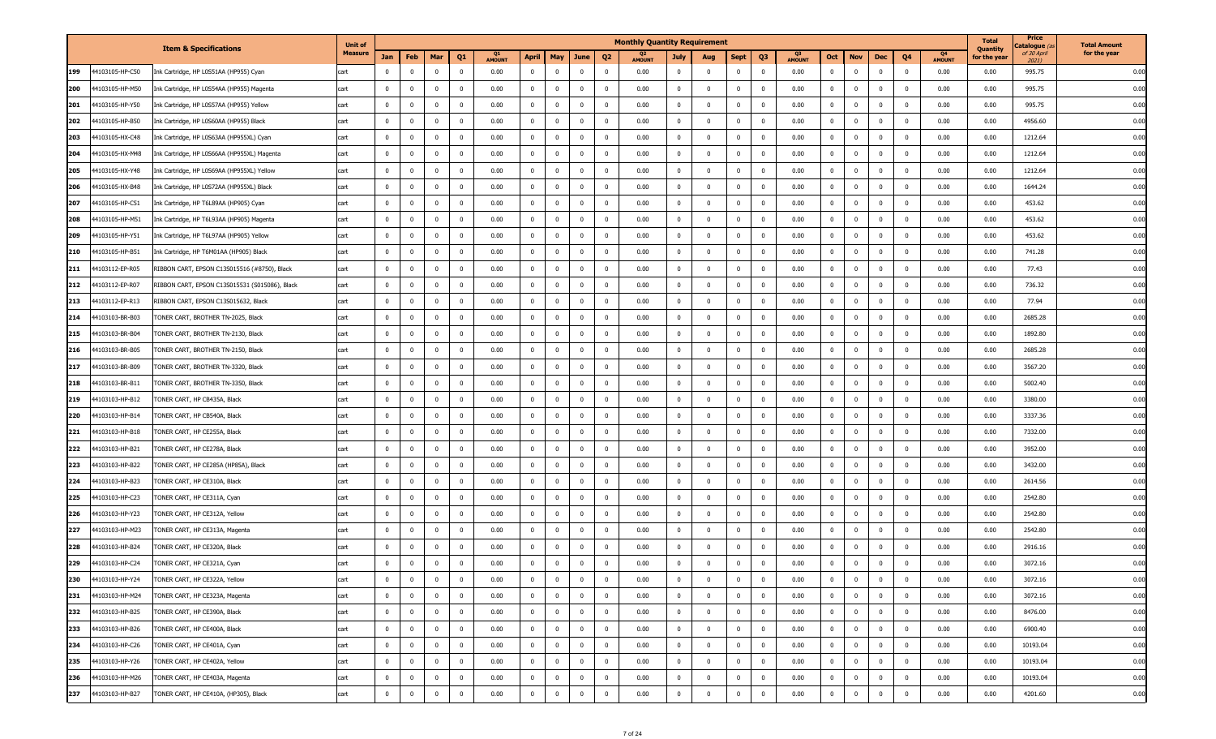|     |                 | <b>Item &amp; Specifications</b>               | <b>Unit of</b> |                |                |                         |                         |               |                |                |                         |                         | <b>Monthly Quantity Requirement</b> |                         |                         |                |                         |                                 |                |              |                |                |                                 | <b>Total</b><br>Quantity | Price<br>atalogue <i>(</i> | <b>Total Amount</b> |
|-----|-----------------|------------------------------------------------|----------------|----------------|----------------|-------------------------|-------------------------|---------------|----------------|----------------|-------------------------|-------------------------|-------------------------------------|-------------------------|-------------------------|----------------|-------------------------|---------------------------------|----------------|--------------|----------------|----------------|---------------------------------|--------------------------|----------------------------|---------------------|
|     |                 |                                                | <b>Measure</b> | Jan            | Feb            | Mar                     | Q1                      | <b>AMOUNT</b> | April          | May            | June                    | Q <sub>2</sub>          | <b>AMOUNT</b>                       | <b>July</b>             | Aug                     | <b>Sept</b>    | Q <sub>3</sub>          | Q <sub>3</sub><br><b>AMOUNT</b> | Oct            | <b>Nov</b>   | Dec            | Q4             | Q <sub>4</sub><br><b>AMOUNT</b> | for the year             | of 30 April<br>2021)       | for the year        |
| 199 | 44103105-HP-C50 | nk Cartridge, HP L0S51AA (HP955) Cyan          | cart           | $^{\circ}$     | $\mathbf{0}$   | $\mathbf 0$             | $\overline{0}$          | 0.00          | $\bf{0}$       | $\mathbf{0}$   | $\overline{0}$          | $\overline{0}$          | 0.00                                | $\mathbf{0}$            | $\overline{0}$          | $\mathbf 0$    | $\overline{0}$          | 0.00                            | $\mathbf{0}$   | $\mathbf 0$  | $\mathbf 0$    | $\mathbf 0$    | 0.00                            | 0.00                     | 995.75                     | 0.00                |
| 200 | 44103105-HP-M50 | Ink Cartridge, HP L0S54AA (HP955) Magenta      | cart           | $\bf{0}$       | $\mathbf{0}$   | $\mathbf 0$             | $\overline{\mathbf{0}}$ | 0.00          | $\mathbf 0$    | $\mathbf 0$    | $\overline{\mathbf{0}}$ | $\overline{\mathbf{0}}$ | 0.00                                | $\mathbf 0$             | $\overline{\mathbf{0}}$ | $\mathbf 0$    | $\mathbf 0$             | 0.00                            | $^{\circ}$     | $\bf{0}$     | $\overline{0}$ | $\mathbf 0$    | 0.00                            | 0.00                     | 995.75                     | 0.00                |
| 201 | 44103105-HP-Y50 | Ink Cartridge, HP L0S57AA (HP955) Yellow       | cart           | $\mathbf 0$    | $\mathbf{0}$   | $\overline{\mathbf{0}}$ | $\overline{0}$          | 0.00          | $\mathbf{0}$   | $\mathbf{0}$   | $\overline{\mathbf{0}}$ | $\overline{\mathbf{0}}$ | 0.00                                | $\overline{0}$          | $\overline{\mathbf{0}}$ | $\mathbf 0$    | $\overline{\mathbf{0}}$ | 0.00                            | $\mathbf 0$    | $\bf{0}$     | $^{\circ}$     | $\mathbf 0$    | 0.00                            | 0.00                     | 995.75                     | 0.00                |
| 202 | 44103105-HP-B50 | Ink Cartridge, HP L0S60AA (HP955) Black        | cart           | $\bf{0}$       | $\mathbf{0}$   | $\mathbf 0$             | $\overline{0}$          | 0.00          | $\mathbf{0}$   | $\overline{0}$ | $\overline{\mathbf{0}}$ | $\overline{0}$          | 0.00                                | $\overline{0}$          | $\overline{\mathbf{0}}$ | $\mathbf 0$    | $\overline{0}$          | 0.00                            | $\mathbf 0$    | $\mathbf 0$  | $\mathbf 0$    | $\mathbf 0$    | 0.00                            | 0.00                     | 4956.60                    | 0.00                |
| 203 | 44103105-HX-C48 | Ink Cartridge, HP L0S63AA (HP955XL) Cyan       | cart           | $\bf{0}$       | $\mathbf{0}$   | $\overline{\mathbf{0}}$ | $\overline{0}$          | 0.00          | $\mathbf{0}$   | $\mathbf{0}$   | $\overline{\mathbf{0}}$ | $\overline{\mathbf{0}}$ | 0.00                                | $\overline{0}$          | $\overline{\mathbf{0}}$ | $\mathbf{0}$   | $\overline{0}$          | 0.00                            | $^{\circ}$     | $\mathbf 0$  | $\mathbf{0}$   | $\mathbf 0$    | 0.00                            | 0.00                     | 1212.64                    | 0.00                |
| 204 | 44103105-HX-M48 | Ink Cartridge, HP L0S66AA (HP955XL) Magenta    | cart           | $\bf{0}$       | $\mathbf{0}$   | $\overline{\mathbf{0}}$ | $\overline{0}$          | 0.00          | $\mathbf{0}$   | $\mathbf 0$    | $\overline{\mathbf{0}}$ | $\overline{0}$          | 0.00                                | $\overline{0}$          | $\overline{\mathbf{0}}$ | $^{\circ}$     | $\mathbf 0$             | 0.00                            | $\mathbf 0$    | $\mathbf 0$  | $\mathbf{0}$   | $\mathbf 0$    | 0.00                            | 0.00                     | 1212.64                    | 0.00                |
| 205 | 44103105-HX-Y48 | Ink Cartridge, HP L0S69AA (HP955XL) Yellow     | cart           | $\bf{0}$       | $\overline{0}$ | $\overline{\mathbf{0}}$ | $\overline{0}$          | 0.00          | $\bf{0}$       | $\bf{0}$       | $\overline{\mathbf{0}}$ | $\overline{\mathbf{0}}$ | 0.00                                | $\mathbf{0}$            | $\overline{\mathbf{0}}$ | $\mathbf{0}$   | $\overline{\mathbf{0}}$ | 0.00                            | 0              | $\bf{0}$     | $^{\circ}$     | $\mathbf 0$    | 0.00                            | 0.00                     | 1212.64                    | 0.00                |
| 206 | 44103105-HX-B48 | Ink Cartridge, HP L0S72AA (HP955XL) Black      | cart           | $\bf{0}$       | $\mathbf{0}$   | $\overline{0}$          | $\overline{0}$          | 0.00          | $\mathbf{0}$   | $\overline{0}$ | $\overline{\mathbf{0}}$ | $\overline{0}$          | 0.00                                | $\mathbf 0$             | $\overline{\mathbf{0}}$ | $\mathbf 0$    | $\overline{0}$          | 0.00                            | $\mathbf 0$    | $\bf{0}$     | $\mathbf 0$    | $\mathbf 0$    | 0.00                            | 0.00                     | 1644.24                    | 0.00                |
| 207 | 44103105-HP-C51 | Ink Cartridge, HP T6L89AA (HP905) Cyan         | cart           | $\bf{0}$       | $\overline{0}$ | $\overline{0}$          | $\overline{0}$          | 0.00          | $\mathbf{0}$   | $\mathbf{0}$   | $\overline{\mathbf{0}}$ | $\overline{\mathbf{0}}$ | 0.00                                | $\mathbf{0}$            | $\overline{\mathbf{0}}$ | $\mathbf{0}$   | $\overline{\mathbf{0}}$ | 0.00                            | $\mathbf{0}$   | $\bf{0}$     | $\mathbf{0}$   | $\mathbf 0$    | 0.00                            | 0.00                     | 453.62                     | 0.00                |
| 208 | 44103105-HP-M51 | Ink Cartridge, HP T6L93AA (HP905) Magenta      | cart           | $\mathbf 0$    | $\mathbf{0}$   | $\mathbf 0$             | $\overline{\mathbf{0}}$ | 0.00          | $\mathbf{0}$   | $\mathbf 0$    | $^{\circ}$              | $\overline{\mathbf{0}}$ | 0.00                                | $\overline{0}$          | $\overline{\mathbf{0}}$ | $^{\circ}$     | $\overline{0}$          | 0.00                            | $^{\circ}$     | $\bf{0}$     | $\mathbf 0$    | $\mathbf 0$    | 0.00                            | 0.00                     | 453.62                     | 0.00                |
| 209 | 44103105-HP-Y51 | Ink Cartridge, HP T6L97AA (HP905) Yellow       | cart           | $\bf{0}$       | $\overline{0}$ | $\overline{0}$          | $\overline{0}$          | 0.00          | $\mathbf{0}$   | $\mathbf{0}$   | $\overline{\mathbf{0}}$ | $\overline{\mathbf{0}}$ | 0.00                                | $\mathbf{0}$            | $\overline{\mathbf{0}}$ | $\mathbf{0}$   | $\overline{\mathbf{0}}$ | 0.00                            | 0              | $\bf{0}$     | $^{\circ}$     | $\mathbf 0$    | 0.00                            | 0.00                     | 453.62                     | 0.00                |
| 210 | 44103105-HP-B51 | Ink Cartridge, HP T6M01AA (HP905) Black        | cart           | $\bf{0}$       | $\mathbf{0}$   | $\overline{\mathbf{0}}$ | $\overline{0}$          | 0.00          | $\mathbf{0}$   | $\mathbf{0}$   | $\overline{\mathbf{0}}$ | $\overline{0}$          | 0.00                                | $\overline{0}$          | $\overline{\mathbf{0}}$ | $^{\circ}$     | $\overline{\mathbf{0}}$ | 0.00                            | $\mathbf 0$    | $\mathbf 0$  | $\mathbf{0}$   | $\mathbf{0}$   | 0.00                            | 0.00                     | 741.28                     | 0.00                |
| 211 | 44103112-EP-R05 | RIBBON CART, EPSON C13S015516 (#8750), Black   | cart           | $\bf{0}$       | $^{\circ}$     | $\overline{\mathbf{0}}$ | $\overline{0}$          | 0.00          | $\mathbf 0$    | $\mathbf{0}$   | $\overline{\mathbf{0}}$ | $\overline{0}$          | 0.00                                | $\overline{0}$          | $\overline{\mathbf{0}}$ | $\mathbf 0$    | $\overline{0}$          | 0.00                            | $^{\circ}$     | $\mathbf 0$  | $\mathbf{0}$   | $\mathbf 0$    | 0.00                            | 0.00                     | 77.43                      | 0.00                |
| 212 | 44103112-EP-R07 | RIBBON CART, EPSON C13S015531 (S015086), Black | cart           | $\bf{0}$       | $^{\circ}$     | $\overline{\mathbf{0}}$ | $\overline{\mathbf{0}}$ | 0.00          | $\mathbf{0}$   | $\mathbf 0$    | $\overline{0}$          | $\overline{\mathbf{0}}$ | 0.00                                | $\overline{0}$          | $\overline{\mathbf{0}}$ | $\mathbf 0$    | $\overline{0}$          | 0.00                            | $\mathbf 0$    | $\mathbf 0$  | $\mathbf{0}$   | $\mathbf 0$    | 0.00                            | 0.00                     | 736.32                     | 0.00                |
| 213 | 44103112-EP-R13 | RIBBON CART, EPSON C13S015632, Black           | cart           | $\bf{0}$       | $\mathbf{0}$   | $\overline{\mathbf{0}}$ | $\overline{0}$          | 0.00          | $\mathbf{0}$   | $\mathbf{0}$   | $\overline{\mathbf{0}}$ | $\overline{0}$          | 0.00                                | $\mathbf{0}$            | $\overline{\mathbf{0}}$ | $\mathbf 0$    | $\overline{\mathbf{0}}$ | 0.00                            | $\mathbf 0$    | $\mathbf 0$  | $^{\circ}$     | $\mathbf 0$    | 0.00                            | 0.00                     | 77.94                      | 0.00                |
| 214 | 44103103-BR-B03 | TONER CART, BROTHER TN-2025, Black             | cart           | $\bf{0}$       | $\mathbf{0}$   | $\overline{\mathbf{0}}$ | $\overline{0}$          | 0.00          | $\mathbf{0}$   | $\mathbf 0$    | $\overline{\mathbf{0}}$ | $\overline{0}$          | 0.00                                | $\overline{0}$          | $\overline{\mathbf{0}}$ | $\mathbf 0$    | $\overline{0}$          | 0.00                            | $\mathbf 0$    | $\mathbf 0$  | $\mathbf{0}$   | $\mathbf{0}$   | 0.00                            | 0.00                     | 2685.28                    | 0.00                |
| 215 | 44103103-BR-B04 | TONER CART, BROTHER TN-2130, Black             | cart           | $\bf{0}$       | $\mathbf{0}$   | $\overline{\mathbf{0}}$ | $\overline{0}$          | 0.00          | $\mathbf{0}$   | $\mathbf 0$    | $\overline{\mathbf{0}}$ | $\overline{0}$          | 0.00                                | $\overline{0}$          | $\overline{\mathbf{0}}$ | $\mathbf 0$    | $\overline{\mathbf{0}}$ | 0.00                            | $^{\circ}$     | $\mathbf 0$  | $\mathbf{0}$   | $\mathbf 0$    | 0.00                            | 0.00                     | 1892.80                    | 0.00                |
| 216 | 44103103-BR-B05 | FONER CART, BROTHER TN-2150, Black             | cart           | $^{\circ}$     | $^{\circ}$     | $\overline{\mathbf{0}}$ | $\overline{\mathbf{0}}$ | 0.00          | $\mathbf 0$    | $\mathbf 0$    | $^{\circ}$              | $\overline{\mathbf{0}}$ | 0.00                                | $\overline{0}$          | $\overline{\mathbf{0}}$ | $^{\circ}$     | $\overline{0}$          | 0.00                            | $\mathbf 0$    | $\mathbf{0}$ | $\mathbf{0}$   | $^{\circ}$     | 0.00                            | 0.00                     | 2685.28                    | 0.00                |
| 217 | 44103103-BR-B09 | TONER CART, BROTHER TN-3320, Black             | cart           | $\mathbf 0$    | $\mathbf{0}$   | $\mathbf 0$             | $\overline{\mathbf{0}}$ | 0.00          | $\mathbf{0}$   | $\mathbf 0$    | $\overline{\mathbf{0}}$ | $\overline{0}$          | 0.00                                | $\mathbf{0}$            | $\overline{\mathbf{0}}$ | $^{\circ}$     | $\overline{0}$          | 0.00                            | $\mathbf 0$    | $\mathbf 0$  | $\mathbf{0}$   | $\mathbf{0}$   | 0.00                            | 0.00                     | 3567.20                    | 0.00                |
| 218 | 44103103-BR-B11 | FONER CART, BROTHER TN-3350, Black             | cart           | $\bf{0}$       | $\mathbf{0}$   | $\overline{\mathbf{0}}$ | $\overline{0}$          | 0.00          | $\mathbf{0}$   | $\mathbf 0$    | $\overline{\mathbf{0}}$ | $\overline{0}$          | 0.00                                | $\overline{0}$          | $\overline{\mathbf{0}}$ | $\mathbf 0$    | $\overline{0}$          | 0.00                            | $\mathbf 0$    | $\mathbf 0$  | $\mathbf{0}$   | $^{\circ}$     | 0.00                            | 0.00                     | 5002.40                    | 0.00                |
| 219 | 44103103-HP-B12 | FONER CART, HP CB435A, Black                   | cart           | $\bf{0}$       | $\mathbf{0}$   | $\mathbf 0$             | $\overline{0}$          | 0.00          | $\mathbf 0$    | $\mathbf 0$    | $\overline{0}$          | $\overline{0}$          | 0.00                                | $\mathbf 0$             | $\overline{\mathbf{0}}$ | $\mathbf 0$    | $\overline{\mathbf{0}}$ | 0.00                            | $^{\circ}$     | $\mathbf 0$  | $\mathbf{0}$   | $\mathbf 0$    | 0.00                            | 0.00                     | 3380.00                    | 0.00                |
| 220 | 44103103-HP-B14 | TONER CART, HP CB540A, Black                   | cart           | $\bf{0}$       | $^{\circ}$     | $\overline{\mathbf{0}}$ | $\overline{0}$          | 0.00          | $\mathbf 0$    | $\mathbf{0}$   | $^{\circ}$              | $\overline{\mathbf{0}}$ | 0.00                                | $\overline{0}$          | $\overline{\mathbf{0}}$ | $\mathbf 0$    | $\overline{0}$          | 0.00                            | $\mathbf 0$    | $\mathbf 0$  | $\mathbf{0}$   | $\mathbf 0$    | 0.00                            | 0.00                     | 3337.36                    | 0.00                |
| 221 | 44103103-HP-B18 | TONER CART, HP CE255A, Black                   | cart           | $\bf{0}$       | $\mathbf{0}$   | $\overline{\mathbf{0}}$ | $\overline{0}$          | 0.00          | $\mathbf 0$    | $\mathbf 0$    | $\overline{\mathbf{0}}$ | $\overline{0}$          | 0.00                                | $\mathbf 0$             | $\overline{\mathbf{0}}$ | $^{\circ}$     | $\overline{0}$          | 0.00                            | $\mathbf 0$    | $\mathbf 0$  | $\mathbf{0}$   | $\overline{0}$ | 0.00                            | 0.00                     | 7332.00                    | 0.00                |
| 222 | 44103103-HP-B21 | TONER CART, HP CE278A, Black                   | cart           | $\bf{0}$       | $^{\circ}$     | $\overline{0}$          | $\overline{0}$          | 0.00          | $\mathbf 0$    | $\mathbf 0$    | $\overline{\mathbf{0}}$ | $\overline{0}$          | 0.00                                | $\overline{0}$          | $\overline{\mathbf{0}}$ | $\mathbf 0$    | $\overline{0}$          | 0.00                            | $\mathbf 0$    | $\mathbf 0$  | $\mathbf{0}$   | $^{\circ}$     | 0.00                            | 0.00                     | 3952.00                    | 0.00                |
| 223 | 44103103-HP-B22 | TONER CART, HP CE285A (HP85A), Black           | cart           | $\bf{0}$       | $^{\circ}$     | $\mathbf 0$             | $\overline{\mathbf{0}}$ | 0.00          | $\mathbf 0$    | $\mathbf 0$    | $\overline{\mathbf{0}}$ | $\overline{0}$          | 0.00                                | $\overline{0}$          | $\overline{\mathbf{0}}$ | $^{\circ}$     | $\overline{0}$          | 0.00                            | $\mathbf 0$    | $\mathbf 0$  | $\mathbf{0}$   | $\mathbf 0$    | 0.00                            | 0.00                     | 3432.00                    | 0.00                |
| 224 | 44103103-HP-B23 | TONER CART, HP CE310A, Black                   | cart           | $\mathbf 0$    | $\mathbf 0$    | $\overline{\mathbf{0}}$ | $\overline{0}$          | 0.00          | $\mathbf{0}$   | $\mathbf{0}$   | $\overline{\mathbf{0}}$ | $\mathbf 0$             | 0.00                                | $\overline{0}$          | $\overline{\mathbf{0}}$ | $\mathbf{0}$   | $\overline{\mathbf{0}}$ | 0.00                            | $\mathbf 0$    | $\bf{0}$     | $^{\circ}$     | $\mathbf 0$    | 0.00                            | 0.00                     | 2614.56                    | 0.00                |
| 225 | 44103103-HP-C23 | TONER CART, HP CE311A, Cyan                    | cart           | $\bf{0}$       | $\mathbf{0}$   | $\mathbf 0$             | $\overline{0}$          | 0.00          | $\mathbf 0$    | $\overline{0}$ | $\overline{\mathbf{0}}$ | $\overline{0}$          | 0.00                                | $\mathbf 0$             | $\overline{\mathbf{0}}$ | $\mathbf 0$    | $\overline{0}$          | 0.00                            | $\mathbf 0$    | $\mathbf 0$  | $\mathbf{0}$   | $\overline{0}$ | 0.00                            | 0.00                     | 2542.80                    | 0.00                |
| 226 | 44103103-HP-Y23 | TONER CART, HP CE312A, Yellow                  | cart           | $\mathbf{0}$   | $\mathbf{0}$   | $\overline{\mathbf{0}}$ | $\overline{0}$          | 0.00          | $\mathbf 0$    | $\mathbf{0}$   | $\overline{\mathbf{0}}$ | $\overline{\mathbf{0}}$ | 0.00                                | $\mathbf 0$             | $\overline{\mathbf{0}}$ | $\mathbf 0$    | $\overline{0}$          | 0.00                            | $^{\circ}$     | $\mathbf 0$  | $\mathbf{0}$   | $\mathbf 0$    | 0.00                            | 0.00                     | 2542.80                    | 0.00                |
| 227 | 44103103-HP-M23 | TONER CART, HP CE313A, Magenta                 | cart           | $\bf{0}$       | $\mathbf{0}$   | $\mathbf 0$             | $\overline{0}$          | 0.00          | $\mathbf{0}$   | $\mathbf 0$    | $\overline{0}$          | $\overline{0}$          | 0.00                                | $\overline{0}$          | $\overline{\mathbf{0}}$ | $\mathbf 0$    | $\overline{0}$          | 0.00                            | $^{\circ}$     | $\mathbf 0$  | $\mathbf 0$    | $\mathbf 0$    | 0.00                            | 0.00                     | 2542.80                    | 0.00                |
| 228 | 44103103-HP-B24 | TONER CART, HP CE320A, Black                   | cart           | $\mathbf 0$    | $^{\circ}$     | $\overline{\mathbf{0}}$ | $\overline{0}$          | 0.00          | $^{\circ}$     | $\mathbf 0$    | $\overline{\mathbf{0}}$ | $\mathbf 0$             | 0.00                                | $\mathbf 0$             | $\overline{\mathbf{0}}$ | $\mathbf 0$    | $\overline{\mathbf{0}}$ | 0.00                            | $\mathbf 0$    | $\mathbf{0}$ | $\Omega$       | $\mathbf{0}$   | 0.00                            | 0.00                     | 2916.16                    | 0.00                |
| 229 | 44103103-HP-C24 | TONER CART, HP CE321A, Cyan                    | cart           | $\Omega$       | $\Omega$       | $\Omega$                | $\overline{0}$          | 0.00          | $\Omega$       | $\overline{0}$ | $\Omega$                | $\Omega$                | 0.00                                | $\mathbf 0$             | $\Omega$                | $\mathbf 0$    | $\Omega$                | 0.00                            | $\mathbf{0}$   | $\mathbf 0$  | $\Omega$       | $\Omega$       | 0.00                            | 0.00                     | 3072.16                    | 0.00                |
| 230 | 44103103-HP-Y24 | TONER CART, HP CE322A, Yellow                  | cart           | $\overline{0}$ | $\bf{0}$       | $\bf{0}$                | $\bf{0}$                | 0.00          | $\mathbf{0}$   | $\bf{0}$       | $\overline{\mathbf{0}}$ | $\overline{0}$          | 0.00                                | $\bf{0}$                | $\overline{0}$          | $\bf{0}$       | $\overline{\mathbf{0}}$ | 0.00                            | $\bf{0}$       | $\bf{0}$     | $\bf{0}$       | $\bf{0}$       | 0.00                            | 0.00                     | 3072.16                    | 0.00                |
| 231 | 44103103-HP-M24 | TONER CART, HP CE323A, Magenta                 | cart           | $\mathbf 0$    | $\mathbf{0}$   | $\overline{0}$          | $\overline{0}$          | 0.00          | $\overline{0}$ | $\overline{0}$ | $\bf{0}$                | $\overline{\mathbf{0}}$ | 0.00                                | $\mathbf 0$             | $\overline{0}$          | $\overline{0}$ | $\overline{0}$          | 0.00                            | $\mathbf 0$    | $\mathbf{0}$ | $\overline{0}$ | $\overline{0}$ | 0.00                            | 0.00                     | 3072.16                    | 0.00                |
| 232 | 44103103-HP-B25 | TONER CART, HP CE390A, Black                   | cart           | $\overline{0}$ | $\overline{0}$ | $\overline{\mathbf{0}}$ | $\mathbf{0}$            | 0.00          | $\mathbf{0}$   | $\overline{0}$ | $\overline{\mathbf{0}}$ | $\overline{0}$          | 0.00                                | $\bf{0}$                | $\overline{\mathbf{0}}$ | $\overline{0}$ | $\overline{\mathbf{0}}$ | 0.00                            | $\bf{0}$       | $\bf{0}$     | $\bf{0}$       | $\overline{0}$ | 0.00                            | 0.00                     | 8476.00                    | 0.00                |
| 233 | 44103103-HP-B26 | TONER CART, HP CE400A, Black                   | cart           | $\overline{0}$ | $\overline{0}$ | $\overline{0}$          | $\overline{\mathbf{0}}$ | 0.00          | $\bf{0}$       | $\overline{0}$ | $\overline{\mathbf{0}}$ | $\overline{\mathbf{0}}$ | 0.00                                | $\mathbf{0}$            | $\overline{\mathbf{0}}$ | $\bf{0}$       | $\overline{\mathbf{0}}$ | 0.00                            | $\mathbf 0$    | $\mathbf{0}$ | $\overline{0}$ | $\mathbf 0$    | 0.00                            | 0.00                     | 6900.40                    | 0.00                |
| 234 | 44103103-HP-C26 | TONER CART, HP CE401A, Cyan                    | cart           | $\overline{0}$ | $\overline{0}$ | $\overline{\mathbf{0}}$ | $\overline{0}$          | 0.00          | $\overline{0}$ | $\overline{0}$ | $\overline{\mathbf{0}}$ | $\overline{\mathbf{0}}$ | 0.00                                | $\bf{0}$                | $\overline{\mathbf{0}}$ | $\bf{0}$       | $\overline{\mathbf{0}}$ | 0.00                            | $\overline{0}$ | $\bf{0}$     | $\overline{0}$ | $\overline{0}$ | 0.00                            | 0.00                     | 10193.04                   | 0.00                |
| 235 | 44103103-HP-Y26 | TONER CART, HP CE402A, Yellow                  | cart           | $\mathbf 0$    | $\overline{0}$ | $\overline{0}$          | $\overline{0}$          | 0.00          | $\bf{0}$       | $\overline{0}$ | $\overline{\mathbf{0}}$ | $\overline{0}$          | 0.00                                | $\overline{0}$          | $\overline{\mathbf{0}}$ | $\mathbf 0$    | $\overline{\mathbf{0}}$ | 0.00                            | $\mathbf{0}$   | $\bf{0}$     | $\overline{0}$ | $\overline{0}$ | 0.00                            | 0.00                     | 10193.04                   | 0.00                |
| 236 | 44103103-HP-M26 | TONER CART, HP CE403A, Magenta                 | cart           | $\bf{0}$       | $\bf{0}$       | $\overline{\mathbf{0}}$ | $\overline{0}$          | 0.00          | $\mathbf{0}$   | $\overline{0}$ | $\overline{\mathbf{0}}$ | $\overline{\mathbf{0}}$ | 0.00                                | $\mathbf{0}$            | $\overline{\mathbf{0}}$ | $\bf{0}$       | $\overline{\mathbf{0}}$ | 0.00                            | 0              | $\bf{0}$     | $\mathbf 0$    | $\overline{0}$ | 0.00                            | 0.00                     | 10193.04                   | 0.00                |
| 237 | 44103103-HP-B27 | TONER CART, HP CE410A, (HP305), Black          | cart           | $\mathbf 0$    | $\overline{0}$ | $\overline{\mathbf{0}}$ | $\mathbf 0$             | 0.00          | $\mathbf 0$    | $\overline{0}$ | $\overline{\mathbf{0}}$ | $\overline{\mathbf{0}}$ | 0.00                                | $\overline{\mathbf{0}}$ | $\overline{0}$          | $\mathbf 0$    | $\mathbf 0$             | 0.00                            | $\mathbf 0$    | $\mathbf 0$  | $\overline{0}$ | $\mathbf 0$    | 0.00                            | 0.00                     | 4201.60                    | 0.00                |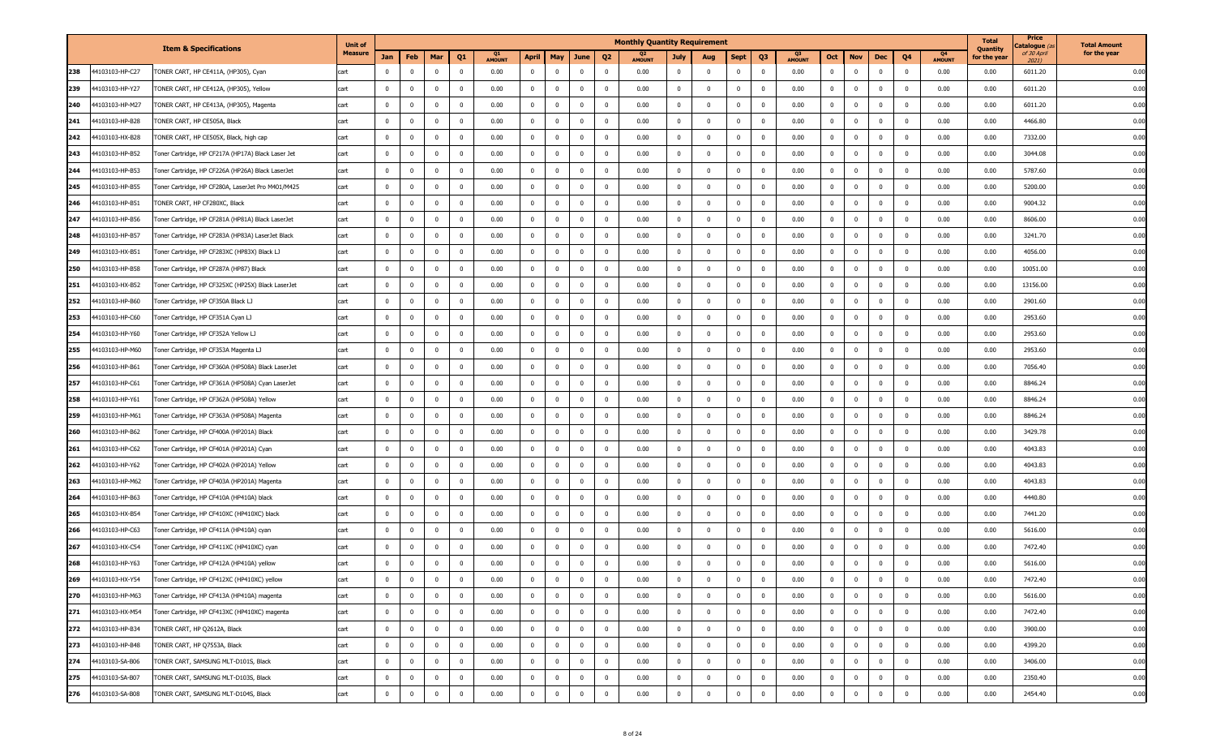| for the year<br>Measure<br>of 30 April<br>Q4<br>Jan<br>Feb<br>April<br>Q3<br>Oct<br>Q4<br>Mar<br>Q1<br>May<br>June<br>Q <sub>2</sub><br>July<br><b>Nov</b><br>Dec<br>for the year<br>Aug<br>Sept<br><b>AMOUNT</b><br><b>AMOUNT</b><br><b>AMOUNT</b><br><b>AMOUNT</b><br>2021)<br>44103103-HP-C27<br>$\overline{0}$<br>$\overline{0}$<br>$\bf{0}$<br>$\bf{0}$<br>$\bf{0}$<br>238<br>ONER CART, HP CE411A, (HP305), Cyan<br>$\mathbf{0}$<br>$\overline{0}$<br>$\mathbf 0$<br>0.00<br>$\overline{0}$<br>$\overline{\mathbf{0}}$<br>$\overline{0}$<br>0.00<br>$\mathbf{0}$<br>$\mathbf{0}$<br>$\mathbf 0$<br>0.00<br>$\mathbf{0}$<br>0.00<br>0.00<br>6011.20<br>$\mathbf 0$<br>cart<br>$\mathbf 0$<br>$\mathbf{0}$<br>6011.20<br>239<br>44103103-HP-Y27<br>TONER CART, HP CE412A, (HP305), Yellow<br>$\bf{0}$<br>$\mathbf{0}$<br>$\mathbf 0$<br>$\mathbf 0$<br>0.00<br>$\mathbf{0}$<br>$\mathbf{0}$<br>$\mathbf 0$<br>$\overline{\mathbf{0}}$<br>0.00<br>$\overline{\mathbf{0}}$<br>$\mathbf{0}$<br>0.00<br>$\mathbf{0}$<br>$\bf{0}$<br>$\mathbf 0$<br>0.00<br>0.00<br>cart<br>$\Omega$<br>$\mathbf{0}$<br>$\bf{0}$<br>240<br>44103103-HP-M27<br>TONER CART, HP CE413A, (HP305), Magenta<br>$\mathbf 0$<br>$\mathbf{0}$<br>$\mathbf 0$<br>$\mathbf 0$<br>0.00<br>0<br>$\overline{0}$<br>$\overline{\mathbf{0}}$<br>$\overline{0}$<br>0.00<br>$\mathbf 0$<br>$^{\circ}$<br>$\mathbf{0}$<br>0.00<br>$\mathbf{0}$<br>$\bf{0}$<br>$\mathbf 0$<br>0.00<br>0.00<br>6011.20<br>cart<br>44103103-HP-B28<br>$\mathbf 0$<br>$\mathbf{0}$<br>$\mathbf 0$<br>$\overline{0}$<br>0.00<br>$\mathbf 0$<br>$\overline{0}$<br>$\overline{0}$<br>0.00<br>$\overline{0}$<br>$\mathbf 0$<br>$\mathbf 0$<br>0.00<br>4466.80<br>241<br>TONER CART, HP CE505A, Black<br>$\mathbf 0$<br>$\Omega$<br>$\mathbf 0$<br>0.00<br>$\mathbf{0}$<br>$\Omega$<br>$\mathbf 0$<br>0.00<br>cart<br>$\overline{0}$<br>$\mathbf 0$<br>$\overline{\mathbf{0}}$<br>$\overline{0}$<br>0.00<br>$\mathbf 0$<br>$\overline{\mathbf{0}}$<br>$\overline{0}$<br>$\bf{0}$<br>$\bf{0}$<br>$\bf{0}$<br>242<br>44103103-HX-B28<br>TONER CART, HP CE505X, Black, high cap<br>$\mathbf 0$<br>$\mathbf{0}$<br>0.00<br>$\mathbf{0}$<br>$\overline{0}$<br>$\mathbf 0$<br>0.00<br>$\mathbf{0}$<br>0.00<br>0.00<br>7332.00<br>cart<br>243<br>44103103-HP-B52<br>$\mathbf{0}$<br>$\mathbf 0$<br>0.00<br>$\mathbf 0$<br>$\overline{\mathbf{0}}$<br>$\overline{0}$<br>0.00<br>$\overline{0}$<br>$\overline{0}$<br>$\overline{0}$<br>0.00<br>$\mathbf 0$<br>$\mathbf 0$<br>0.00<br>0.00<br>3044.08<br>$\mathbf 0$<br>$\mathbf 0$<br>$\mathbf{0}$<br>$\mathbf{0}$<br>$\mathbf 0$<br>Toner Cartridge, HP CF217A (HP17A) Black Laser Jet<br>cart<br>$\Omega$<br>244<br>44103103-HP-B53<br>0.00<br>$\bf{0}$<br>$\overline{\mathbf{0}}$<br>$\mathbf 0$<br>0.00<br>$\mathbf{0}$<br>$\mathbf 0$<br>$\overline{0}$<br>0.00<br>$\overline{0}$<br>$\mathbf 0$<br>$\mathbf 0$<br>$\bf{0}$<br>0.00<br>0.00<br>5787.60<br>Toner Cartridge, HP CF226A (HP26A) Black LaserJet<br>$\mathbf{0}$<br>0<br>$\mathbf 0$<br>$\mathbf 0$<br>0<br>$^{\circ}$<br>cart<br>245<br>44103103-HP-B55<br>$\mathbf{0}$<br>$\overline{0}$<br>$\mathbf 0$<br>0.00<br>$\overline{0}$<br>$\mathbf{0}$<br>$\overline{\mathbf{0}}$<br>$\overline{0}$<br>0.00<br>$\mathbf 0$<br>$\overline{0}$<br>$\overline{0}$<br>0.00<br>$\overline{0}$<br>$\mathbf 0$<br>$\bf{0}$<br>$\mathbf 0$<br>0.00<br>0.00<br>5200.00<br>Toner Cartridge, HP CF280A, LaserJet Pro M401/M425<br>$\mathbf 0$<br>cart<br>$^{\circ}$<br>44103103-HP-B51<br>0.00<br>$\overline{\mathbf{0}}$<br>$\overline{0}$<br>0.00<br>$\mathbf 0$<br>$\overline{0}$<br>$\bf{0}$<br>$\bf{0}$<br>$\bf{0}$<br>9004.32<br>246<br>TONER CART, HP CF280XC, Black<br>$\mathbf{0}$<br>$\mathbf 0$<br>$\overline{0}$<br>$\mathbf 0$<br>$\overline{0}$<br>$\overline{0}$<br>$\mathbf{0}$<br>0<br>0.00<br>$\mathbf{0}$<br>0.00<br>0.00<br>cart<br>247<br>0.00<br>0.00<br>$\overline{0}$<br>$\overline{0}$<br>$\overline{0}$<br>0.00<br>$\bf{0}$<br>8606.00<br>44103103-HP-B56<br>Toner Cartridge, HP CF281A (HP81A) Black LaserJet<br>$\mathbf{0}$<br>$\mathbf 0$<br>$\mathbf 0$<br>$\mathbf 0$<br>$^{\circ}$<br>$\mathbf{0}$<br>$\overline{\mathbf{0}}$<br>$\overline{\mathbf{0}}$<br>$\mathbf{0}$<br>$^{\circ}$<br>$\mathbf 0$<br>0.00<br>0.00<br>$^{\circ}$<br>cart<br>248<br>44103103-HP-B57<br>0.00<br>$\overline{\mathbf{0}}$<br>$\overline{0}$<br>0.00<br>$\mathbf{0}$<br>$\overline{0}$<br>$\bf{0}$<br>0.00<br>3241.70<br>Toner Cartridge, HP CF283A (HP83A) LaserJet Black<br>$\mathbf{0}$<br>$\mathbf 0$<br>$\mathbf 0$<br>$\mathbf 0$<br>0<br>$\overline{0}$<br>$\overline{0}$<br>$^{\circ}$<br>0.00<br>$\mathbf{0}$<br>$\bf{0}$<br>$\mathbf 0$<br>0.00<br>cart<br>$\overline{0}$<br>$\mathbf 0$<br>$\overline{0}$<br>$\overline{0}$<br>$\mathbf 0$<br>$\overline{0}$<br>$\overline{0}$<br>$\overline{\mathbf{0}}$<br>$\overline{0}$<br>$\mathbf 0$<br>$\mathbf 0$<br>$\overline{0}$<br>$\mathbf 0$<br>$\mathbf 0$<br>249<br>44103103-HX-B51<br>Toner Cartridge, HP CF283XC (HP83X) Black LJ<br>$\mathbf{0}$<br>0.00<br>0.00<br>0.00<br>0.00<br>0.00<br>4056.00<br>cart<br>$^{\circ}$<br>$\overline{\mathbf{0}}$<br>$\overline{0}$<br>$\mathbf 0$<br>$\mathbf 0$<br>250<br>44103103-HP-B58<br>$\mathbf{0}$<br>$\mathbf 0$<br>$\overline{\mathbf{0}}$<br>$\mathbf 0$<br>0.00<br>$\mathbf{0}$<br>$\mathbf{0}$<br>0.00<br>$\mathbf{0}$<br>$\mathbf{0}$<br>$\overline{0}$<br>0.00<br>$\mathbf{0}$<br>$\mathbf 0$<br>0.00<br>0.00<br>10051.00<br>Toner Cartridge, HP CF287A (HP87) Black<br>cart<br>$^{\circ}$<br>251<br>$\mathbf{0}$<br>$\mathbf{0}$<br>$\overline{\mathbf{0}}$<br>$\overline{0}$<br>$\overline{0}$<br>$\overline{0}$<br>$\mathbf 0$<br>$\mathbf 0$<br>44103103-HX-B52<br>$\mathbf{0}$<br>$\mathbf 0$<br>$\mathbf 0$<br>0.00<br>$\mathbf{0}$<br>$\overline{\mathbf{0}}$<br>0.00<br>0.00<br>$\mathbf{0}$<br>$\mathbf 0$<br>0.00<br>0.00<br>13156.00<br>Toner Cartridge, HP CF325XC (HP25X) Black LaserJet<br>cart<br>$^{\circ}$<br>$\mathbf 0$<br>252<br>44103103-HP-B60<br>$\overline{\mathbf{0}}$<br>$\overline{0}$<br>$\mathbf 0$<br>$\mathbf 0$<br>$\overline{0}$<br>$\mathbf 0$<br>$\mathbf 0$<br>$\mathbf{0}$<br>$\mathbf{0}$<br>$\mathbf 0$<br>$\mathbf 0$<br>0.00<br>$^{\circ}$<br>$\mathbf{0}$<br>0.00<br>$\mathbf{0}$<br>0.00<br>$\mathbf{0}$<br>0.00<br>0.00<br>2901.60<br>Toner Cartridge, HP CF350A Black LJ<br>cart<br>$\overline{\mathbf{0}}$<br>$\mathbf 0$<br>253<br>$\mathbf{0}$<br>$\overline{0}$<br>$\mathbf 0$<br>0.00<br>$\overline{0}$<br>$\overline{0}$<br>0.00<br>$\overline{0}$<br>$\overline{\mathbf{0}}$<br>$\overline{0}$<br>$\mathbf{0}$<br>$\mathbf 0$<br>$\bf{0}$<br>44103103-HP-C60<br>$\mathbf{0}$<br>$^{\circ}$<br>$\mathbf 0$<br>0.00<br>0.00<br>0.00<br>2953.60<br>Toner Cartridge, HP CF351A Cyan LJ<br>cart<br>$\mathbf 0$<br>0.00<br>$\overline{\mathbf{0}}$<br>$\overline{0}$<br>0.00<br>$\mathbf 0$<br>$\overline{\mathbf{0}}$<br>$\overline{0}$<br>$\bf{0}$<br>$\bf{0}$<br>254<br>44103103-HP-Y60<br>$\mathbf{0}$<br>$\mathbf{0}$<br>$\mathbf 0$<br>$\mathbf 0$<br>$\mathbf{0}$<br>$\mathbf{0}$<br>$\mathbf{0}$<br>0.00<br>$\mathbf{0}$<br>0.00<br>0.00<br>2953.60<br>Toner Cartridge, HP CF352A Yellow LJ<br>cart<br>255<br>$\mathbf 0$<br>$\mathbf{0}$<br>$\overline{0}$<br>$\overline{0}$<br>$\mathbf 0$<br>0.00<br>$\mathbf 0$<br>44103103-HP-M60<br>Toner Cartridge, HP CF353A Magenta LJ<br>$\mathbf{0}$<br>$\Omega$<br>$^{\circ}$<br>0.00<br>$^{\circ}$<br>$\mathbf 0$<br>$\overline{0}$<br>0.00<br>0<br>$\mathbf 0$<br>$\overline{0}$<br>0.00<br>0.00<br>2953.60<br>cart<br>$\Omega$<br>0.00<br>$\mathbf{0}$<br>$\overline{\mathbf{0}}$<br>$\overline{0}$<br>0.00<br>$\overline{0}$<br>$\overline{0}$<br>$\mathbf 0$<br>0.00<br>$\overline{0}$<br>$\mathbf 0$<br>$\mathbf 0$<br>0.00<br>0.00<br>256<br>44103103-HP-B61<br>Toner Cartridge, HP CF360A (HP508A) Black LaserJet<br>$\mathbf{0}$<br>$\mathbf{0}$<br>$\mathbf 0$<br>$\mathbf 0$<br>$^{\circ}$<br>$\overline{0}$<br>7056.40<br>cart<br>$\mathbf 0$<br>$\overline{0}$<br>$\mathbf 0$<br>$\mathbf 0$<br>257<br>$\mathbf{0}$<br>$\mathbf 0$<br>$\mathbf 0$<br>$\mathbf{0}$<br>$\overline{\mathbf{0}}$<br>0.00<br>$\Omega$<br>$\overline{0}$<br>0.00<br>$\mathbf 0$<br>$\overline{0}$<br>0.00<br>8846.24<br>44103103-HP-C61<br>Toner Cartridge, HP CF361A (HP508A) Cyan LaserJet<br>$\mathbf 0$<br>0.00<br>$\Omega$<br>$\Omega$<br>0.00<br>cart<br>$\mathbf 0$<br>$\overline{0}$<br>0.00<br>$\mathbf 0$<br>$\overline{0}$<br>0.00<br>$\mathbf 0$<br>$\overline{0}$<br>$\overline{0}$<br>0.00<br>$\mathbf{0}$<br>$\mathbf 0$<br>$\mathbf 0$<br>0.00<br>8846.24<br>258<br>44103103-HP-Y61<br>Toner Cartridge, HP CF362A (HP508A) Yellow<br>cart<br>$\mathbf 0$<br>$\mathbf{0}$<br>$\mathbf 0$<br>$\mathbf{0}$<br>$\mathbf{0}$<br>$^{\circ}$<br>0.00<br>259<br>$\overline{0}$<br>$\bf{0}$<br>$\mathbf 0$<br>8846.24<br>44103103-HP-M61<br>$\mathbf{0}$<br>$\mathbf{0}$<br>0<br>$\mathbf 0$<br>0.00<br>$^{\circ}$<br>$\overline{0}$<br>$\mathbf 0$<br>$\overline{\mathbf{0}}$<br>0.00<br>$\mathbf{0}$<br>0.00<br>$\mathbf{0}$<br>$\mathbf 0$<br>$\mathbf 0$<br>0.00<br>0.00<br>Toner Cartridge, HP CF363A (HP508A) Magenta<br>cart<br>$^{\circ}$<br>0.00<br>$\overline{0}$<br>0.00<br>$\mathbf 0$<br>$\overline{0}$<br>$\overline{0}$<br>0.00<br>$\mathbf 0$<br>0.00<br>3429.78<br>260<br>44103103-HP-B62<br>Foner Cartridge, HP CF400A (HP201A) Black<br>$\mathbf 0$<br>$\mathbf{0}$<br>$\mathbf 0$<br>$\mathbf 0$<br>$^{\circ}$<br>$\mathbf{0}$<br>$\overline{\mathbf{0}}$<br>$\mathbf{0}$<br>$^{\circ}$<br>$\mathbf 0$<br>0.00<br>cart<br>$\Omega$<br>$\mathbf 0$<br>$\mathbf 0$<br>0.00<br>$\overline{\mathbf{0}}$<br>$\overline{0}$<br>0.00<br>$\overline{0}$<br>$\mathbf 0$<br>$\mathbf 0$<br>4043.83<br>261<br>44103103-HP-C62<br>Toner Cartridge, HP CF401A (HP201A) Cyan<br>$\mathbf{0}$<br>$\mathbf{0}$<br>$\mathbf 0$<br>$^{\circ}$<br>$\mathbf{0}$<br>$\overline{\mathbf{0}}$<br>0.00<br>$\mathbf{0}$<br>$\mathbf{0}$<br>0.00<br>0.00<br>cart<br>$^{\circ}$<br>0.00<br>$\mathbf 0$<br>$\overline{0}$<br>$\mathbf 0$<br>262<br>44103103-HP-Y62<br>$\mathbf 0$<br>$\Omega$<br>$\mathbf 0$<br>$\mathbf 0$<br>0.00<br>$\mathbf{0}$<br>$\mathbf{0}$<br>$\mathbf 0$<br>$\overline{\mathbf{0}}$<br>$\mathbf{0}$<br>0.00<br>$^{\circ}$<br>$\mathbf 0$<br>$\mathbf 0$<br>0.00<br>0.00<br>4043.83<br>Toner Cartridge, HP CF402A (HP201A) Yellow<br>$\Omega$<br>cart<br>$\mathbf{0}$<br>$\bf{0}$<br>263<br>44103103-HP-M62<br>Toner Cartridge, HP CF403A (HP201A) Magenta<br>$\mathbf 0$<br>$\mathbf{0}$<br>$\mathbf 0$<br>$\mathbf 0$<br>0.00<br>$^{\circ}$<br>$\overline{0}$<br>$\overline{\mathbf{0}}$<br>$\overline{\mathbf{0}}$<br>0.00<br>0<br>$\mathbf{0}$<br>0.00<br>$\mathbf{0}$<br>$\bf{0}$<br>$\mathbf 0$<br>0.00<br>0.00<br>4043.83<br>$^{\circ}$<br>cart<br>$\mathbf 0$<br>$\mathbf{0}$<br>$\mathbf 0$<br>$\overline{0}$<br>0.00<br>$\mathbf 0$<br>$\overline{0}$<br>$\overline{0}$<br>0.00<br>$\overline{0}$<br>$\mathbf 0$<br>$\mathbf 0$<br>0.00<br>4440.80<br>264<br>44103103-HP-B63<br>Toner Cartridge, HP CF410A (HP410A) black<br>$\mathbf{0}$<br>$\Omega$<br>$\mathbf 0$<br>0.00<br>$\mathbf{0}$<br>$\Omega$<br>$\mathbf 0$<br>0.00<br>cart<br>$\overline{0}$<br>$\bf{0}$<br>$\overline{\mathbf{0}}$<br>$\overline{0}$<br>0.00<br>$\overline{0}$<br>$\bf{0}$<br>$\bf{0}$<br>265<br>44103103-HX-B54<br>Toner Cartridge, HP CF410XC (HP410XC) black<br>$\mathbf{0}$<br>$\mathbf{0}$<br>0.00<br>$\mathbf{0}$<br>$\overline{0}$<br>$\mathbf{0}$<br>$\overline{\mathbf{0}}$<br>$^{\circ}$<br>0.00<br>$\mathbf{0}$<br>$\mathbf{0}$<br>0.00<br>0.00<br>7441.20<br>cart<br>0.00<br>$\overline{0}$<br>0.00<br>$\mathbf 0$<br>$\overline{0}$<br>$\overline{0}$<br>0.00<br>$\mathbf 0$<br>0.00<br>5616.00<br>266<br>44103103-HP-C63<br>$\mathbf 0$<br>$\mathbf{0}$<br>$\mathbf 0$<br>$\mathbf 0$<br>$\mathbf{0}$<br>$\mathbf{0}$<br>$\mathbf 0$<br>$\Omega$<br>$\mathbf{0}$<br>$\mathbf 0$<br>$\mathbf 0$<br>0.00<br>Toner Cartridge, HP CF411A (HP410A) cyan<br>cart<br>$\overline{\mathbf{0}}$<br>0.00<br>$\mathbf 0$<br>$\bf{0}$<br>$\bf{0}$<br>267<br>44103103-HX-C54<br>$\mathbf 0$<br>$\mathbf{0}$<br>$\mathbf 0$<br>$\mathbf 0$<br>0.00<br>$^{\circ}$<br>$\overline{0}$<br>$\mathbf 0$<br>$\overline{0}$<br>$^{\circ}$<br>0.00<br>$\mathbf{0}$<br>$\mathbf{0}$<br>$\mathbf 0$<br>0.00<br>0.00<br>7472.40<br>Toner Cartridge, HP CF411XC (HP410XC) cyan<br>cart<br>0.00<br>$\mathbf 0$<br>268<br>44103103-HP-Y63<br>$\Omega$<br>$\mathbf 0$<br>$\mathbf 0$<br>0.00<br>$\Omega$<br>$\mathbf{0}$<br>$\Omega$<br>$\Omega$<br>$\mathbf 0$<br>$\Omega$<br>$\mathbf 0$<br>0.00<br>$\Omega$<br>$\mathbf 0$<br>$\mathbf 0$<br>0.00<br>0.00<br>5616.00<br>Toner Cartridge, HP CF412A (HP410A) yellow<br>$\mathbf{0}$<br>$\Omega$<br>cart<br>269<br>44103103-HX-Y54<br>7472.40<br>Toner Cartridge, HP CF412XC (HP410XC) yellow<br>$\overline{0}$<br>$\mathbf 0$<br>$\mathbf 0$<br>0.00<br>$\bf{0}$<br>$\overline{\mathbf{0}}$<br>$\overline{0}$<br>0.00<br>$\bf{0}$<br>$\mathbf 0$<br>$\bf{0}$<br>$\bf{0}$<br>0.00<br>$\mathbf{0}$<br>$\mathbf 0$<br>$\bf{0}$<br>$\bf{0}$<br>0.00<br>0.00<br>$\mathbf{0}$<br>0<br>cart<br>44103103-HP-M63<br>$\mathbf{0}$<br>0.00<br>$\overline{0}$<br>$\mathbf 0$<br>$\bf{0}$<br>$\bf{0}$<br>0.00<br>5616.00<br>270<br>Toner Cartridge, HP CF413A (HP410A) magenta<br>cart<br>$\overline{0}$<br>$\mathbf 0$<br>$\mathbf 0$<br>$\overline{0}$<br>$\mathbf 0$<br>$\overline{0}$<br>0.00<br>$\mathbf{0}$<br>0.00<br>$\overline{0}$<br>$\mathbf 0$<br>$\mathbf 0$<br>0.00<br>$^{\circ}$<br>271<br>44103103-HX-M54<br>$\overline{0}$<br>$\overline{0}$<br>$\mathbf 0$<br>$\mathbf 0$<br>0.00<br>$\overline{0}$<br>$\overline{0}$<br>$\overline{\mathbf{0}}$<br>$\overline{0}$<br>0.00<br>$\bf{0}$<br>$\bf{0}$<br>$\overline{0}$<br>0.00<br>$\overline{0}$<br>$\bf{0}$<br>$\bf{0}$<br>$\mathbf{0}$<br>0.00<br>0.00<br>7472.40<br>Toner Cartridge, HP CF413XC (HP410XC) magenta<br>cart<br>$\mathbf{0}$<br>272<br>44103103-HP-B34<br>$\overline{0}$<br>$\mathbf 0$<br>0.00<br>$\mathbf 0$<br>$\overline{\mathbf{0}}$<br>$\bf{0}$<br>$\bf{0}$<br>0.00<br>TONER CART, HP Q2612A, Black<br>$\bf{0}$<br>$\mathbf 0$<br>$\overline{0}$<br>$\overline{0}$<br>0.00<br>$\mathbf{0}$<br>$\mathbf{0}$<br>$\bf{0}$<br>0.00<br>$\overline{0}$<br>$\bf{0}$<br>$\bf{0}$<br>0.00<br>3900.00<br>cart<br>273<br>44103103-HP-B48<br>$\overline{0}$<br>$\overline{\mathbf{0}}$<br>$\overline{0}$<br>TONER CART, HP Q7553A, Black<br>$\bf{0}$<br>$\overline{\mathbf{0}}$<br>$\mathbf 0$<br>0.00<br>$\overline{0}$<br>$\overline{0}$<br>$\overline{0}$<br>0.00<br>$\bf{0}$<br>$\mathbf{0}$<br>$\bf{0}$<br>$\overline{0}$<br>0.00<br>$\overline{0}$<br>$\bf{0}$<br>$\overline{0}$<br>0.00<br>0.00<br>4399.20<br>cart<br>$\mathbf{0}$<br>$\overline{0}$<br>$\bf{0}$<br>274<br>44103103-SA-B06<br>TONER CART, SAMSUNG MLT-D101S, Black<br>$\overline{0}$<br>$\overline{0}$<br>$\mathbf 0$<br>0.00<br>$\overline{0}$<br>$\overline{0}$<br>$\overline{0}$<br>$\overline{0}$<br>0.00<br>$\mathbf{0}$<br>$\mathbf 0$<br>0.00<br>$\overline{0}$<br>$\mathbf 0$<br>$\bf{0}$<br>0.00<br>0.00<br>3406.00<br>cart<br>$\mathbf 0$<br>44103103-SA-B07<br>$\overline{0}$<br>275<br>TONER CART, SAMSUNG MLT-D103S, Black<br>$\mathbf{0}$<br>$\overline{0}$<br>$\mathbf 0$<br>$\bf{0}$<br>0.00<br>$\overline{0}$<br>$\overline{0}$<br>$\overline{0}$<br>$\overline{0}$<br>0.00<br>$\bf{0}$<br>$\mathbf 0$<br>$\overline{0}$<br>$\overline{0}$<br>0.00<br>$\overline{0}$<br>$\mathbf 0$<br>$\bf{0}$<br>0.00<br>0.00<br>2350.40<br>cart |  |                                  | <b>Unit of</b> |  |  |  |  | <b>Monthly Quantity Requirement</b> |  |  |  |  |  | <b>Total</b><br><b>Quantity</b> | Price<br>C <b>atalogue</b> (a | <b>Total Amount</b> |
|-----------------------------------------------------------------------------------------------------------------------------------------------------------------------------------------------------------------------------------------------------------------------------------------------------------------------------------------------------------------------------------------------------------------------------------------------------------------------------------------------------------------------------------------------------------------------------------------------------------------------------------------------------------------------------------------------------------------------------------------------------------------------------------------------------------------------------------------------------------------------------------------------------------------------------------------------------------------------------------------------------------------------------------------------------------------------------------------------------------------------------------------------------------------------------------------------------------------------------------------------------------------------------------------------------------------------------------------------------------------------------------------------------------------------------------------------------------------------------------------------------------------------------------------------------------------------------------------------------------------------------------------------------------------------------------------------------------------------------------------------------------------------------------------------------------------------------------------------------------------------------------------------------------------------------------------------------------------------------------------------------------------------------------------------------------------------------------------------------------------------------------------------------------------------------------------------------------------------------------------------------------------------------------------------------------------------------------------------------------------------------------------------------------------------------------------------------------------------------------------------------------------------------------------------------------------------------------------------------------------------------------------------------------------------------------------------------------------------------------------------------------------------------------------------------------------------------------------------------------------------------------------------------------------------------------------------------------------------------------------------------------------------------------------------------------------------------------------------------------------------------------------------------------------------------------------------------------------------------------------------------------------------------------------------------------------------------------------------------------------------------------------------------------------------------------------------------------------------------------------------------------------------------------------------------------------------------------------------------------------------------------------------------------------------------------------------------------------------------------------------------------------------------------------------------------------------------------------------------------------------------------------------------------------------------------------------------------------------------------------------------------------------------------------------------------------------------------------------------------------------------------------------------------------------------------------------------------------------------------------------------------------------------------------------------------------------------------------------------------------------------------------------------------------------------------------------------------------------------------------------------------------------------------------------------------------------------------------------------------------------------------------------------------------------------------------------------------------------------------------------------------------------------------------------------------------------------------------------------------------------------------------------------------------------------------------------------------------------------------------------------------------------------------------------------------------------------------------------------------------------------------------------------------------------------------------------------------------------------------------------------------------------------------------------------------------------------------------------------------------------------------------------------------------------------------------------------------------------------------------------------------------------------------------------------------------------------------------------------------------------------------------------------------------------------------------------------------------------------------------------------------------------------------------------------------------------------------------------------------------------------------------------------------------------------------------------------------------------------------------------------------------------------------------------------------------------------------------------------------------------------------------------------------------------------------------------------------------------------------------------------------------------------------------------------------------------------------------------------------------------------------------------------------------------------------------------------------------------------------------------------------------------------------------------------------------------------------------------------------------------------------------------------------------------------------------------------------------------------------------------------------------------------------------------------------------------------------------------------------------------------------------------------------------------------------------------------------------------------------------------------------------------------------------------------------------------------------------------------------------------------------------------------------------------------------------------------------------------------------------------------------------------------------------------------------------------------------------------------------------------------------------------------------------------------------------------------------------------------------------------------------------------------------------------------------------------------------------------------------------------------------------------------------------------------------------------------------------------------------------------------------------------------------------------------------------------------------------------------------------------------------------------------------------------------------------------------------------------------------------------------------------------------------------------------------------------------------------------------------------------------------------------------------------------------------------------------------------------------------------------------------------------------------------------------------------------------------------------------------------------------------------------------------------------------------------------------------------------------------------------------------------------------------------------------------------------------------------------------------------------------------------------------------------------------------------------------------------------------------------------------------------------------------------------------------------------------------------------------------------------------------------------------------------------------------------------------------------------------------------------------------------------------------------------------------------------------------------------------------------------------------------------------------------------------------------------------------------------------------------------------------------------------------------------------------------------------------------------------------------------------------------------------------------------------------------------------------------------------------------------------------------------------------------------------------------------------------------------------------------------------------------------------------------------------------------------------------------------------------------------------------------------------------------------------------------------------------------------------------------------------------------------------------------------------------------------------------------------------------------------------------------------------------------------------------------------------------------------------------------------------------------------------------------------------------------------------------------------------------------------------------------------------------------------------------------------------------------------------------------------------------------------------------------------------------------------------------------------------------------------------------------------------------------------------------------------------------------------------------------------------------------------------------------------------------------------------------------------------------------------------------------------------------------------------------------------------------------------------------------------------------------------------------------------------------------------------------------------------------------------------------------------------------------------------------------------------------------------------------------------------------------------------------------------------------------------------------------------------------------------------------------------------------------------------------------------------------------------------------------------------------------------------------------------------------------------------------------------------------------------------------------------------------------------------------------------------------------------------------------------------------------------------------------------------------------------------------------------------------------------------------------------------------------------------------------------------------------------------------------------------------------------------------------------------------------------------------------------------------------------------------------------------------------------------------------------------------------------------------------------------------------------------------------------------------------------------------------------------------------------------------------------------------------------------------------------------------------------------------------------------------------------------------------------------------------------------------------------------------------------------------------------------------------------------------------------------------------------------------------------------------------------------------------------------------------------------------------------------------------------------------------------------------------------------------------------------------------------------------------------------------------------------------------------------------------------------------------------------------------------------------------------------------------------------------------------------------------------------------------------------------------------------------------------------------------------------------------------------------------------------------------------------------------------------------------------------------------------------------------------------------------------------------------------------------------------------------------------------------------------------------------------------------------------------------------------------------------------------------------------------------------------------------------------------------------------------------------------------------------------------------------------------------------------------------------------------------------------------------------------------------------------------------------------------------------------------------------------------------------------------------------------------------------------------------------------------------------------------------------------------------------------------------------------------------------------------------------------------------------------------------------------------------------------------------------------------------------------------------------------------------------------------------------------------------------------------------------------------------------------------------------------------------------------------------------------------------------------------------------------------------------------------------------------------------------------------------------------------------------------------------------------------------------------------------------------------------------------------------------------------------------------------------------------------------------------------------------------------------------------------------------------------------------------------------------------------------------------------------------------------------------------------------------------------------------------------------------------------------------------------------------------------------------------------------------------------------------------------------------------------------------------------------------------------------------------------------------------------------------------------------------------------------------------------------------------------------------------|--|----------------------------------|----------------|--|--|--|--|-------------------------------------|--|--|--|--|--|---------------------------------|-------------------------------|---------------------|
|                                                                                                                                                                                                                                                                                                                                                                                                                                                                                                                                                                                                                                                                                                                                                                                                                                                                                                                                                                                                                                                                                                                                                                                                                                                                                                                                                                                                                                                                                                                                                                                                                                                                                                                                                                                                                                                                                                                                                                                                                                                                                                                                                                                                                                                                                                                                                                                                                                                                                                                                                                                                                                                                                                                                                                                                                                                                                                                                                                                                                                                                                                                                                                                                                                                                                                                                                                                                                                                                                                                                                                                                                                                                                                                                                                                                                                                                                                                                                                                                                                                                                                                                                                                                                                                                                                                                                                                                                                                                                                                                                                                                                                                                                                                                                                                                                                                                                                                                                                                                                                                                                                                                                                                                                                                                                                                                                                                                                                                                                                                                                                                                                                                                                                                                                                                                                                                                                                                                                                                                                                                                                                                                                                                                                                                                                                                                                                                                                                                                                                                                                                                                                                                                                                                                                                                                                                                                                                                                                                                                                                                                                                                                                                                                                                                                                                                                                                                                                                                                                                                                                                                                                                                                                                                                                                                                                                                                                                                                                                                                                                                                                                                                                                                                                                                                                                                                                                                                                                                                                                                                                                                                                                                                                                                                                                                                                                                                                                                                                                                                                                                                                                                                                                                                                                                                                                                                                                                                                                                                                                                                                                                                                                                                                                                                                                                                                                                                                                                                                                                                                                                                                                                                                                                                                                                                                                                                                                                                                                                                                                                                                                                                                                                                                                                                                                                                                                                                                                                                                                                                                                                                                                                                                                                                                                                                                                                                                                                                                                                                                                                                                                                                                                                                                                                                                                                                                                                                                                                                                                                                                                                                                                                                                                                                                                                                                                                                                                                                                                                                                                                                                                                                                                                                                                                                                                                                                                                                                                                                                                                                                                                                                                                                                                                                                                                                                                                                                                                                                                                                                                                                                                                                                                                                                                                                                                                                                                                                                                                                                                                                                                                                                                                                                                                                                                                                                                                                                                                                                                                                                                                                                                                                                                                                                                                                                                                                                                                                                                                                                                                                                                                                                                                                                                                                                                                                                                                                                                                                                                                                                                                                                                                               |  | <b>Item &amp; Specifications</b> |                |  |  |  |  |                                     |  |  |  |  |  |                                 |                               |                     |
|                                                                                                                                                                                                                                                                                                                                                                                                                                                                                                                                                                                                                                                                                                                                                                                                                                                                                                                                                                                                                                                                                                                                                                                                                                                                                                                                                                                                                                                                                                                                                                                                                                                                                                                                                                                                                                                                                                                                                                                                                                                                                                                                                                                                                                                                                                                                                                                                                                                                                                                                                                                                                                                                                                                                                                                                                                                                                                                                                                                                                                                                                                                                                                                                                                                                                                                                                                                                                                                                                                                                                                                                                                                                                                                                                                                                                                                                                                                                                                                                                                                                                                                                                                                                                                                                                                                                                                                                                                                                                                                                                                                                                                                                                                                                                                                                                                                                                                                                                                                                                                                                                                                                                                                                                                                                                                                                                                                                                                                                                                                                                                                                                                                                                                                                                                                                                                                                                                                                                                                                                                                                                                                                                                                                                                                                                                                                                                                                                                                                                                                                                                                                                                                                                                                                                                                                                                                                                                                                                                                                                                                                                                                                                                                                                                                                                                                                                                                                                                                                                                                                                                                                                                                                                                                                                                                                                                                                                                                                                                                                                                                                                                                                                                                                                                                                                                                                                                                                                                                                                                                                                                                                                                                                                                                                                                                                                                                                                                                                                                                                                                                                                                                                                                                                                                                                                                                                                                                                                                                                                                                                                                                                                                                                                                                                                                                                                                                                                                                                                                                                                                                                                                                                                                                                                                                                                                                                                                                                                                                                                                                                                                                                                                                                                                                                                                                                                                                                                                                                                                                                                                                                                                                                                                                                                                                                                                                                                                                                                                                                                                                                                                                                                                                                                                                                                                                                                                                                                                                                                                                                                                                                                                                                                                                                                                                                                                                                                                                                                                                                                                                                                                                                                                                                                                                                                                                                                                                                                                                                                                                                                                                                                                                                                                                                                                                                                                                                                                                                                                                                                                                                                                                                                                                                                                                                                                                                                                                                                                                                                                                                                                                                                                                                                                                                                                                                                                                                                                                                                                                                                                                                                                                                                                                                                                                                                                                                                                                                                                                                                                                                                                                                                                                                                                                                                                                                                                                                                                                                                                                                                                                                                                                               |  |                                  |                |  |  |  |  |                                     |  |  |  |  |  |                                 |                               | 0.00                |
|                                                                                                                                                                                                                                                                                                                                                                                                                                                                                                                                                                                                                                                                                                                                                                                                                                                                                                                                                                                                                                                                                                                                                                                                                                                                                                                                                                                                                                                                                                                                                                                                                                                                                                                                                                                                                                                                                                                                                                                                                                                                                                                                                                                                                                                                                                                                                                                                                                                                                                                                                                                                                                                                                                                                                                                                                                                                                                                                                                                                                                                                                                                                                                                                                                                                                                                                                                                                                                                                                                                                                                                                                                                                                                                                                                                                                                                                                                                                                                                                                                                                                                                                                                                                                                                                                                                                                                                                                                                                                                                                                                                                                                                                                                                                                                                                                                                                                                                                                                                                                                                                                                                                                                                                                                                                                                                                                                                                                                                                                                                                                                                                                                                                                                                                                                                                                                                                                                                                                                                                                                                                                                                                                                                                                                                                                                                                                                                                                                                                                                                                                                                                                                                                                                                                                                                                                                                                                                                                                                                                                                                                                                                                                                                                                                                                                                                                                                                                                                                                                                                                                                                                                                                                                                                                                                                                                                                                                                                                                                                                                                                                                                                                                                                                                                                                                                                                                                                                                                                                                                                                                                                                                                                                                                                                                                                                                                                                                                                                                                                                                                                                                                                                                                                                                                                                                                                                                                                                                                                                                                                                                                                                                                                                                                                                                                                                                                                                                                                                                                                                                                                                                                                                                                                                                                                                                                                                                                                                                                                                                                                                                                                                                                                                                                                                                                                                                                                                                                                                                                                                                                                                                                                                                                                                                                                                                                                                                                                                                                                                                                                                                                                                                                                                                                                                                                                                                                                                                                                                                                                                                                                                                                                                                                                                                                                                                                                                                                                                                                                                                                                                                                                                                                                                                                                                                                                                                                                                                                                                                                                                                                                                                                                                                                                                                                                                                                                                                                                                                                                                                                                                                                                                                                                                                                                                                                                                                                                                                                                                                                                                                                                                                                                                                                                                                                                                                                                                                                                                                                                                                                                                                                                                                                                                                                                                                                                                                                                                                                                                                                                                                                                                                                                                                                                                                                                                                                                                                                                                                                                                                                                                                                                               |  |                                  |                |  |  |  |  |                                     |  |  |  |  |  |                                 |                               | 0.00                |
|                                                                                                                                                                                                                                                                                                                                                                                                                                                                                                                                                                                                                                                                                                                                                                                                                                                                                                                                                                                                                                                                                                                                                                                                                                                                                                                                                                                                                                                                                                                                                                                                                                                                                                                                                                                                                                                                                                                                                                                                                                                                                                                                                                                                                                                                                                                                                                                                                                                                                                                                                                                                                                                                                                                                                                                                                                                                                                                                                                                                                                                                                                                                                                                                                                                                                                                                                                                                                                                                                                                                                                                                                                                                                                                                                                                                                                                                                                                                                                                                                                                                                                                                                                                                                                                                                                                                                                                                                                                                                                                                                                                                                                                                                                                                                                                                                                                                                                                                                                                                                                                                                                                                                                                                                                                                                                                                                                                                                                                                                                                                                                                                                                                                                                                                                                                                                                                                                                                                                                                                                                                                                                                                                                                                                                                                                                                                                                                                                                                                                                                                                                                                                                                                                                                                                                                                                                                                                                                                                                                                                                                                                                                                                                                                                                                                                                                                                                                                                                                                                                                                                                                                                                                                                                                                                                                                                                                                                                                                                                                                                                                                                                                                                                                                                                                                                                                                                                                                                                                                                                                                                                                                                                                                                                                                                                                                                                                                                                                                                                                                                                                                                                                                                                                                                                                                                                                                                                                                                                                                                                                                                                                                                                                                                                                                                                                                                                                                                                                                                                                                                                                                                                                                                                                                                                                                                                                                                                                                                                                                                                                                                                                                                                                                                                                                                                                                                                                                                                                                                                                                                                                                                                                                                                                                                                                                                                                                                                                                                                                                                                                                                                                                                                                                                                                                                                                                                                                                                                                                                                                                                                                                                                                                                                                                                                                                                                                                                                                                                                                                                                                                                                                                                                                                                                                                                                                                                                                                                                                                                                                                                                                                                                                                                                                                                                                                                                                                                                                                                                                                                                                                                                                                                                                                                                                                                                                                                                                                                                                                                                                                                                                                                                                                                                                                                                                                                                                                                                                                                                                                                                                                                                                                                                                                                                                                                                                                                                                                                                                                                                                                                                                                                                                                                                                                                                                                                                                                                                                                                                                                                                                                                                                               |  |                                  |                |  |  |  |  |                                     |  |  |  |  |  |                                 |                               | 0.00                |
|                                                                                                                                                                                                                                                                                                                                                                                                                                                                                                                                                                                                                                                                                                                                                                                                                                                                                                                                                                                                                                                                                                                                                                                                                                                                                                                                                                                                                                                                                                                                                                                                                                                                                                                                                                                                                                                                                                                                                                                                                                                                                                                                                                                                                                                                                                                                                                                                                                                                                                                                                                                                                                                                                                                                                                                                                                                                                                                                                                                                                                                                                                                                                                                                                                                                                                                                                                                                                                                                                                                                                                                                                                                                                                                                                                                                                                                                                                                                                                                                                                                                                                                                                                                                                                                                                                                                                                                                                                                                                                                                                                                                                                                                                                                                                                                                                                                                                                                                                                                                                                                                                                                                                                                                                                                                                                                                                                                                                                                                                                                                                                                                                                                                                                                                                                                                                                                                                                                                                                                                                                                                                                                                                                                                                                                                                                                                                                                                                                                                                                                                                                                                                                                                                                                                                                                                                                                                                                                                                                                                                                                                                                                                                                                                                                                                                                                                                                                                                                                                                                                                                                                                                                                                                                                                                                                                                                                                                                                                                                                                                                                                                                                                                                                                                                                                                                                                                                                                                                                                                                                                                                                                                                                                                                                                                                                                                                                                                                                                                                                                                                                                                                                                                                                                                                                                                                                                                                                                                                                                                                                                                                                                                                                                                                                                                                                                                                                                                                                                                                                                                                                                                                                                                                                                                                                                                                                                                                                                                                                                                                                                                                                                                                                                                                                                                                                                                                                                                                                                                                                                                                                                                                                                                                                                                                                                                                                                                                                                                                                                                                                                                                                                                                                                                                                                                                                                                                                                                                                                                                                                                                                                                                                                                                                                                                                                                                                                                                                                                                                                                                                                                                                                                                                                                                                                                                                                                                                                                                                                                                                                                                                                                                                                                                                                                                                                                                                                                                                                                                                                                                                                                                                                                                                                                                                                                                                                                                                                                                                                                                                                                                                                                                                                                                                                                                                                                                                                                                                                                                                                                                                                                                                                                                                                                                                                                                                                                                                                                                                                                                                                                                                                                                                                                                                                                                                                                                                                                                                                                                                                                                                                                                                               |  |                                  |                |  |  |  |  |                                     |  |  |  |  |  |                                 |                               | 0.00                |
|                                                                                                                                                                                                                                                                                                                                                                                                                                                                                                                                                                                                                                                                                                                                                                                                                                                                                                                                                                                                                                                                                                                                                                                                                                                                                                                                                                                                                                                                                                                                                                                                                                                                                                                                                                                                                                                                                                                                                                                                                                                                                                                                                                                                                                                                                                                                                                                                                                                                                                                                                                                                                                                                                                                                                                                                                                                                                                                                                                                                                                                                                                                                                                                                                                                                                                                                                                                                                                                                                                                                                                                                                                                                                                                                                                                                                                                                                                                                                                                                                                                                                                                                                                                                                                                                                                                                                                                                                                                                                                                                                                                                                                                                                                                                                                                                                                                                                                                                                                                                                                                                                                                                                                                                                                                                                                                                                                                                                                                                                                                                                                                                                                                                                                                                                                                                                                                                                                                                                                                                                                                                                                                                                                                                                                                                                                                                                                                                                                                                                                                                                                                                                                                                                                                                                                                                                                                                                                                                                                                                                                                                                                                                                                                                                                                                                                                                                                                                                                                                                                                                                                                                                                                                                                                                                                                                                                                                                                                                                                                                                                                                                                                                                                                                                                                                                                                                                                                                                                                                                                                                                                                                                                                                                                                                                                                                                                                                                                                                                                                                                                                                                                                                                                                                                                                                                                                                                                                                                                                                                                                                                                                                                                                                                                                                                                                                                                                                                                                                                                                                                                                                                                                                                                                                                                                                                                                                                                                                                                                                                                                                                                                                                                                                                                                                                                                                                                                                                                                                                                                                                                                                                                                                                                                                                                                                                                                                                                                                                                                                                                                                                                                                                                                                                                                                                                                                                                                                                                                                                                                                                                                                                                                                                                                                                                                                                                                                                                                                                                                                                                                                                                                                                                                                                                                                                                                                                                                                                                                                                                                                                                                                                                                                                                                                                                                                                                                                                                                                                                                                                                                                                                                                                                                                                                                                                                                                                                                                                                                                                                                                                                                                                                                                                                                                                                                                                                                                                                                                                                                                                                                                                                                                                                                                                                                                                                                                                                                                                                                                                                                                                                                                                                                                                                                                                                                                                                                                                                                                                                                                                                                                                                                               |  |                                  |                |  |  |  |  |                                     |  |  |  |  |  |                                 |                               | 0.00                |
|                                                                                                                                                                                                                                                                                                                                                                                                                                                                                                                                                                                                                                                                                                                                                                                                                                                                                                                                                                                                                                                                                                                                                                                                                                                                                                                                                                                                                                                                                                                                                                                                                                                                                                                                                                                                                                                                                                                                                                                                                                                                                                                                                                                                                                                                                                                                                                                                                                                                                                                                                                                                                                                                                                                                                                                                                                                                                                                                                                                                                                                                                                                                                                                                                                                                                                                                                                                                                                                                                                                                                                                                                                                                                                                                                                                                                                                                                                                                                                                                                                                                                                                                                                                                                                                                                                                                                                                                                                                                                                                                                                                                                                                                                                                                                                                                                                                                                                                                                                                                                                                                                                                                                                                                                                                                                                                                                                                                                                                                                                                                                                                                                                                                                                                                                                                                                                                                                                                                                                                                                                                                                                                                                                                                                                                                                                                                                                                                                                                                                                                                                                                                                                                                                                                                                                                                                                                                                                                                                                                                                                                                                                                                                                                                                                                                                                                                                                                                                                                                                                                                                                                                                                                                                                                                                                                                                                                                                                                                                                                                                                                                                                                                                                                                                                                                                                                                                                                                                                                                                                                                                                                                                                                                                                                                                                                                                                                                                                                                                                                                                                                                                                                                                                                                                                                                                                                                                                                                                                                                                                                                                                                                                                                                                                                                                                                                                                                                                                                                                                                                                                                                                                                                                                                                                                                                                                                                                                                                                                                                                                                                                                                                                                                                                                                                                                                                                                                                                                                                                                                                                                                                                                                                                                                                                                                                                                                                                                                                                                                                                                                                                                                                                                                                                                                                                                                                                                                                                                                                                                                                                                                                                                                                                                                                                                                                                                                                                                                                                                                                                                                                                                                                                                                                                                                                                                                                                                                                                                                                                                                                                                                                                                                                                                                                                                                                                                                                                                                                                                                                                                                                                                                                                                                                                                                                                                                                                                                                                                                                                                                                                                                                                                                                                                                                                                                                                                                                                                                                                                                                                                                                                                                                                                                                                                                                                                                                                                                                                                                                                                                                                                                                                                                                                                                                                                                                                                                                                                                                                                                                                                                                                                                               |  |                                  |                |  |  |  |  |                                     |  |  |  |  |  |                                 |                               | 0.00                |
|                                                                                                                                                                                                                                                                                                                                                                                                                                                                                                                                                                                                                                                                                                                                                                                                                                                                                                                                                                                                                                                                                                                                                                                                                                                                                                                                                                                                                                                                                                                                                                                                                                                                                                                                                                                                                                                                                                                                                                                                                                                                                                                                                                                                                                                                                                                                                                                                                                                                                                                                                                                                                                                                                                                                                                                                                                                                                                                                                                                                                                                                                                                                                                                                                                                                                                                                                                                                                                                                                                                                                                                                                                                                                                                                                                                                                                                                                                                                                                                                                                                                                                                                                                                                                                                                                                                                                                                                                                                                                                                                                                                                                                                                                                                                                                                                                                                                                                                                                                                                                                                                                                                                                                                                                                                                                                                                                                                                                                                                                                                                                                                                                                                                                                                                                                                                                                                                                                                                                                                                                                                                                                                                                                                                                                                                                                                                                                                                                                                                                                                                                                                                                                                                                                                                                                                                                                                                                                                                                                                                                                                                                                                                                                                                                                                                                                                                                                                                                                                                                                                                                                                                                                                                                                                                                                                                                                                                                                                                                                                                                                                                                                                                                                                                                                                                                                                                                                                                                                                                                                                                                                                                                                                                                                                                                                                                                                                                                                                                                                                                                                                                                                                                                                                                                                                                                                                                                                                                                                                                                                                                                                                                                                                                                                                                                                                                                                                                                                                                                                                                                                                                                                                                                                                                                                                                                                                                                                                                                                                                                                                                                                                                                                                                                                                                                                                                                                                                                                                                                                                                                                                                                                                                                                                                                                                                                                                                                                                                                                                                                                                                                                                                                                                                                                                                                                                                                                                                                                                                                                                                                                                                                                                                                                                                                                                                                                                                                                                                                                                                                                                                                                                                                                                                                                                                                                                                                                                                                                                                                                                                                                                                                                                                                                                                                                                                                                                                                                                                                                                                                                                                                                                                                                                                                                                                                                                                                                                                                                                                                                                                                                                                                                                                                                                                                                                                                                                                                                                                                                                                                                                                                                                                                                                                                                                                                                                                                                                                                                                                                                                                                                                                                                                                                                                                                                                                                                                                                                                                                                                                                                                                                                                               |  |                                  |                |  |  |  |  |                                     |  |  |  |  |  |                                 |                               | 0.00                |
|                                                                                                                                                                                                                                                                                                                                                                                                                                                                                                                                                                                                                                                                                                                                                                                                                                                                                                                                                                                                                                                                                                                                                                                                                                                                                                                                                                                                                                                                                                                                                                                                                                                                                                                                                                                                                                                                                                                                                                                                                                                                                                                                                                                                                                                                                                                                                                                                                                                                                                                                                                                                                                                                                                                                                                                                                                                                                                                                                                                                                                                                                                                                                                                                                                                                                                                                                                                                                                                                                                                                                                                                                                                                                                                                                                                                                                                                                                                                                                                                                                                                                                                                                                                                                                                                                                                                                                                                                                                                                                                                                                                                                                                                                                                                                                                                                                                                                                                                                                                                                                                                                                                                                                                                                                                                                                                                                                                                                                                                                                                                                                                                                                                                                                                                                                                                                                                                                                                                                                                                                                                                                                                                                                                                                                                                                                                                                                                                                                                                                                                                                                                                                                                                                                                                                                                                                                                                                                                                                                                                                                                                                                                                                                                                                                                                                                                                                                                                                                                                                                                                                                                                                                                                                                                                                                                                                                                                                                                                                                                                                                                                                                                                                                                                                                                                                                                                                                                                                                                                                                                                                                                                                                                                                                                                                                                                                                                                                                                                                                                                                                                                                                                                                                                                                                                                                                                                                                                                                                                                                                                                                                                                                                                                                                                                                                                                                                                                                                                                                                                                                                                                                                                                                                                                                                                                                                                                                                                                                                                                                                                                                                                                                                                                                                                                                                                                                                                                                                                                                                                                                                                                                                                                                                                                                                                                                                                                                                                                                                                                                                                                                                                                                                                                                                                                                                                                                                                                                                                                                                                                                                                                                                                                                                                                                                                                                                                                                                                                                                                                                                                                                                                                                                                                                                                                                                                                                                                                                                                                                                                                                                                                                                                                                                                                                                                                                                                                                                                                                                                                                                                                                                                                                                                                                                                                                                                                                                                                                                                                                                                                                                                                                                                                                                                                                                                                                                                                                                                                                                                                                                                                                                                                                                                                                                                                                                                                                                                                                                                                                                                                                                                                                                                                                                                                                                                                                                                                                                                                                                                                                                                                                                                               |  |                                  |                |  |  |  |  |                                     |  |  |  |  |  |                                 |                               | 0.00                |
|                                                                                                                                                                                                                                                                                                                                                                                                                                                                                                                                                                                                                                                                                                                                                                                                                                                                                                                                                                                                                                                                                                                                                                                                                                                                                                                                                                                                                                                                                                                                                                                                                                                                                                                                                                                                                                                                                                                                                                                                                                                                                                                                                                                                                                                                                                                                                                                                                                                                                                                                                                                                                                                                                                                                                                                                                                                                                                                                                                                                                                                                                                                                                                                                                                                                                                                                                                                                                                                                                                                                                                                                                                                                                                                                                                                                                                                                                                                                                                                                                                                                                                                                                                                                                                                                                                                                                                                                                                                                                                                                                                                                                                                                                                                                                                                                                                                                                                                                                                                                                                                                                                                                                                                                                                                                                                                                                                                                                                                                                                                                                                                                                                                                                                                                                                                                                                                                                                                                                                                                                                                                                                                                                                                                                                                                                                                                                                                                                                                                                                                                                                                                                                                                                                                                                                                                                                                                                                                                                                                                                                                                                                                                                                                                                                                                                                                                                                                                                                                                                                                                                                                                                                                                                                                                                                                                                                                                                                                                                                                                                                                                                                                                                                                                                                                                                                                                                                                                                                                                                                                                                                                                                                                                                                                                                                                                                                                                                                                                                                                                                                                                                                                                                                                                                                                                                                                                                                                                                                                                                                                                                                                                                                                                                                                                                                                                                                                                                                                                                                                                                                                                                                                                                                                                                                                                                                                                                                                                                                                                                                                                                                                                                                                                                                                                                                                                                                                                                                                                                                                                                                                                                                                                                                                                                                                                                                                                                                                                                                                                                                                                                                                                                                                                                                                                                                                                                                                                                                                                                                                                                                                                                                                                                                                                                                                                                                                                                                                                                                                                                                                                                                                                                                                                                                                                                                                                                                                                                                                                                                                                                                                                                                                                                                                                                                                                                                                                                                                                                                                                                                                                                                                                                                                                                                                                                                                                                                                                                                                                                                                                                                                                                                                                                                                                                                                                                                                                                                                                                                                                                                                                                                                                                                                                                                                                                                                                                                                                                                                                                                                                                                                                                                                                                                                                                                                                                                                                                                                                                                                                                                                                                                                               |  |                                  |                |  |  |  |  |                                     |  |  |  |  |  |                                 |                               | 0.00                |
|                                                                                                                                                                                                                                                                                                                                                                                                                                                                                                                                                                                                                                                                                                                                                                                                                                                                                                                                                                                                                                                                                                                                                                                                                                                                                                                                                                                                                                                                                                                                                                                                                                                                                                                                                                                                                                                                                                                                                                                                                                                                                                                                                                                                                                                                                                                                                                                                                                                                                                                                                                                                                                                                                                                                                                                                                                                                                                                                                                                                                                                                                                                                                                                                                                                                                                                                                                                                                                                                                                                                                                                                                                                                                                                                                                                                                                                                                                                                                                                                                                                                                                                                                                                                                                                                                                                                                                                                                                                                                                                                                                                                                                                                                                                                                                                                                                                                                                                                                                                                                                                                                                                                                                                                                                                                                                                                                                                                                                                                                                                                                                                                                                                                                                                                                                                                                                                                                                                                                                                                                                                                                                                                                                                                                                                                                                                                                                                                                                                                                                                                                                                                                                                                                                                                                                                                                                                                                                                                                                                                                                                                                                                                                                                                                                                                                                                                                                                                                                                                                                                                                                                                                                                                                                                                                                                                                                                                                                                                                                                                                                                                                                                                                                                                                                                                                                                                                                                                                                                                                                                                                                                                                                                                                                                                                                                                                                                                                                                                                                                                                                                                                                                                                                                                                                                                                                                                                                                                                                                                                                                                                                                                                                                                                                                                                                                                                                                                                                                                                                                                                                                                                                                                                                                                                                                                                                                                                                                                                                                                                                                                                                                                                                                                                                                                                                                                                                                                                                                                                                                                                                                                                                                                                                                                                                                                                                                                                                                                                                                                                                                                                                                                                                                                                                                                                                                                                                                                                                                                                                                                                                                                                                                                                                                                                                                                                                                                                                                                                                                                                                                                                                                                                                                                                                                                                                                                                                                                                                                                                                                                                                                                                                                                                                                                                                                                                                                                                                                                                                                                                                                                                                                                                                                                                                                                                                                                                                                                                                                                                                                                                                                                                                                                                                                                                                                                                                                                                                                                                                                                                                                                                                                                                                                                                                                                                                                                                                                                                                                                                                                                                                                                                                                                                                                                                                                                                                                                                                                                                                                                                                                                                                                               |  |                                  |                |  |  |  |  |                                     |  |  |  |  |  |                                 |                               | 0.00                |
|                                                                                                                                                                                                                                                                                                                                                                                                                                                                                                                                                                                                                                                                                                                                                                                                                                                                                                                                                                                                                                                                                                                                                                                                                                                                                                                                                                                                                                                                                                                                                                                                                                                                                                                                                                                                                                                                                                                                                                                                                                                                                                                                                                                                                                                                                                                                                                                                                                                                                                                                                                                                                                                                                                                                                                                                                                                                                                                                                                                                                                                                                                                                                                                                                                                                                                                                                                                                                                                                                                                                                                                                                                                                                                                                                                                                                                                                                                                                                                                                                                                                                                                                                                                                                                                                                                                                                                                                                                                                                                                                                                                                                                                                                                                                                                                                                                                                                                                                                                                                                                                                                                                                                                                                                                                                                                                                                                                                                                                                                                                                                                                                                                                                                                                                                                                                                                                                                                                                                                                                                                                                                                                                                                                                                                                                                                                                                                                                                                                                                                                                                                                                                                                                                                                                                                                                                                                                                                                                                                                                                                                                                                                                                                                                                                                                                                                                                                                                                                                                                                                                                                                                                                                                                                                                                                                                                                                                                                                                                                                                                                                                                                                                                                                                                                                                                                                                                                                                                                                                                                                                                                                                                                                                                                                                                                                                                                                                                                                                                                                                                                                                                                                                                                                                                                                                                                                                                                                                                                                                                                                                                                                                                                                                                                                                                                                                                                                                                                                                                                                                                                                                                                                                                                                                                                                                                                                                                                                                                                                                                                                                                                                                                                                                                                                                                                                                                                                                                                                                                                                                                                                                                                                                                                                                                                                                                                                                                                                                                                                                                                                                                                                                                                                                                                                                                                                                                                                                                                                                                                                                                                                                                                                                                                                                                                                                                                                                                                                                                                                                                                                                                                                                                                                                                                                                                                                                                                                                                                                                                                                                                                                                                                                                                                                                                                                                                                                                                                                                                                                                                                                                                                                                                                                                                                                                                                                                                                                                                                                                                                                                                                                                                                                                                                                                                                                                                                                                                                                                                                                                                                                                                                                                                                                                                                                                                                                                                                                                                                                                                                                                                                                                                                                                                                                                                                                                                                                                                                                                                                                                                                                                                                                               |  |                                  |                |  |  |  |  |                                     |  |  |  |  |  |                                 |                               | 0.00                |
|                                                                                                                                                                                                                                                                                                                                                                                                                                                                                                                                                                                                                                                                                                                                                                                                                                                                                                                                                                                                                                                                                                                                                                                                                                                                                                                                                                                                                                                                                                                                                                                                                                                                                                                                                                                                                                                                                                                                                                                                                                                                                                                                                                                                                                                                                                                                                                                                                                                                                                                                                                                                                                                                                                                                                                                                                                                                                                                                                                                                                                                                                                                                                                                                                                                                                                                                                                                                                                                                                                                                                                                                                                                                                                                                                                                                                                                                                                                                                                                                                                                                                                                                                                                                                                                                                                                                                                                                                                                                                                                                                                                                                                                                                                                                                                                                                                                                                                                                                                                                                                                                                                                                                                                                                                                                                                                                                                                                                                                                                                                                                                                                                                                                                                                                                                                                                                                                                                                                                                                                                                                                                                                                                                                                                                                                                                                                                                                                                                                                                                                                                                                                                                                                                                                                                                                                                                                                                                                                                                                                                                                                                                                                                                                                                                                                                                                                                                                                                                                                                                                                                                                                                                                                                                                                                                                                                                                                                                                                                                                                                                                                                                                                                                                                                                                                                                                                                                                                                                                                                                                                                                                                                                                                                                                                                                                                                                                                                                                                                                                                                                                                                                                                                                                                                                                                                                                                                                                                                                                                                                                                                                                                                                                                                                                                                                                                                                                                                                                                                                                                                                                                                                                                                                                                                                                                                                                                                                                                                                                                                                                                                                                                                                                                                                                                                                                                                                                                                                                                                                                                                                                                                                                                                                                                                                                                                                                                                                                                                                                                                                                                                                                                                                                                                                                                                                                                                                                                                                                                                                                                                                                                                                                                                                                                                                                                                                                                                                                                                                                                                                                                                                                                                                                                                                                                                                                                                                                                                                                                                                                                                                                                                                                                                                                                                                                                                                                                                                                                                                                                                                                                                                                                                                                                                                                                                                                                                                                                                                                                                                                                                                                                                                                                                                                                                                                                                                                                                                                                                                                                                                                                                                                                                                                                                                                                                                                                                                                                                                                                                                                                                                                                                                                                                                                                                                                                                                                                                                                                                                                                                                                                                                                               |  |                                  |                |  |  |  |  |                                     |  |  |  |  |  |                                 |                               | 0.00                |
|                                                                                                                                                                                                                                                                                                                                                                                                                                                                                                                                                                                                                                                                                                                                                                                                                                                                                                                                                                                                                                                                                                                                                                                                                                                                                                                                                                                                                                                                                                                                                                                                                                                                                                                                                                                                                                                                                                                                                                                                                                                                                                                                                                                                                                                                                                                                                                                                                                                                                                                                                                                                                                                                                                                                                                                                                                                                                                                                                                                                                                                                                                                                                                                                                                                                                                                                                                                                                                                                                                                                                                                                                                                                                                                                                                                                                                                                                                                                                                                                                                                                                                                                                                                                                                                                                                                                                                                                                                                                                                                                                                                                                                                                                                                                                                                                                                                                                                                                                                                                                                                                                                                                                                                                                                                                                                                                                                                                                                                                                                                                                                                                                                                                                                                                                                                                                                                                                                                                                                                                                                                                                                                                                                                                                                                                                                                                                                                                                                                                                                                                                                                                                                                                                                                                                                                                                                                                                                                                                                                                                                                                                                                                                                                                                                                                                                                                                                                                                                                                                                                                                                                                                                                                                                                                                                                                                                                                                                                                                                                                                                                                                                                                                                                                                                                                                                                                                                                                                                                                                                                                                                                                                                                                                                                                                                                                                                                                                                                                                                                                                                                                                                                                                                                                                                                                                                                                                                                                                                                                                                                                                                                                                                                                                                                                                                                                                                                                                                                                                                                                                                                                                                                                                                                                                                                                                                                                                                                                                                                                                                                                                                                                                                                                                                                                                                                                                                                                                                                                                                                                                                                                                                                                                                                                                                                                                                                                                                                                                                                                                                                                                                                                                                                                                                                                                                                                                                                                                                                                                                                                                                                                                                                                                                                                                                                                                                                                                                                                                                                                                                                                                                                                                                                                                                                                                                                                                                                                                                                                                                                                                                                                                                                                                                                                                                                                                                                                                                                                                                                                                                                                                                                                                                                                                                                                                                                                                                                                                                                                                                                                                                                                                                                                                                                                                                                                                                                                                                                                                                                                                                                                                                                                                                                                                                                                                                                                                                                                                                                                                                                                                                                                                                                                                                                                                                                                                                                                                                                                                                                                                                                                                                                               |  |                                  |                |  |  |  |  |                                     |  |  |  |  |  |                                 |                               | 0.00                |
|                                                                                                                                                                                                                                                                                                                                                                                                                                                                                                                                                                                                                                                                                                                                                                                                                                                                                                                                                                                                                                                                                                                                                                                                                                                                                                                                                                                                                                                                                                                                                                                                                                                                                                                                                                                                                                                                                                                                                                                                                                                                                                                                                                                                                                                                                                                                                                                                                                                                                                                                                                                                                                                                                                                                                                                                                                                                                                                                                                                                                                                                                                                                                                                                                                                                                                                                                                                                                                                                                                                                                                                                                                                                                                                                                                                                                                                                                                                                                                                                                                                                                                                                                                                                                                                                                                                                                                                                                                                                                                                                                                                                                                                                                                                                                                                                                                                                                                                                                                                                                                                                                                                                                                                                                                                                                                                                                                                                                                                                                                                                                                                                                                                                                                                                                                                                                                                                                                                                                                                                                                                                                                                                                                                                                                                                                                                                                                                                                                                                                                                                                                                                                                                                                                                                                                                                                                                                                                                                                                                                                                                                                                                                                                                                                                                                                                                                                                                                                                                                                                                                                                                                                                                                                                                                                                                                                                                                                                                                                                                                                                                                                                                                                                                                                                                                                                                                                                                                                                                                                                                                                                                                                                                                                                                                                                                                                                                                                                                                                                                                                                                                                                                                                                                                                                                                                                                                                                                                                                                                                                                                                                                                                                                                                                                                                                                                                                                                                                                                                                                                                                                                                                                                                                                                                                                                                                                                                                                                                                                                                                                                                                                                                                                                                                                                                                                                                                                                                                                                                                                                                                                                                                                                                                                                                                                                                                                                                                                                                                                                                                                                                                                                                                                                                                                                                                                                                                                                                                                                                                                                                                                                                                                                                                                                                                                                                                                                                                                                                                                                                                                                                                                                                                                                                                                                                                                                                                                                                                                                                                                                                                                                                                                                                                                                                                                                                                                                                                                                                                                                                                                                                                                                                                                                                                                                                                                                                                                                                                                                                                                                                                                                                                                                                                                                                                                                                                                                                                                                                                                                                                                                                                                                                                                                                                                                                                                                                                                                                                                                                                                                                                                                                                                                                                                                                                                                                                                                                                                                                                                                                                                                                                                               |  |                                  |                |  |  |  |  |                                     |  |  |  |  |  |                                 |                               | 0.00                |
|                                                                                                                                                                                                                                                                                                                                                                                                                                                                                                                                                                                                                                                                                                                                                                                                                                                                                                                                                                                                                                                                                                                                                                                                                                                                                                                                                                                                                                                                                                                                                                                                                                                                                                                                                                                                                                                                                                                                                                                                                                                                                                                                                                                                                                                                                                                                                                                                                                                                                                                                                                                                                                                                                                                                                                                                                                                                                                                                                                                                                                                                                                                                                                                                                                                                                                                                                                                                                                                                                                                                                                                                                                                                                                                                                                                                                                                                                                                                                                                                                                                                                                                                                                                                                                                                                                                                                                                                                                                                                                                                                                                                                                                                                                                                                                                                                                                                                                                                                                                                                                                                                                                                                                                                                                                                                                                                                                                                                                                                                                                                                                                                                                                                                                                                                                                                                                                                                                                                                                                                                                                                                                                                                                                                                                                                                                                                                                                                                                                                                                                                                                                                                                                                                                                                                                                                                                                                                                                                                                                                                                                                                                                                                                                                                                                                                                                                                                                                                                                                                                                                                                                                                                                                                                                                                                                                                                                                                                                                                                                                                                                                                                                                                                                                                                                                                                                                                                                                                                                                                                                                                                                                                                                                                                                                                                                                                                                                                                                                                                                                                                                                                                                                                                                                                                                                                                                                                                                                                                                                                                                                                                                                                                                                                                                                                                                                                                                                                                                                                                                                                                                                                                                                                                                                                                                                                                                                                                                                                                                                                                                                                                                                                                                                                                                                                                                                                                                                                                                                                                                                                                                                                                                                                                                                                                                                                                                                                                                                                                                                                                                                                                                                                                                                                                                                                                                                                                                                                                                                                                                                                                                                                                                                                                                                                                                                                                                                                                                                                                                                                                                                                                                                                                                                                                                                                                                                                                                                                                                                                                                                                                                                                                                                                                                                                                                                                                                                                                                                                                                                                                                                                                                                                                                                                                                                                                                                                                                                                                                                                                                                                                                                                                                                                                                                                                                                                                                                                                                                                                                                                                                                                                                                                                                                                                                                                                                                                                                                                                                                                                                                                                                                                                                                                                                                                                                                                                                                                                                                                                                                                                                                                                                               |  |                                  |                |  |  |  |  |                                     |  |  |  |  |  |                                 |                               | 0.00                |
|                                                                                                                                                                                                                                                                                                                                                                                                                                                                                                                                                                                                                                                                                                                                                                                                                                                                                                                                                                                                                                                                                                                                                                                                                                                                                                                                                                                                                                                                                                                                                                                                                                                                                                                                                                                                                                                                                                                                                                                                                                                                                                                                                                                                                                                                                                                                                                                                                                                                                                                                                                                                                                                                                                                                                                                                                                                                                                                                                                                                                                                                                                                                                                                                                                                                                                                                                                                                                                                                                                                                                                                                                                                                                                                                                                                                                                                                                                                                                                                                                                                                                                                                                                                                                                                                                                                                                                                                                                                                                                                                                                                                                                                                                                                                                                                                                                                                                                                                                                                                                                                                                                                                                                                                                                                                                                                                                                                                                                                                                                                                                                                                                                                                                                                                                                                                                                                                                                                                                                                                                                                                                                                                                                                                                                                                                                                                                                                                                                                                                                                                                                                                                                                                                                                                                                                                                                                                                                                                                                                                                                                                                                                                                                                                                                                                                                                                                                                                                                                                                                                                                                                                                                                                                                                                                                                                                                                                                                                                                                                                                                                                                                                                                                                                                                                                                                                                                                                                                                                                                                                                                                                                                                                                                                                                                                                                                                                                                                                                                                                                                                                                                                                                                                                                                                                                                                                                                                                                                                                                                                                                                                                                                                                                                                                                                                                                                                                                                                                                                                                                                                                                                                                                                                                                                                                                                                                                                                                                                                                                                                                                                                                                                                                                                                                                                                                                                                                                                                                                                                                                                                                                                                                                                                                                                                                                                                                                                                                                                                                                                                                                                                                                                                                                                                                                                                                                                                                                                                                                                                                                                                                                                                                                                                                                                                                                                                                                                                                                                                                                                                                                                                                                                                                                                                                                                                                                                                                                                                                                                                                                                                                                                                                                                                                                                                                                                                                                                                                                                                                                                                                                                                                                                                                                                                                                                                                                                                                                                                                                                                                                                                                                                                                                                                                                                                                                                                                                                                                                                                                                                                                                                                                                                                                                                                                                                                                                                                                                                                                                                                                                                                                                                                                                                                                                                                                                                                                                                                                                                                                                                                                                                                                               |  |                                  |                |  |  |  |  |                                     |  |  |  |  |  |                                 |                               | 0.00                |
|                                                                                                                                                                                                                                                                                                                                                                                                                                                                                                                                                                                                                                                                                                                                                                                                                                                                                                                                                                                                                                                                                                                                                                                                                                                                                                                                                                                                                                                                                                                                                                                                                                                                                                                                                                                                                                                                                                                                                                                                                                                                                                                                                                                                                                                                                                                                                                                                                                                                                                                                                                                                                                                                                                                                                                                                                                                                                                                                                                                                                                                                                                                                                                                                                                                                                                                                                                                                                                                                                                                                                                                                                                                                                                                                                                                                                                                                                                                                                                                                                                                                                                                                                                                                                                                                                                                                                                                                                                                                                                                                                                                                                                                                                                                                                                                                                                                                                                                                                                                                                                                                                                                                                                                                                                                                                                                                                                                                                                                                                                                                                                                                                                                                                                                                                                                                                                                                                                                                                                                                                                                                                                                                                                                                                                                                                                                                                                                                                                                                                                                                                                                                                                                                                                                                                                                                                                                                                                                                                                                                                                                                                                                                                                                                                                                                                                                                                                                                                                                                                                                                                                                                                                                                                                                                                                                                                                                                                                                                                                                                                                                                                                                                                                                                                                                                                                                                                                                                                                                                                                                                                                                                                                                                                                                                                                                                                                                                                                                                                                                                                                                                                                                                                                                                                                                                                                                                                                                                                                                                                                                                                                                                                                                                                                                                                                                                                                                                                                                                                                                                                                                                                                                                                                                                                                                                                                                                                                                                                                                                                                                                                                                                                                                                                                                                                                                                                                                                                                                                                                                                                                                                                                                                                                                                                                                                                                                                                                                                                                                                                                                                                                                                                                                                                                                                                                                                                                                                                                                                                                                                                                                                                                                                                                                                                                                                                                                                                                                                                                                                                                                                                                                                                                                                                                                                                                                                                                                                                                                                                                                                                                                                                                                                                                                                                                                                                                                                                                                                                                                                                                                                                                                                                                                                                                                                                                                                                                                                                                                                                                                                                                                                                                                                                                                                                                                                                                                                                                                                                                                                                                                                                                                                                                                                                                                                                                                                                                                                                                                                                                                                                                                                                                                                                                                                                                                                                                                                                                                                                                                                                                                                                                                               |  |                                  |                |  |  |  |  |                                     |  |  |  |  |  |                                 |                               | 0.00                |
|                                                                                                                                                                                                                                                                                                                                                                                                                                                                                                                                                                                                                                                                                                                                                                                                                                                                                                                                                                                                                                                                                                                                                                                                                                                                                                                                                                                                                                                                                                                                                                                                                                                                                                                                                                                                                                                                                                                                                                                                                                                                                                                                                                                                                                                                                                                                                                                                                                                                                                                                                                                                                                                                                                                                                                                                                                                                                                                                                                                                                                                                                                                                                                                                                                                                                                                                                                                                                                                                                                                                                                                                                                                                                                                                                                                                                                                                                                                                                                                                                                                                                                                                                                                                                                                                                                                                                                                                                                                                                                                                                                                                                                                                                                                                                                                                                                                                                                                                                                                                                                                                                                                                                                                                                                                                                                                                                                                                                                                                                                                                                                                                                                                                                                                                                                                                                                                                                                                                                                                                                                                                                                                                                                                                                                                                                                                                                                                                                                                                                                                                                                                                                                                                                                                                                                                                                                                                                                                                                                                                                                                                                                                                                                                                                                                                                                                                                                                                                                                                                                                                                                                                                                                                                                                                                                                                                                                                                                                                                                                                                                                                                                                                                                                                                                                                                                                                                                                                                                                                                                                                                                                                                                                                                                                                                                                                                                                                                                                                                                                                                                                                                                                                                                                                                                                                                                                                                                                                                                                                                                                                                                                                                                                                                                                                                                                                                                                                                                                                                                                                                                                                                                                                                                                                                                                                                                                                                                                                                                                                                                                                                                                                                                                                                                                                                                                                                                                                                                                                                                                                                                                                                                                                                                                                                                                                                                                                                                                                                                                                                                                                                                                                                                                                                                                                                                                                                                                                                                                                                                                                                                                                                                                                                                                                                                                                                                                                                                                                                                                                                                                                                                                                                                                                                                                                                                                                                                                                                                                                                                                                                                                                                                                                                                                                                                                                                                                                                                                                                                                                                                                                                                                                                                                                                                                                                                                                                                                                                                                                                                                                                                                                                                                                                                                                                                                                                                                                                                                                                                                                                                                                                                                                                                                                                                                                                                                                                                                                                                                                                                                                                                                                                                                                                                                                                                                                                                                                                                                                                                                                                                                                                                                               |  |                                  |                |  |  |  |  |                                     |  |  |  |  |  |                                 |                               | 0.00                |
|                                                                                                                                                                                                                                                                                                                                                                                                                                                                                                                                                                                                                                                                                                                                                                                                                                                                                                                                                                                                                                                                                                                                                                                                                                                                                                                                                                                                                                                                                                                                                                                                                                                                                                                                                                                                                                                                                                                                                                                                                                                                                                                                                                                                                                                                                                                                                                                                                                                                                                                                                                                                                                                                                                                                                                                                                                                                                                                                                                                                                                                                                                                                                                                                                                                                                                                                                                                                                                                                                                                                                                                                                                                                                                                                                                                                                                                                                                                                                                                                                                                                                                                                                                                                                                                                                                                                                                                                                                                                                                                                                                                                                                                                                                                                                                                                                                                                                                                                                                                                                                                                                                                                                                                                                                                                                                                                                                                                                                                                                                                                                                                                                                                                                                                                                                                                                                                                                                                                                                                                                                                                                                                                                                                                                                                                                                                                                                                                                                                                                                                                                                                                                                                                                                                                                                                                                                                                                                                                                                                                                                                                                                                                                                                                                                                                                                                                                                                                                                                                                                                                                                                                                                                                                                                                                                                                                                                                                                                                                                                                                                                                                                                                                                                                                                                                                                                                                                                                                                                                                                                                                                                                                                                                                                                                                                                                                                                                                                                                                                                                                                                                                                                                                                                                                                                                                                                                                                                                                                                                                                                                                                                                                                                                                                                                                                                                                                                                                                                                                                                                                                                                                                                                                                                                                                                                                                                                                                                                                                                                                                                                                                                                                                                                                                                                                                                                                                                                                                                                                                                                                                                                                                                                                                                                                                                                                                                                                                                                                                                                                                                                                                                                                                                                                                                                                                                                                                                                                                                                                                                                                                                                                                                                                                                                                                                                                                                                                                                                                                                                                                                                                                                                                                                                                                                                                                                                                                                                                                                                                                                                                                                                                                                                                                                                                                                                                                                                                                                                                                                                                                                                                                                                                                                                                                                                                                                                                                                                                                                                                                                                                                                                                                                                                                                                                                                                                                                                                                                                                                                                                                                                                                                                                                                                                                                                                                                                                                                                                                                                                                                                                                                                                                                                                                                                                                                                                                                                                                                                                                                                                                                                                                                               |  |                                  |                |  |  |  |  |                                     |  |  |  |  |  |                                 |                               | 0.00                |
|                                                                                                                                                                                                                                                                                                                                                                                                                                                                                                                                                                                                                                                                                                                                                                                                                                                                                                                                                                                                                                                                                                                                                                                                                                                                                                                                                                                                                                                                                                                                                                                                                                                                                                                                                                                                                                                                                                                                                                                                                                                                                                                                                                                                                                                                                                                                                                                                                                                                                                                                                                                                                                                                                                                                                                                                                                                                                                                                                                                                                                                                                                                                                                                                                                                                                                                                                                                                                                                                                                                                                                                                                                                                                                                                                                                                                                                                                                                                                                                                                                                                                                                                                                                                                                                                                                                                                                                                                                                                                                                                                                                                                                                                                                                                                                                                                                                                                                                                                                                                                                                                                                                                                                                                                                                                                                                                                                                                                                                                                                                                                                                                                                                                                                                                                                                                                                                                                                                                                                                                                                                                                                                                                                                                                                                                                                                                                                                                                                                                                                                                                                                                                                                                                                                                                                                                                                                                                                                                                                                                                                                                                                                                                                                                                                                                                                                                                                                                                                                                                                                                                                                                                                                                                                                                                                                                                                                                                                                                                                                                                                                                                                                                                                                                                                                                                                                                                                                                                                                                                                                                                                                                                                                                                                                                                                                                                                                                                                                                                                                                                                                                                                                                                                                                                                                                                                                                                                                                                                                                                                                                                                                                                                                                                                                                                                                                                                                                                                                                                                                                                                                                                                                                                                                                                                                                                                                                                                                                                                                                                                                                                                                                                                                                                                                                                                                                                                                                                                                                                                                                                                                                                                                                                                                                                                                                                                                                                                                                                                                                                                                                                                                                                                                                                                                                                                                                                                                                                                                                                                                                                                                                                                                                                                                                                                                                                                                                                                                                                                                                                                                                                                                                                                                                                                                                                                                                                                                                                                                                                                                                                                                                                                                                                                                                                                                                                                                                                                                                                                                                                                                                                                                                                                                                                                                                                                                                                                                                                                                                                                                                                                                                                                                                                                                                                                                                                                                                                                                                                                                                                                                                                                                                                                                                                                                                                                                                                                                                                                                                                                                                                                                                                                                                                                                                                                                                                                                                                                                                                                                                                                                                                                                               |  |                                  |                |  |  |  |  |                                     |  |  |  |  |  |                                 |                               | 0.00                |
|                                                                                                                                                                                                                                                                                                                                                                                                                                                                                                                                                                                                                                                                                                                                                                                                                                                                                                                                                                                                                                                                                                                                                                                                                                                                                                                                                                                                                                                                                                                                                                                                                                                                                                                                                                                                                                                                                                                                                                                                                                                                                                                                                                                                                                                                                                                                                                                                                                                                                                                                                                                                                                                                                                                                                                                                                                                                                                                                                                                                                                                                                                                                                                                                                                                                                                                                                                                                                                                                                                                                                                                                                                                                                                                                                                                                                                                                                                                                                                                                                                                                                                                                                                                                                                                                                                                                                                                                                                                                                                                                                                                                                                                                                                                                                                                                                                                                                                                                                                                                                                                                                                                                                                                                                                                                                                                                                                                                                                                                                                                                                                                                                                                                                                                                                                                                                                                                                                                                                                                                                                                                                                                                                                                                                                                                                                                                                                                                                                                                                                                                                                                                                                                                                                                                                                                                                                                                                                                                                                                                                                                                                                                                                                                                                                                                                                                                                                                                                                                                                                                                                                                                                                                                                                                                                                                                                                                                                                                                                                                                                                                                                                                                                                                                                                                                                                                                                                                                                                                                                                                                                                                                                                                                                                                                                                                                                                                                                                                                                                                                                                                                                                                                                                                                                                                                                                                                                                                                                                                                                                                                                                                                                                                                                                                                                                                                                                                                                                                                                                                                                                                                                                                                                                                                                                                                                                                                                                                                                                                                                                                                                                                                                                                                                                                                                                                                                                                                                                                                                                                                                                                                                                                                                                                                                                                                                                                                                                                                                                                                                                                                                                                                                                                                                                                                                                                                                                                                                                                                                                                                                                                                                                                                                                                                                                                                                                                                                                                                                                                                                                                                                                                                                                                                                                                                                                                                                                                                                                                                                                                                                                                                                                                                                                                                                                                                                                                                                                                                                                                                                                                                                                                                                                                                                                                                                                                                                                                                                                                                                                                                                                                                                                                                                                                                                                                                                                                                                                                                                                                                                                                                                                                                                                                                                                                                                                                                                                                                                                                                                                                                                                                                                                                                                                                                                                                                                                                                                                                                                                                                                                                                                                                               |  |                                  |                |  |  |  |  |                                     |  |  |  |  |  |                                 |                               | 0.00                |
|                                                                                                                                                                                                                                                                                                                                                                                                                                                                                                                                                                                                                                                                                                                                                                                                                                                                                                                                                                                                                                                                                                                                                                                                                                                                                                                                                                                                                                                                                                                                                                                                                                                                                                                                                                                                                                                                                                                                                                                                                                                                                                                                                                                                                                                                                                                                                                                                                                                                                                                                                                                                                                                                                                                                                                                                                                                                                                                                                                                                                                                                                                                                                                                                                                                                                                                                                                                                                                                                                                                                                                                                                                                                                                                                                                                                                                                                                                                                                                                                                                                                                                                                                                                                                                                                                                                                                                                                                                                                                                                                                                                                                                                                                                                                                                                                                                                                                                                                                                                                                                                                                                                                                                                                                                                                                                                                                                                                                                                                                                                                                                                                                                                                                                                                                                                                                                                                                                                                                                                                                                                                                                                                                                                                                                                                                                                                                                                                                                                                                                                                                                                                                                                                                                                                                                                                                                                                                                                                                                                                                                                                                                                                                                                                                                                                                                                                                                                                                                                                                                                                                                                                                                                                                                                                                                                                                                                                                                                                                                                                                                                                                                                                                                                                                                                                                                                                                                                                                                                                                                                                                                                                                                                                                                                                                                                                                                                                                                                                                                                                                                                                                                                                                                                                                                                                                                                                                                                                                                                                                                                                                                                                                                                                                                                                                                                                                                                                                                                                                                                                                                                                                                                                                                                                                                                                                                                                                                                                                                                                                                                                                                                                                                                                                                                                                                                                                                                                                                                                                                                                                                                                                                                                                                                                                                                                                                                                                                                                                                                                                                                                                                                                                                                                                                                                                                                                                                                                                                                                                                                                                                                                                                                                                                                                                                                                                                                                                                                                                                                                                                                                                                                                                                                                                                                                                                                                                                                                                                                                                                                                                                                                                                                                                                                                                                                                                                                                                                                                                                                                                                                                                                                                                                                                                                                                                                                                                                                                                                                                                                                                                                                                                                                                                                                                                                                                                                                                                                                                                                                                                                                                                                                                                                                                                                                                                                                                                                                                                                                                                                                                                                                                                                                                                                                                                                                                                                                                                                                                                                                                                                                                                                                               |  |                                  |                |  |  |  |  |                                     |  |  |  |  |  |                                 |                               | 0.00                |
|                                                                                                                                                                                                                                                                                                                                                                                                                                                                                                                                                                                                                                                                                                                                                                                                                                                                                                                                                                                                                                                                                                                                                                                                                                                                                                                                                                                                                                                                                                                                                                                                                                                                                                                                                                                                                                                                                                                                                                                                                                                                                                                                                                                                                                                                                                                                                                                                                                                                                                                                                                                                                                                                                                                                                                                                                                                                                                                                                                                                                                                                                                                                                                                                                                                                                                                                                                                                                                                                                                                                                                                                                                                                                                                                                                                                                                                                                                                                                                                                                                                                                                                                                                                                                                                                                                                                                                                                                                                                                                                                                                                                                                                                                                                                                                                                                                                                                                                                                                                                                                                                                                                                                                                                                                                                                                                                                                                                                                                                                                                                                                                                                                                                                                                                                                                                                                                                                                                                                                                                                                                                                                                                                                                                                                                                                                                                                                                                                                                                                                                                                                                                                                                                                                                                                                                                                                                                                                                                                                                                                                                                                                                                                                                                                                                                                                                                                                                                                                                                                                                                                                                                                                                                                                                                                                                                                                                                                                                                                                                                                                                                                                                                                                                                                                                                                                                                                                                                                                                                                                                                                                                                                                                                                                                                                                                                                                                                                                                                                                                                                                                                                                                                                                                                                                                                                                                                                                                                                                                                                                                                                                                                                                                                                                                                                                                                                                                                                                                                                                                                                                                                                                                                                                                                                                                                                                                                                                                                                                                                                                                                                                                                                                                                                                                                                                                                                                                                                                                                                                                                                                                                                                                                                                                                                                                                                                                                                                                                                                                                                                                                                                                                                                                                                                                                                                                                                                                                                                                                                                                                                                                                                                                                                                                                                                                                                                                                                                                                                                                                                                                                                                                                                                                                                                                                                                                                                                                                                                                                                                                                                                                                                                                                                                                                                                                                                                                                                                                                                                                                                                                                                                                                                                                                                                                                                                                                                                                                                                                                                                                                                                                                                                                                                                                                                                                                                                                                                                                                                                                                                                                                                                                                                                                                                                                                                                                                                                                                                                                                                                                                                                                                                                                                                                                                                                                                                                                                                                                                                                                                                                                                                                                               |  |                                  |                |  |  |  |  |                                     |  |  |  |  |  |                                 |                               | 0.00                |
|                                                                                                                                                                                                                                                                                                                                                                                                                                                                                                                                                                                                                                                                                                                                                                                                                                                                                                                                                                                                                                                                                                                                                                                                                                                                                                                                                                                                                                                                                                                                                                                                                                                                                                                                                                                                                                                                                                                                                                                                                                                                                                                                                                                                                                                                                                                                                                                                                                                                                                                                                                                                                                                                                                                                                                                                                                                                                                                                                                                                                                                                                                                                                                                                                                                                                                                                                                                                                                                                                                                                                                                                                                                                                                                                                                                                                                                                                                                                                                                                                                                                                                                                                                                                                                                                                                                                                                                                                                                                                                                                                                                                                                                                                                                                                                                                                                                                                                                                                                                                                                                                                                                                                                                                                                                                                                                                                                                                                                                                                                                                                                                                                                                                                                                                                                                                                                                                                                                                                                                                                                                                                                                                                                                                                                                                                                                                                                                                                                                                                                                                                                                                                                                                                                                                                                                                                                                                                                                                                                                                                                                                                                                                                                                                                                                                                                                                                                                                                                                                                                                                                                                                                                                                                                                                                                                                                                                                                                                                                                                                                                                                                                                                                                                                                                                                                                                                                                                                                                                                                                                                                                                                                                                                                                                                                                                                                                                                                                                                                                                                                                                                                                                                                                                                                                                                                                                                                                                                                                                                                                                                                                                                                                                                                                                                                                                                                                                                                                                                                                                                                                                                                                                                                                                                                                                                                                                                                                                                                                                                                                                                                                                                                                                                                                                                                                                                                                                                                                                                                                                                                                                                                                                                                                                                                                                                                                                                                                                                                                                                                                                                                                                                                                                                                                                                                                                                                                                                                                                                                                                                                                                                                                                                                                                                                                                                                                                                                                                                                                                                                                                                                                                                                                                                                                                                                                                                                                                                                                                                                                                                                                                                                                                                                                                                                                                                                                                                                                                                                                                                                                                                                                                                                                                                                                                                                                                                                                                                                                                                                                                                                                                                                                                                                                                                                                                                                                                                                                                                                                                                                                                                                                                                                                                                                                                                                                                                                                                                                                                                                                                                                                                                                                                                                                                                                                                                                                                                                                                                                                                                                                                                                                                               |  |                                  |                |  |  |  |  |                                     |  |  |  |  |  |                                 |                               | 0.00                |
|                                                                                                                                                                                                                                                                                                                                                                                                                                                                                                                                                                                                                                                                                                                                                                                                                                                                                                                                                                                                                                                                                                                                                                                                                                                                                                                                                                                                                                                                                                                                                                                                                                                                                                                                                                                                                                                                                                                                                                                                                                                                                                                                                                                                                                                                                                                                                                                                                                                                                                                                                                                                                                                                                                                                                                                                                                                                                                                                                                                                                                                                                                                                                                                                                                                                                                                                                                                                                                                                                                                                                                                                                                                                                                                                                                                                                                                                                                                                                                                                                                                                                                                                                                                                                                                                                                                                                                                                                                                                                                                                                                                                                                                                                                                                                                                                                                                                                                                                                                                                                                                                                                                                                                                                                                                                                                                                                                                                                                                                                                                                                                                                                                                                                                                                                                                                                                                                                                                                                                                                                                                                                                                                                                                                                                                                                                                                                                                                                                                                                                                                                                                                                                                                                                                                                                                                                                                                                                                                                                                                                                                                                                                                                                                                                                                                                                                                                                                                                                                                                                                                                                                                                                                                                                                                                                                                                                                                                                                                                                                                                                                                                                                                                                                                                                                                                                                                                                                                                                                                                                                                                                                                                                                                                                                                                                                                                                                                                                                                                                                                                                                                                                                                                                                                                                                                                                                                                                                                                                                                                                                                                                                                                                                                                                                                                                                                                                                                                                                                                                                                                                                                                                                                                                                                                                                                                                                                                                                                                                                                                                                                                                                                                                                                                                                                                                                                                                                                                                                                                                                                                                                                                                                                                                                                                                                                                                                                                                                                                                                                                                                                                                                                                                                                                                                                                                                                                                                                                                                                                                                                                                                                                                                                                                                                                                                                                                                                                                                                                                                                                                                                                                                                                                                                                                                                                                                                                                                                                                                                                                                                                                                                                                                                                                                                                                                                                                                                                                                                                                                                                                                                                                                                                                                                                                                                                                                                                                                                                                                                                                                                                                                                                                                                                                                                                                                                                                                                                                                                                                                                                                                                                                                                                                                                                                                                                                                                                                                                                                                                                                                                                                                                                                                                                                                                                                                                                                                                                                                                                                                                                                                                                                                               |  |                                  |                |  |  |  |  |                                     |  |  |  |  |  |                                 |                               | 0.00                |
|                                                                                                                                                                                                                                                                                                                                                                                                                                                                                                                                                                                                                                                                                                                                                                                                                                                                                                                                                                                                                                                                                                                                                                                                                                                                                                                                                                                                                                                                                                                                                                                                                                                                                                                                                                                                                                                                                                                                                                                                                                                                                                                                                                                                                                                                                                                                                                                                                                                                                                                                                                                                                                                                                                                                                                                                                                                                                                                                                                                                                                                                                                                                                                                                                                                                                                                                                                                                                                                                                                                                                                                                                                                                                                                                                                                                                                                                                                                                                                                                                                                                                                                                                                                                                                                                                                                                                                                                                                                                                                                                                                                                                                                                                                                                                                                                                                                                                                                                                                                                                                                                                                                                                                                                                                                                                                                                                                                                                                                                                                                                                                                                                                                                                                                                                                                                                                                                                                                                                                                                                                                                                                                                                                                                                                                                                                                                                                                                                                                                                                                                                                                                                                                                                                                                                                                                                                                                                                                                                                                                                                                                                                                                                                                                                                                                                                                                                                                                                                                                                                                                                                                                                                                                                                                                                                                                                                                                                                                                                                                                                                                                                                                                                                                                                                                                                                                                                                                                                                                                                                                                                                                                                                                                                                                                                                                                                                                                                                                                                                                                                                                                                                                                                                                                                                                                                                                                                                                                                                                                                                                                                                                                                                                                                                                                                                                                                                                                                                                                                                                                                                                                                                                                                                                                                                                                                                                                                                                                                                                                                                                                                                                                                                                                                                                                                                                                                                                                                                                                                                                                                                                                                                                                                                                                                                                                                                                                                                                                                                                                                                                                                                                                                                                                                                                                                                                                                                                                                                                                                                                                                                                                                                                                                                                                                                                                                                                                                                                                                                                                                                                                                                                                                                                                                                                                                                                                                                                                                                                                                                                                                                                                                                                                                                                                                                                                                                                                                                                                                                                                                                                                                                                                                                                                                                                                                                                                                                                                                                                                                                                                                                                                                                                                                                                                                                                                                                                                                                                                                                                                                                                                                                                                                                                                                                                                                                                                                                                                                                                                                                                                                                                                                                                                                                                                                                                                                                                                                                                                                                                                                                                                                                                               |  |                                  |                |  |  |  |  |                                     |  |  |  |  |  |                                 |                               | 0.00                |
|                                                                                                                                                                                                                                                                                                                                                                                                                                                                                                                                                                                                                                                                                                                                                                                                                                                                                                                                                                                                                                                                                                                                                                                                                                                                                                                                                                                                                                                                                                                                                                                                                                                                                                                                                                                                                                                                                                                                                                                                                                                                                                                                                                                                                                                                                                                                                                                                                                                                                                                                                                                                                                                                                                                                                                                                                                                                                                                                                                                                                                                                                                                                                                                                                                                                                                                                                                                                                                                                                                                                                                                                                                                                                                                                                                                                                                                                                                                                                                                                                                                                                                                                                                                                                                                                                                                                                                                                                                                                                                                                                                                                                                                                                                                                                                                                                                                                                                                                                                                                                                                                                                                                                                                                                                                                                                                                                                                                                                                                                                                                                                                                                                                                                                                                                                                                                                                                                                                                                                                                                                                                                                                                                                                                                                                                                                                                                                                                                                                                                                                                                                                                                                                                                                                                                                                                                                                                                                                                                                                                                                                                                                                                                                                                                                                                                                                                                                                                                                                                                                                                                                                                                                                                                                                                                                                                                                                                                                                                                                                                                                                                                                                                                                                                                                                                                                                                                                                                                                                                                                                                                                                                                                                                                                                                                                                                                                                                                                                                                                                                                                                                                                                                                                                                                                                                                                                                                                                                                                                                                                                                                                                                                                                                                                                                                                                                                                                                                                                                                                                                                                                                                                                                                                                                                                                                                                                                                                                                                                                                                                                                                                                                                                                                                                                                                                                                                                                                                                                                                                                                                                                                                                                                                                                                                                                                                                                                                                                                                                                                                                                                                                                                                                                                                                                                                                                                                                                                                                                                                                                                                                                                                                                                                                                                                                                                                                                                                                                                                                                                                                                                                                                                                                                                                                                                                                                                                                                                                                                                                                                                                                                                                                                                                                                                                                                                                                                                                                                                                                                                                                                                                                                                                                                                                                                                                                                                                                                                                                                                                                                                                                                                                                                                                                                                                                                                                                                                                                                                                                                                                                                                                                                                                                                                                                                                                                                                                                                                                                                                                                                                                                                                                                                                                                                                                                                                                                                                                                                                                                                                                                                                                                                               |  |                                  |                |  |  |  |  |                                     |  |  |  |  |  |                                 |                               | 0.00                |
|                                                                                                                                                                                                                                                                                                                                                                                                                                                                                                                                                                                                                                                                                                                                                                                                                                                                                                                                                                                                                                                                                                                                                                                                                                                                                                                                                                                                                                                                                                                                                                                                                                                                                                                                                                                                                                                                                                                                                                                                                                                                                                                                                                                                                                                                                                                                                                                                                                                                                                                                                                                                                                                                                                                                                                                                                                                                                                                                                                                                                                                                                                                                                                                                                                                                                                                                                                                                                                                                                                                                                                                                                                                                                                                                                                                                                                                                                                                                                                                                                                                                                                                                                                                                                                                                                                                                                                                                                                                                                                                                                                                                                                                                                                                                                                                                                                                                                                                                                                                                                                                                                                                                                                                                                                                                                                                                                                                                                                                                                                                                                                                                                                                                                                                                                                                                                                                                                                                                                                                                                                                                                                                                                                                                                                                                                                                                                                                                                                                                                                                                                                                                                                                                                                                                                                                                                                                                                                                                                                                                                                                                                                                                                                                                                                                                                                                                                                                                                                                                                                                                                                                                                                                                                                                                                                                                                                                                                                                                                                                                                                                                                                                                                                                                                                                                                                                                                                                                                                                                                                                                                                                                                                                                                                                                                                                                                                                                                                                                                                                                                                                                                                                                                                                                                                                                                                                                                                                                                                                                                                                                                                                                                                                                                                                                                                                                                                                                                                                                                                                                                                                                                                                                                                                                                                                                                                                                                                                                                                                                                                                                                                                                                                                                                                                                                                                                                                                                                                                                                                                                                                                                                                                                                                                                                                                                                                                                                                                                                                                                                                                                                                                                                                                                                                                                                                                                                                                                                                                                                                                                                                                                                                                                                                                                                                                                                                                                                                                                                                                                                                                                                                                                                                                                                                                                                                                                                                                                                                                                                                                                                                                                                                                                                                                                                                                                                                                                                                                                                                                                                                                                                                                                                                                                                                                                                                                                                                                                                                                                                                                                                                                                                                                                                                                                                                                                                                                                                                                                                                                                                                                                                                                                                                                                                                                                                                                                                                                                                                                                                                                                                                                                                                                                                                                                                                                                                                                                                                                                                                                                                                                                                                                               |  |                                  |                |  |  |  |  |                                     |  |  |  |  |  |                                 |                               | 0.00                |
|                                                                                                                                                                                                                                                                                                                                                                                                                                                                                                                                                                                                                                                                                                                                                                                                                                                                                                                                                                                                                                                                                                                                                                                                                                                                                                                                                                                                                                                                                                                                                                                                                                                                                                                                                                                                                                                                                                                                                                                                                                                                                                                                                                                                                                                                                                                                                                                                                                                                                                                                                                                                                                                                                                                                                                                                                                                                                                                                                                                                                                                                                                                                                                                                                                                                                                                                                                                                                                                                                                                                                                                                                                                                                                                                                                                                                                                                                                                                                                                                                                                                                                                                                                                                                                                                                                                                                                                                                                                                                                                                                                                                                                                                                                                                                                                                                                                                                                                                                                                                                                                                                                                                                                                                                                                                                                                                                                                                                                                                                                                                                                                                                                                                                                                                                                                                                                                                                                                                                                                                                                                                                                                                                                                                                                                                                                                                                                                                                                                                                                                                                                                                                                                                                                                                                                                                                                                                                                                                                                                                                                                                                                                                                                                                                                                                                                                                                                                                                                                                                                                                                                                                                                                                                                                                                                                                                                                                                                                                                                                                                                                                                                                                                                                                                                                                                                                                                                                                                                                                                                                                                                                                                                                                                                                                                                                                                                                                                                                                                                                                                                                                                                                                                                                                                                                                                                                                                                                                                                                                                                                                                                                                                                                                                                                                                                                                                                                                                                                                                                                                                                                                                                                                                                                                                                                                                                                                                                                                                                                                                                                                                                                                                                                                                                                                                                                                                                                                                                                                                                                                                                                                                                                                                                                                                                                                                                                                                                                                                                                                                                                                                                                                                                                                                                                                                                                                                                                                                                                                                                                                                                                                                                                                                                                                                                                                                                                                                                                                                                                                                                                                                                                                                                                                                                                                                                                                                                                                                                                                                                                                                                                                                                                                                                                                                                                                                                                                                                                                                                                                                                                                                                                                                                                                                                                                                                                                                                                                                                                                                                                                                                                                                                                                                                                                                                                                                                                                                                                                                                                                                                                                                                                                                                                                                                                                                                                                                                                                                                                                                                                                                                                                                                                                                                                                                                                                                                                                                                                                                                                                                                                                                                                               |  |                                  |                |  |  |  |  |                                     |  |  |  |  |  |                                 |                               | 0.00                |
|                                                                                                                                                                                                                                                                                                                                                                                                                                                                                                                                                                                                                                                                                                                                                                                                                                                                                                                                                                                                                                                                                                                                                                                                                                                                                                                                                                                                                                                                                                                                                                                                                                                                                                                                                                                                                                                                                                                                                                                                                                                                                                                                                                                                                                                                                                                                                                                                                                                                                                                                                                                                                                                                                                                                                                                                                                                                                                                                                                                                                                                                                                                                                                                                                                                                                                                                                                                                                                                                                                                                                                                                                                                                                                                                                                                                                                                                                                                                                                                                                                                                                                                                                                                                                                                                                                                                                                                                                                                                                                                                                                                                                                                                                                                                                                                                                                                                                                                                                                                                                                                                                                                                                                                                                                                                                                                                                                                                                                                                                                                                                                                                                                                                                                                                                                                                                                                                                                                                                                                                                                                                                                                                                                                                                                                                                                                                                                                                                                                                                                                                                                                                                                                                                                                                                                                                                                                                                                                                                                                                                                                                                                                                                                                                                                                                                                                                                                                                                                                                                                                                                                                                                                                                                                                                                                                                                                                                                                                                                                                                                                                                                                                                                                                                                                                                                                                                                                                                                                                                                                                                                                                                                                                                                                                                                                                                                                                                                                                                                                                                                                                                                                                                                                                                                                                                                                                                                                                                                                                                                                                                                                                                                                                                                                                                                                                                                                                                                                                                                                                                                                                                                                                                                                                                                                                                                                                                                                                                                                                                                                                                                                                                                                                                                                                                                                                                                                                                                                                                                                                                                                                                                                                                                                                                                                                                                                                                                                                                                                                                                                                                                                                                                                                                                                                                                                                                                                                                                                                                                                                                                                                                                                                                                                                                                                                                                                                                                                                                                                                                                                                                                                                                                                                                                                                                                                                                                                                                                                                                                                                                                                                                                                                                                                                                                                                                                                                                                                                                                                                                                                                                                                                                                                                                                                                                                                                                                                                                                                                                                                                                                                                                                                                                                                                                                                                                                                                                                                                                                                                                                                                                                                                                                                                                                                                                                                                                                                                                                                                                                                                                                                                                                                                                                                                                                                                                                                                                                                                                                                                                                                                                                                                               |  |                                  |                |  |  |  |  |                                     |  |  |  |  |  |                                 |                               | 0.00                |
|                                                                                                                                                                                                                                                                                                                                                                                                                                                                                                                                                                                                                                                                                                                                                                                                                                                                                                                                                                                                                                                                                                                                                                                                                                                                                                                                                                                                                                                                                                                                                                                                                                                                                                                                                                                                                                                                                                                                                                                                                                                                                                                                                                                                                                                                                                                                                                                                                                                                                                                                                                                                                                                                                                                                                                                                                                                                                                                                                                                                                                                                                                                                                                                                                                                                                                                                                                                                                                                                                                                                                                                                                                                                                                                                                                                                                                                                                                                                                                                                                                                                                                                                                                                                                                                                                                                                                                                                                                                                                                                                                                                                                                                                                                                                                                                                                                                                                                                                                                                                                                                                                                                                                                                                                                                                                                                                                                                                                                                                                                                                                                                                                                                                                                                                                                                                                                                                                                                                                                                                                                                                                                                                                                                                                                                                                                                                                                                                                                                                                                                                                                                                                                                                                                                                                                                                                                                                                                                                                                                                                                                                                                                                                                                                                                                                                                                                                                                                                                                                                                                                                                                                                                                                                                                                                                                                                                                                                                                                                                                                                                                                                                                                                                                                                                                                                                                                                                                                                                                                                                                                                                                                                                                                                                                                                                                                                                                                                                                                                                                                                                                                                                                                                                                                                                                                                                                                                                                                                                                                                                                                                                                                                                                                                                                                                                                                                                                                                                                                                                                                                                                                                                                                                                                                                                                                                                                                                                                                                                                                                                                                                                                                                                                                                                                                                                                                                                                                                                                                                                                                                                                                                                                                                                                                                                                                                                                                                                                                                                                                                                                                                                                                                                                                                                                                                                                                                                                                                                                                                                                                                                                                                                                                                                                                                                                                                                                                                                                                                                                                                                                                                                                                                                                                                                                                                                                                                                                                                                                                                                                                                                                                                                                                                                                                                                                                                                                                                                                                                                                                                                                                                                                                                                                                                                                                                                                                                                                                                                                                                                                                                                                                                                                                                                                                                                                                                                                                                                                                                                                                                                                                                                                                                                                                                                                                                                                                                                                                                                                                                                                                                                                                                                                                                                                                                                                                                                                                                                                                                                                                                                                                                                                               |  |                                  |                |  |  |  |  |                                     |  |  |  |  |  |                                 |                               | 0.00                |
|                                                                                                                                                                                                                                                                                                                                                                                                                                                                                                                                                                                                                                                                                                                                                                                                                                                                                                                                                                                                                                                                                                                                                                                                                                                                                                                                                                                                                                                                                                                                                                                                                                                                                                                                                                                                                                                                                                                                                                                                                                                                                                                                                                                                                                                                                                                                                                                                                                                                                                                                                                                                                                                                                                                                                                                                                                                                                                                                                                                                                                                                                                                                                                                                                                                                                                                                                                                                                                                                                                                                                                                                                                                                                                                                                                                                                                                                                                                                                                                                                                                                                                                                                                                                                                                                                                                                                                                                                                                                                                                                                                                                                                                                                                                                                                                                                                                                                                                                                                                                                                                                                                                                                                                                                                                                                                                                                                                                                                                                                                                                                                                                                                                                                                                                                                                                                                                                                                                                                                                                                                                                                                                                                                                                                                                                                                                                                                                                                                                                                                                                                                                                                                                                                                                                                                                                                                                                                                                                                                                                                                                                                                                                                                                                                                                                                                                                                                                                                                                                                                                                                                                                                                                                                                                                                                                                                                                                                                                                                                                                                                                                                                                                                                                                                                                                                                                                                                                                                                                                                                                                                                                                                                                                                                                                                                                                                                                                                                                                                                                                                                                                                                                                                                                                                                                                                                                                                                                                                                                                                                                                                                                                                                                                                                                                                                                                                                                                                                                                                                                                                                                                                                                                                                                                                                                                                                                                                                                                                                                                                                                                                                                                                                                                                                                                                                                                                                                                                                                                                                                                                                                                                                                                                                                                                                                                                                                                                                                                                                                                                                                                                                                                                                                                                                                                                                                                                                                                                                                                                                                                                                                                                                                                                                                                                                                                                                                                                                                                                                                                                                                                                                                                                                                                                                                                                                                                                                                                                                                                                                                                                                                                                                                                                                                                                                                                                                                                                                                                                                                                                                                                                                                                                                                                                                                                                                                                                                                                                                                                                                                                                                                                                                                                                                                                                                                                                                                                                                                                                                                                                                                                                                                                                                                                                                                                                                                                                                                                                                                                                                                                                                                                                                                                                                                                                                                                                                                                                                                                                                                                                                                                                                                               |  |                                  |                |  |  |  |  |                                     |  |  |  |  |  |                                 |                               | 0.00                |
|                                                                                                                                                                                                                                                                                                                                                                                                                                                                                                                                                                                                                                                                                                                                                                                                                                                                                                                                                                                                                                                                                                                                                                                                                                                                                                                                                                                                                                                                                                                                                                                                                                                                                                                                                                                                                                                                                                                                                                                                                                                                                                                                                                                                                                                                                                                                                                                                                                                                                                                                                                                                                                                                                                                                                                                                                                                                                                                                                                                                                                                                                                                                                                                                                                                                                                                                                                                                                                                                                                                                                                                                                                                                                                                                                                                                                                                                                                                                                                                                                                                                                                                                                                                                                                                                                                                                                                                                                                                                                                                                                                                                                                                                                                                                                                                                                                                                                                                                                                                                                                                                                                                                                                                                                                                                                                                                                                                                                                                                                                                                                                                                                                                                                                                                                                                                                                                                                                                                                                                                                                                                                                                                                                                                                                                                                                                                                                                                                                                                                                                                                                                                                                                                                                                                                                                                                                                                                                                                                                                                                                                                                                                                                                                                                                                                                                                                                                                                                                                                                                                                                                                                                                                                                                                                                                                                                                                                                                                                                                                                                                                                                                                                                                                                                                                                                                                                                                                                                                                                                                                                                                                                                                                                                                                                                                                                                                                                                                                                                                                                                                                                                                                                                                                                                                                                                                                                                                                                                                                                                                                                                                                                                                                                                                                                                                                                                                                                                                                                                                                                                                                                                                                                                                                                                                                                                                                                                                                                                                                                                                                                                                                                                                                                                                                                                                                                                                                                                                                                                                                                                                                                                                                                                                                                                                                                                                                                                                                                                                                                                                                                                                                                                                                                                                                                                                                                                                                                                                                                                                                                                                                                                                                                                                                                                                                                                                                                                                                                                                                                                                                                                                                                                                                                                                                                                                                                                                                                                                                                                                                                                                                                                                                                                                                                                                                                                                                                                                                                                                                                                                                                                                                                                                                                                                                                                                                                                                                                                                                                                                                                                                                                                                                                                                                                                                                                                                                                                                                                                                                                                                                                                                                                                                                                                                                                                                                                                                                                                                                                                                                                                                                                                                                                                                                                                                                                                                                                                                                                                                                                                                                                                                                               |  |                                  |                |  |  |  |  |                                     |  |  |  |  |  |                                 |                               | 0.00                |
|                                                                                                                                                                                                                                                                                                                                                                                                                                                                                                                                                                                                                                                                                                                                                                                                                                                                                                                                                                                                                                                                                                                                                                                                                                                                                                                                                                                                                                                                                                                                                                                                                                                                                                                                                                                                                                                                                                                                                                                                                                                                                                                                                                                                                                                                                                                                                                                                                                                                                                                                                                                                                                                                                                                                                                                                                                                                                                                                                                                                                                                                                                                                                                                                                                                                                                                                                                                                                                                                                                                                                                                                                                                                                                                                                                                                                                                                                                                                                                                                                                                                                                                                                                                                                                                                                                                                                                                                                                                                                                                                                                                                                                                                                                                                                                                                                                                                                                                                                                                                                                                                                                                                                                                                                                                                                                                                                                                                                                                                                                                                                                                                                                                                                                                                                                                                                                                                                                                                                                                                                                                                                                                                                                                                                                                                                                                                                                                                                                                                                                                                                                                                                                                                                                                                                                                                                                                                                                                                                                                                                                                                                                                                                                                                                                                                                                                                                                                                                                                                                                                                                                                                                                                                                                                                                                                                                                                                                                                                                                                                                                                                                                                                                                                                                                                                                                                                                                                                                                                                                                                                                                                                                                                                                                                                                                                                                                                                                                                                                                                                                                                                                                                                                                                                                                                                                                                                                                                                                                                                                                                                                                                                                                                                                                                                                                                                                                                                                                                                                                                                                                                                                                                                                                                                                                                                                                                                                                                                                                                                                                                                                                                                                                                                                                                                                                                                                                                                                                                                                                                                                                                                                                                                                                                                                                                                                                                                                                                                                                                                                                                                                                                                                                                                                                                                                                                                                                                                                                                                                                                                                                                                                                                                                                                                                                                                                                                                                                                                                                                                                                                                                                                                                                                                                                                                                                                                                                                                                                                                                                                                                                                                                                                                                                                                                                                                                                                                                                                                                                                                                                                                                                                                                                                                                                                                                                                                                                                                                                                                                                                                                                                                                                                                                                                                                                                                                                                                                                                                                                                                                                                                                                                                                                                                                                                                                                                                                                                                                                                                                                                                                                                                                                                                                                                                                                                                                                                                                                                                                                                                                                                                                                                               |  |                                  |                |  |  |  |  |                                     |  |  |  |  |  |                                 |                               | 0.00                |
|                                                                                                                                                                                                                                                                                                                                                                                                                                                                                                                                                                                                                                                                                                                                                                                                                                                                                                                                                                                                                                                                                                                                                                                                                                                                                                                                                                                                                                                                                                                                                                                                                                                                                                                                                                                                                                                                                                                                                                                                                                                                                                                                                                                                                                                                                                                                                                                                                                                                                                                                                                                                                                                                                                                                                                                                                                                                                                                                                                                                                                                                                                                                                                                                                                                                                                                                                                                                                                                                                                                                                                                                                                                                                                                                                                                                                                                                                                                                                                                                                                                                                                                                                                                                                                                                                                                                                                                                                                                                                                                                                                                                                                                                                                                                                                                                                                                                                                                                                                                                                                                                                                                                                                                                                                                                                                                                                                                                                                                                                                                                                                                                                                                                                                                                                                                                                                                                                                                                                                                                                                                                                                                                                                                                                                                                                                                                                                                                                                                                                                                                                                                                                                                                                                                                                                                                                                                                                                                                                                                                                                                                                                                                                                                                                                                                                                                                                                                                                                                                                                                                                                                                                                                                                                                                                                                                                                                                                                                                                                                                                                                                                                                                                                                                                                                                                                                                                                                                                                                                                                                                                                                                                                                                                                                                                                                                                                                                                                                                                                                                                                                                                                                                                                                                                                                                                                                                                                                                                                                                                                                                                                                                                                                                                                                                                                                                                                                                                                                                                                                                                                                                                                                                                                                                                                                                                                                                                                                                                                                                                                                                                                                                                                                                                                                                                                                                                                                                                                                                                                                                                                                                                                                                                                                                                                                                                                                                                                                                                                                                                                                                                                                                                                                                                                                                                                                                                                                                                                                                                                                                                                                                                                                                                                                                                                                                                                                                                                                                                                                                                                                                                                                                                                                                                                                                                                                                                                                                                                                                                                                                                                                                                                                                                                                                                                                                                                                                                                                                                                                                                                                                                                                                                                                                                                                                                                                                                                                                                                                                                                                                                                                                                                                                                                                                                                                                                                                                                                                                                                                                                                                                                                                                                                                                                                                                                                                                                                                                                                                                                                                                                                                                                                                                                                                                                                                                                                                                                                                                                                                                                                                                                                                               |  |                                  |                |  |  |  |  |                                     |  |  |  |  |  |                                 |                               | 0.00                |
|                                                                                                                                                                                                                                                                                                                                                                                                                                                                                                                                                                                                                                                                                                                                                                                                                                                                                                                                                                                                                                                                                                                                                                                                                                                                                                                                                                                                                                                                                                                                                                                                                                                                                                                                                                                                                                                                                                                                                                                                                                                                                                                                                                                                                                                                                                                                                                                                                                                                                                                                                                                                                                                                                                                                                                                                                                                                                                                                                                                                                                                                                                                                                                                                                                                                                                                                                                                                                                                                                                                                                                                                                                                                                                                                                                                                                                                                                                                                                                                                                                                                                                                                                                                                                                                                                                                                                                                                                                                                                                                                                                                                                                                                                                                                                                                                                                                                                                                                                                                                                                                                                                                                                                                                                                                                                                                                                                                                                                                                                                                                                                                                                                                                                                                                                                                                                                                                                                                                                                                                                                                                                                                                                                                                                                                                                                                                                                                                                                                                                                                                                                                                                                                                                                                                                                                                                                                                                                                                                                                                                                                                                                                                                                                                                                                                                                                                                                                                                                                                                                                                                                                                                                                                                                                                                                                                                                                                                                                                                                                                                                                                                                                                                                                                                                                                                                                                                                                                                                                                                                                                                                                                                                                                                                                                                                                                                                                                                                                                                                                                                                                                                                                                                                                                                                                                                                                                                                                                                                                                                                                                                                                                                                                                                                                                                                                                                                                                                                                                                                                                                                                                                                                                                                                                                                                                                                                                                                                                                                                                                                                                                                                                                                                                                                                                                                                                                                                                                                                                                                                                                                                                                                                                                                                                                                                                                                                                                                                                                                                                                                                                                                                                                                                                                                                                                                                                                                                                                                                                                                                                                                                                                                                                                                                                                                                                                                                                                                                                                                                                                                                                                                                                                                                                                                                                                                                                                                                                                                                                                                                                                                                                                                                                                                                                                                                                                                                                                                                                                                                                                                                                                                                                                                                                                                                                                                                                                                                                                                                                                                                                                                                                                                                                                                                                                                                                                                                                                                                                                                                                                                                                                                                                                                                                                                                                                                                                                                                                                                                                                                                                                                                                                                                                                                                                                                                                                                                                                                                                                                                                                                                                                                                               |  |                                  |                |  |  |  |  |                                     |  |  |  |  |  |                                 |                               | 0.00                |
|                                                                                                                                                                                                                                                                                                                                                                                                                                                                                                                                                                                                                                                                                                                                                                                                                                                                                                                                                                                                                                                                                                                                                                                                                                                                                                                                                                                                                                                                                                                                                                                                                                                                                                                                                                                                                                                                                                                                                                                                                                                                                                                                                                                                                                                                                                                                                                                                                                                                                                                                                                                                                                                                                                                                                                                                                                                                                                                                                                                                                                                                                                                                                                                                                                                                                                                                                                                                                                                                                                                                                                                                                                                                                                                                                                                                                                                                                                                                                                                                                                                                                                                                                                                                                                                                                                                                                                                                                                                                                                                                                                                                                                                                                                                                                                                                                                                                                                                                                                                                                                                                                                                                                                                                                                                                                                                                                                                                                                                                                                                                                                                                                                                                                                                                                                                                                                                                                                                                                                                                                                                                                                                                                                                                                                                                                                                                                                                                                                                                                                                                                                                                                                                                                                                                                                                                                                                                                                                                                                                                                                                                                                                                                                                                                                                                                                                                                                                                                                                                                                                                                                                                                                                                                                                                                                                                                                                                                                                                                                                                                                                                                                                                                                                                                                                                                                                                                                                                                                                                                                                                                                                                                                                                                                                                                                                                                                                                                                                                                                                                                                                                                                                                                                                                                                                                                                                                                                                                                                                                                                                                                                                                                                                                                                                                                                                                                                                                                                                                                                                                                                                                                                                                                                                                                                                                                                                                                                                                                                                                                                                                                                                                                                                                                                                                                                                                                                                                                                                                                                                                                                                                                                                                                                                                                                                                                                                                                                                                                                                                                                                                                                                                                                                                                                                                                                                                                                                                                                                                                                                                                                                                                                                                                                                                                                                                                                                                                                                                                                                                                                                                                                                                                                                                                                                                                                                                                                                                                                                                                                                                                                                                                                                                                                                                                                                                                                                                                                                                                                                                                                                                                                                                                                                                                                                                                                                                                                                                                                                                                                                                                                                                                                                                                                                                                                                                                                                                                                                                                                                                                                                                                                                                                                                                                                                                                                                                                                                                                                                                                                                                                                                                                                                                                                                                                                                                                                                                                                                                                                                                                                                                                                                               |  |                                  |                |  |  |  |  |                                     |  |  |  |  |  |                                 |                               | 0.00                |
|                                                                                                                                                                                                                                                                                                                                                                                                                                                                                                                                                                                                                                                                                                                                                                                                                                                                                                                                                                                                                                                                                                                                                                                                                                                                                                                                                                                                                                                                                                                                                                                                                                                                                                                                                                                                                                                                                                                                                                                                                                                                                                                                                                                                                                                                                                                                                                                                                                                                                                                                                                                                                                                                                                                                                                                                                                                                                                                                                                                                                                                                                                                                                                                                                                                                                                                                                                                                                                                                                                                                                                                                                                                                                                                                                                                                                                                                                                                                                                                                                                                                                                                                                                                                                                                                                                                                                                                                                                                                                                                                                                                                                                                                                                                                                                                                                                                                                                                                                                                                                                                                                                                                                                                                                                                                                                                                                                                                                                                                                                                                                                                                                                                                                                                                                                                                                                                                                                                                                                                                                                                                                                                                                                                                                                                                                                                                                                                                                                                                                                                                                                                                                                                                                                                                                                                                                                                                                                                                                                                                                                                                                                                                                                                                                                                                                                                                                                                                                                                                                                                                                                                                                                                                                                                                                                                                                                                                                                                                                                                                                                                                                                                                                                                                                                                                                                                                                                                                                                                                                                                                                                                                                                                                                                                                                                                                                                                                                                                                                                                                                                                                                                                                                                                                                                                                                                                                                                                                                                                                                                                                                                                                                                                                                                                                                                                                                                                                                                                                                                                                                                                                                                                                                                                                                                                                                                                                                                                                                                                                                                                                                                                                                                                                                                                                                                                                                                                                                                                                                                                                                                                                                                                                                                                                                                                                                                                                                                                                                                                                                                                                                                                                                                                                                                                                                                                                                                                                                                                                                                                                                                                                                                                                                                                                                                                                                                                                                                                                                                                                                                                                                                                                                                                                                                                                                                                                                                                                                                                                                                                                                                                                                                                                                                                                                                                                                                                                                                                                                                                                                                                                                                                                                                                                                                                                                                                                                                                                                                                                                                                                                                                                                                                                                                                                                                                                                                                                                                                                                                                                                                                                                                                                                                                                                                                                                                                                                                                                                                                                                                                                                                                                                                                                                                                                                                                                                                                                                                                                                                                                                                                                                                                               |  |                                  |                |  |  |  |  |                                     |  |  |  |  |  |                                 |                               | 0.00                |
| $\mathbf 0$<br>$\overline{0}$<br>$\mathbf 0$<br>44103103-SA-B08<br>$\overline{0}$<br>$\mathbf 0$<br>$\mathbf 0$<br>0.00<br>$\mathbf 0$<br>$\overline{0}$<br>$\overline{\mathbf{0}}$<br>$\overline{\mathbf{0}}$<br>0.00<br>$\overline{\mathbf{0}}$<br>$\overline{\mathbf{0}}$<br>$\mathbf 0$<br>0.00<br>$\overline{0}$<br>$\mathbf 0$<br>$\mathbf 0$<br>0.00<br>276<br>TONER CART, SAMSUNG MLT-D104S, Black<br>cart<br>0.00<br>2454.40                                                                                                                                                                                                                                                                                                                                                                                                                                                                                                                                                                                                                                                                                                                                                                                                                                                                                                                                                                                                                                                                                                                                                                                                                                                                                                                                                                                                                                                                                                                                                                                                                                                                                                                                                                                                                                                                                                                                                                                                                                                                                                                                                                                                                                                                                                                                                                                                                                                                                                                                                                                                                                                                                                                                                                                                                                                                                                                                                                                                                                                                                                                                                                                                                                                                                                                                                                                                                                                                                                                                                                                                                                                                                                                                                                                                                                                                                                                                                                                                                                                                                                                                                                                                                                                                                                                                                                                                                                                                                                                                                                                                                                                                                                                                                                                                                                                                                                                                                                                                                                                                                                                                                                                                                                                                                                                                                                                                                                                                                                                                                                                                                                                                                                                                                                                                                                                                                                                                                                                                                                                                                                                                                                                                                                                                                                                                                                                                                                                                                                                                                                                                                                                                                                                                                                                                                                                                                                                                                                                                                                                                                                                                                                                                                                                                                                                                                                                                                                                                                                                                                                                                                                                                                                                                                                                                                                                                                                                                                                                                                                                                                                                                                                                                                                                                                                                                                                                                                                                                                                                                                                                                                                                                                                                                                                                                                                                                                                                                                                                                                                                                                                                                                                                                                                                                                                                                                                                                                                                                                                                                                                                                                                                                                                                                                                                                                                                                                                                                                                                                                                                                                                                                                                                                                                                                                                                                                                                                                                                                                                                                                                                                                                                                                                                                                                                                                                                                                                                                                                                                                                                                                                                                                                                                                                                                                                                                                                                                                                                                                                                                                                                                                                                                                                                                                                                                                                                                                                                                                                                                                                                                                                                                                                                                                                                                                                                                                                                                                                                                                                                                                                                                                                                                                                                                                                                                                                                                                                                                                                                                                                                                                                                                                                                                                                                                                                                                                                                                                                                                                                                                                                                                                                                                                                                                                                                                                                                                                                                                                                                                                                                                                                                                                                                                                                                                                                                                                                                                                                                                                                                                                                                                                                                                                                                                                                                                                                                                                                                                                                                                                                                                                                                                                         |  |                                  |                |  |  |  |  |                                     |  |  |  |  |  |                                 |                               | 0.00                |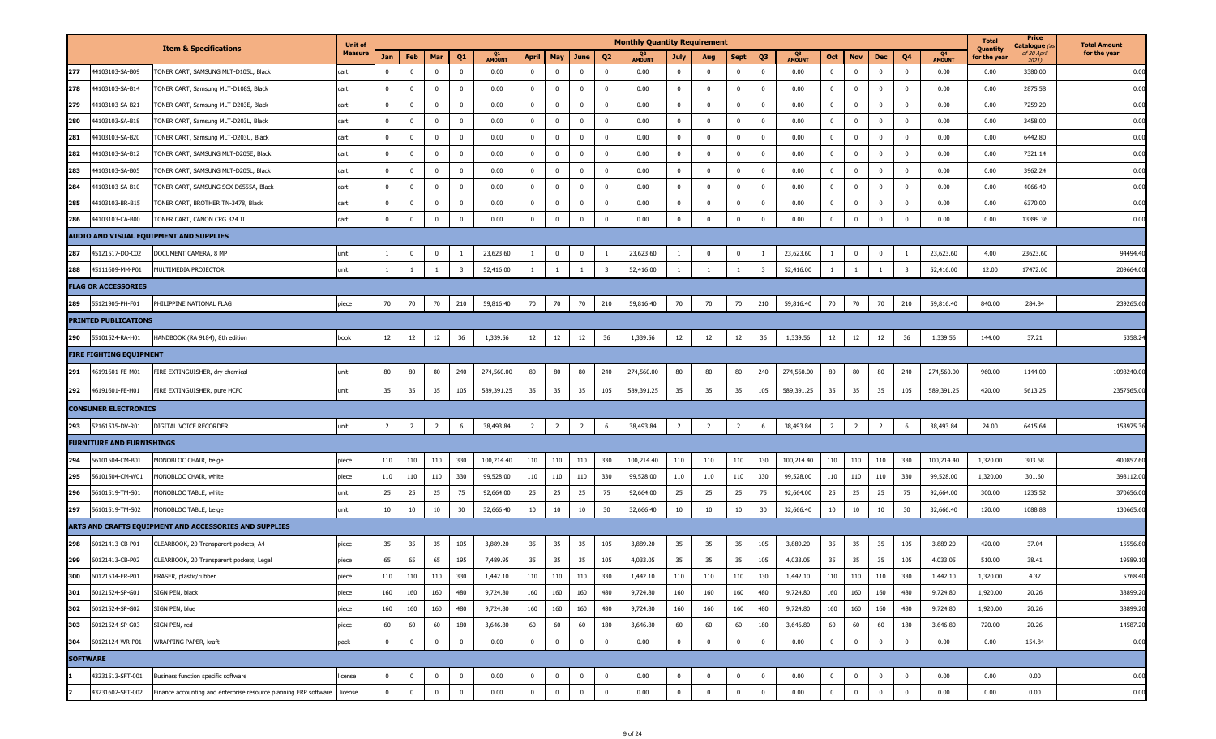|     |                                                                                              | <b>Unit of</b> |                 |                |                |             |               |                |                |                         |                         | <b>Monthly Quantity Requirement</b> |                |                         |                |                         |                     |                |                |                |                |                     | <b>Total</b>                    | Price<br>C <b>atalogue</b> (a | <b>Total Amount</b> |
|-----|----------------------------------------------------------------------------------------------|----------------|-----------------|----------------|----------------|-------------|---------------|----------------|----------------|-------------------------|-------------------------|-------------------------------------|----------------|-------------------------|----------------|-------------------------|---------------------|----------------|----------------|----------------|----------------|---------------------|---------------------------------|-------------------------------|---------------------|
|     | <b>Item &amp; Specifications</b>                                                             | Measure        | Jan             | Feb            | Mar            | Q1          | <b>AMOUNT</b> | April          | May            | June                    | Q2                      | Q2<br>AMOUNT                        | July           | Aug                     | Sept           | Q3                      | Q3<br><b>AMOUNT</b> | Oct            | <b>Nov</b>     | Dec            | Q4             | Q4<br><b>AMOUNT</b> | <b>Quantity</b><br>for the year | of 30 April<br>2021)          | for the year        |
| 277 | 44103103-SA-B09<br>ONER CART, SAMSUNG MLT-D105L, Black                                       | cart           | $\mathbf 0$     | $\mathbf 0$    | $\overline{0}$ | $\mathbf 0$ | 0.00          | $\overline{0}$ | $\bf{0}$       | $\overline{0}$          | $\overline{0}$          | 0.00                                | $\mathbf{0}$   | $\mathbf{0}$            | $\mathbf{0}$   | $\overline{0}$          | 0.00                | $\mathbf{0}$   | $\bf{0}$       | $\bf{0}$       | $\mathbf 0$    | 0.00                | 0.00                            | 3380.00                       | 0.00                |
| 278 | 44103103-SA-B14<br>FONER CART, Samsung MLT-D108S, Black                                      | cart           | $\mathbf{0}$    | $\mathbf{0}$   | $\mathbf 0$    | $\mathbf 0$ | 0.00          | $\overline{0}$ | $\mathbf{0}$   | $\bf{0}$                | $\overline{0}$          | 0.00                                | $\bf{0}$       | $\overline{0}$          | $^{\circ}$     | $\overline{0}$          | 0.00                | $\mathbf{0}$   | $\bf{0}$       | $\mathbf 0$    | $\bf{0}$       | 0.00                | 0.00                            | 2875.58                       | 0.00                |
| 279 | 44103103-SA-B21<br>FONER CART, Samsung MLT-D203E, Black                                      | cart           | $\bf{0}$        | $\mathbf 0$    | $\mathbf 0$    | $\mathbf 0$ | 0.00          | $\bf{0}$       | $\bf{0}$       | $\overline{\mathbf{0}}$ | $\overline{0}$          | 0.00                                | $\overline{0}$ | $\overline{0}$          | $^{\circ}$     | $\overline{0}$          | 0.00                | $\mathbf{0}$   | $\bf{0}$       | $\mathbf 0$    | $\bf{0}$       | 0.00                | 0.00                            | 7259.20                       | 0.00                |
| 280 | 44103103-SA-B18<br>FONER CART, Samsung MLT-D203L, Black                                      | cart           | $\mathbf{0}$    | $\mathbf 0$    | $\mathbf 0$    | $\mathbf 0$ | 0.00          | $\overline{0}$ | $\mathbf{0}$   | $\overline{\mathbf{0}}$ | $\overline{0}$          | 0.00                                | $\mathbf 0$    | $\overline{0}$          | $^{\circ}$     | $\overline{0}$          | 0.00                | $\mathbf{0}$   | $\mathbf 0$    | $\mathbf 0$    | $\mathbf 0$    | 0.00                | 0.00                            | 3458.00                       | 0.00                |
| 281 | 44103103-SA-B20<br>FONER CART, Samsung MLT-D203U, Black                                      | cart           | $\bf{0}$        | $\mathbf{0}$   | $\overline{0}$ | $\mathbf 0$ | 0.00          | $\overline{0}$ | $\bf{0}$       | $\overline{\mathbf{0}}$ | $\overline{0}$          | 0.00                                | $\overline{0}$ | $\overline{\mathbf{0}}$ | $\bf{0}$       | $\overline{0}$          | 0.00                | $\mathbf{0}$   | $\bf{0}$       | $\bf{0}$       | $\mathbf 0$    | 0.00                | 0.00                            | 6442.80                       | 0.00                |
| 282 | 44103103-SA-B12<br>TONER CART, SAMSUNG MLT-D205E, Black                                      | cart           | $\mathbf{0}$    | $\mathbf{0}$   | $\mathbf 0$    | $\mathbf 0$ | 0.00          | $\mathbf{0}$   | $\mathbf{0}$   | $\overline{\mathbf{0}}$ | $\overline{0}$          | 0.00                                | $\mathbf 0$    | $\overline{0}$          | $\mathbf 0$    | $\bf{0}$                | 0.00                | $\mathbf{0}$   | $\mathbf 0$    | $\mathbf 0$    | $\overline{0}$ | 0.00                | 0.00                            | 7321.14                       | 0.00                |
| 283 | 44103103-SA-B05<br>TONER CART, SAMSUNG MLT-D205L, Black                                      | cart           | $\mathbf{0}$    | $\mathbf 0$    | $\mathbf 0$    | $\mathbf 0$ | 0.00          | $\mathbf 0$    | $\bf{0}$       | $\overline{\mathbf{0}}$ | $\mathbf 0$             | 0.00                                | $\bf{0}$       | $\overline{0}$          | $\mathbf 0$    | $\overline{0}$          | 0.00                | $\mathbf{0}$   | $\mathbf 0$    | $\mathbf 0$    | $\mathbf 0$    | 0.00                | 0.00                            | 3962.24                       | 0.00                |
| 284 | 44103103-SA-B10<br>TONER CART, SAMSUNG SCX-D6555A, Black                                     | cart           | $\mathbf{0}$    | $\mathbf 0$    | $\mathbf 0$    | $\mathbf 0$ | 0.00          | $\overline{0}$ | $\mathbf{0}$   | $\overline{\mathbf{0}}$ | $\overline{0}$          | 0.00                                | $\mathbf 0$    | $\overline{0}$          | $\mathbf 0$    | $\overline{0}$          | 0.00                | $\mathbf{0}$   | $\mathbf 0$    | $\bf{0}$       | $\overline{0}$ | 0.00                | 0.00                            | 4066.40                       | 0.00                |
| 285 | 44103103-BR-B15<br>TONER CART, BROTHER TN-3478, Black                                        | cart           | $\bf{0}$        | 0              | $\mathbf 0$    | $\mathbf 0$ | 0.00          | $\overline{0}$ | $\overline{0}$ | $\overline{\mathbf{0}}$ | $\overline{0}$          | 0.00                                | $\mathbf{0}$   | $\overline{0}$          | $\mathbf{0}$   | $\overline{0}$          | 0.00                | $\mathbf{0}$   | $\bf{0}$       | $\bf{0}$       | $\bf{0}$       | 0.00                | 0.00                            | 6370.00                       | 0.00                |
| 286 | 44103103-CA-B00<br>TONER CART, CANON CRG 324 II                                              | cart           | $\mathbf 0$     | $\Omega$       | $\mathbf 0$    | $\mathbf 0$ | 0.00          | $\mathbf 0$    | $\mathbf 0$    | $\mathbf 0$             | $\overline{0}$          | 0.00                                | $\mathbf 0$    | $\overline{\mathbf{0}}$ | $\mathbf 0$    | $\mathbf{0}$            | 0.00                | $\mathbf 0$    | $\mathbf 0$    | $\mathbf 0$    | $\mathbf 0$    | 0.00                | 0.00                            | 13399.36                      | 0.00                |
|     | AUDIO AND VISUAL EQUIPMENT AND SUPPLIES                                                      |                |                 |                |                |             |               |                |                |                         |                         |                                     |                |                         |                |                         |                     |                |                |                |                |                     |                                 |                               |                     |
| 287 | 45121517-DO-C02<br>DOCUMENT CAMERA, 8 MP                                                     | unit           | -1              | $\mathbf 0$    | $\mathbf 0$    | -1          | 23,623.60     | $\mathbf{1}$   | $\overline{0}$ | $\overline{\mathbf{0}}$ |                         | 23,623.60                           | - 1            | $\overline{0}$          | $\mathbf{0}$   | $\mathbf{1}$            | 23,623.60           | 1              | $\bf{0}$       | $\mathbf{0}$   | -1             | 23,623.60           | 4.00                            | 23623.60                      | 94494.40            |
| 288 | 45111609-MM-P01<br>MULTIMEDIA PROJECTOR                                                      | unit           |                 |                |                | -3          | 52,416.00     |                |                |                         | -3                      | 52,416.00                           |                | $\overline{1}$          |                | $\overline{\mathbf{3}}$ | 52,416.00           |                |                |                |                | 52,416.00           | 12.00                           | 17472.00                      | 209664.0            |
|     | <b>FLAG OR ACCESSORIES</b>                                                                   |                |                 |                |                |             |               |                |                |                         |                         |                                     |                |                         |                |                         |                     |                |                |                |                |                     |                                 |                               |                     |
| 289 | 55121905-PH-F01<br>PHILIPPINE NATIONAL FLAG                                                  | piece          | 70              | 70             | 70             | 210         | 59,816.40     | 70             | 70             | 70                      | 210                     | 59,816.40                           | 70             | 70                      | 70             | 210                     | 59,816.40           | 70             | 70             | 70             | 210            | 59,816.40           | 840.00                          | 284.84                        | 239265.60           |
|     | <b>PRINTED PUBLICATIONS</b>                                                                  |                |                 |                |                |             |               |                |                |                         |                         |                                     |                |                         |                |                         |                     |                |                |                |                |                     |                                 |                               |                     |
| 290 | 55101524-RA-H01<br>HANDBOOK (RA 9184), 8th edition                                           | book           | 12              | 12             | 12             | 36          | 1,339.56      | 12             | 12             | 12                      | 36                      | 1,339.56                            | $12\,$         | 12                      | 12             | 36                      | 1,339.56            | 12             | 12             | 12             | 36             | 1,339.56            | 144.00                          | 37.21                         | 5358.2              |
|     | <b>FIRE FIGHTING EQUIPMENT</b>                                                               |                |                 |                |                |             |               |                |                |                         |                         |                                     |                |                         |                |                         |                     |                |                |                |                |                     |                                 |                               |                     |
| 291 | 46191601-FE-M01<br>FIRE EXTINGUISHER, dry chemical                                           | unit           | 80              | 80             | 80             | 240         | 274,560.00    | 80             | 80             | 80                      | 240                     | 274,560.00                          | 80             | 80                      | 80             | 240                     | 274,560.00          | 80             | 80             | 80             | 240            | 274,560.00          | 960.00                          | 1144.00                       | 1098240.0           |
| 292 | 46191601-FE-H01<br>FIRE EXTINGUISHER, pure HCFC                                              | unit           | 35              | 35             | 35             | 105         | 589,391.25    | 35             | 35             | 35                      | 105                     | 589,391.25                          | 35             | 35                      | 35             | 105                     | 589,391.25          | 35             | 35             | 35             | 105            | 589,391.25          | 420.00                          | 5613.25                       | 2357565.00          |
|     | <b>CONSUMER ELECTRONICS</b>                                                                  |                |                 |                |                |             |               |                |                |                         |                         |                                     |                |                         |                |                         |                     |                |                |                |                |                     |                                 |                               |                     |
| 293 | 52161535-DV-R01<br>DIGITAL VOICE RECORDER                                                    | unit           | $\overline{2}$  | $\overline{2}$ | $\overline{2}$ | 6           | 38,493.84     | $\overline{2}$ | $\overline{2}$ | $\overline{2}$          | 6                       | 38,493.84                           | $\overline{2}$ | $\overline{2}$          | $\overline{2}$ | 6                       | 38,493.84           | $\overline{2}$ | $\overline{2}$ | $\overline{2}$ | 6              | 38,493.84           | 24.00                           | 6415.64                       | 153975.3            |
|     | <b>FURNITURE AND FURNISHINGS</b>                                                             |                |                 |                |                |             |               |                |                |                         |                         |                                     |                |                         |                |                         |                     |                |                |                |                |                     |                                 |                               |                     |
| 294 | 56101504-CM-B01<br>MONOBLOC CHAIR, beige                                                     | piece          | 110             | 110            | 110            | 330         | 100,214.40    | 110            | 110            | 110                     | 330                     | 100,214.40                          | 110            | 110                     | 110            | 330                     | 100,214.40          | 110            | 110            | 110            | 330            | 100,214.40          | 1,320.00                        | 303.68                        | 400857.60           |
| 295 | 56101504-CM-W01<br>MONOBLOC CHAIR, white                                                     | piece          | 110             | 110            | 110            | 330         | 99,528.00     | 110            | 110            | 110                     | 330                     | 99,528.00                           | 110            | 110                     | 110            | 330                     | 99,528.00           | 110            | 110            | 110            | 330            | 99,528.00           | 1,320.00                        | 301.60                        | 398112.0            |
| 296 | 56101519-TM-S01<br>MONOBLOC TABLE, white                                                     | unit           | 25              | 25             | 25             | 75          | 92,664.00     | 25             | 25             | 25                      | 75                      | 92,664.00                           | 25             | 25                      | 25             | 75                      | 92,664.00           | 25             | 25             | 25             | 75             | 92,664.00           | 300.00                          | 1235.52                       | 370656.0            |
| 297 | 56101519-TM-S02<br>MONOBLOC TABLE, beige                                                     | unit           | 10 <sub>1</sub> | 10             | 10             | 30          | 32,666.40     | 10             | 10             | 10                      | 30                      | 32,666.40                           | 10             | 10                      | $10\,$         | 30                      | 32,666.40           | 10             | 10             | 10             | 30             | 32,666.40           | 120.00                          | 1088.88                       | 130665.6            |
|     | ARTS AND CRAFTS EQUIPMENT AND ACCESSORIES AND SUPPLIES                                       |                |                 |                |                |             |               |                |                |                         |                         |                                     |                |                         |                |                         |                     |                |                |                |                |                     |                                 |                               |                     |
| 298 | 60121413-CB-P01<br>CLEARBOOK, 20 Transparent pockets, A4                                     | piece          | 35              | 35             | 35             | 105         | 3,889.20      | 35             | 35             | 35                      | 105                     | 3,889.20                            | 35             | 35                      | 35             | 105                     | 3,889.20            | 35             | 35             | 35             | 105            | 3,889.20            | 420.00                          | 37.04                         | 15556.80            |
| 299 | 60121413-CB-P02<br>CLEARBOOK, 20 Transparent pockets, Legal                                  | piece          | 65              | 65             | 65             | 195         | 7,489.95      | 35             | 35             | 35                      | 105                     | 4,033.05                            | 35             | 35                      | 35             | 105                     | 4,033.05            | 35             | 35             | 35             | 105            | 4,033.05            | 510.00                          | 38.41                         | 19589.1             |
| 300 | 60121534-ER-P01<br>ERASER, plastic/rubber                                                    | piece          | 110             | 110            | 110            | 330         | 1,442.10      | 110            | 110            | 110                     | 330                     | 1,442.10                            | 110            | 110                     | 110            | 330                     | 1,442.10            | 110            | 110            | 110            | 330            | 1,442.10            | 1,320.00                        | 4.37                          | 5768.40             |
| 301 | 60121524-SP-G01<br>SIGN PEN, black                                                           | piece          | 160             | 160            | 160            | 480         | 9,724.80      | 160            | 160            | 160                     | 480                     | 9,724.80                            | 160            | 160                     | 160            | 480                     | 9,724.80            | 160            | 160            | 160            | 480            | 9,724.80            | 1,920.00                        | 20.26                         | 38899.20            |
| 302 | 60121524-SP-G02<br>SIGN PEN, blue                                                            | piece          | 160             | 160            | 160            | 480         | 9,724.80      | 160            | 160            | 160                     | 480                     | 9,724.80                            | 160            | 160                     | 160            | 480                     | 9,724.80            | 160            | 160            | 160            | 480            | 9,724.80            | 1,920.00                        | 20.26                         | 38899.20            |
| 303 | 60121524-SP-G03<br>SIGN PEN, red                                                             | piece          | 60              | 60             | 60             | 180         | 3,646.80      | 60             | 60             | 60                      | 180                     | 3,646.80                            | 60             | 60                      | 60             | 180                     | 3,646.80            | 60             | 60             | 60             | 180            | 3,646.80            | 720.00                          | 20.26                         | 14587.20            |
| 304 | 60121124-WR-P01<br>WRAPPING PAPER, kraft                                                     | pack           | $\overline{0}$  | $\overline{0}$ | $\bf{0}$       | $\mathbf 0$ | 0.00          | $\mathbf{0}$   | $\overline{0}$ | $\overline{\mathbf{0}}$ | $\overline{\mathbf{0}}$ | 0.00                                | $\bf{0}$       | $\mathbf 0$             | $\bf{0}$       | $\overline{0}$          | 0.00                | $\overline{0}$ | $\overline{0}$ | $\bf{0}$       | $\mathbf 0$    | 0.00                | 0.00                            | 154.84                        | 0.00                |
|     | <b>SOFTWARE</b>                                                                              |                |                 |                |                |             |               |                |                |                         |                         |                                     |                |                         |                |                         |                     |                |                |                |                |                     |                                 |                               |                     |
|     | 43231513-SFT-001<br>Business function specific software                                      | license        | $\overline{0}$  | $\mathbf 0$    | $\bf{0}$       | $\mathbf 0$ | 0.00          | $\bf{0}$       | $\overline{0}$ | $\bf{0}$                | $\overline{0}$          | 0.00                                | $\mathbf 0$    | $\overline{0}$          | $\mathbf{0}$   | $\overline{0}$          | 0.00                | $\mathbf{0}$   | $\bf{0}$       | $\bf{0}$       | $\overline{0}$ | 0.00                | 0.00                            | 0.00                          | 0.00                |
|     | 43231602-SFT-002<br>Finance accounting and enterprise resource planning ERP software license |                | $\overline{0}$  | $\overline{0}$ | $\bf{0}$       | $\mathbf 0$ | 0.00          | $\overline{0}$ | $\mathbf{0}$   | $\overline{\mathbf{0}}$ | $\bf{0}$                | 0.00                                | $\bf{0}$       | $\mathbf{0}$            | $\bf{0}$       | $\overline{0}$          | 0.00                | $\overline{0}$ | $\mathbf 0$    | $\overline{0}$ | $\overline{0}$ | 0.00                | 0.00                            | 0.00                          | 0.00                |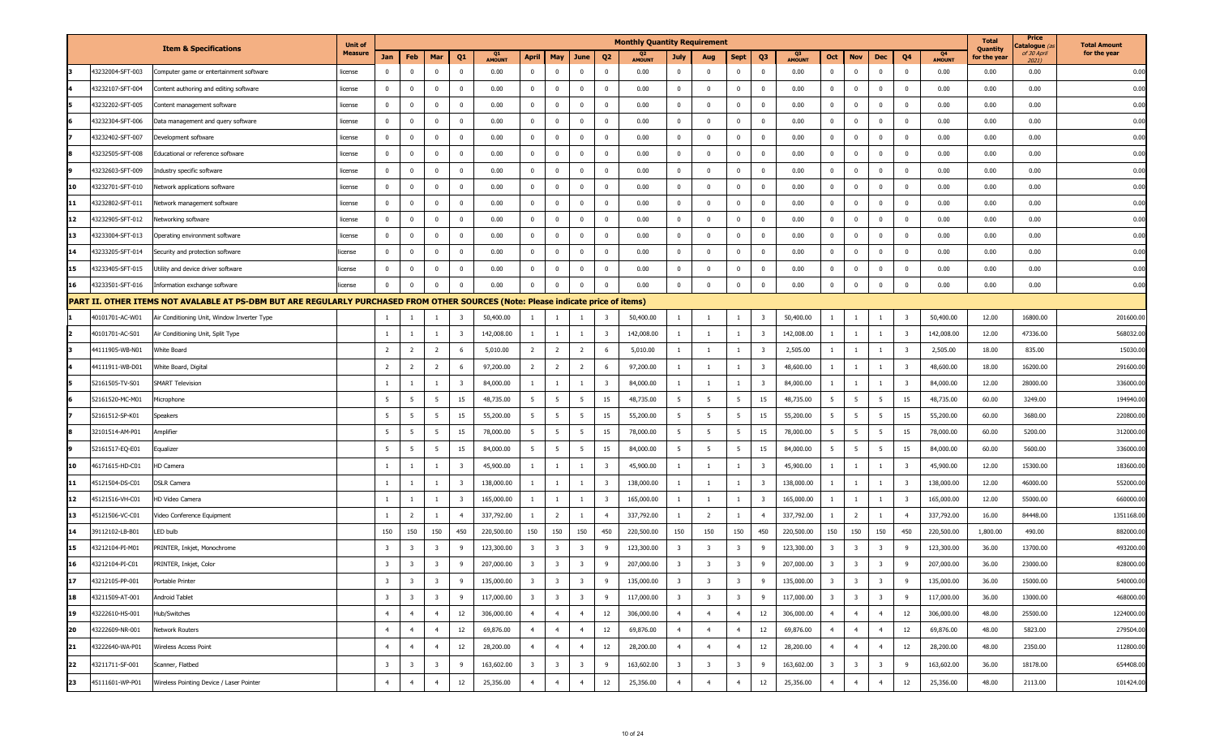|    |                  |                                                                                                                                   | <b>Unit of</b> |                         |                         |                         |                         |              |                         |                         |                         |                         | <b>Monthly Quantity Requirement</b> |                         |                         |                         |                         |                                 |                         |                         |                         |                         |                     | <b>Total</b>                    | Price<br>'atalogue <i>(a</i> | <b>Total Amount</b> |
|----|------------------|-----------------------------------------------------------------------------------------------------------------------------------|----------------|-------------------------|-------------------------|-------------------------|-------------------------|--------------|-------------------------|-------------------------|-------------------------|-------------------------|-------------------------------------|-------------------------|-------------------------|-------------------------|-------------------------|---------------------------------|-------------------------|-------------------------|-------------------------|-------------------------|---------------------|---------------------------------|------------------------------|---------------------|
|    |                  | <b>Item &amp; Specifications</b>                                                                                                  | <b>Measure</b> | Jan                     | Feb                     | Mar                     | Q <sub>1</sub>          | Q1<br>AMOUNT | <b>April</b>            | May                     | June                    | Q <sub>2</sub>          | <b>AMOUNT</b>                       | <b>July</b>             | Aug                     | <b>Sept</b>             | Q <sub>3</sub>          | Q <sub>3</sub><br><b>AMOUNT</b> | Oct                     | <b>Nov</b>              | Dec                     | Q <sub>4</sub>          | Q4<br><b>AMOUNT</b> | <b>Quantity</b><br>for the year | of 30 April<br>20211         | for the year        |
|    | 43232004-SFT-003 | Computer game or entertainment software                                                                                           | license        | $\mathbf 0$             | $\mathbf 0$             | $\overline{0}$          | $\overline{0}$          | 0.00         | $\mathbf{0}$            | $^{\circ}$              | $\overline{0}$          | $\overline{\mathbf{0}}$ | 0.00                                | $\bf{0}$                | $\bf{0}$                | $\mathbf 0$             | $\mathbf 0$             | 0.00                            | $\mathbf{0}$            | $\overline{0}$          | $\bf{0}$                | $\mathbf 0$             | 0.00                | 0.00                            | 0.00                         | 0.00                |
|    | 43232107-SFT-004 | Content authoring and editing software                                                                                            | license        | $\mathbf 0$             | $\mathbf 0$             | $\mathbf 0$             | $\overline{\mathbf{0}}$ | 0.00         | $\mathbf 0$             | $\Omega$                | $\overline{0}$          | $\overline{\mathbf{0}}$ | 0.00                                | $\mathbf 0$             | $\bf{0}$                | $\mathbf 0$             | $\mathbf 0$             | 0.00                            | $\mathbf 0$             | $\mathbf 0$             | $\overline{\mathbf{0}}$ | $\overline{0}$          | 0.00                | 0.00                            | 0.00                         | 0.00                |
|    | 43232202-SFT-005 | Content management software                                                                                                       | license        | $\mathbf{0}$            | $\mathbf{0}$            | $\overline{0}$          | $\overline{\mathbf{0}}$ | 0.00         | $\mathbf{0}$            | $^{\circ}$              | $\overline{0}$          | 0                       | 0.00                                | $\mathbf{0}$            | $\bf{0}$                | $\Omega$                | $\bf{0}$                | 0.00                            | $\mathbf{0}$            | $\overline{\mathbf{0}}$ | $\mathbf 0$             | $\mathbf 0$             | 0.00                | 0.00                            | 0.00                         | 0.00                |
|    | 43232304-SFT-006 | Data management and query software                                                                                                | license        | $\mathbf 0$             | $\overline{0}$          | $\mathbf 0$             | $\overline{\mathbf{0}}$ | 0.00         | $\bf{0}$                | $\Omega$                | $\overline{0}$          | $\overline{\mathbf{0}}$ | 0.00                                | $\mathbf 0$             | $\overline{0}$          | $\mathbf{0}$            | $\mathbf 0$             | 0.00                            | $\mathbf{0}$            | $\mathbf 0$             | $\overline{0}$          | $\overline{0}$          | 0.00                | 0.00                            | 0.00                         | 0.00                |
|    | 43232402-SFT-007 | Development software                                                                                                              | license        | $\bf{0}$                | $\overline{0}$          | $\overline{0}$          | $\overline{0}$          | 0.00         | $\mathbf{0}$            | $^{\circ}$              | $\mathbf 0$             | $\overline{\mathbf{0}}$ | 0.00                                | $\mathbf{0}$            | $\mathbf{0}$            | $\Omega$                | $\bf{0}$                | 0.00                            | $\mathbf{0}$            | $\overline{\mathbf{0}}$ | $\overline{\mathbf{0}}$ | $\mathbf 0$             | 0.00                | 0.00                            | 0.00                         | 0.00                |
|    | 43232505-SFT-008 | Educational or reference software                                                                                                 | license        | $\bf{0}$                | $^{\circ}$              | $\mathbf 0$             | $\overline{\mathbf{0}}$ | 0.00         | $\bf{0}$                | $\Omega$                | $\overline{0}$          | $\overline{\mathbf{0}}$ | 0.00                                | $\mathbf{0}$            | $\overline{0}$          | $\Omega$                | $\mathbf 0$             | 0.00                            | $\mathbf 0$             | $\mathbf{0}$            | $\overline{0}$          | $\mathbf 0$             | 0.00                | 0.00                            | 0.00                         | 0.00                |
|    | 43232603-SFT-009 | Industry specific software                                                                                                        | license        | $\mathbf{0}$            | $\bf{0}$                | $\overline{0}$          | $\mathbf 0$             | 0.00         | $\bf{0}$                | $^{\circ}$              | $\overline{0}$          | 0                       | 0.00                                | $\mathbf{0}$            | $\mathbf 0$             | $\Omega$                | $\bf{0}$                | 0.00                            | $\mathbf 0$             | $\mathbf{0}$            | $\pmb{0}$               | $\mathbf 0$             | 0.00                | 0.00                            | 0.00                         | 0.00                |
| 10 | 43232701-SFT-010 | Network applications software                                                                                                     | license        | $\bf{0}$                | $\overline{0}$          | $\mathbf 0$             | $\overline{\mathbf{0}}$ | 0.00         | $\mathbf 0$             | $\Omega$                | $\overline{0}$          | $\overline{\mathbf{0}}$ | 0.00                                | $\mathbf{0}$            | $\overline{0}$          | $\Omega$                | $\mathbf 0$             | 0.00                            | $\mathbf{0}$            | $\mathbf 0$             | $\overline{0}$          | $\mathbf 0$             | 0.00                | 0.00                            | 0.00                         | 0.00                |
| 11 | 43232802-SFT-011 | Network management software                                                                                                       | license        | $\bf{0}$                | $\bf{0}$                | $\overline{\mathbf{0}}$ | $\overline{0}$          | 0.00         | $\mathbf{0}$            | $^{\circ}$              | $\overline{0}$          | $\overline{\mathbf{0}}$ | 0.00                                | $\mathbf{0}$            | $\bf{0}$                | $\Omega$                | $\bf{0}$                | 0.00                            | $\mathbf{0}$            | $\overline{\mathbf{0}}$ | $\overline{\mathbf{0}}$ | $\mathbf 0$             | 0.00                | 0.00                            | 0.00                         | 0.00                |
| 12 | 43232905-SFT-012 | Networking software                                                                                                               | license        | $\mathbf{0}$            | $\mathbf 0$             | $\mathbf 0$             | $\overline{\mathbf{0}}$ | 0.00         | $\mathbf{0}$            | $\Omega$                | $\overline{0}$          | $\overline{\mathbf{0}}$ | 0.00                                | $\mathbf{0}$            | $\bf{0}$                | $\Omega$                | $\bf{0}$                | 0.00                            | $\mathbf 0$             | $\mathbf{0}$            | $\overline{0}$          | $\overline{0}$          | 0.00                | 0.00                            | 0.00                         | 0.00                |
| 13 | 43233004-SFT-013 | Operating environment software                                                                                                    | license        | $\mathbf{0}$            | $\bf{0}$                | $\overline{0}$          | $\mathbf 0$             | 0.00         | $\mathbf{0}$            | $^{\circ}$              | $\overline{0}$          | $\overline{\mathbf{0}}$ | 0.00                                | $\mathbf{0}$            | $\bf{0}$                | $\Omega$                | $\bf{0}$                | 0.00                            | $\mathbf{0}$            | $\overline{\mathbf{0}}$ | $\mathbf 0$             | $\bf{0}$                | 0.00                | 0.00                            | 0.00                         | 0.00                |
| 14 | 43233205-SFT-014 | Security and protection software                                                                                                  | license        | $\mathbf{0}$            | $\mathbf 0$             | $\mathbf 0$             | $\overline{\mathbf{0}}$ | 0.00         | $\mathbf 0$             | $\Omega$                | $\overline{0}$          | $\overline{0}$          | 0.00                                | $\mathbf 0$             | $\bf{0}$                | $\mathbf{0}$            | $\mathbf 0$             | 0.00                            | $\mathbf 0$             | $\mathbf 0$             | $\overline{0}$          | $\mathbf 0$             | 0.00                | 0.00                            | 0.00                         | 0.00                |
| 15 | 43233405-SFT-015 | Utility and device driver software                                                                                                | license        | $\mathbf{0}$            | $\mathbf 0$             | $\overline{0}$          | $\overline{0}$          | 0.00         | $\mathbf{0}$            | $^{\circ}$              | $\mathbf 0$             | $\overline{\mathbf{0}}$ | 0.00                                | $\mathbf 0$             | $\bf{0}$                | $\mathbf{0}$            | $\bf{0}$                | 0.00                            | $\mathbf 0$             | $\overline{\mathbf{0}}$ | $\overline{\mathbf{0}}$ | $\mathbf 0$             | 0.00                | 0.00                            | 0.00                         | 0.00                |
| 16 | 43233501-SFT-016 | Information exchange software                                                                                                     | icense         | $\mathbf 0$             | $\mathbf 0$             | $\overline{0}$          | $\overline{\mathbf{0}}$ | 0.00         | $\bf{0}$                |                         | $\overline{0}$          | $\Omega$                | 0.00                                | $\mathbf 0$             | $\overline{0}$          | $\Omega$                | $\mathbf 0$             | 0.00                            | $\mathbf 0$             | $\overline{\mathbf{0}}$ | $\overline{0}$          | $\Omega$                | 0.00                | 0.00                            | 0.00                         | 0.00                |
|    |                  | PART II. OTHER ITEMS NOT AVALABLE AT PS-DBM BUT ARE REGULARLY PURCHASED FROM OTHER SOURCES (Note: Please indicate price of items) |                |                         |                         |                         |                         |              |                         |                         |                         |                         |                                     |                         |                         |                         |                         |                                 |                         |                         |                         |                         |                     |                                 |                              |                     |
|    | 40101701-AC-W01  | Air Conditioning Unit, Window Inverter Type                                                                                       |                | -1                      |                         |                         | $\overline{\mathbf{3}}$ | 50,400.00    | -1                      |                         |                         | -3                      | 50,400.00                           | -1                      | $\overline{1}$          | $\overline{1}$          | $\overline{\mathbf{3}}$ | 50,400.00                       |                         | 1                       |                         | $\overline{\mathbf{3}}$ | 50,400.00           | 12.00                           | 16800.00                     | 201600.00           |
|    | 40101701-AC-S01  | Air Conditioning Unit, Split Type                                                                                                 |                | $\mathbf{1}$            | -1                      | $\mathbf{1}$            | $\overline{\mathbf{3}}$ | 142,008.00   | $\overline{1}$          | $\mathbf{1}$            | $\mathbf{1}$            | $\overline{\mathbf{3}}$ | 142,008.00                          | $\mathbf{1}$            | $\overline{1}$          | $\mathbf{1}$            | $\overline{\mathbf{3}}$ | 142,008.00                      | $\mathbf{1}$            | $\overline{1}$          | 1                       | $\overline{\mathbf{3}}$ | 142,008.00          | 12.00                           | 47336.00                     | 568032.00           |
|    | 44111905-WB-N01  | White Board                                                                                                                       |                | $\overline{2}$          | 2                       | $\overline{2}$          | 6                       | 5,010.00     | $\overline{2}$          | 2                       | $\overline{2}$          | 6                       | 5,010.00                            |                         | - 1                     |                         | $\overline{\mathbf{3}}$ | 2,505.00                        |                         |                         |                         | 3                       | 2,505.00            | 18.00                           | 835.00                       | 15030.00            |
|    | 44111911-WB-D01  | White Board, Digital                                                                                                              |                | $\overline{2}$          | 2                       | $\overline{2}$          | 6                       | 97,200.00    | $\overline{2}$          | $\overline{2}$          | $\overline{2}$          | 6                       | 97,200.00                           | 1                       | $\overline{1}$          |                         | $\overline{\mathbf{3}}$ | 48,600.00                       |                         | $\mathbf{1}$            | 1                       | $\overline{\mathbf{3}}$ | 48,600.00           | 18.00                           | 16200.00                     | 291600.00           |
|    | 52161505-TV-S01  | <b>SMART Television</b>                                                                                                           |                | 1                       |                         |                         | $\overline{\mathbf{3}}$ | 84,000.00    | 1                       |                         | <sup>1</sup>            | $\overline{\mathbf{3}}$ | 84,000.00                           |                         | $\overline{1}$          |                         | $\overline{\mathbf{3}}$ | 84,000.00                       |                         | <sup>1</sup>            |                         | $\overline{3}$          | 84,000.00           | 12.00                           | 28000.00                     | 336000.00           |
|    | 52161520-MC-M01  | Microphone                                                                                                                        |                | 5 <sub>5</sub>          | 5                       | 5                       | 15                      | 48,735.00    | $5\overline{5}$         | -5                      | 5 <sup>5</sup>          | 15                      | 48,735.00                           | 5                       | 5                       | 5                       | 15                      | 48,735.00                       | 5                       | 5                       | 5                       | 15                      | 48,735.00           | 60.00                           | 3249.00                      | 194940.00           |
|    | 52161512-SP-K01  | Speakers                                                                                                                          |                | 5                       |                         | -5                      | 15                      | 55,200.00    | $5\overline{5}$         | -5                      | - 5                     | 15                      | 55,200.00                           | 5                       | - 5                     | - 5                     | 15                      | 55,200.00                       | 5                       | 5                       | - 5                     | 15                      | 55,200.00           | 60.00                           | 3680.00                      | 220800.00           |
|    | 32101514-AM-P01  | Amplifier                                                                                                                         |                | 5 <sub>5</sub>          | .5                      | 5                       | 15                      | 78,000.00    | $5\overline{5}$         | -5                      | 5                       | 15                      | 78,000.00                           | $5\overline{5}$         | 5                       | 5 <sup>5</sup>          | 15                      | 78,000.00                       | $\overline{5}$          | 5                       | 5                       | 15                      | 78,000.00           | 60.00                           | 5200.00                      | 312000.00           |
|    | 52161517-EQ-E01  | Equalizer                                                                                                                         |                | 5 <sub>5</sub>          | -5                      | 5                       | 15                      | 84,000.00    | $5\overline{5}$         | -5                      | 5                       | 15                      | 84,000.00                           | $5\overline{5}$         | 5                       | 5                       | 15                      | 84,000.00                       | 5                       | 5                       | 5                       | 15                      | 84,000.00           | 60.00                           | 5600.00                      | 336000.00           |
| 10 | 46171615-HD-C01  | HD Camera                                                                                                                         |                | 1                       |                         |                         | $\overline{\mathbf{3}}$ | 45,900.00    |                         |                         | $\mathbf{1}$            | -3                      | 45,900.00                           |                         | -1                      |                         | $\overline{\mathbf{3}}$ | 45,900.00                       |                         |                         |                         | -3                      | 45,900.00           | 12.00                           | 15300.00                     | 183600.00           |
| 11 | 45121504-DS-C01  | <b>DSLR Camera</b>                                                                                                                |                | 1                       |                         |                         | $\overline{\mathbf{3}}$ | 138,000.00   | $\mathbf{1}$            | $\mathbf{1}$            | <sup>1</sup>            | $\overline{\mathbf{3}}$ | 138,000.00                          | -1                      | $\overline{1}$          |                         | $\overline{\mathbf{3}}$ | 138,000.00                      |                         | $\mathbf{1}$            | 1                       | $\overline{\mathbf{3}}$ | 138,000.00          | 12.00                           | 46000.00                     | 552000.00           |
| 12 | 45121516-VH-C01  | HD Video Camera                                                                                                                   |                | 1                       |                         |                         | $\overline{\mathbf{3}}$ | 165,000.00   | 1                       |                         | <sup>1</sup>            | $\overline{\mathbf{3}}$ | 165,000.00                          |                         | $\overline{1}$          |                         | $\overline{\mathbf{3}}$ | 165,000.00                      |                         | <sup>1</sup>            |                         | $\overline{\mathbf{3}}$ | 165,000.00          | 12.00                           | 55000.00                     | 660000.00           |
| 13 | 45121506-VC-C01  | Video Conference Equipment                                                                                                        |                | $\mathbf{1}$            | 2                       |                         | $\overline{4}$          | 337,792.00   | $\mathbf{1}$            | 2                       | $\mathbf{1}$            | $\overline{4}$          | 337,792.00                          | $\overline{1}$          | $\overline{2}$          | -1                      | $\overline{4}$          | 337,792.00                      |                         | $\overline{2}$          | <sup>1</sup>            | $\overline{4}$          | 337,792.00          | 16.00                           | 84448.00                     | 1351168.00          |
| 14 | 39112102-LB-B01  | LED bulb                                                                                                                          |                | 150                     | 150                     | 150                     | 450                     | 220,500.00   | 150                     | 150                     | 150                     | 450                     | 220,500.00                          | 150                     | 150                     | 150                     | 450                     | 220,500.00                      | 150                     | 150                     | 150                     | 450                     | 220,500.00          | 1,800.00                        | 490.00                       | 882000.00           |
| 15 | 43212104-PI-M01  | PRINTER, Inkjet, Monochrome                                                                                                       |                | $\overline{3}$          | 3                       | $\overline{\mathbf{3}}$ | 9                       | 123,300.00   | $\overline{\mathbf{3}}$ | 3                       | $\overline{\mathbf{3}}$ | 9                       | 123,300.00                          | $\overline{\mathbf{3}}$ | $\overline{\mathbf{3}}$ |                         | 9                       | 123,300.00                      | $\overline{\mathbf{3}}$ | $\overline{\mathbf{3}}$ | $\overline{\mathbf{3}}$ | 9                       | 123,300.00          | 36.00                           | 13700.00                     | 493200.00           |
| 16 | 43212104-PI-C01  | PRINTER, Inkjet, Color                                                                                                            |                | 3                       | 3                       | $\overline{\mathbf{3}}$ | 9                       | 207,000.00   | $\overline{3}$          | 3                       | $\overline{\mathbf{3}}$ | 9                       | 207,000.00                          | $\overline{\mathbf{3}}$ | $\overline{\mathbf{3}}$ |                         | 9                       | 207,000.00                      | 3                       | $\overline{\mathbf{3}}$ | -3                      | $\mathbf{q}$            | 207,000.00          | 36.00                           | 23000.00                     | 828000.00           |
| 17 | 43212105-PP-001  | Portable Printer                                                                                                                  |                | $\overline{\mathbf{3}}$ | $\overline{\mathbf{3}}$ | $\overline{\mathbf{3}}$ | 9                       | 135,000.00   | $\overline{\mathbf{3}}$ | $\overline{\mathbf{3}}$ | $\overline{\mathbf{3}}$ | 9                       | 135,000.00                          | $\overline{\mathbf{3}}$ | $\overline{\mathbf{3}}$ | 3                       | 9                       | 135,000.00                      | $\overline{\mathbf{3}}$ | $\overline{\mathbf{3}}$ | $\overline{\mathbf{3}}$ | 9                       | 135,000.00          | 36.00                           | 15000.00                     | 540000.00           |
| 18 | 43211509-AT-001  | Android Tablet                                                                                                                    |                | $\overline{\mathbf{3}}$ | $\overline{\mathbf{3}}$ | $\overline{\mathbf{3}}$ | 9                       | 117,000.00   | $\overline{\mathbf{3}}$ | $\overline{\mathbf{3}}$ | $\overline{\mathbf{3}}$ | 9                       | 117,000.00                          | $\overline{\mathbf{3}}$ | $\overline{\mathbf{3}}$ | $\overline{\mathbf{3}}$ | 9                       | 117,000.00                      | $\overline{\mathbf{3}}$ | $\overline{\mathbf{3}}$ | $\overline{\mathbf{3}}$ | 9                       | 117,000.00          | 36.00                           | 13000.00                     | 468000.00           |
| 19 | 43222610-HS-001  | Hub/Switches                                                                                                                      |                | $\overline{4}$          | $\overline{4}$          | $\overline{4}$          | 12                      | 306,000.00   | $\overline{4}$          | $\overline{4}$          | $\overline{4}$          | 12                      | 306,000.00                          | $\overline{4}$          | $\overline{4}$          | $\overline{4}$          | 12                      | 306,000.00                      | $\overline{4}$          | $\overline{4}$          | $\overline{4}$          | 12                      | 306,000.00          | 48.00                           | 25500.00                     | 1224000.00          |
| 20 | 43222609-NR-001  | Network Routers                                                                                                                   |                | $\overline{4}$          | $\overline{4}$          | $\overline{4}$          | 12                      | 69,876.00    | $\overline{4}$          | $\overline{4}$          | $\overline{4}$          | 12                      | 69,876.00                           | $\overline{4}$          | $\overline{4}$          | $\overline{4}$          | 12                      | 69,876.00                       | $\overline{4}$          | $\overline{4}$          | $\overline{4}$          | 12                      | 69,876.00           | 48.00                           | 5823.00                      | 279504.00           |
| 21 | 43222640-WA-P01  | Wireless Access Point                                                                                                             |                | $\overline{4}$          | $\overline{4}$          | $\overline{4}$          | 12                      | 28,200.00    | $\overline{4}$          | $\overline{4}$          | $\overline{4}$          | 12                      | 28,200.00                           | $\overline{4}$          | $\overline{4}$          | $\overline{4}$          | 12                      | 28,200.00                       | $\overline{4}$          | $\overline{4}$          | $\overline{4}$          | 12                      | 28,200.00           | 48.00                           | 2350.00                      | 112800.00           |
| 22 | 43211711-SF-001  | Scanner, Flatbed                                                                                                                  |                | $\overline{\mathbf{3}}$ | $\overline{\mathbf{3}}$ | $\overline{\mathbf{3}}$ | 9                       | 163,602.00   | $\overline{\mathbf{3}}$ | $\overline{\mathbf{3}}$ | $\overline{\mathbf{3}}$ | 9                       | 163,602.00                          | $\overline{\mathbf{3}}$ | $\overline{\mathbf{3}}$ | 3                       | 9                       | 163,602.00                      | $\overline{\mathbf{3}}$ | $\overline{\mathbf{3}}$ | $\overline{\mathbf{3}}$ | 9                       | 163,602.00          | 36.00                           | 18178.00                     | 654408.00           |
| 23 | 45111601-WP-P01  | Wireless Pointing Device / Laser Pointer                                                                                          |                | $\overline{4}$          | $\overline{4}$          | $\overline{4}$          | 12                      | 25,356.00    | $\overline{4}$          | $\overline{4}$          | $\overline{4}$          | 12                      | 25,356.00                           | $\overline{4}$          | $\overline{4}$          | $\overline{4}$          | $12\,$                  | 25,356.00                       | $\overline{4}$          | $\overline{4}$          | $\overline{4}$          | 12                      | 25,356.00           | 48.00                           | 2113.00                      | 101424.00           |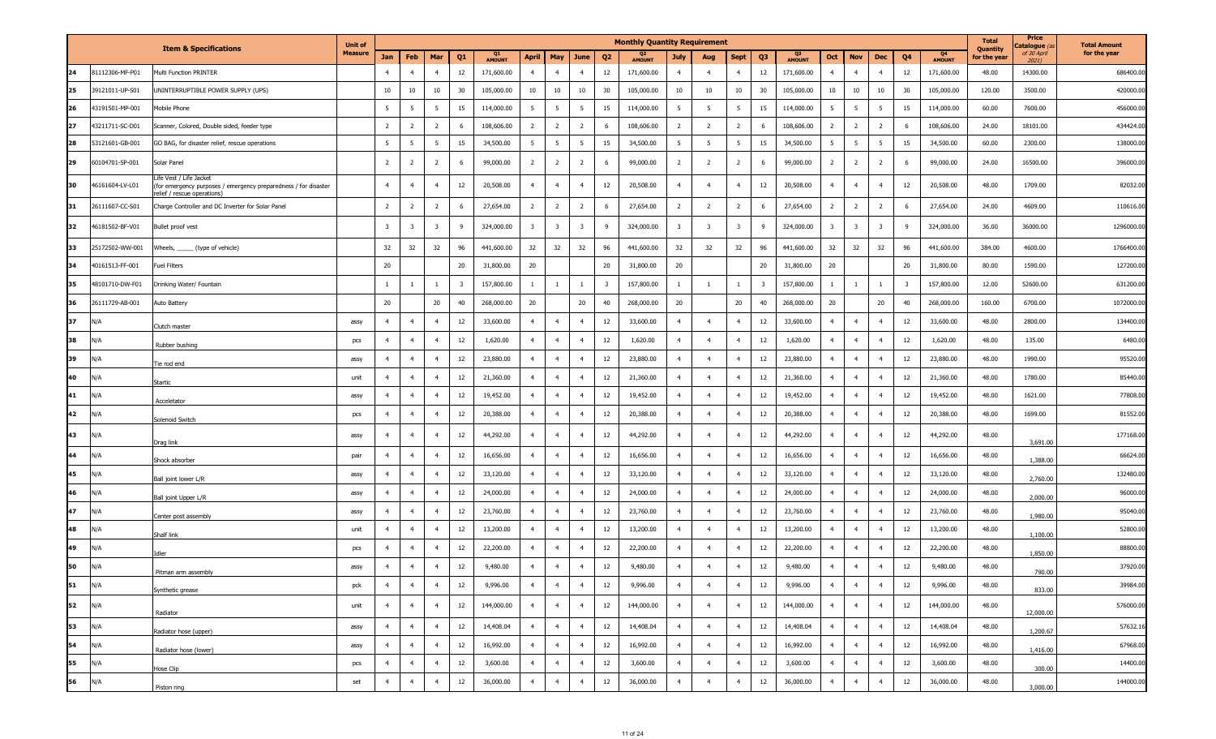|    |                         |                                                                                                                        | <b>Unit of</b> |                         |                |                         |                |              |                         |                         |                         |                | <b>Monthly Quantity Requirement</b> |                         |                         |                         |                         |                                 |                |                         |                         |                         |                                 | <b>Total</b><br>Quantity | Price<br>atalogue (a | <b>Total Amount</b> |
|----|-------------------------|------------------------------------------------------------------------------------------------------------------------|----------------|-------------------------|----------------|-------------------------|----------------|--------------|-------------------------|-------------------------|-------------------------|----------------|-------------------------------------|-------------------------|-------------------------|-------------------------|-------------------------|---------------------------------|----------------|-------------------------|-------------------------|-------------------------|---------------------------------|--------------------------|----------------------|---------------------|
|    |                         | <b>Item &amp; Specifications</b>                                                                                       | <b>Measure</b> | Jan                     | Feb            | Mar                     | Q <sub>1</sub> | Q1<br>AMOUNT | <b>April</b>            | May                     | June                    | Q <sub>2</sub> | <b>AMOUNT</b>                       | July                    | Aug                     | <b>Sept</b>             | Q <sub>3</sub>          | Q <sub>3</sub><br><b>AMOUNT</b> | Oct            | <b>Nov</b>              | <b>Dec</b>              | Q <sub>4</sub>          | Q <sub>4</sub><br><b>AMOUNT</b> | for the year             | of 30 April<br>2021) | for the year        |
| 24 | 31112306-MF-P01         | Multi Function PRINTER                                                                                                 |                | $\overline{4}$          | $\overline{4}$ | $\overline{4}$          | 12             | 171,600.00   | $\overline{4}$          | $\overline{4}$          | $\overline{4}$          | 12             | 171,600.00                          | $\overline{4}$          | $\overline{4}$          | $\overline{4}$          | 12                      | 171,600.00                      | $\overline{4}$ | $\overline{4}$          | $\overline{4}$          | 12                      | 171,600.00                      | 48.00                    | 14300.00             | 686400.00           |
| 25 | 9121011-UP-S01          | JNINTERRUPTIBLE POWER SUPPLY (UPS)                                                                                     |                | 10                      | 10             | 10                      | 30             | 105,000.00   | 10                      | 10                      | 10                      | 30             | 105,000.00                          | 10                      | 10                      | 10                      | 30                      | 105,000.00                      | 10             | 10                      | 10                      | 30                      | 105,000.00                      | 120.00                   | 3500.00              | 420000.00           |
| 26 | 43191501-MP-001         | Mobile Phone                                                                                                           |                | 5                       | 5              | 5                       | 15             | 114,000.00   | 5                       | $5\overline{5}$         | 5                       | 15             | 114,000.00                          | 5                       | 5                       | 5                       | 15                      | 114,000.00                      | - 5            | $5\overline{5}$         | 5                       | 15                      | 114,000.00                      | 60.00                    | 7600.00              | 456000.00           |
| 27 | 43211711-SC-D01         | Scanner, Colored, Double sided, feeder type                                                                            |                | $\overline{2}$          | $\overline{2}$ | $\overline{2}$          | 6              | 108,606.00   | $\overline{2}$          | $\overline{2}$          | $\overline{2}$          | - 6            | 108,606.00                          | $\overline{2}$          | $\overline{2}$          | $\overline{2}$          | 6                       | 108,606.00                      | $\overline{2}$ | $\overline{2}$          | $\overline{2}$          | 6                       | 108,606.00                      | 24.00                    | 18101.00             | 434424.00           |
| 28 | 3121601-GB-001          | GO BAG, for disaster relief, rescue operations                                                                         |                | 5                       | 5              | 5                       | 15             | 34,500.00    | $5\overline{5}$         | 5                       | 5                       | 15             | 34,500.00                           | 5                       | 5                       | 5                       | 15                      | 34,500.00                       | 5              | 5 <sup>5</sup>          | 5                       | 15                      | 34,500.00                       | 60.00                    | 2300.00              | 138000.00           |
| 29 | 60104701-SP-001         | Solar Panel                                                                                                            |                | $\overline{2}$          | $\overline{2}$ | $\overline{2}$          | 6              | 99,000.00    | $\overline{2}$          | $\overline{2}$          | $\overline{2}$          | 6              | 99,000.00                           | $\overline{2}$          | $\overline{2}$          | $\overline{2}$          | - 6                     | 99,000.00                       | $\overline{2}$ | $\overline{2}$          | $\overline{2}$          | 6                       | 99,000.00                       | 24.00                    | 16500.00             | 396000.00           |
| 30 | 6161604-LV-L01          | lfe Vest / Life Jacket<br>for emergency purposes / emergency preparedness / for disaster<br>elief / rescue operations) |                | $\overline{4}$          | $\overline{a}$ | $\overline{4}$          | 12             | 20,508.00    | $\overline{4}$          | $\overline{4}$          | $\overline{4}$          | 12             | 20,508.00                           | $\overline{4}$          | $\overline{4}$          | $\overline{4}$          | 12                      | 20,508.00                       |                | $\overline{4}$          | $\overline{4}$          | 12                      | 20,508.00                       | 48.00                    | 1709.00              | 82032.00            |
| 31 | !6111607-CC-S01         | Charge Controller and DC Inverter for Solar Panel                                                                      |                | $\overline{2}$          | 2              | $\overline{2}$          | 6              | 27,654.00    | $\overline{2}$          | $\overline{2}$          | $\overline{2}$          | 6              | 27,654.00                           | $\overline{2}$          | $\overline{2}$          | $\overline{2}$          | 6                       | 27,654.00                       | 2              | $\overline{2}$          | $\overline{2}$          | 6                       | 27,654.00                       | 24.00                    | 4609.00              | 110616.00           |
| 32 | 46181502-BF-V01         | Bullet proof vest                                                                                                      |                | $\overline{\mathbf{3}}$ | -3             | $\overline{\mathbf{3}}$ | 9              | 324,000.00   | $\overline{\mathbf{3}}$ | $\overline{\mathbf{3}}$ | $\overline{\mathbf{3}}$ | -9             | 324,000.00                          | $\overline{\mathbf{3}}$ | $\overline{\mathbf{3}}$ | $\overline{\mathbf{3}}$ | 9                       | 324,000.00                      | -3             | $\overline{\mathbf{3}}$ | $\overline{\mathbf{3}}$ | 9                       | 324,000.00                      | 36.00                    | 36000.00             | 1296000.00          |
| 33 | !5172502-WW-001         | Vheels, ______ (type of vehicle)                                                                                       |                | 32                      | 32             | 32                      | 96             | 441,600.00   | 32                      | 32                      | 32                      | 96             | 441,600.00                          | 32                      | 32                      | 32                      | 96                      | 441,600.00                      | 32             | 32                      | 32                      | 96                      | 441,600.00                      | 384.00                   | 4600.00              | 1766400.00          |
| 34 | 40161513-FF-001         | Fuel Filters                                                                                                           |                | 20                      |                |                         | 20             | 31,800.00    | 20                      |                         |                         | 20             | 31,800.00                           | 20                      |                         |                         | 20                      | 31,800.00                       | 20             |                         |                         | 20                      | 31,800.00                       | 80.00                    | 1590.00              | 127200.00           |
| 35 | 48101710-DW-F01         | Drinking Water/ Fountain                                                                                               |                | -1                      |                | $\mathbf{1}$            | 3              | 157,800.00   | - 1                     | $\overline{1}$          | $\mathbf{1}$            | 3              | 157,800.00                          | 1                       | -1                      | -1                      | $\overline{\mathbf{3}}$ | 157,800.00                      |                | -1                      | $\overline{1}$          | $\overline{\mathbf{3}}$ | 157,800.00                      | 12.00                    | 52600.00             | 631200.00           |
| 36 | 26111729-AB-001         | Auto Battery                                                                                                           |                | 20                      |                | 20                      | 40             | 268,000.00   | 20                      |                         | 20                      | 40             | 268,000.00                          | 20                      |                         | 20                      | 40                      | 268,000.00                      | 20             |                         | 20                      | 40                      | 268,000.00                      | 160.00                   | 6700.00              | 1072000.00          |
| 37 | N/A                     | Clutch master                                                                                                          | assy           | $\overline{4}$          | $\overline{a}$ | $\overline{4}$          | 12             | 33,600.00    | $\overline{4}$          | $\overline{4}$          | $\overline{4}$          | 12             | 33,600.00                           | $\overline{4}$          | $\overline{4}$          | $\overline{4}$          | 12                      | 33,600.00                       | $\overline{a}$ | $\overline{4}$          | $\overline{4}$          | 12                      | 33,600.00                       | 48.00                    | 2800.00              | 134400.00           |
| 38 | N/A                     | Rubber bushing                                                                                                         | pcs            | $\overline{4}$          | $\overline{4}$ | $\overline{4}$          | 12             | 1,620.00     | $\overline{4}$          | $\overline{4}$          | $\overline{4}$          | 12             | 1,620.00                            | $\overline{4}$          | $\overline{4}$          | $\overline{4}$          | 12                      | 1,620.00                        | $\overline{a}$ | $\overline{4}$          | $\overline{4}$          | 12                      | 1,620.00                        | 48.00                    | 135.00               | 6480.00             |
| 39 | ۷/A                     | <b>Tie rod end</b>                                                                                                     | assy           | $\overline{4}$          | $\overline{a}$ | $\overline{4}$          | 12             | 23,880.00    | $\overline{4}$          | $\overline{4}$          | $\overline{4}$          | 12             | 23,880.00                           | $\overline{4}$          | $\overline{4}$          | $\overline{4}$          | 12                      | 23,880.00                       |                | $\overline{4}$          | $\overline{4}$          | 12                      | 23,880.00                       | 48.00                    | 1990.00              | 95520.00            |
| 40 | N/A                     | Startic                                                                                                                | unit           | $\overline{4}$          | $\overline{4}$ | $\overline{4}$          | 12             | 21,360.00    | $\overline{4}$          | $\overline{4}$          | $\overline{4}$          | 12             | 21,360.00                           | $\overline{4}$          | $\overline{4}$          | $\overline{4}$          | 12                      | 21,360.00                       | $\overline{4}$ | $\overline{4}$          | $\overline{4}$          | 12                      | 21,360.00                       | 48.00                    | 1780.00              | 85440.00            |
| 41 | $\mathsf{N}/\mathsf{A}$ | Acceletator                                                                                                            | assy           | $\overline{4}$          | $\overline{4}$ | $\overline{4}$          | 12             | 19,452.00    | $\overline{4}$          | $\overline{4}$          | $\overline{4}$          | 12             | 19,452.00                           | $\overline{4}$          | $\overline{4}$          | $\overline{4}$          | 12                      | 19,452.00                       | $\overline{a}$ | $\overline{4}$          | $\overline{4}$          | 12                      | 19,452.00                       | 48.00                    | 1621.00              | 77808.00            |
| 42 | N/A                     | Solenoid Switch                                                                                                        | pcs            | $\overline{4}$          | $\overline{4}$ | $\overline{4}$          | 12             | 20,388.00    | $\overline{4}$          | $\overline{4}$          | $\overline{4}$          | 12             | 20,388.00                           | $\overline{4}$          | $\overline{4}$          | $\overline{4}$          | 12                      | 20,388.00                       | $\overline{4}$ | $\overline{4}$          | $\overline{4}$          | 12                      | 20,388.00                       | 48.00                    | 1699.00              | 81552.00            |
| 43 | N/A                     | Drag link                                                                                                              | assy           | $\overline{4}$          |                | $\overline{4}$          | 12             | 44,292.00    | $\overline{4}$          | $\overline{4}$          | $\overline{4}$          | 12             | 44,292.00                           | $\overline{4}$          | $\overline{4}$          | $\overline{4}$          | 12                      | 44,292.00                       |                | $\overline{4}$          | $\overline{4}$          | 12                      | 44,292.00                       | 48.00                    | 3,691.00             | 177168.00           |
| 44 | N/A                     | Shock absorber                                                                                                         | pair           | $\overline{4}$          | $\overline{a}$ | $\overline{4}$          | 12             | 16,656.00    | $\overline{4}$          | $\overline{4}$          | $\overline{4}$          | 12             | 16,656.00                           | $\overline{4}$          | $\overline{4}$          | $\overline{4}$          | 12                      | 16,656.00                       |                | $\overline{4}$          | $\overline{4}$          | 12                      | 16,656.00                       | 48.00                    | 1,388.00             | 66624.00            |
| 45 | N/A                     | Ball joint lower L/R                                                                                                   | assy           | $\overline{4}$          | $\overline{a}$ | $\overline{4}$          | 12             | 33,120.00    | $\overline{4}$          | $\overline{4}$          | $\overline{4}$          | 12             | 33,120.00                           | $\overline{4}$          | $\overline{4}$          | $\overline{4}$          | 12                      | 33,120.00                       |                | $\overline{4}$          | $\overline{4}$          | 12                      | 33,120.00                       | 48.00                    | 2,760.00             | 132480.00           |
| 46 | V/A                     | Ball joint Upper L/R                                                                                                   | assy           | $\overline{4}$          | $\overline{4}$ | $\overline{4}$          | 12             | 24,000.00    | $\overline{4}$          | $\overline{4}$          | $\overline{4}$          | 12             | 24,000.00                           | $\overline{4}$          | $\overline{4}$          | $\overline{4}$          | 12                      | 24,000.00                       | $\overline{4}$ | $\overline{4}$          | $\overline{4}$          | 12                      | 24,000.00                       | 48.00                    | 2,000.00             | 96000.00            |
| 47 | N/A                     | Center post assembly                                                                                                   | assy           | $\overline{4}$          | $\overline{a}$ | $\overline{4}$          | 12             | 23,760.00    | $\overline{4}$          | $\overline{4}$          | $\overline{4}$          | 12             | 23,760.00                           | $\overline{4}$          | $\overline{4}$          | $\overline{4}$          | 12                      | 23,760.00                       |                | $\overline{4}$          | $\overline{4}$          | 12                      | 23,760.00                       | 48.00                    | 1,980.00             | 95040.00            |
| 48 | N/A                     | Shalf link                                                                                                             | unit           | $\overline{4}$          | $\overline{4}$ | $\overline{4}$          | 12             | 13,200.00    | $\overline{4}$          | $\overline{4}$          | $\overline{4}$          | 12             | 13,200.00                           | $\overline{4}$          | $\overline{4}$          | $\overline{4}$          | 12                      | 13,200.00                       | $\overline{4}$ | $\overline{4}$          | $\overline{4}$          | 12                      | 13,200.00                       | 48.00                    | 1,100.00             | 52800.00            |
| 49 | N/A                     | Idler                                                                                                                  | pcs            | $\overline{4}$          | $\overline{4}$ | $\overline{4}$          | 12             | 22,200.00    | $\overline{4}$          | $\overline{4}$          | $\overline{4}$          | 12             | 22,200.00                           | $\overline{4}$          | $\overline{4}$          | $\overline{4}$          | 12                      | 22,200.00                       |                | $\overline{4}$          | $\overline{4}$          | 12                      | 22,200.00                       | 48.00                    | 1,850.00             | 88800.00            |
| 50 | N/A                     | Pitman arm assembly                                                                                                    | assy           | $\overline{4}$          | $\overline{4}$ | $\overline{4}$          | $12\,$         | 9,480.00     | $\overline{4}$          | $\overline{4}$          | $\overline{4}$          | 12             | 9,480.00                            | $\overline{4}$          | $\overline{4}$          | $\overline{4}$          | $12\,$                  | 9,480.00                        | $\overline{4}$ | $\overline{4}$          | $\overline{4}$          | 12                      | 9,480.00                        | 48.00                    | 790.00               | 37920.00            |
| 51 | N/A                     | Synthetic grease                                                                                                       | pck            | $\overline{4}$          | $\overline{4}$ | $\overline{4}$          | 12             | 9,996.00     | $\overline{4}$          | $\overline{4}$          | $\overline{4}$          | 12             | 9,996.00                            | $\overline{4}$          | $\overline{4}$          | $\overline{4}$          | 12                      | 9,996.00                        | $\overline{4}$ | $\overline{4}$          | $\overline{4}$          | 12                      | 9,996.00                        | 48.00                    | 833.00               | 39984.00            |
| 52 | N/A                     | Radiator                                                                                                               | unit           | $\overline{4}$          | $\overline{4}$ | $\overline{4}$          | 12             | 144,000.00   | $\overline{4}$          | $\overline{4}$          | $\overline{4}$          | 12             | 144,000.00                          | $\overline{4}$          | $\overline{4}$          | $\overline{4}$          | 12                      | 144,000.00                      | $\overline{4}$ | $\overline{4}$          | $\overline{4}$          | 12                      | 144,000.00                      | 48.00                    | 12,000.00            | 576000.00           |
| 53 | N/A                     | Radiator hose (upper)                                                                                                  | assy           | $\overline{4}$          | $\overline{4}$ | $\overline{4}$          | 12             | 14,408.04    | $\overline{4}$          | $\overline{4}$          | $\overline{4}$          | 12             | 14,408.04                           | $\overline{4}$          | $\overline{4}$          | $\overline{4}$          | 12                      | 14,408.04                       | $\overline{4}$ | $\overline{4}$          | $\overline{4}$          | 12                      | 14,408.04                       | 48.00                    | 1,200.67             | 57632.16            |
| 54 | N/A                     | Radiator hose (lower)                                                                                                  | assy           | $\overline{4}$          | $\overline{4}$ | $\overline{4}$          | 12             | 16,992.00    | $\overline{4}$          | $\overline{4}$          | $\overline{4}$          | 12             | 16,992.00                           | $\overline{4}$          | $\overline{4}$          | $\overline{4}$          | 12                      | 16,992.00                       | $\overline{4}$ | $\overline{4}$          | $\overline{4}$          | 12                      | 16,992.00                       | 48.00                    | 1,416.00             | 67968.00            |
| 55 | N/A                     | Hose Clip                                                                                                              | pcs            | $\overline{4}$          | $\overline{4}$ | $\overline{4}$          | $12\,$         | 3,600.00     | $\overline{4}$          | $\overline{4}$          | $\overline{4}$          | 12             | 3,600.00                            | $\overline{4}$          | $\overline{4}$          | $\overline{4}$          | 12                      | 3,600.00                        | $\overline{4}$ | $\overline{4}$          | $\overline{4}$          | 12                      | 3,600.00                        | 48.00                    | 300.00               | 14400.00            |
| 56 | N/A                     | Piston ring                                                                                                            | set            | $\overline{4}$          | $\overline{4}$ | $\overline{4}$          | 12             | 36,000.00    | $\overline{4}$          | $\overline{4}$          | $\overline{4}$          | 12             | 36,000.00                           | $\overline{4}$          | $\overline{4}$          | $\overline{4}$          | 12                      | 36,000.00                       | $\overline{4}$ | $\overline{4}$          | $\overline{4}$          | 12                      | 36,000.00                       | 48.00                    | 3,000.00             | 144000.00           |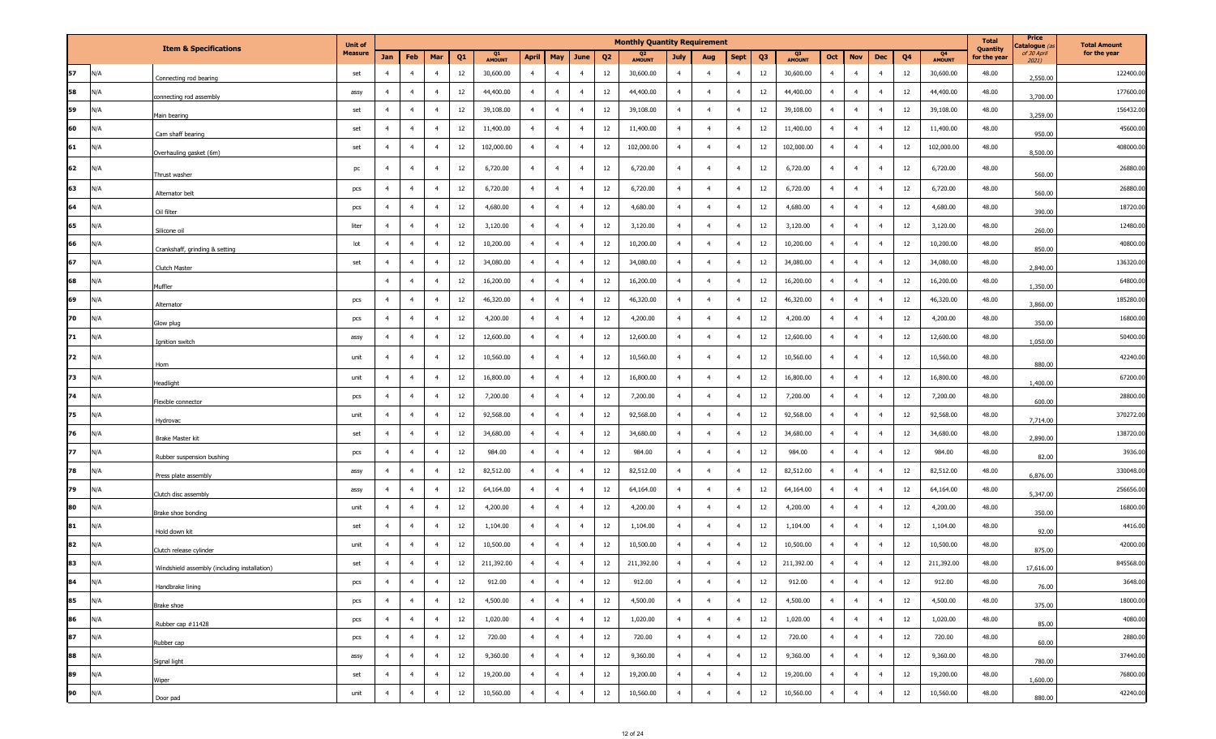|    |                         | <b>Item &amp; Specifications</b>             | <b>Unit of</b> |                |                |                |                |              |                                  |                |                | <b>Monthly Quantity Requirement</b> |                |                |                |                |                                 |                |                |                |    |                                 | <b>Total</b><br><b>Quantity</b> | Price<br>C <b>atalogue</b> (a | <b>Total Amount</b> |
|----|-------------------------|----------------------------------------------|----------------|----------------|----------------|----------------|----------------|--------------|----------------------------------|----------------|----------------|-------------------------------------|----------------|----------------|----------------|----------------|---------------------------------|----------------|----------------|----------------|----|---------------------------------|---------------------------------|-------------------------------|---------------------|
|    |                         |                                              | <b>Measure</b> | Jan            | Feb            | Mar            | Q <sub>1</sub> | Q1<br>AMOUNT | <b>April</b><br>May              | June           | Q <sub>2</sub> | Q <sub>2</sub><br>AMOUNT            | <b>July</b>    | Aug            | <b>Sept</b>    | Q <sub>3</sub> | Q <sub>3</sub><br><b>AMOUNT</b> | Oct            | <b>Nov</b>     | Dec            | Q4 | Q <sub>4</sub><br><b>AMOUNT</b> | for the year                    | of 30 April<br>2021)          | for the year        |
| 57 | N/A                     | Connecting rod bearing                       | set            | $\overline{4}$ | $\overline{4}$ | $\overline{4}$ | 12             | 30,600.00    | $\overline{4}$<br>$\overline{4}$ | $\overline{4}$ | 12             | 30,600.00                           | $\overline{4}$ | $\overline{4}$ | $\overline{4}$ | 12             | 30,600.00                       | $\overline{4}$ | $\overline{4}$ | $\overline{4}$ | 12 | 30,600.00                       | 48.00                           | 2,550.00                      | 122400.00           |
| 58 | N/A                     | connecting rod assembly                      | assy           | $\overline{4}$ | $\overline{4}$ | $\overline{4}$ | 12             | 44,400.00    | $\overline{4}$<br>$\overline{4}$ | $\overline{4}$ | 12             | 44,400.00                           | $\overline{4}$ | $\overline{4}$ | $\overline{4}$ | 12             | 44,400.00                       | $\overline{4}$ | $\overline{4}$ | $\overline{4}$ | 12 | 44,400.00                       | 48.00                           | 3,700.00                      | 177600.00           |
| 59 | N/A                     | Main bearing                                 | set            | $\overline{4}$ | $\overline{4}$ | $\overline{4}$ | 12             | 39,108.00    | $\overline{4}$<br>$\overline{4}$ | $\overline{4}$ | 12             | 39,108.00                           | $\overline{4}$ | $\overline{4}$ | $\overline{4}$ | 12             | 39,108.00                       | $\overline{4}$ | $\overline{4}$ | $\overline{4}$ | 12 | 39,108.00                       | 48.00                           | 3,259.00                      | 156432.00           |
| 60 | N/A                     | Cam shaff bearing                            | set            | $\overline{4}$ | $\overline{4}$ | $\overline{4}$ | 12             | 11,400.00    | $\overline{4}$<br>$\overline{4}$ | $\overline{4}$ | 12             | 11,400.00                           | $\overline{4}$ | $\overline{4}$ | $\overline{4}$ | 12             | 11,400.00                       | $\overline{4}$ | $\overline{4}$ | $\overline{4}$ | 12 | 11,400.00                       | 48.00                           | 950.00                        | 45600.00            |
| 61 | $\mathsf{N}/\mathsf{A}$ | Overhauling gasket (6m)                      | set            | $\overline{4}$ | $\overline{4}$ | $\overline{4}$ | 12             | 102,000.00   | $\overline{4}$<br>$\overline{4}$ | $\overline{4}$ | 12             | 102,000.00                          | $\overline{4}$ | $\overline{4}$ | $\overline{4}$ | 12             | 102,000.00                      | $\overline{4}$ | $\overline{4}$ | $\overline{4}$ | 12 | 102,000.00                      | 48.00                           | 8,500.00                      | 408000.00           |
| 62 | N/A                     | Thrust washer                                | pc             | $\overline{4}$ | $\overline{4}$ | $\overline{4}$ | 12             | 6,720.00     | $\overline{4}$<br>$\overline{4}$ | $\overline{4}$ | 12             | 6,720.00                            | $\overline{4}$ | $\overline{4}$ | $\overline{4}$ | 12             | 6,720.00                        | $\overline{4}$ | $\overline{4}$ | $\overline{4}$ | 12 | 6,720.00                        | 48.00                           | 560.00                        | 26880.00            |
| 63 | N/A                     | Alternator belt                              | pcs            | $\overline{4}$ | $\overline{4}$ | $\overline{4}$ | 12             | 6,720.00     | $\overline{4}$<br>$\overline{4}$ | $\overline{4}$ | 12             | 6,720.00                            | $\overline{4}$ | $\overline{4}$ | $\overline{4}$ | 12             | 6,720.00                        | $\overline{4}$ | $\overline{4}$ | $\overline{4}$ | 12 | 6,720.00                        | 48.00                           | 560.00                        | 26880.00            |
| 64 | N/A                     | Oil filter                                   | pcs            | $\overline{4}$ | $\overline{4}$ | $\overline{4}$ | 12             | 4,680.00     | $\overline{4}$<br>$\overline{4}$ | $\overline{4}$ | 12             | 4,680.00                            | $\overline{4}$ | $\overline{4}$ | $\overline{4}$ | 12             | 4,680.00                        | $\overline{4}$ | $\overline{4}$ | $\overline{4}$ | 12 | 4,680.00                        | 48.00                           | 390.00                        | 18720.00            |
| 65 | N/A                     | Silicone oil                                 | liter          | $\overline{4}$ | $\overline{4}$ | $\overline{4}$ | 12             | 3,120.00     | $\overline{4}$<br>$\overline{4}$ | $\overline{4}$ | 12             | 3,120.00                            | $\overline{4}$ | $\overline{4}$ | $\overline{4}$ | 12             | 3,120.00                        | $\overline{4}$ | $\overline{4}$ | $\overline{4}$ | 12 | 3,120.00                        | 48.00                           | 260.00                        | 12480.00            |
| 66 | N/A                     | Crankshaff, grinding & setting               | lot            | $\overline{4}$ | $\overline{4}$ | $\overline{4}$ | 12             | 10,200.00    | $\overline{4}$<br>$\overline{4}$ | $\overline{4}$ | 12             | 10,200.00                           | $\overline{4}$ | $\overline{4}$ | $\overline{4}$ | 12             | 10,200.00                       | $\overline{4}$ | $\overline{4}$ | $\overline{4}$ | 12 | 10,200.00                       | 48.00                           | 850.00                        | 40800.00            |
| 67 | N/A                     | Clutch Master                                | set            | $\overline{4}$ | $\overline{a}$ | $\overline{4}$ | 12             | 34,080.00    | $\overline{4}$<br>$\overline{4}$ | $\overline{4}$ | 12             | 34,080.00                           | $\overline{4}$ | $\overline{4}$ | $\overline{4}$ | 12             | 34,080.00                       | $\overline{4}$ | $\overline{4}$ | $\overline{4}$ | 12 | 34,080.00                       | 48.00                           | 2,840.00                      | 136320.00           |
| 68 | N/A                     | Muffler                                      |                | $\overline{4}$ | $\overline{4}$ | $\overline{4}$ | 12             | 16,200.00    | $\overline{4}$<br>$\overline{4}$ | $\overline{4}$ | 12             | 16,200.00                           | $\overline{4}$ | $\overline{4}$ | $\overline{4}$ | 12             | 16,200.00                       | $\overline{4}$ | $\overline{4}$ | $\overline{4}$ | 12 | 16,200.00                       | 48.00                           | 1,350.00                      | 64800.00            |
| 69 | ۱/A                     | Alternator                                   | pcs            | $\overline{4}$ | $\overline{4}$ | $\overline{4}$ | 12             | 46,320.00    | $\overline{4}$<br>$\overline{4}$ | $\overline{4}$ | 12             | 46,320.00                           | $\overline{4}$ | $\overline{4}$ | $\overline{4}$ | 12             | 46,320.00                       | $\overline{4}$ | $\overline{4}$ | $\overline{4}$ | 12 | 46,320.00                       | 48.00                           | 3,860.00                      | 185280.00           |
| 70 | N/A                     | Glow plug                                    | pcs            | $\overline{4}$ | $\overline{4}$ | $\overline{4}$ | 12             | 4,200.00     | $\overline{4}$<br>$\overline{4}$ | $\overline{4}$ | 12             | 4,200.00                            | $\overline{4}$ | $\overline{4}$ | $\overline{4}$ | 12             | 4,200.00                        | $\overline{4}$ | $\overline{4}$ | $\overline{4}$ | 12 | 4,200.00                        | 48.00                           | 350.00                        | 16800.00            |
| 71 | N/A                     | Ignition switch                              | assy           | $\overline{4}$ | $\overline{a}$ | $\overline{4}$ | 12             | 12,600.00    | $\overline{4}$<br>$\overline{4}$ | $\overline{4}$ | 12             | 12,600.00                           | $\overline{4}$ | $\overline{4}$ | $\overline{4}$ | 12             | 12,600.00                       | $\overline{4}$ | $\overline{4}$ | $\overline{4}$ | 12 | 12,600.00                       | 48.00                           | 1,050.00                      | 50400.00            |
| 72 | N/A                     | Horn                                         | unit           | $\overline{4}$ | $\overline{4}$ | $\overline{4}$ | 12             | 10,560.00    | $\overline{4}$<br>$\overline{4}$ | $\overline{4}$ | 12             | 10,560.00                           | $\overline{4}$ | $\overline{4}$ | $\overline{4}$ | 12             | 10,560.00                       | $\overline{4}$ | $\overline{4}$ | $\overline{4}$ | 12 | 10,560.00                       | 48.00                           | 880.00                        | 42240.00            |
| 73 | N/A                     | Headlight                                    | unit           | $\overline{4}$ | $\overline{4}$ | $\overline{4}$ | 12             | 16,800.00    | $\overline{4}$<br>$\overline{4}$ | $\overline{4}$ | 12             | 16,800.00                           | $\overline{4}$ | $\overline{4}$ | $\overline{4}$ | 12             | 16,800.00                       | $\overline{4}$ | $\overline{4}$ | $\overline{4}$ | 12 | 16,800.00                       | 48.00                           | 1,400.00                      | 67200.00            |
| 74 | N/A                     | Flexible connector                           | pcs            | $\overline{4}$ | $\overline{4}$ | $\overline{4}$ | 12             | 7,200.00     | $\overline{4}$<br>$\overline{4}$ | $\overline{4}$ | 12             | 7,200.00                            | $\overline{4}$ | $\overline{4}$ | $\overline{4}$ | 12             | 7,200.00                        | $\overline{4}$ | $\overline{4}$ | $\overline{4}$ | 12 | 7,200.00                        | 48.00                           | 600.00                        | 28800.00            |
| 75 | N/A                     | Hydrovac                                     | unit           | $\overline{4}$ | $\overline{4}$ | $\overline{4}$ | 12             | 92,568.00    | $\overline{4}$<br>$\overline{4}$ | $\overline{4}$ | 12             | 92,568.00                           | $\overline{4}$ | $\overline{4}$ | $\overline{4}$ | 12             | 92,568.00                       | $\overline{4}$ | $\overline{4}$ | $\overline{4}$ | 12 | 92,568.00                       | 48.00                           | 7,714.00                      | 370272.00           |
| 76 | N/A                     | Brake Master kit                             | set            | $\overline{4}$ | $\overline{4}$ | $\overline{4}$ | 12             | 34,680.00    | $\overline{4}$<br>$\overline{4}$ | $\overline{4}$ | 12             | 34,680.00                           | $\overline{4}$ | $\overline{4}$ | $\overline{4}$ | 12             | 34,680.00                       | $\overline{4}$ | $\overline{4}$ | $\overline{4}$ | 12 | 34,680.00                       | 48.00                           | 2,890.00                      | 138720.00           |
| 77 | N/A                     | Rubber suspension bushing                    | pcs            | $\overline{4}$ | $\overline{4}$ | $\overline{4}$ | 12             | 984.00       | $\overline{4}$<br>$\overline{4}$ | $\overline{4}$ | 12             | 984.00                              | $\overline{4}$ | $\overline{4}$ | $\overline{4}$ | 12             | 984.00                          | $\overline{4}$ | $\overline{4}$ | $\overline{4}$ | 12 | 984.00                          | 48.00                           | 82.00                         | 3936.00             |
| 78 | N/A                     | Press plate assembly                         | assy           | $\overline{4}$ | $\overline{4}$ | $\overline{4}$ | 12             | 82,512.00    | $\overline{4}$<br>$\overline{4}$ | $\overline{4}$ | 12             | 82,512.00                           | $\overline{4}$ | $\overline{4}$ | $\overline{4}$ | 12             | 82,512.00                       | $\overline{4}$ | $\overline{4}$ | $\overline{4}$ | 12 | 82,512.00                       | 48.00                           | 6,876.00                      | 330048.00           |
| 79 | N/A                     | Clutch disc assembly                         | assy           | $\overline{4}$ | $\overline{4}$ | $\overline{4}$ | 12             | 64,164.00    | $\overline{4}$<br>$\overline{4}$ | $\overline{4}$ | 12             | 64,164.00                           | $\overline{4}$ | $\overline{4}$ | $\overline{4}$ | 12             | 64,164.00                       | $\overline{4}$ | $\overline{4}$ | $\overline{4}$ | 12 | 64,164.00                       | 48.00                           | 5,347.00                      | 256656.00           |
| 80 | N/A                     | Brake shoe bonding                           | unit           | $\overline{4}$ | $\overline{4}$ | $\overline{4}$ | 12             | 4,200.00     | $\overline{4}$<br>$\overline{4}$ | $\overline{4}$ | 12             | 4,200.00                            | $\overline{4}$ | $\overline{4}$ | $\overline{4}$ | 12             | 4,200.00                        | $\overline{4}$ | $\overline{4}$ | $\overline{4}$ | 12 | 4,200.00                        | 48.00                           | 350.00                        | 16800.00            |
| 81 | N/A                     | Hold down kit                                | set            | $\overline{4}$ | $\overline{4}$ | $\overline{4}$ | 12             | 1,104.00     | $\overline{4}$<br>$\overline{4}$ | $\overline{4}$ | 12             | 1,104.00                            | $\overline{4}$ | $\overline{4}$ | $\overline{4}$ | 12             | 1,104.00                        | $\overline{4}$ | $\overline{4}$ | $\overline{4}$ | 12 | 1,104.00                        | 48.00                           | 92.00                         | 4416.00             |
| 82 | N/A                     | Clutch release cylinder                      | unit           | $\overline{4}$ | $\overline{4}$ | $\overline{4}$ | 12             | 10,500.00    | $\overline{4}$<br>$\overline{4}$ | $\overline{4}$ | 12             | 10,500.00                           | $\overline{4}$ | $\overline{4}$ | $\overline{4}$ | 12             | 10,500.00                       | $\overline{4}$ | $\overline{4}$ | $\overline{4}$ | 12 | 10,500.00                       | 48.00                           | 875.00                        | 42000.00            |
| 83 | N/A                     | Windshield assembly (including installation) | $\mathsf{set}$ | $\overline{4}$ | $\overline{4}$ | $\overline{4}$ | $12\,$         | 211,392.00   | $\overline{4}$<br>$\overline{4}$ | $\overline{4}$ | 12             | 211,392.00                          | $\overline{4}$ | $\overline{4}$ | $\overline{4}$ | 12             | 211,392.00                      | $\overline{4}$ | $\overline{4}$ | $\overline{4}$ | 12 | 211,392.00                      | 48.00                           | 17.616.00                     | 845568.00           |
| 84 | N/A                     | Handbrake lining                             | pcs            | $\overline{4}$ | $\overline{4}$ | $\overline{4}$ | 12             | 912.00       | $\overline{4}$<br>$\overline{4}$ | $\overline{4}$ | 12             | 912.00                              | $\overline{4}$ | $\overline{4}$ | $\overline{4}$ | 12             | 912.00                          | $\overline{4}$ | $\overline{4}$ | $\overline{4}$ | 12 | 912.00                          | 48.00                           | 76.00                         | 3648.00             |
| 85 | N/A                     | Brake shoe                                   | pcs            | $\overline{4}$ | $\overline{4}$ | $\overline{4}$ | 12             | 4,500.00     | $\overline{4}$<br>$\overline{4}$ | $\overline{4}$ | 12             | 4,500.00                            | $\overline{4}$ | $\overline{4}$ | $\overline{4}$ | 12             | 4,500.00                        | 4              | $\overline{4}$ | $\overline{4}$ | 12 | 4,500.00                        | 48.00                           | 375.00                        | 18000.00            |
| 86 | N/A                     | Rubber cap #11428                            | pcs            | $\overline{4}$ | $\overline{4}$ | $\overline{4}$ | 12             | 1,020.00     | $\overline{4}$<br>$\overline{4}$ | $\overline{4}$ | 12             | 1,020.00                            | $\overline{4}$ | $\overline{4}$ | $\overline{4}$ | 12             | 1,020.00                        | $\overline{4}$ | $\overline{4}$ | $\overline{4}$ | 12 | 1,020.00                        | 48.00                           | 85.00                         | 4080.00             |
| 87 | N/A                     | Rubber cap                                   | pcs            | $\overline{4}$ | $\overline{4}$ | $\overline{4}$ | 12             | 720.00       | $\overline{4}$<br>$\overline{4}$ | $\overline{4}$ | 12             | 720.00                              | $\overline{4}$ | $\overline{4}$ | $\overline{4}$ | 12             | 720.00                          | $\overline{4}$ | $\overline{4}$ | $\overline{4}$ | 12 | 720.00                          | 48.00                           | 60.00                         | 2880.00             |
| 88 | N/A                     | Signal light                                 | assy           | $\overline{4}$ | $\overline{4}$ | $\overline{4}$ | 12             | 9,360.00     | $\overline{4}$<br>$\overline{4}$ | $\overline{4}$ | 12             | 9,360.00                            | $\overline{4}$ | $\overline{4}$ | $\overline{4}$ | 12             | 9,360.00                        | $\overline{4}$ | $\overline{4}$ | $\overline{4}$ | 12 | 9,360.00                        | 48.00                           | 780.00                        | 37440.00            |
| 89 | N/A                     | Wiper                                        | $\mathsf{set}$ | $\overline{4}$ | $\overline{4}$ | $\overline{4}$ | 12             | 19,200.00    | $\overline{4}$<br>$\overline{4}$ | $\overline{4}$ | 12             | 19,200.00                           | $\overline{4}$ | $\overline{4}$ | $\overline{4}$ | 12             | 19,200.00                       | $\overline{4}$ | $\overline{4}$ | $\overline{4}$ | 12 | 19,200.00                       | 48.00                           | 1,600.00                      | 76800.00            |
| 90 | N/A                     | Door pad                                     | unit           | $\overline{4}$ | $\overline{4}$ | $\overline{4}$ | 12             | 10,560.00    | $\overline{4}$<br>$\overline{4}$ | $\overline{4}$ | 12             | 10,560.00                           | $\overline{4}$ | $\overline{4}$ | $\overline{4}$ | 12             | 10,560.00                       | $\overline{4}$ | $\overline{4}$ | $\overline{4}$ | 12 | 10,560.00                       | 48.00                           | 880.00                        | 42240.00            |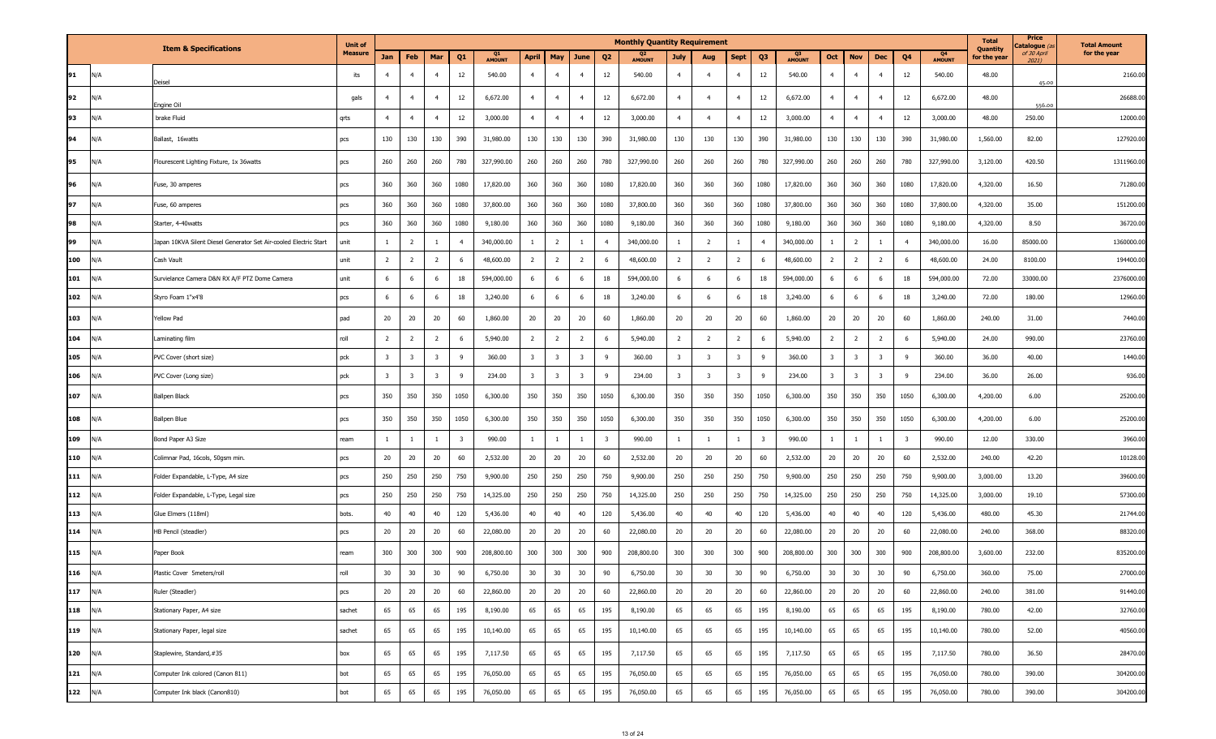|           |     |                                                                   | <b>Unit of</b> |                         |                         |                         |                         |                     |                         |                         |                         |                         | <b>Monthly Quantity Requirement</b> |                         |                         |                |                         |                     |                         |                         |                         |                         |                     | <b>Total</b>             | Price<br>atalogue <i>(a</i> | <b>Total Amount</b> |
|-----------|-----|-------------------------------------------------------------------|----------------|-------------------------|-------------------------|-------------------------|-------------------------|---------------------|-------------------------|-------------------------|-------------------------|-------------------------|-------------------------------------|-------------------------|-------------------------|----------------|-------------------------|---------------------|-------------------------|-------------------------|-------------------------|-------------------------|---------------------|--------------------------|-----------------------------|---------------------|
|           |     | <b>Item &amp; Specifications</b>                                  | <b>Measure</b> | Jan                     | Feb                     | Mar                     | Q <sub>1</sub>          | Q1<br><b>AMOUNT</b> | April                   | May                     | June                    | Q <sub>2</sub>          | Q2<br>AMOUNT                        | <b>July</b>             | Aug                     | <b>Sept</b>    | Q <sub>3</sub>          | Q3<br><b>AMOUNT</b> | Oct                     | <b>Nov</b>              | <b>Dec</b>              | Q <sub>4</sub>          | Q4<br><b>AMOUNT</b> | Quantity<br>for the year | of 30 April<br>2021)        | for the year        |
| 91        | N/A | eisel                                                             | its            | $\overline{4}$          | $\overline{4}$          | $\overline{4}$          | 12                      | 540.00              | $\overline{4}$          | $\overline{4}$          | $\overline{4}$          | 12                      | 540.00                              | $\overline{4}$          | $\overline{4}$          | $\overline{4}$ | 12                      | 540.00              | $\overline{4}$          | $\overline{4}$          | $\overline{4}$          | 12                      | 540.00              | 48.00                    | 45.00                       | 2160.00             |
| 92        | N/A | Engine Oil                                                        | gals           | $\overline{4}$          | $\overline{4}$          | $\overline{4}$          | 12                      | 6,672.00            | $\overline{4}$          | $\overline{4}$          | $\overline{4}$          | 12                      | 6,672.00                            | $\overline{4}$          | $\overline{4}$          | $\overline{4}$ | 12                      | 6,672.00            | $\overline{4}$          | $\overline{4}$          | $\overline{4}$          | 12                      | 6,672.00            | 48.00                    | 556.00                      | 26688.00            |
| 93        | N/A | brake Fluid                                                       | qrts           | $\overline{4}$          | $\overline{4}$          | $\overline{4}$          | 12                      | 3,000.00            | $\overline{4}$          | $\overline{4}$          | $\overline{4}$          | 12                      | 3,000.00                            | $\overline{4}$          | $\overline{4}$          | $\overline{4}$ | 12                      | 3,000.00            | $\overline{4}$          | $\overline{4}$          | $\overline{4}$          | 12                      | 3,000.00            | 48.00                    | 250.00                      | 12000.00            |
| 94        | N/A | Ballast, 16watts                                                  | pcs            | 130                     | 130                     | 130                     | 390                     | 31,980.00           | 130                     | 130                     | 130                     | 390                     | 31,980.00                           | 130                     | 130                     | 130            | 390                     | 31,980.00           | 130                     | 130                     | 130                     | 390                     | 31,980.00           | 1,560.00                 | 82.00                       | 127920.00           |
| 95        | N/A | Flourescent Lighting Fixture, 1x 36watts                          | pcs            | 260                     | 260                     | 260                     | 780                     | 327,990.00          | 260                     | 260                     | 260                     | 780                     | 327,990.00                          | 260                     | 260                     | 260            | 780                     | 327,990.00          | 260                     | 260                     | 260                     | 780                     | 327,990.00          | 3,120.00                 | 420.50                      | 1311960.00          |
| 96        | N/A | Fuse, 30 amperes                                                  | pcs            | 360                     | 360                     | 360                     | 1080                    | 17,820.00           | 360                     | 360                     | 360                     | 1080                    | 17,820.00                           | 360                     | 360                     | 360            | 1080                    | 17,820.00           | 360                     | 360                     | 360                     | 1080                    | 17,820.00           | 4,320.00                 | 16.50                       | 71280.00            |
| 97        | N/A | use, 60 amperes                                                   | pcs            | 360                     | 360                     | 360                     | 1080                    | 37,800.00           | 360                     | 360                     | 360                     | 1080                    | 37,800.00                           | 360                     | 360                     | 360            | 1080                    | 37,800.00           | 360                     | 360                     | 360                     | 1080                    | 37,800.00           | 4,320.00                 | 35.00                       | 151200.00           |
| 98        | N/A | Starter, 4-40watts                                                | pcs            | 360                     | 360                     | 360                     | 1080                    | 9,180.00            | 360                     | 360                     | 360                     | 1080                    | 9,180.00                            | 360                     | 360                     | 360            | 1080                    | 9,180.00            | 360                     | 360                     | 360                     | 1080                    | 9,180.00            | 4,320.00                 | 8.50                        | 36720.00            |
| 99        | N/A | Japan 10KVA Silent Diesel Generator Set Air-cooled Electric Start | unit           | -1                      | $\overline{2}$          | -1                      | $\overline{4}$          | 340,000.00          | <sup>1</sup>            | $\overline{2}$          |                         | $\overline{4}$          | 340,000.00                          | -1                      | $\overline{2}$          | -1             | $\overline{4}$          | 340,000.00          | $\mathbf{1}$            | $\overline{2}$          |                         | $\overline{4}$          | 340,000.00          | 16.00                    | 85000.00                    | 1360000.00          |
| 100       | N/A | Cash Vault                                                        | unit           | $\overline{2}$          | $\overline{2}$          | $\overline{2}$          | 6                       | 48,600.00           | $\overline{2}$          | $\overline{2}$          | $\overline{2}$          | 6                       | 48,600.00                           | $\overline{2}$          | $\overline{2}$          | $\overline{2}$ | 6                       | 48,600.00           | $\overline{2}$          | $\overline{2}$          | $\overline{2}$          | 6                       | 48,600.00           | 24.00                    | 8100.00                     | 194400.00           |
| 101       | N/A | Survielance Camera D&N RX A/F PTZ Dome Camera                     | unit           | 6                       | -6                      | 6                       | 18                      | 594,000.00          | 6                       | 6                       | 6                       | 18                      | 594,000.00                          | 6                       | 6                       | 6              | 18                      | 594,000.00          | 6                       | 6                       | 6                       | 18                      | 594,000.00          | 72.00                    | 33000.00                    | 2376000.00          |
| 102       | N/A | Styro Foam 1"x4'8                                                 | pcs            | 6                       | -6                      | 6                       | 18                      | 3,240.00            | 6                       | - 6                     | - 6                     | 18                      | 3,240.00                            | 6                       | 6                       | 6              | 18                      | 3,240.00            | 6                       | 6                       | 6                       | 18                      | 3,240.00            | 72.00                    | 180.00                      | 12960.00            |
| 103       | N/A | Yellow Pad                                                        | pad            | 20                      | 20                      | 20                      | 60                      | 1,860.00            | 20                      | 20                      | 20                      | 60                      | 1,860.00                            | 20                      | 20                      | 20             | 60                      | 1,860.00            | 20                      | 20                      | 20                      | 60                      | 1,860.00            | 240.00                   | 31.00                       | 7440.00             |
| 104       | N/A | aminating film                                                    | roll           | $\overline{2}$          | $\overline{2}$          | $\overline{2}$          | 6                       | 5,940.00            | $\overline{2}$          | $\overline{2}$          | $\overline{2}$          | 6                       | 5,940.00                            | $\overline{2}$          | $\overline{2}$          | $\overline{2}$ | 6                       | 5,940.00            | $\overline{2}$          | $\overline{2}$          | $\overline{2}$          | 6                       | 5,940.00            | 24.00                    | 990.00                      | 23760.00            |
| 105       | N/A | PVC Cover (short size)                                            | pck            | $\overline{\mathbf{3}}$ | $\overline{\mathbf{3}}$ | $\overline{\mathbf{3}}$ | 9                       | 360.00              | $\overline{\mathbf{3}}$ | 3                       | $\overline{\mathbf{3}}$ | 9                       | 360.00                              | $\overline{\mathbf{3}}$ | $\overline{\mathbf{3}}$ | $\overline{3}$ | 9                       | 360.00              | $\overline{\mathbf{3}}$ | $\overline{\mathbf{3}}$ | $\overline{\mathbf{3}}$ | 9                       | 360.00              | 36.00                    | 40.00                       | 1440.00             |
| 106       | N/A | PVC Cover (Long size)                                             | pck            | $\overline{\mathbf{3}}$ | $\overline{\mathbf{3}}$ | $\overline{\mathbf{3}}$ | 9                       | 234.00              | $\overline{\mathbf{3}}$ | $\overline{\mathbf{3}}$ | $\overline{\mathbf{3}}$ | 9                       | 234.00                              | $\overline{\mathbf{3}}$ | $\overline{\mathbf{3}}$ | $\overline{3}$ | 9                       | 234.00              | $\overline{3}$          | $\overline{\mathbf{3}}$ | $\overline{\mathbf{3}}$ | 9                       | 234.00              | 36.00                    | 26.00                       | 936.00              |
| 107       | N/A | allpen Black                                                      | pcs            | 350                     | 350                     | 350                     | 1050                    | 6,300.00            | 350                     | 350                     | 350                     | 1050                    | 6,300.00                            | 350                     | 350                     | 350            | 1050                    | 6,300.00            | 350                     | 350                     | 350                     | 1050                    | 6,300.00            | 4,200.00                 | 6.00                        | 25200.00            |
| 108       | N/A | Ballpen Blue                                                      | pcs            | 350                     | 350                     | 350                     | 1050                    | 6,300.00            | 350                     | 350                     | 350                     | 1050                    | 6,300.00                            | 350                     | 350                     | 350            | 1050                    | 6,300.00            | 350                     | 350                     | 350                     | 1050                    | 6,300.00            | 4,200.00                 | 6.00                        | 25200.00            |
| 109       | N/A | Bond Paper A3 Size                                                | ream           | 1                       |                         | -1                      | $\overline{\mathbf{3}}$ | 990.00              | $\mathbf{1}$            | -1                      | -1                      | $\overline{\mathbf{3}}$ | 990.00                              | -1                      | -1                      |                | $\overline{\mathbf{3}}$ | 990.00              | 1                       | 1                       |                         | $\overline{\mathbf{3}}$ | 990.00              | 12.00                    | 330.00                      | 3960.00             |
| 110       | N/A | Colimnar Pad, 16cols, 50gsm min.                                  | pcs            | 20                      | 20                      | 20                      | 60                      | 2,532.00            | 20                      | 20                      | 20                      | 60                      | 2,532.00                            | 20                      | 20                      | 20             | 60                      | 2,532.00            | 20                      | 20                      | 20                      | 60                      | 2,532.00            | 240.00                   | 42.20                       | 10128.00            |
| 111       | N/A | Folder Expandable, L-Type, A4 size                                | pcs            | 250                     | 250                     | 250                     | 750                     | 9,900.00            | 250                     | 250                     | 250                     | 750                     | 9,900.00                            | 250                     | 250                     | 250            | 750                     | 9,900.00            | 250                     | 250                     | 250                     | 750                     | 9,900.00            | 3,000.00                 | 13.20                       | 39600.00            |
| 112       | N/A | Folder Expandable, L-Type, Legal size                             | pcs            | 250                     | 250                     | 250                     | 750                     | 14,325.00           | 250                     | 250                     | 250                     | 750                     | 14,325.00                           | 250                     | 250                     | 250            | 750                     | 14,325.00           | 250                     | 250                     | 250                     | 750                     | 14,325.00           | 3,000.00                 | 19.10                       | 57300.00            |
| 113       | N/A | Glue Elmers (118ml)                                               | bots.          | 40                      | 40                      | 40                      | 120                     | 5,436.00            | 40                      | 40                      | 40                      | 120                     | 5,436.00                            | 40                      | 40                      | 40             | 120                     | 5,436.00            | 40                      | 40                      | 40                      | 120                     | 5,436.00            | 480.00                   | 45.30                       | 21744.00            |
| 114       | N/A | HB Pencil (steadler)                                              | pcs            | 20                      | 20                      | 20                      | 60                      | 22,080.00           | 20                      | 20                      | 20                      | 60                      | 22,080.00                           | 20                      | 20                      | 20             | 60                      | 22,080.00           | 20                      | 20                      | 20                      | 60                      | 22,080.00           | 240.00                   | 368.00                      | 88320.00            |
| 115       | N/A | Paper Book                                                        | ream           | 300                     | 300                     | 300                     | 900                     | 208,800.00          | 300                     | 300                     | 300                     | 900                     | 208,800.00                          | 300                     | 300                     | 300            | 900                     | 208,800.00          | 300                     | 300                     | 300                     | 900                     | 208,800.00          | 3,600.00                 | 232.00                      | 835200.00           |
| 116       | ۷/A | astic Cover 5meters/roll                                          |                | $30\,$                  | 30                      | $30\,$                  | $90\,$                  | 6,750.00            | $30\,$                  | $30\,$                  | 30                      | 90                      | 6,750.00                            | 30                      | $30\,$                  | $30\,$         | 90                      | 6,750.00            | 30                      | $30\,$                  | 30                      | טכ                      | 6,750.00            | 360.00                   | 75.00                       | 27000.00            |
| $117$ N/A |     | Ruler (Steadler)                                                  | pcs            | 20                      | 20                      | 20                      | 60                      | 22,860.00           | 20                      | 20                      | 20                      | 60                      | 22,860.00                           | 20                      | 20                      | 20             | 60                      | 22,860.00           | 20                      | 20                      | 20                      | 60                      | 22,860.00           | 240.00                   | 381.00                      | 91440.00            |
| $118$ N/A |     | Stationary Paper, A4 size                                         | sachet         | 65                      | 65                      | 65                      | 195                     | 8,190.00            | 65                      | 65                      | 65                      | 195                     | 8,190.00                            | 65                      | 65                      | 65             | 195                     | 8,190.00            | 65                      | 65                      | 65                      | 195                     | 8,190.00            | 780.00                   | 42.00                       | 32760.00            |
| 119 N/A   |     | Stationary Paper, legal size                                      | sachet         | 65                      | 65                      | 65                      | 195                     | 10,140.00           | 65                      | 65                      | 65                      | 195                     | 10,140.00                           | 65                      | 65                      | 65             | 195                     | 10,140.00           | 65                      | 65                      | 65                      | 195                     | 10,140.00           | 780.00                   | 52.00                       | 40560.00            |
| $120$ N/A |     | Staplewire, Standard,#35                                          | box            | 65                      | 65                      | 65                      | 195                     | 7,117.50            | 65                      | 65                      | 65                      | 195                     | 7,117.50                            | 65                      | 65                      | 65             | 195                     | 7,117.50            | 65                      | 65                      | 65                      | 195                     | 7,117.50            | 780.00                   | 36.50                       | 28470.00            |
| $121$ N/A |     | Computer Ink colored (Canon 811)                                  | bot            | 65                      | 65                      | 65                      | 195                     | 76,050.00           | 65                      | 65                      | 65                      | 195                     | 76,050.00                           | 65                      | 65                      | 65             | 195                     | 76,050.00           | 65                      | 65                      | 65                      | 195                     | 76,050.00           | 780.00                   | 390.00                      | 304200.00           |
| 122 N/A   |     | Computer Ink black (Canon810)                                     | bot            | 65                      | 65                      | 65                      | 195                     | 76,050.00           | 65                      | 65                      | 65                      | 195                     | 76,050.00                           | 65                      | 65                      | 65             | 195                     | 76,050.00           | 65                      | 65                      | 65                      | 195                     | 76,050.00           | 780.00                   | 390.00                      | 304200.00           |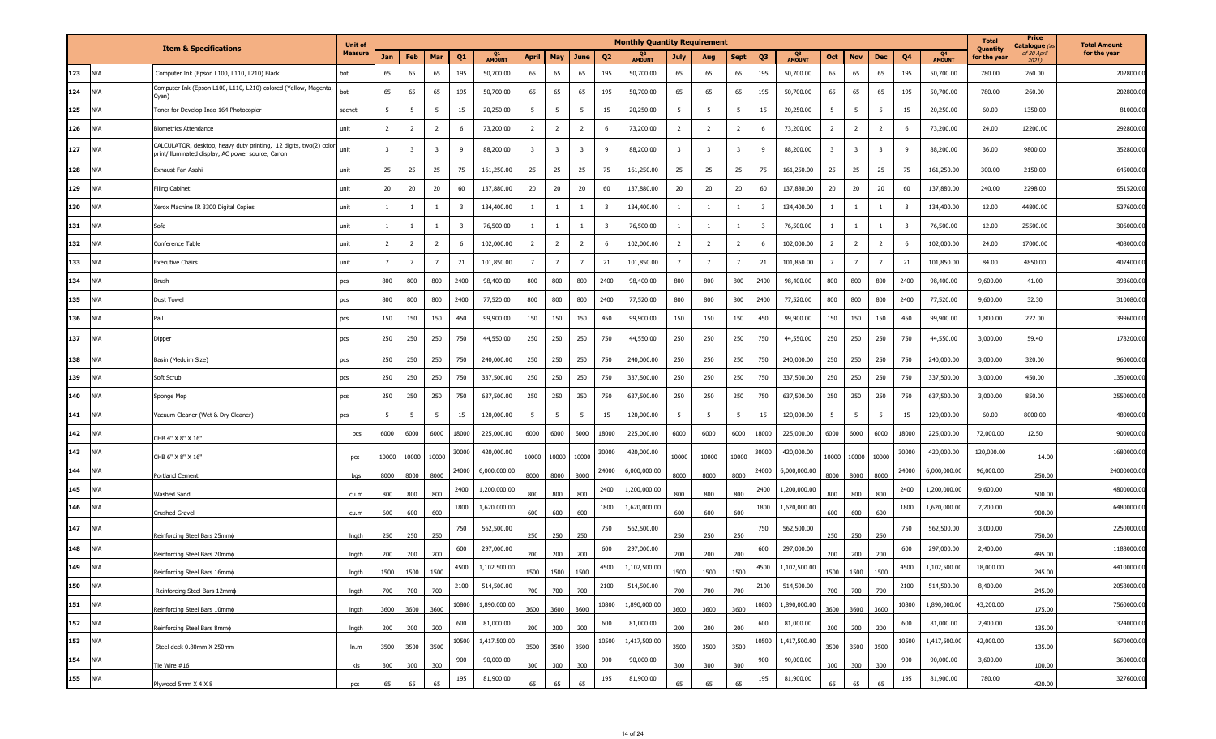|     |     |                                                                                                                        | <b>Unit of</b> |                         |                         |                         |                         |                     |                         |                |                         |                         | <b>Monthly Quantity Requirement</b> |                         |                         |                         |                         |                                 |                |                         |                         |                         |                                 | <b>Total</b>             | Price<br>atalogue (a | <b>Total Amount</b> |
|-----|-----|------------------------------------------------------------------------------------------------------------------------|----------------|-------------------------|-------------------------|-------------------------|-------------------------|---------------------|-------------------------|----------------|-------------------------|-------------------------|-------------------------------------|-------------------------|-------------------------|-------------------------|-------------------------|---------------------------------|----------------|-------------------------|-------------------------|-------------------------|---------------------------------|--------------------------|----------------------|---------------------|
|     |     | <b>Item &amp; Specifications</b>                                                                                       | <b>Measure</b> | Jan                     | Feb                     | Mar                     | Q1                      | Q1<br><b>AMOUNT</b> | <b>April</b>            | May            | June                    | Q <sub>2</sub>          | <b>AMOUNT</b>                       | July                    | Aug                     | <b>Sept</b>             | Q <sub>3</sub>          | Q <sub>3</sub><br><b>AMOUNT</b> | Oct            | <b>Nov</b>              | Dec                     | Q <sub>4</sub>          | Q <sub>4</sub><br><b>AMOUNT</b> | Quantity<br>for the year | of 30 April<br>2021) | for the year        |
| 123 | N/A | Computer Ink (Epson L100, L110, L210) Black                                                                            | bot            | 65                      | 65                      | 65                      | 195                     | 50,700.00           | 65                      | 65             | 65                      | 195                     | 50,700.00                           | 65                      | 65                      | 65                      | 195                     | 50,700.00                       | 65             | 65                      | 65                      | 195                     | 50,700.00                       | 780.00                   | 260.00               | 202800.00           |
| 124 | N/A | Computer Ink (Epson L100, L110, L210) colored (Yellow, Magenta,<br>(Van                                                | oc             | 65                      | 65                      | 65                      | 195                     | 50,700.00           | 65                      | 65             | 65                      | 195                     | 50,700.00                           | 65                      | 65                      | 65                      | 195                     | 50,700.00                       | 65             | 65                      | 65                      | 195                     | 50,700.00                       | 780.00                   | 260.00               | 202800.00           |
| 125 | N/A | Toner for Develop Ineo 164 Photocopier                                                                                 | sachet         | 5 <sup>5</sup>          | 5 <sup>5</sup>          | 5                       | 15                      | 20,250.00           | 5                       | 5              | 5                       | 15                      | 20,250.00                           | -5                      | - 5                     | 5                       | 15                      | 20,250.00                       | 5              | 5                       | 5                       | 15                      | 20,250.00                       | 60.00                    | 1350.00              | 81000.00            |
| 126 | N/A | <b>Biometrics Attendance</b>                                                                                           | unit           | $\overline{2}$          | $\overline{2}$          | $\overline{2}$          | 6                       | 73,200.00           | $\overline{2}$          | $\overline{2}$ | $\overline{2}$          | 6                       | 73,200.00                           | $\overline{2}$          | $\overline{2}$          | $\overline{2}$          | 6                       | 73,200.00                       | $\overline{2}$ | $\overline{2}$          | $\overline{2}$          | 6                       | 73,200.00                       | 24.00                    | 12200.00             | 292800.00           |
| 127 | I/A | CALCULATOR, desktop, heavy duty printing, 12 digits, two(2) color<br>print/illuminated display, AC power source, Canon | unit           | $\overline{\mathbf{3}}$ | $\overline{\mathbf{3}}$ | $\overline{\mathbf{3}}$ | 9                       | 88,200.00           | $\overline{\mathbf{3}}$ | $\overline{3}$ | $\overline{\mathbf{3}}$ | 9                       | 88,200.00                           | $\overline{\mathbf{3}}$ | $\overline{\mathbf{3}}$ | $\overline{\mathbf{3}}$ | 9                       | 88,200.00                       | $\mathbf{R}$   | $\overline{\mathbf{3}}$ | $\overline{\mathbf{3}}$ | 9                       | 88,200.00                       | 36.00                    | 9800.00              | 352800.00           |
| 128 | N/A | Exhaust Fan Asahi                                                                                                      | unit           | 25                      | 25                      | 25                      | 75                      | 161,250.00          | 25                      | 25             | 25                      | 75                      | 161,250.00                          | 25                      | 25                      | 25                      | 75                      | 161,250.00                      | 25             | 25                      | 25                      | 75                      | 161,250.00                      | 300.00                   | 2150.00              | 645000.00           |
| 129 | N/A | <b>Filing Cabinet</b>                                                                                                  | unit           | 20                      | 20                      | 20                      | 60                      | 137,880.00          | 20                      | 20             | 20                      | 60                      | 137,880.00                          | 20                      | 20                      | 20                      | 60                      | 137,880.00                      | 20             | 20                      | 20                      | 60                      | 137,880.00                      | 240.00                   | 2298.00              | 551520.00           |
| 130 | I/A | Xerox Machine IR 3300 Digital Copies                                                                                   | unit           | -1                      |                         | -1                      | $\overline{\mathbf{3}}$ | 134,400.00          | 1                       |                | -1                      | $\overline{\mathbf{3}}$ | 134,400.00                          |                         |                         |                         | 3                       | 134,400.00                      |                |                         | 1                       | $\overline{\mathbf{3}}$ | 134,400.00                      | 12.00                    | 44800.00             | 537600.00           |
| 131 | N/A | Sofa                                                                                                                   | unit           | $\overline{1}$          | -1                      | -1                      | $\overline{\mathbf{3}}$ | 76,500.00           | $\mathbf{1}$            | <sup>1</sup>   | $\mathbf{1}$            | $\overline{3}$          | 76,500.00                           | 1                       | <sup>1</sup>            | $\mathbf{1}$            | $\overline{\mathbf{3}}$ | 76,500.00                       | $\mathbf{1}$   | 1                       | 1                       | $\overline{\mathbf{3}}$ | 76,500.00                       | 12.00                    | 25500.00             | 306000.00           |
| 132 | ۷A/ | Conference Table                                                                                                       | unit           | $\overline{2}$          | $\overline{2}$          | $\overline{2}$          | 6                       | 102,000.00          | $\overline{2}$          | $\overline{2}$ | $\overline{2}$          | 6                       | 102,000.00                          | $\overline{2}$          | $\overline{2}$          | $\overline{2}$          | 6                       | 102,000.00                      | $\overline{2}$ | $\overline{2}$          | $\overline{2}$          | 6                       | 102,000.00                      | 24.00                    | 17000.00             | 408000.00           |
| 133 | N/A | <b>Executive Chairs</b>                                                                                                | unit           | $\overline{7}$          | $\overline{7}$          | $\overline{7}$          | 21                      | 101,850.00          | $\overline{7}$          | $\overline{7}$ | $\overline{7}$          | 21                      | 101,850.00                          | $\overline{7}$          | $\overline{7}$          | $\overline{7}$          | 21                      | 101,850.00                      | $\overline{7}$ | $\overline{7}$          | $\overline{7}$          | 21                      | 101,850.00                      | 84.00                    | 4850.00              | 407400.00           |
| 134 | N/A | Brush                                                                                                                  | pcs            | 800                     | 800                     | 800                     | 2400                    | 98,400.00           | 800                     | 800            | 800                     | 2400                    | 98,400.00                           | 800                     | 800                     | 800                     | 2400                    | 98,400.00                       | 800            | 800                     | 800                     | 2400                    | 98,400.00                       | 9,600.00                 | 41.00                | 393600.00           |
| 135 | N/A | Dust Towel                                                                                                             | pcs            | 800                     | 800                     | 800                     | 2400                    | 77,520.00           | 800                     | 800            | 800                     | 2400                    | 77,520.00                           | 800                     | 800                     | 800                     | 2400                    | 77,520.00                       | 800            | 800                     | 800                     | 2400                    | 77,520.00                       | 9,600.00                 | 32.30                | 310080.00           |
| 136 | N/A | Pail                                                                                                                   | pcs            | 150                     | 150                     | 150                     | 450                     | 99,900.00           | 150                     | 150            | 150                     | 450                     | 99,900.00                           | 150                     | 150                     | 150                     | 450                     | 99,900.00                       | 150            | 150                     | 150                     | 450                     | 99,900.00                       | 1,800.00                 | 222.00               | 399600.00           |
| 137 | N/A | Dipper                                                                                                                 | pcs            | 250                     | 250                     | 250                     | 750                     | 44,550.00           | 250                     | 250            | 250                     | 750                     | 44,550.00                           | 250                     | 250                     | 250                     | 750                     | 44,550.00                       | 250            | 250                     | 250                     | 750                     | 44,550.00                       | 3,000.00                 | 59.40                | 178200.00           |
| 138 | ۷A/ | Basin (Meduim Size)                                                                                                    | pcs            | 250                     | 250                     | 250                     | 750                     | 240,000.00          | 250                     | 250            | 250                     | 750                     | 240,000.00                          | 250                     | 250                     | 250                     | 750                     | 240,000.00                      | 250            | 250                     | 250                     | 750                     | 240,000.00                      | 3,000.00                 | 320.00               | 960000.00           |
| 139 | N/A | Soft Scrub                                                                                                             | pcs            | 250                     | 250                     | 250                     | 750                     | 337,500.00          | 250                     | 250            | 250                     | 750                     | 337,500.00                          | 250                     | 250                     | 250                     | 750                     | 337,500.00                      | 250            | 250                     | 250                     | 750                     | 337,500.00                      | 3,000.00                 | 450.00               | 1350000.00          |
| 140 | N/A | Sponge Mop                                                                                                             | pcs            | 250                     | 250                     | 250                     | 750                     | 637,500.00          | 250                     | 250            | 250                     | 750                     | 637,500.00                          | 250                     | 250                     | 250                     | 750                     | 637,500.00                      | 250            | 250                     | 250                     | 750                     | 637,500.00                      | 3,000.00                 | 850.00               | 2550000.00          |
| 141 | N/A | Vacuum Cleaner (Wet & Dry Cleaner)                                                                                     | pcs            | 5 <sup>5</sup>          | 5 <sup>5</sup>          | 5                       | 15                      | 120,000.00          | $5\overline{5}$         | 5              | 5                       | 15                      | 120,000.00                          | $5\overline{5}$         | 5                       | 5 <sup>5</sup>          | 15                      | 120,000.00                      | 5              | 5                       | 5                       | 15                      | 120,000.00                      | 60.00                    | 8000.00              | 480000.00           |
| 142 | N/A | CHB 4" X 8" X 16"                                                                                                      | pcs            | 6000                    | 6000                    | 6000                    | 18000                   | 225,000.00          | 6000                    | 6000           | 6000                    | 18000                   | 225,000.00                          | 6000                    | 6000                    | 6000                    | 18000                   | 225,000.00                      | 6000           | 6000                    | 6000                    | 18000                   | 225,000.00                      | 72,000.00                | 12.50                | 900000.00           |
| 143 | N/A | CHB 6" X 8" X 16"                                                                                                      | pcs            | 10000                   | 10000                   | 10000                   | 30000                   | 420,000.00          | 10000                   | 10000          | 10000                   | 30000                   | 420,000.00                          | 10000                   | 10000                   | 10000                   | 30000                   | 420,000.00                      |                | 10000 10000             | 10000                   | 30000                   | 420,000.00                      | 120,000.00               | 14.00                | 1680000.00          |
| 144 | N/A | Portland Cement                                                                                                        | bqs            | 8000                    | 8000                    | 8000                    | 24000                   | 6,000,000.00        | 8000                    | 8000           | 8000                    | 24000                   | 6,000,000.00                        | 8000                    | 8000                    | 8000                    | 24000                   | 6,000,000.00                    | 8000           | 8000                    | 8000                    | 24000                   | 6,000,000.00                    | 96,000.00                | 250.00               | 24000000.00         |
| 145 | N/A | Washed Sand                                                                                                            | cu.m           | 800                     | 800                     | 800                     | 2400                    | 1,200,000.00        | 800                     | 800            | 800                     | 2400                    | 1,200,000.00                        | 800                     | 800                     | 800                     | 2400                    | 1,200,000.00                    | 800            | 800                     | 800                     | 2400                    | 1,200,000.00                    | 9,600.00                 | 500.00               | 4800000.00          |
| 146 | N/A | Crushed Gravel                                                                                                         | cu.m           | 600                     | 600                     | 600                     | 1800                    | 1,620,000.00        | 600                     | 600            | 600                     | 1800                    | 1,620,000.00                        | 600                     | 600                     | 600                     | 1800                    | 1,620,000.00                    | 600            | 600                     | 600                     | 1800                    | 1,620,000.00                    | 7,200.00                 | 900.00               | 6480000.00          |
| 147 | N/A | Reinforcing Steel Bars 25mmo                                                                                           | Ingth          | 250                     | 250                     | 250                     | 750                     | 562,500.00          | 250                     | 250            | 250                     | 750                     | 562,500.00                          | 250                     | 250                     | 250                     | 750                     | 562,500.00                      | 250            | 250                     | 250                     | 750                     | 562,500.00                      | 3,000.00                 | 750.00               | 2250000.00          |
| 148 | N/A | Reinforcing Steel Bars 20mmo                                                                                           | Ingth          | 200                     | 200                     | 200                     | 600                     | 297,000.00          | 200                     | 200            | 200                     | 600                     | 297,000.00                          | 200                     | 200                     | 200                     | 600                     | 297,000.00                      | 200            | 200                     | 200                     | 600                     | 297,000.00                      | 2,400.00                 | 495.00               | 1188000.00          |
| 149 | N/A | Reinforcing Steel Bars 16mmo                                                                                           | Inath          | 1500                    | 1500                    | 1500                    | 4500                    | 1,102,500.00        | 1500                    | 1500           | 1500                    | 4500                    | 1,102,500.00                        | 500                     | 1500                    | 1500                    | 4500                    | 1,102,500.00                    | 1500           | 1500                    | 1500                    | 4500                    | 1,102,500.00                    | 18,000.00                | 245.00               | 4410000.00          |
| 150 | N/A | Reinforcing Steel Bars 12mm¢                                                                                           | Ingth          | 700                     | 700                     | 700                     | 2100                    | 514,500.00          | 700                     | 700            | 700                     | 2100                    | 514,500.00                          | 700                     | 700                     | 700                     | 2100                    | 514,500.00                      | 700            | 700                     | 700                     | 2100                    | 514,500.00                      | 8,400.00                 | 245.00               | 2058000.00          |
| 151 | N/A | Reinforcing Steel Bars 10mm¢                                                                                           | Ingth          | 3600                    | 3600                    | 3600                    | 10800                   | 1,890,000.00        | 3600                    | 3600           | 3600                    | 10800                   | 1,890,000.00                        | 3600                    | 3600                    | 3600                    | 10800                   | 1,890,000.00                    | 3600           | 3600                    | 3600                    | 10800                   | 1,890,000.00                    | 43,200.00                | 175.00               | 7560000.00          |
| 152 | N/A | Reinforcing Steel Bars 8mm¢                                                                                            | Ingth          | 200                     | 200                     | 200                     | 600                     | 81,000.00           | 200                     | 200            | 200                     | 600                     | 81,000.00                           | 200                     | 200                     | 200                     | 600                     | 81,000.00                       | 200            | 200                     | 200                     | 600                     | 81,000.00                       | 2,400.00                 | 135.00               | 324000.00           |
| 153 | N/A | Steel deck 0.80mm X 250mm                                                                                              | ln.m           | 3500                    | 3500                    | 3500                    | 10500                   | 1,417,500.00        | 3500                    |                | 3500 3500               | 10500                   | 1,417,500.00                        | 3500                    | 3500                    | 3500                    | 10500                   | 1,417,500.00                    |                | 3500 3500               | 3500                    | 10500                   | 1,417,500.00                    | 42,000.00                | 135.00               | 5670000.00          |
| 154 | N/A | Tie Wire #16                                                                                                           | kls            | 300                     | 300                     | 300                     | 900                     | 90,000.00           | 300                     | 300            | 300                     | 900                     | 90,000.00                           | 300                     | 300                     | 300                     | 900                     | 90,000.00                       | 300            | 300                     | 300                     | 900                     | 90,000.00                       | 3,600.00                 | 100.00               | 360000.00           |
| 155 | N/A | Plywood 5mm X 4 X 8                                                                                                    | pcs            | 65                      | 65                      | 65                      | 195                     | 81,900.00           | 65                      | 65             | 65                      | 195                     | 81,900.00                           | 65                      | 65                      | 65                      | 195                     | 81,900.00                       | 65             | 65                      | 65                      | 195                     | 81,900.00                       | 780.00                   | 420.00               | 327600.00           |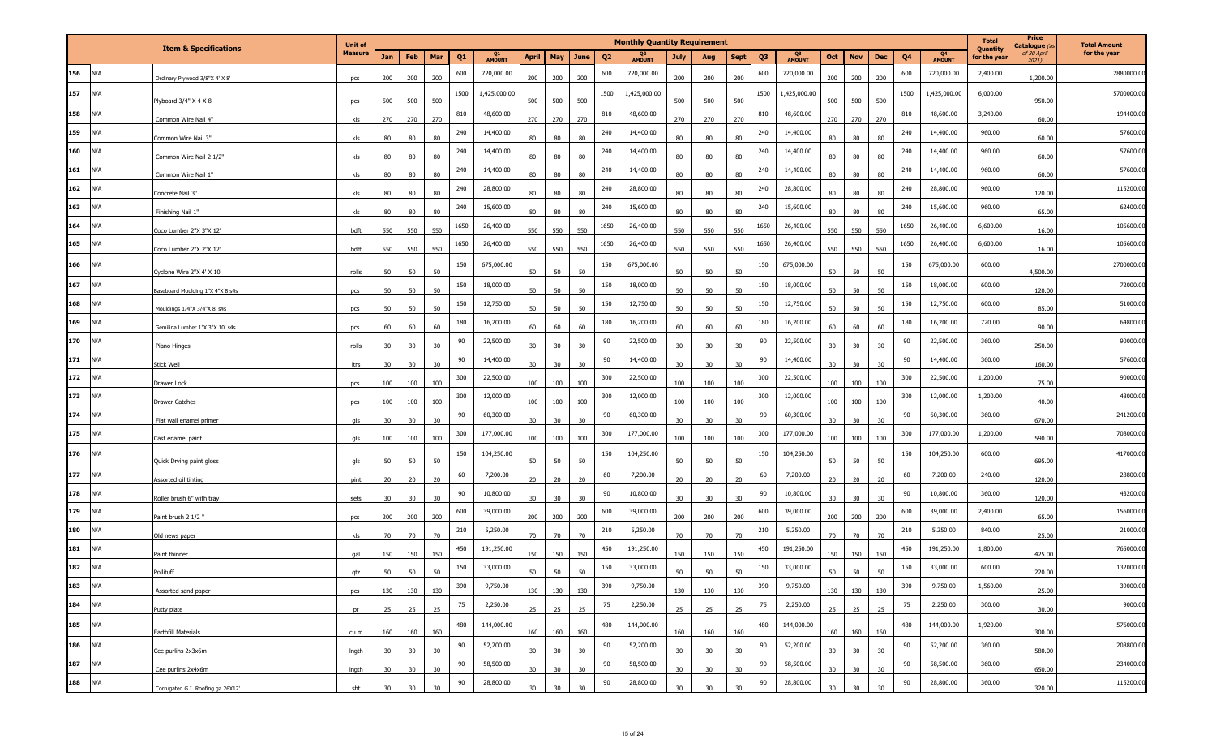|           |     |                                   | <b>Unit of</b> |     |     |                 |      |              |                 |                 |      |                | <b>Monthly Quantity Requirement</b> |                 |     |             |                |                                 |                 |                   |                |                     | <b>Total</b><br>Quantity | Price<br>Catalogue (a | <b>Total Amount</b> |
|-----------|-----|-----------------------------------|----------------|-----|-----|-----------------|------|--------------|-----------------|-----------------|------|----------------|-------------------------------------|-----------------|-----|-------------|----------------|---------------------------------|-----------------|-------------------|----------------|---------------------|--------------------------|-----------------------|---------------------|
|           |     | <b>Item &amp; Specifications</b>  | <b>Measure</b> | Jan | Feb | Mar             | Q1   | Q1<br>AMOUNT | <b>April</b>    | May             | June | Q <sub>2</sub> | <b>AMOUNT</b>                       | July            | Aug | <b>Sept</b> | Q <sub>3</sub> | Q <sub>3</sub><br><b>AMOUNT</b> | Oct             | <b>Nov</b><br>Dec | Q <sub>4</sub> | Q4<br><b>AMOUNT</b> | for the year             | of 30 April<br>2021)  | for the year        |
| 156       | N/A | Ordinary Plywood 3/8"X 4' X 8'    | pcs            | 200 | 200 | 200             | 600  | 720,000.00   | 200             | 200             | 200  | 600            | 720,000.00                          | 200             | 200 | 200         | 600            | 720,000.00                      | 200             | 200<br>200        | 600            | 720,000.00          | 2,400.00                 | 1,200.00              | 2880000.00          |
| 157       | N/A | Plyboard 3/4" X 4 X 8             | pcs            | 500 | 500 | 500             | 1500 | 1,425,000.00 | 500             | 500             | 500  | 1500           | 1,425,000.00                        | 500             | 500 | 500         | 1500           | 1,425,000.00                    | 500             | 500<br>500        | 1500           | 1,425,000.00        | 6,000.00                 | 950.00                | 5700000.00          |
| 158       | N/A | Common Wire Nail 4"               | kls            | 270 | 270 | 270             | 810  | 48,600.00    | 270             | 270             | 270  | 810            | 48,600.00                           | 270             | 270 | 270         | 810            | 48,600.00                       | 270             | 270<br>270        | 810            | 48,600.00           | 3,240.00                 | 60.00                 | 194400.00           |
| 159       | N/A | Common Wire Nail 3"               | kls            | 80  | 80  | 80              | 240  | 14,400.00    | 80              | 80              | 80   | 240            | 14,400.00                           | 80              | 80  | 80          | 240            | 14,400.00                       | 80              | 80<br>80          | 240            | 14,400.00           | 960.00                   | 60.00                 | 57600.00            |
| 160       | N/A | Common Wire Nail 2 1/2"           | kls            | 80  | 80  | 80              | 240  | 14,400.00    | 80              | 80              | 80   | 240            | 14,400.00                           | 80              | 80  | 80          | 240            | 14,400.00                       | 80              | 80<br>80          | 240            | 14,400.00           | 960.00                   | 60.00                 | 57600.00            |
| 161       | N/A | Common Wire Nail 1"               | kls            | 80  | 80  | 80              | 240  | 14,400.00    | 80              | 80              | 80   | 240            | 14,400.00                           | 80              | 80  | 80          | 240            | 14,400.00                       | 80              | 80<br>80          | 240            | 14,400.00           | 960.00                   | 60.00                 | 57600.00            |
| 162       | N/A | Concrete Nail 3"                  | kls            | 80  | 80  | 80              | 240  | 28,800.00    | 80              | 80              | 80   | 240            | 28,800.00                           | 80              | 80  | 80          | 240            | 28,800.00                       | 80              | 80<br>80          | 240            | 28,800.00           | 960.00                   | 120.00                | 115200.00           |
| 163       | N/A | Finishing Nail 1"                 | kls            | 80  | 80  | 80              | 240  | 15,600.00    | 80              | 80              | 80   | 240            | 15,600.00                           | 80              | 80  | 80          | 240            | 15,600.00                       | 80              | 80<br>80          | 240            | 15,600.00           | 960.00                   | 65.00                 | 62400.00            |
| 164       | N/A | Coco Lumber 2"X 3"X 12"           | bdft           | 550 | 550 | 550             | 1650 | 26,400.00    | 550             | 550             | 550  | 1650           | 26,400.00                           | 550             | 550 | 550         | 1650           | 26,400.00                       | 550             | 550<br>550        | 1650           | 26,400.00           | 6,600.00                 | 16.00                 | 105600.00           |
| 165       | N/A | Coco Lumber 2"X 2"X 12"           | bdft           | 550 | 550 | 550             | 1650 | 26,400.00    | 550             | 550             | 550  | 1650           | 26,400.00                           | 550             | 550 | 550         | 1650           | 26,400.00                       | 550             | 550<br>550        | 1650           | 26,400.00           | 6,600.00                 | 16.00                 | 105600.00           |
| 166       | N/A | Cyclone Wire 2"X 4' X 10"         | rolls          | 50  | 50  | 50              | 150  | 675,000.00   | 50              | 50              | 50   | 150            | 675,000.00                          | 50              | 50  | 50          | 150            | 675,000.00                      | 50              | 50<br>50          | 150            | 675,000.00          | 600.00                   | 4,500.00              | 2700000.00          |
| 167       | N/A | Baseboard Moulding 1"X 4"X 8 s4s  | pcs            | 50  | 50  | 50              | 150  | 18,000.00    | 50              | 50              | 50   | 150            | 18,000.00                           | 50              | 50  | 50          | 150            | 18,000.00                       | 50              | 50<br>50          | 150            | 18,000.00           | 600.00                   | 120.00                | 72000.00            |
| 168       | N/A | Mouldings 1/4"X 3/4"X 8' s4s      | pcs            | 50  | 50  | 50              | 150  | 12,750.00    | 50              | 50              | 50   | 150            | 12,750.00                           | 50              | 50  | 50          | 150            | 12,750.00                       | 50              | 50<br>50          | 150            | 12,750.00           | 600.00                   | 85.00                 | 51000.00            |
| 169       | N/A | Gemilina Lumber 1"X 3"X 10' s4s   | pcs            | 60  | 60  | 60              | 180  | 16,200.00    | 60              | 60              | 60   | 180            | 16,200.00                           | 60              | 60  | 60          | 180            | 16,200.00                       | 60              | 60<br>60          | 180            | 16,200.00           | 720.00                   | 90.00                 | 64800.00            |
| 170       | N/A | Piano Hinges                      | rolls          | 30  | 30  | 30              | 90   | 22,500.00    | 30              | 30 <sup>°</sup> | 30   | 90             | 22,500.00                           | 30              | 30  | 30          | 90             | 22,500.00                       | 30              | 30<br>30          | 90             | 22,500.00           | 360.00                   | 250.00                | 90000.00            |
| 171       | N/A | Stick Well                        | ltrs           | 30  | 30  | 30              | 90   | 14,400.00    | 30              | 30              | 30   | 90             | 14,400.00                           | 30              | 30  | 30          | 90             | 14,400.00                       | 30              | 30<br>30          | 90             | 14,400.00           | 360.00                   | 160.00                | 57600.00            |
| 172       | N/A | Drawer Lock                       | pcs            | 100 | 100 | 100             | 300  | 22,500.00    | 100             | 100             | 100  | 300            | 22,500.00                           | 100             | 100 | 100         | 300            | 22,500.00                       | 100             | 100<br>100        | 300            | 22,500.00           | 1,200.00                 | 75.00                 | 90000.00            |
| 173       | N/A | <b>Drawer Catches</b>             | pcs            | 100 | 100 | 100             | 300  | 12,000.00    | 100             | 100             | 100  | 300            | 12,000.00                           | 100             | 100 | 100         | 300            | 12,000.00                       | 100             | 100<br>100        | 300            | 12,000.00           | 1,200.00                 | 40.00                 | 48000.00            |
| 174       | N/A | Flat wall enamel primer           | qls            | 30  | 30  | 30              | 90   | 60,300.00    | 30              | 30              | 30   | 90             | 60,300.00                           | 30              | 30  | 30          | 90             | 60,300.00                       | 30              | 30<br>30          | 90             | 60,300.00           | 360.00                   | 670.00                | 241200.00           |
| 175       | N/A | Cast enamel paint                 | gls            | 100 | 100 | 100             | 300  | 177,000.00   | 100             | 100             | 100  | 300            | 177,000.00                          | 100             | 100 | 100         | 300            | 177,000.00                      | 100             | 100<br>100        | 300            | 177,000.00          | 1,200.00                 | 590.00                | 708000.00           |
| 176       | N/A | Quick Drying paint gloss          | als            | 50  | 50  | 50              | 150  | 104,250.00   | 50              | 50              | 50   | 150            | 104,250.00                          | 50              | 50  | 50          | 150            | 104,250.00                      | 50              | 50<br>50          | 150            | 104,250.00          | 600.00                   | 695.00                | 417000.00           |
| 177       | N/A | Assorted oil tinting              | pint           | 20  | 20  | 20              | 60   | 7,200.00     | 20              | 20              | 20   | 60             | 7,200.00                            | 20              | 20  | 20          | 60             | 7,200.00                        | 20              | 20<br>20          | 60             | 7,200.00            | 240.00                   | 120.00                | 28800.00            |
| 178       | N/A | oller brush 6" with tray          | sets           | 30  | 30  | 30              | 90   | 10,800.00    | 30 <sup>°</sup> | 30              | 30   | 90             | 10,800.00                           | 30 <sup>°</sup> | 30  | 30          | 90             | 10,800.00                       | 30              | 30<br>30          | 90             | 10,800.00           | 360.00                   | 120.00                | 43200.00            |
| 179       | N/A | Paint brush 2 1/2 "               | pcs            | 200 | 200 | 200             | 600  | 39,000.00    | 200             | 200             | 200  | 600            | 39,000.00                           | 200             | 200 | 200         | 600            | 39,000.00                       | 200             | 200<br>200        | 600            | 39,000.00           | 2,400.00                 | 65.00                 | 156000.00           |
| 180       | N/A | Old news paper                    | kls            | 70  | 70  | 70              | 210  | 5,250.00     | 70              | 70              | 70   | 210            | 5,250.00                            | 70              | 70  | 70          | 210            | 5,250.00                        | 70              | 70<br>70          | 210            | 5,250.00            | 840.00                   | 25.00                 | 21000.00            |
| 181       | N/A | Paint thinner                     | qal            | 150 | 150 | 150             | 450  | 191,250.00   | 150             | 150             | 150  | 450            | 191,250.00                          | 150             | 150 | 150         | 450            | 191,250.00                      | 150             | 150<br>150        | 450            | 191,250.00          | 1,800.00                 | 425.00                | 765000.00           |
| 182       | N/A | Pollituff                         | atz            | 50  | 50  | 50 <sub>2</sub> | 150  | 33,000.00    | 50              | 50              | 50   | 150            | 33,000.00                           | 50              | 50  | 50          | 150            | 33,000.00                       | 50              | 50<br>50          | 150            | 33,000.00           | 600.00                   | 220.00                | 132000.00           |
| 183       | N/A | Assorted sand paper               | pcs            | 130 | 130 | 130             | 390  | 9,750.00     | 130             | 130             | 130  | 390            | 9,750.00                            | 130             | 130 | 130         | 390            | 9,750.00                        | 130             | 130<br>130        | 390            | 9,750.00            | 1,560.00                 | 25.00                 | 39000.00            |
| 184       | N/A | utty plate                        | pr             | 25  | 25  | 25              | 75   | 2,250.00     | 25              | 25              | 25   | 75             | 2,250.00                            | 25              | 25  | 25          | 75             | 2,250.00                        | 25              | 25<br>25          | 75             | 2,250.00            | 300.00                   | 30.00                 | 9000.00             |
| 185       | N/A | Earthfill Materials               | cu.m           | 160 | 160 | 160             | 480  | 144,000.00   | 160             | 160             | 160  | 480            | 144,000.00                          | 160             | 160 | 160         | 480            | 144,000.00                      | 160             | 160<br>160        | 480            | 144,000.00          | 1,920.00                 | 300.00                | 576000.00           |
| $186$ N/A |     | Cee purlins 2x3x6m                | Ingth          | 30  | 30  | 30              | 90   | 52,200.00    | 30 <sub>o</sub> | 30              | 30   | 90             | 52,200.00                           | 30              | 30  | 30          | 90             | 52,200.00                       | 30 <sub>o</sub> | 30<br>30          | 90             | 52,200.00           | 360.00                   | 580.00                | 208800.00           |
| 187       | N/A | Cee purlins 2x4x6m                | Ingth          | 30  | 30  | 30              | 90   | 58,500.00    | 30              | 30              | 30   | 90             | 58,500.00                           | 30              | 30  | 30          | 90             | 58,500.00                       | 30              | 30<br>30          | 90             | 58,500.00           | 360.00                   | 650.00                | 234000.00           |
| 188       | N/A | Corrugated G.I. Roofing ga.26X12' | sht            | 30  | 30  | 30              | 90   | 28,800.00    | 30              | 30              | 30   | 90             | 28,800.00                           | 30              | 30  | 30          | $90\,$         | 28,800.00                       | 30              | 30                | 90             | 28,800.00           | 360.00                   | 320.00                | 115200.00           |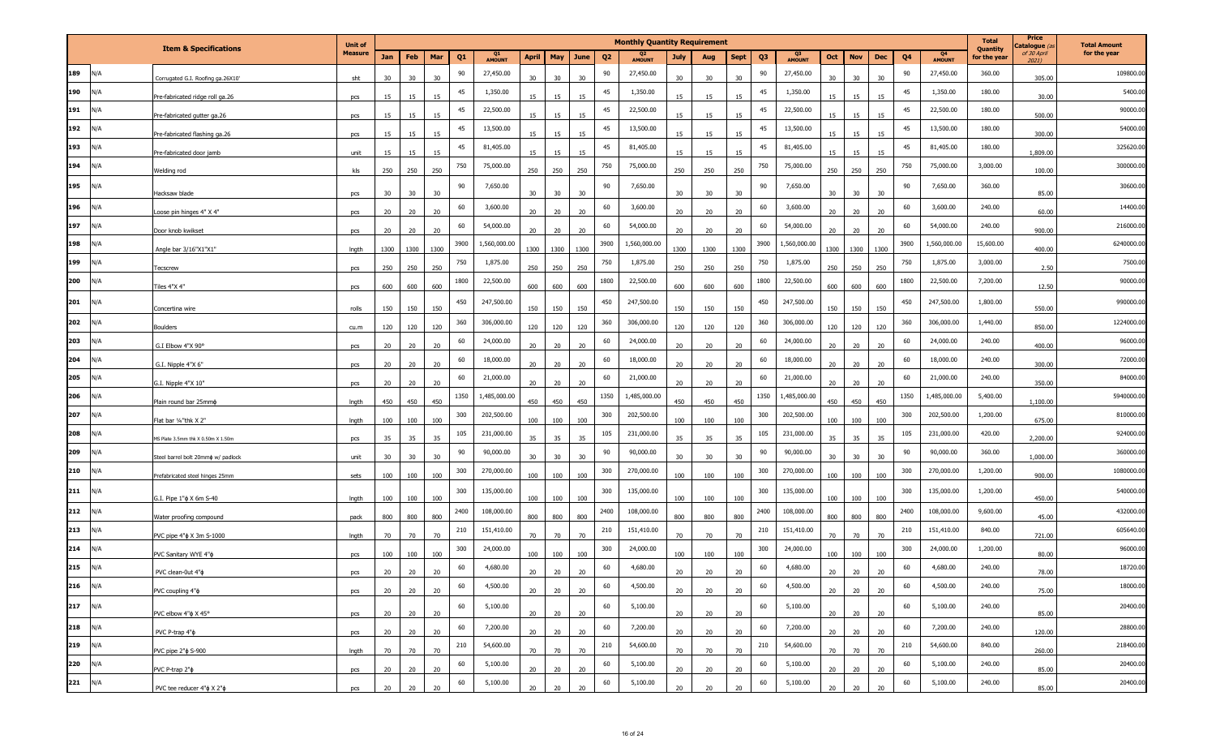|     |     |                                       | <b>Unit of</b> |      |      |                 |                |              |              |      |      |                | <b>Monthly Quantity Requirement</b> |                 |      |             |                |                     |                 |            |            |      |                     | <b>Total</b>                    | Price<br>Catalogue (a | <b>Total Amount</b> |
|-----|-----|---------------------------------------|----------------|------|------|-----------------|----------------|--------------|--------------|------|------|----------------|-------------------------------------|-----------------|------|-------------|----------------|---------------------|-----------------|------------|------------|------|---------------------|---------------------------------|-----------------------|---------------------|
|     |     | <b>Item &amp; Specifications</b>      | <b>Measure</b> | Jan  | Feb  | Mar             | Q <sub>1</sub> | Q1<br>AMOUNT | <b>April</b> | May  | June | Q <sub>2</sub> | <b>AMOUNT</b>                       | <b>July</b>     | Aug  | <b>Sept</b> | Q <sub>3</sub> | Q3<br><b>AMOUNT</b> | Oct             | <b>Nov</b> | <b>Dec</b> | Q4   | Q4<br><b>AMOUNT</b> | <b>Quantity</b><br>for the year | of 30 April<br>2021)  | for the year        |
| 189 | N/A | Corrugated G.I. Roofing ga.26X10'     | sht            | 30   | 30   | 30              | 90             | 27,450.00    | 30           | 30   | 30   | 90             | 27,450.00                           | 30              | 30   | 30          | 90             | 27,450.00           | 30              | 30         | 30         | 90   | 27,450.00           | 360.00                          | 305.00                | 109800.00           |
| 190 | N/A | Pre-fabricated ridge roll ga.26       | pcs            | 15   |      | 15              | 45             | 1,350.00     | 15           | 15   |      | 45             | 1,350.00                            | 15              | 15   |             | 45             | 1,350.00            | 15              | 15         | 15         | 45   | 1,350.00            | 180.00                          | 30.00                 | 5400.00             |
| 191 | N/A | Pre-fabricated gutter ga.26           | pcs            | 15   | 15   | 15              | 45             | 22,500.00    | 15           | 15   | 15   | 45             | 22,500.00                           | 15              | 15   | 15          | 45             | 22,500.00           | 15              | 15         | 15         | 45   | 22,500.00           | 180.00                          | 500.00                | 90000.00            |
| 192 | N/A | Pre-fabricated flashing ga.26         | pcs            | 15   | 15   | 15              | 45             | 13,500.00    | 15           | 15   | 15   | 45             | 13,500.00                           | 15              | 15   | 15          | 45             | 13,500.00           | 15              | 15         | 15         | 45   | 13,500.00           | 180.00                          | 300.00                | 54000.00            |
| 193 | N/A | Pre-fabricated door jamb              | unit           | 15   | 15   | 15              | 45             | 81,405.00    | 15           | 15   | 15   | 45             | 81,405.00                           | 15              | 15   | 15          | 45             | 81,405.00           | 15              | 15         | 15         | 45   | 81,405.00           | 180.00                          | 1,809.00              | 325620.00           |
| 194 | N/A | Welding rod                           | kls            | 250  | 250  | 250             | 750            | 75,000.00    | 250          | 250  | 250  | 750            | 75,000.00                           | 250             | 250  | 250         | 750            | 75,000.00           | 250             | 250        | 250        | 750  | 75,000.00           | 3,000.00                        | 100.00                | 300000.00           |
| 195 | N/A | Hacksaw blade                         | pcs            | 30   | 30   | 30              | 90             | 7,650.00     | 30           | 30   | 30   | 90             | 7,650.00                            | 30              | 30   | 30          | 90             | 7,650.00            | 30              | 30         | 30         | 90   | 7,650.00            | 360.00                          | 85.00                 | 30600.00            |
| 196 | N/A | Loose pin hinges 4" X 4"              | pcs            | 20   | 20   | 20              | 60             | 3,600.00     | 20           | 20   | 20   | 60             | 3,600.00                            | 20              | 20   | 20          | 60             | 3,600.00            | 20              | 20         | 20         | 60   | 3,600.00            | 240.00                          | 60.00                 | 14400.00            |
| 197 | N/A | Door knob kwikset                     | pcs            | 20   | 20   | 20 <sub>2</sub> | 60             | 54,000.00    | 20           | 20   | 20   | 60             | 54,000.00                           | 20              | 20   | 20          | 60             | 54,000.00           | 20              | 20         | 20         | 60   | 54,000.00           | 240.00                          | 900.00                | 216000.00           |
| 198 | N/A | Angle bar 3/16"X1"X1"                 | Ingth          | 1300 | 1300 | 1300            | 3900           | 1,560,000.00 | 1300         | 1300 | 1300 | 3900           | 1,560,000.00                        | 1300            | 1300 | 1300        | 3900           | 1,560,000.00        | 1300            | 1300       | 1300       | 3900 | 1,560,000.00        | 15,600.00                       | 400.00                | 6240000.00          |
| 199 | N/A | Tecscrew                              | pcs            | 250  | 250  | 250             | 750            | 1,875.00     | 250          | 250  | 250  | 750            | 1,875.00                            | 250             | 250  | 250         | 750            | 1,875.00            | 250             | 250        | 250        | 750  | 1,875.00            | 3,000.00                        | 2.50                  | 7500.00             |
| 200 | N/A | Tiles 4"X 4"                          | pcs            | 600  | 600  | 600             | 1800           | 22,500.00    | 600          | 600  | 600  | 1800           | 22,500.00                           | 600             | 600  | 600         | 1800           | 22,500.00           | 600             | 600        | 600        | 1800 | 22,500.00           | 7,200.00                        | 12.50                 | 90000.00            |
| 201 | N/A | Concertina wire                       | rolls          | 150  | 150  | 150             | 450            | 247,500.00   | 150          | 150  | 150  | 450            | 247,500.00                          | 150             | 150  | 150         | 450            | 247,500.00          | 150             | 150        | 150        | 450  | 247,500.00          | 1,800.00                        | 550.00                | 990000.00           |
| 202 | N/A | <b>Boulders</b>                       | cu.m           | 120  | 120  | 120             | 360            | 306,000.00   | 120          | 120  | 120  | 360            | 306,000.00                          | 120             | 120  | 120         | 360            | 306,000.00          | 120             | 120        | 120        | 360  | 306,000.00          | 1,440.00                        | 850.00                | 1224000.00          |
| 203 | N/A | G.I Elbow 4"X 90°                     | pcs            | 20   | 20   | 20              | 60             | 24,000.00    | 20           | 20   | 20   | 60             | 24,000.00                           | 20              | 20   | 20          | 60             | 24,000.00           | 20              | 20         | 20         | 60   | 24,000.00           | 240.00                          | 400.00                | 96000.00            |
| 204 | N/A | G.I. Nipple 4"X 6"                    | pcs            | 20   | 20   | 20              | 60             | 18,000.00    | 20           | 20   | 20   | 60             | 18,000.00                           | 20              | 20   | 20          | 60             | 18,000.00           | 20              | 20         | 20         | 60   | 18,000.00           | 240.00                          | 300.00                | 72000.00            |
| 205 | N/A | G.I. Nipple 4"X 10"                   | pcs            | 20   | 20   | 20              | 60             | 21,000.00    | 20           | 20   | 20   | 60             | 21,000.00                           | 20              | 20   | 20          | 60             | 21,000.00           | 20              | 20         | 20         | 60   | 21,000.00           | 240.00                          | 350.00                | 84000.00            |
| 206 | N/A | Plain round bar 25mm¢                 | Ingth          | 450  | 450  | 450             | 1350           | 1,485,000.00 | 450          | 450  | 450  | 1350           | 1,485,000.00                        | 450             | 450  | 450         | 1350           | 1,485,000.00        | 450             | 450        | 450        | 1350 | 1,485,000.00        | 5,400.00                        | 1,100.00              | 5940000.00          |
| 207 | N/A | Flat bar 1/4"thk X 2"                 | Ingth          | 100  | 100  | 100             | 300            | 202,500.00   | 100          | 100  | 100  | 300            | 202,500.00                          | 100             | 100  | 100         | 300            | 202,500.00          | 100             | 100        | 100        | 300  | 202,500.00          | 1,200.00                        | 675.00                | 810000.00           |
| 208 | N/A | MS Plate 3.5mm thk X 0.50m X 1.50m    | pcs            | 35   | 35   | 35              | 105            | 231,000.00   | 35           | 35   | 35   | 105            | 231,000.00                          | 35              | 35   | 35          | 105            | 231,000.00          | 35              | 35         | 35         | 105  | 231,000.00          | 420.00                          | 2,200.00              | 924000.00           |
| 209 | N/A | Steel barrel bolt 20mmo w/ padlock    | unit           | 30   | 30   | 30              | 90             | 90,000.00    | 30           | 30   | 30   | 90             | 90,000.00                           | 30              | 30   | 30          | 90             | 90,000.00           | 30              | 30         | 30         | 90   | 90,000.00           | 360.00                          | 1,000.00              | 360000.00           |
| 210 | N/A | Prefabricated steel hinges 25mm       | sets           | 100  | 100  | 100             | 300            | 270,000.00   | 100          | 100  | 100  | 300            | 270,000.00                          | 100             | 100  | 100         | 300            | 270,000.00          | 100             | 100        | 100        | 300  | 270,000.00          | 1,200.00                        | 900.00                | 1080000.00          |
| 211 | N/A | G.I. Pipe 1" $\phi$ X 6m S-40         | Ingth          | 100  | 100  | 100             | 300            | 135,000.00   | 100          | 100  | 100  | 300            | 135,000.00                          | 100             | 100  | 100         | 300            | 135,000.00          | 100             | 100        | 100        | 300  | 135,000.00          | 1,200.00                        | 450.00                | 540000.00           |
| 212 | N/A | Water proofing compound               | pack           | 800  | 800  | 800             | 2400           | 108,000.00   | 800          | 800  | 800  | 2400           | 108,000.00                          | 800             | 800  | 800         | 2400           | 108,000.00          | 800             | 800        | 800        | 2400 | 108,000.00          | 9,600.00                        | 45.00                 | 432000.00           |
| 213 | N/A | PVC pipe 4" $\phi$ X 3m S-1000        | Ingth          | 70   | 70   | 70              | 210            | 151,410.00   | 70           | 70   | 70   | 210            | 151,410.00                          | 70              | 70   | 70          | 210            | 151,410.00          | 70              | 70         | 70         | 210  | 151,410.00          | 840.00                          | 721.00                | 605640.00           |
| 214 | N/A | PVC Sanitary WYE 4"¢                  | pcs            | 100  | 100  | 100             | 300            | 24,000.00    | 100          | 100  | 100  | 300            | 24,000.00                           | 100             | 100  | 100         | 300            | 24,000.00           | 100             | 100        | 100        | 300  | 24,000.00           | 1,200.00                        | 80.00                 | 96000.00            |
| 215 | N/A | PVC clean-0ut 4"b                     | ncs            | 20   | 20   | 20              | 60             | 4,680.00     | 20           | 20   | 20   | 60             | 4,680.00                            | 20              | 20   | 20          | 60             | 4,680.00            | 20              | 20         |            | 60   | 4,680.00            | 240.00                          | 78.00                 | 18720.00            |
| 216 | N/A | PVC coupling 4" $\phi$                | pcs            | 20   | 20   | 20              | 60             | 4,500.00     | 20           | 20   | 20   | 60             | 4,500.00                            | 20 <sub>2</sub> | 20   | 20          | 60             | 4,500.00            | 20 <sub>2</sub> | 20         | 20         | 60   | 4,500.00            | 240.00                          | 75.00                 | 18000.00            |
| 217 | N/A | PVC elbow 4" $\phi$ X 45°             | pcs            | 20   | 20   | 20              | 60             | 5,100.00     | 20           | 20   | 20   | 60             | 5,100.00                            | 20              | 20   | 20          | 60             | 5,100.00            | 20              | 20         | 20         | 60   | 5,100.00            | 240.00                          | 85.00                 | 20400.00            |
| 218 | N/A | PVC P-trap 4" $\phi$                  | pcs            | 20   | 20   | 20              | 60             | 7,200.00     | 20           | 20   | 20   | 60             | 7,200.00                            | 20              | 20   | 20          | 60             | 7,200.00            | 20 <sub>2</sub> | 20         | 20         | 60   | 7,200.00            | 240.00                          | 120.00                | 28800.00            |
| 219 | N/A | PVC pipe 2" $\phi$ S-900              | Ingth          | 70   | 70   | 70              | 210            | 54,600.00    | 70           | 70   | 70   | 210            | 54,600.00                           | 70              | 70   | 70          | 210            | 54,600.00           | 70              | 70         | 70         | 210  | 54,600.00           | 840.00                          | 260.00                | 218400.00           |
| 220 | N/A | PVC P-trap 2" $\phi$                  | pcs            | 20   | 20   | 20 <sub>2</sub> | 60             | 5,100.00     | 20           | 20   | 20   | 60             | 5,100.00                            | 20              | 20   | 20          | 60             | 5,100.00            | 20              | 20         | 20         | 60   | 5,100.00            | 240.00                          | 85.00                 | 20400.00            |
| 221 | N/A | PVC tee reducer 4" $\phi$ X 2" $\phi$ | pcs            | 20   | 20   | 20 <sub>2</sub> | 60             | 5,100.00     | 20           | 20   | 20   | 60             | 5,100.00                            | 20              | 20   | 20          | 60             | 5,100.00            | 20              | 20         | 20         | 60   | 5,100.00            | 240.00                          | 85.00                 | 20400.00            |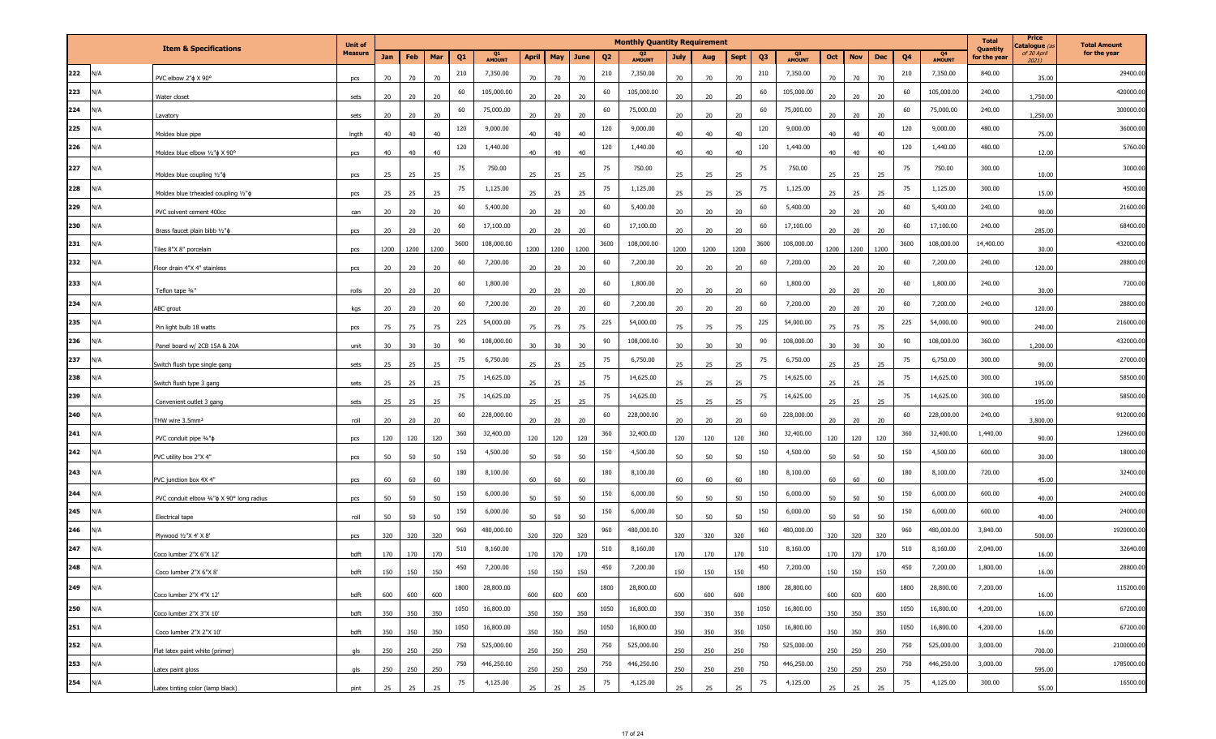|     |     |                                                 | <b>Unit of</b> |      |      |                 |                |              |              |      |             |                | <b>Monthly Quantity Requirement</b> |             |      |             |                |              |      |            |      |      |                     | <b>Total</b><br><b>Quantity</b> | Price<br>Catalogue (a | <b>Total Amount</b> |
|-----|-----|-------------------------------------------------|----------------|------|------|-----------------|----------------|--------------|--------------|------|-------------|----------------|-------------------------------------|-------------|------|-------------|----------------|--------------|------|------------|------|------|---------------------|---------------------------------|-----------------------|---------------------|
|     |     | <b>Item &amp; Specifications</b>                | <b>Measure</b> | Jan  | Feb  | Mar             | Q <sub>1</sub> | Q1<br>AMOUNT | <b>April</b> | May  | <b>June</b> | Q <sub>2</sub> | <b>AMOUNT</b>                       | <b>July</b> | Aug  | <b>Sept</b> | Q <sub>3</sub> | Q3<br>AMOUNT | Oct  | <b>Nov</b> | Dec  | Q4   | Q4<br><b>AMOUNT</b> | for the year                    | of 30 April<br>20211  | for the year        |
| 222 | N/A | PVC elbow 2" $\phi$ X 90°                       | pcs            | 70   |      | 70              | 210            | 7,350.00     | 70           | 70   | 70          | 210            | 7,350.00                            | 70          | 70   | 70          | 210            | 7,350.00     | 70   | 70         | 70   | 210  | 7,350.00            | 840.00                          | 35.00                 | 29400.00            |
| 223 | N/A | Water closet                                    | sets           | 20   | 20   | 20              | 60             | 105,000.00   | 20           | 20   | 20          | 60             | 105,000.00                          | 20          | 20   |             | 60             | 105,000.00   | 20   | 20         | 20   | 60   | 105,000.00          | 240.00                          | 1,750.00              | 420000.00           |
| 224 | N/A | Lavatory                                        | sets           | 20   | 20   | 20 <sub>2</sub> | 60             | 75,000.00    | 20           | 20   | 20          | 60             | 75,000.00                           | 20          | 20   | 20          | 60             | 75,000.00    | 20   | 20         | 20   | 60   | 75,000.00           | 240.00                          | 1,250.00              | 300000.00           |
| 225 | N/A | Moldex blue pipe                                | Ingth          | 40   | 40   | 40              | 120            | 9,000.00     | 40           | 40   | 40          | 120            | 9,000.00                            | 40          | 40   | 40          | 120            | 9,000.00     | 40   | 40         | 40   | 120  | 9,000.00            | 480.00                          | 75.00                 | 36000.00            |
| 226 | N/A | Moldex blue elbow 1/2" ¢ X 90°                  | pcs            | 40   | 40   | 40              | 120            | 1,440.00     | 40           | 40   | 40          | 120            | 1,440.00                            | 40          | 40   | 40          | 120            | 1,440.00     | 40   | 40         | 40   | 120  | 1,440.00            | 480.00                          | 12.00                 | 5760.00             |
| 227 | N/A | Moldex blue coupling 1/2"¢                      | pcs            | 25   | 25   | 25              | 75             | 750.00       | 25           | 25   | 25          | 75             | 750.00                              | 25          | 25   | 25          | 75             | 750.00       | 25   | 25         | 25   | 75   | 750.00              | 300.00                          | 10.00                 | 3000.00             |
| 228 | N/A | Moldex blue trheaded coupling 1/2"¢             | pcs            | 25   | 25   | 25              | 75             | 1,125.00     | 25           | 25   | 25          | 75             | 1,125.00                            | 25          | 25   | 25          | 75             | 1,125.00     | 25   | 25         | 25   | 75   | 1,125.00            | 300.00                          | 15.00                 | 4500.00             |
| 229 | N/A | PVC solvent cement 400cc                        | can            | 20   | 20   | 20              | 60             | 5,400.00     | 20           | 20   | 20          | 60             | 5,400.00                            | 20          | 20   | 20          | 60             | 5,400.00     | 20   | 20         | 20   | 60   | 5,400.00            | 240.00                          | 90.00                 | 21600.00            |
| 230 | N/A | Brass faucet plain bibb 1/2"¢                   | pcs            | 20   | 20   | 20 <sub>2</sub> | 60             | 17,100.00    | 20           | 20   | 20          | 60             | 17,100.00                           | 20          | 20   | 20          | 60             | 17,100.00    | 20   | 20         | 20   | 60   | 17,100.00           | 240.00                          | 285.00                | 68400.00            |
| 231 | N/A | Files 8"X 8" porcelain                          | pcs            | 1200 | 1200 | 1200            | 3600           | 108,000.00   | 1200         | 1200 | 1200        | 3600           | 108,000.00                          | 1200        | 1200 | 1200        | 3600           | 108,000.00   | 1200 | 1200       | 1200 | 3600 | 108,000.00          | 14,400.00                       | 30.00                 | 432000.00           |
| 232 | N/A | loor drain 4"X 4" stainless                     | pcs            | 20   | 20   | 20              | 60             | 7,200.00     | 20           | 20   | 20          | 60             | 7,200.00                            | 20          | 20   | 20          | 60             | 7,200.00     | 20   | 20         | 20   | 60   | 7,200.00            | 240.00                          | 120.00                | 28800.00            |
| 233 | N/A | Teflon tape 3/4"                                | rolls          | 20   | 20   | 20              | 60             | 1,800.00     | 20           | 20   | 20          | 60             | 1,800.00                            | 20          | 20   | 20          | 60             | 1,800.00     | 20   | 20         | 20   | 60   | 1,800.00            | 240.00                          | 30.00                 | 7200.00             |
| 234 | N/A | ABC grout                                       | kgs            | 20   | 20   | 20              | 60             | 7,200.00     | 20           | 20   | 20          | 60             | 7,200.00                            | 20          | 20   | 20          | 60             | 7,200.00     | 20   | 20         | 20   | 60   | 7,200.00            | 240.00                          | 120.00                | 28800.00            |
| 235 | N/A | Pin light bulb 18 watts                         | pcs            | 75   | 75   | 75              | 225            | 54,000.00    | 75           | 75   | 75          | 225            | 54,000.00                           | 75          | 75   | 75          | 225            | 54,000.00    | 75   | 75         | 75   | 225  | 54,000.00           | 900.00                          | 240.00                | 216000.00           |
| 236 | N/A | Panel board w/ 2CB 15A & 20A                    | unit           | 30   | 30   | 30              | 90             | 108,000.00   | 30           | 30   | 30          | 90             | 108,000.00                          | 30          | 30   | 30          | 90             | 108,000.00   | 30   | 30         | 30   | 90   | 108,000.00          | 360.00                          | 1,200.00              | 432000.00           |
| 237 | N/A | Switch flush type single gang                   | sets           | 25   | 25   | 25              | 75             | 6,750.00     | 25           | 25   | 25          | 75             | 6,750.00                            | 25          | 25   | 25          | 75             | 6,750.00     | 25   | 25         | 25   | 75   | 6,750.00            | 300.00                          | 90.00                 | 27000.00            |
| 238 | N/A | Switch flush type 3 gang                        | sets           | 25   | 25   | 25              | 75             | 14,625.00    | 25           | 25   | 25          | 75             | 14,625.00                           | 25          | 25   | 25          | 75             | 14,625.00    | 25   | 25         | 25   | 75   | 14,625.00           | 300.00                          | 195.00                | 58500.00            |
| 239 | N/A | Convenient outlet 3 gang                        | sets           | 25   | 25   | 25              | 75             | 14,625.00    | 25           | 25   | 25          | 75             | 14,625.00                           | 25          | 25   | 25          | 75             | 14,625.00    | 25   | 25         | 25   | 75   | 14,625.00           | 300.00                          | 195.00                | 58500.00            |
| 240 | N/A | THW wire 3.5mm <sup>2</sup>                     | roll           | 20   | 20   | 20              | 60             | 228,000.00   | 20           | 20   | 20          | 60             | 228,000.00                          | 20          | 20   | 20          | 60             | 228,000.00   | 20   | 20         | 20   | 60   | 228,000.00          | 240.00                          | 3,800.00              | 912000.0            |
| 241 | N/A | PVC conduit pipe 3/4"¢                          | pcs            | 120  | 120  | 120             | 360            | 32,400.00    | 120          | 120  | 120         | 360            | 32,400.00                           | 120         | 120  | 120         | 360            | 32,400.00    | 120  | 120        | 120  | 360  | 32,400.00           | 1,440.00                        | 90.00                 | 129600.0            |
| 242 | N/A | PVC utility box 2"X 4"                          | pcs            | 50   | 50   | 50              | 150            | 4,500.00     | 50           | 50   | 50          | 150            | 4,500.00                            | 50          | 50   | 50          | 150            | 4,500.00     | 50   | 50         | 50   | 150  | 4,500.00            | 600.00                          | 30.00                 | 18000.00            |
| 243 | N/A | <sup>9</sup> VC junction box 4X 4"              | pcs            | 60   | 60   | 60              | 180            | 8,100.00     | 60           | 60   | 60          | 180            | 8,100.00                            | 60          | 60   | 60          | 180            | 8,100.00     | 60   | 60         | 60   | 180  | 8,100.00            | 720.00                          | 45.00                 | 32400.00            |
| 244 | N/A | PVC conduit elbow 3/4" $\phi$ X 90° long radius | pcs            | 50   | 50   | 50              | 150            | 6,000.00     | 50           | 50   | 50          | 150            | 6,000.00                            | 50          | 50   | 50          | 150            | 6,000.00     | 50   | 50         | 50   | 150  | 6,000.00            | 600.00                          | 40.00                 | 24000.00            |
| 245 | N/A | Electrical tape                                 | roll           | 50   | 50   | 50              | 150            | 6,000.00     | 50           | 50   | 50          | 150            | 6,000.00                            | 50          | 50   |             | 150            | 6,000.00     | 50   | 50         | 50   | 150  | 6,000.00            | 600.00                          | 40.00                 | 24000.00            |
| 246 | N/A | Plywood 1/2"X 4' X 8'                           | pcs            | 320  | 320  | 320             | 960            | 480,000.00   | 320          | 320  | 320         | 960            | 480,000.00                          | 320         | 320  | 320         | 960            | 480,000.00   | 320  | 320        | 320  | 960  | 480,000.00          | 3,840.00                        | 500.00                | 1920000.0           |
| 247 | N/A | Coco lumber 2"X 6"X 12"                         | bdft           | 170  | 170  | 170             | 510            | 8,160.00     | 170          | 170  | 170         | 510            | 8,160.00                            | 170         | 170  | 170         | 510            | 8,160.00     | 170  | 170        | 170  | 510  | 8,160.00            | 2,040.00                        | 16.00                 | 32640.00            |
| 248 | N/A | Coco lumber 2"X 6"X 8"                          | bdft           | 150  | 150  | 150             | 450            | 7,200.00     | 150          | 150  | 150         | 450            | 7,200.00                            | 150         | 150  | 150         | 450            | 7,200.00     | 150  | 150        | 150  | 450  | 7,200.00            | 1,800.00                        | 16.00                 | 28800.00            |
| 249 | N/A | Coco lumber 2"X 4"X 12'                         | bdft           | 600  | 600  | 600             | 1800           | 28,800.00    | 600          | 600  | 600         | 1800           | 28,800.00                           | 600         | 600  | 600         | 1800           | 28,800.00    | 600  | 600        | 600  | 1800 | 28,800.00           | 7,200.00                        | 16.00                 | 115200.00           |
| 250 | N/A | Coco lumber 2"X 3"X 10"                         | bdft           | 350  | 350  | 350             | 1050           | 16,800.00    | 350          | 350  | 350         | 1050           | 16,800.00                           | 350         | 350  | 350         | 1050           | 16,800.00    | 350  | 350        | 350  | 1050 | 16,800.00           | 4,200.00                        | 16.00                 | 67200.00            |
| 251 | N/A | Coco lumber 2"X 2"X 10"                         | bdft           | 350  | 350  | 350             | 1050           | 16,800.00    | 350          | 350  | 350         | 1050           | 16,800.00                           | 350         | 350  | 350         | 1050           | 16,800.00    | 350  | 350        | 350  | 1050 | 16,800.00           | 4,200.00                        | 16.00                 | 67200.00            |
| 252 | N/A | Flat latex paint white (primer)                 | gls            | 250  | 250  | 250             | 750            | 525,000.00   | 250          | 250  | 250         | 750            | 525,000.00                          | 250         | 250  | 250         | 750            | 525,000.00   | 250  | 250        | 250  | 750  | 525,000.00          | 3,000.00                        | 700.00                | 2100000.00          |
| 253 | N/A | atex paint gloss                                | qls            | 250  | 250  | 250             | 750            | 446,250.00   | 250          | 250  | 250         | 750            | 446,250.00                          | 250         | 250  | 250         | 750            | 446,250.00   | 250  | 250        | 250  | 750  | 446,250.00          | 3,000.00                        | 595.00                | 1785000.00          |
| 254 | N/A | atex tinting color (lamp black)                 | pint           | 25   | 25   | 25              | 75             | 4,125.00     | 25           | 25   | 25          | 75             | 4,125.00                            | 25          | 25   |             | 75             | 4,125.00     | 25   | 25         | 25   | 75   | 4,125.00            | 300.00                          | 55.00                 | 16500.00            |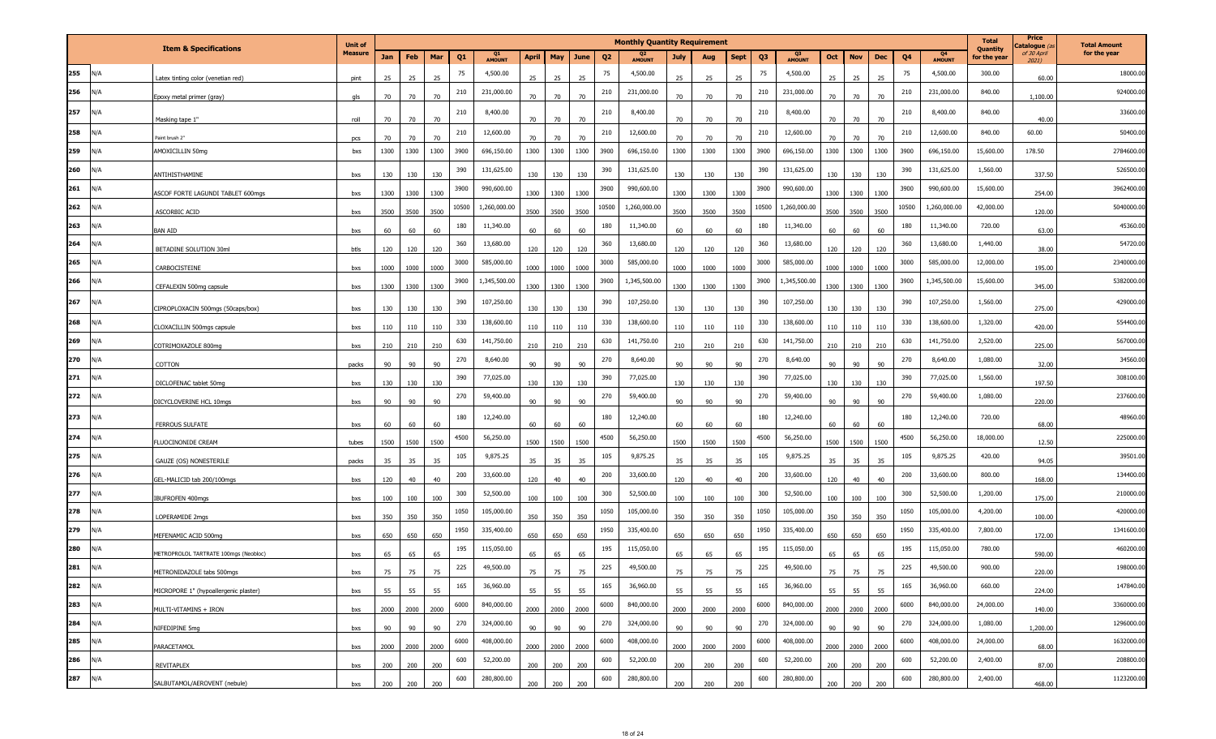|     |     |                                       | <b>Unit of</b> |      |      |      |                |                     |              |      |      |                | <b>Monthly Quantity Requirement</b> |             |      |             |                |                     |      |            |      |       |                     | <b>Total</b>             | Price<br>atalogue (a | <b>Total Amount</b> |
|-----|-----|---------------------------------------|----------------|------|------|------|----------------|---------------------|--------------|------|------|----------------|-------------------------------------|-------------|------|-------------|----------------|---------------------|------|------------|------|-------|---------------------|--------------------------|----------------------|---------------------|
|     |     | <b>Item &amp; Specifications</b>      | <b>Measure</b> | Jan  | Feb  | Mar  | Q <sub>1</sub> | Q1<br><b>AMOUNT</b> | <b>April</b> | May  | June | Q <sub>2</sub> | Q2<br><b>AMOUNT</b>                 | <b>July</b> | Aug  | <b>Sept</b> | Q <sub>3</sub> | Q3<br><b>AMOUNT</b> | Oct  | <b>Nov</b> | Dec  | Q4    | Q4<br><b>AMOUNT</b> | Quantity<br>for the year | of 30 April<br>2021) | for the year        |
| 255 | N/A | atex tinting color (venetian red)     | pint           | 25   | 25   | 25   | 75             | 4,500.00            | 25           | 25   | 25   | 75             | 4,500.00                            | 25          | 25   | 25          | 75             | 4,500.00            | 25   | 25         | 25   | 75    | 4,500.00            | 300.00                   | 60.00                | 18000.00            |
| 256 | N/A | poxy metal primer (gray)              | als            | 70   | 70   | 70   | 210            | 231,000.00          | 70           | 70   | 70   | 210            | 231,000.00                          | 70          | 70   | 70          | 210            | 231,000.00          | 70   | 70         | 70   | 210   | 231,000.00          | 840.00                   | 1,100.00             | 924000.00           |
| 257 | N/A | Masking tape 1"                       | roll           | 70   | 70   | 70   | 210            | 8,400.00            | 70           | 70   | 70   | 210            | 8,400.00                            | 70          | 70   | 70          | 210            | 8,400.00            | 70   | 70         | 70   | 210   | 8,400.00            | 840.00                   | 40.00                | 33600.00            |
| 258 | N/A | Paint brush 2"                        | pcs            | 70   | 70   | 70   | 210            | 12,600.00           | 70           | 70   | 70   | 210            | 12,600.00                           | 70          | 70   | 70          | 210            | 12,600.00           | 70   | 70         | 70   | 210   | 12,600.00           | 840.00                   | 60.00                | 50400.00            |
| 259 | N/A | AMOXICILLIN 50mg                      | bxs            | 1300 | 1300 | 1300 | 3900           | 696,150.00          | 1300         | 1300 | 1300 | 3900           | 696,150.00                          | 1300        | 1300 | 1300        | 3900           | 696,150.00          | 1300 | 1300       | 1300 | 3900  | 696,150.00          | 15,600.00                | 178.50               | 2784600.00          |
| 260 | N/A | ANTIHISTHAMINE                        | bxs            | 130  | 130  | 130  | 390            | 131,625.00          | 130          | 130  | 130  | 390            | 131,625.00                          | 130         | 130  | 130         | 390            | 131,625.00          | 130  | 130        | 130  | 390   | 131,625.00          | 1,560.00                 | 337.50               | 526500.00           |
| 261 | N/A | ASCOF FORTE LAGUNDI TABLET 600mgs     | bxs            | 1300 | 1300 | 1300 | 3900           | 990,600.00          | 1300         | 1300 | 1300 | 3900           | 990,600.00                          | 1300        | 1300 | 1300        | 3900           | 990,600.00          | 1300 | 1300       | 1300 | 3900  | 990,600.00          | 15,600.00                | 254.00               | 3962400.00          |
| 262 | N/A | <b>ASCORBIC ACID</b>                  | bxs            | 3500 | 3500 | 3500 | 10500          | 1,260,000.00        | 3500         | 3500 | 3500 | 10500          | 1,260,000.00                        | 3500        | 3500 | 3500        | 10500          | 1,260,000.00        | 3500 | 3500       | 3500 | 10500 | 1,260,000.00        | 42,000.00                | 120.00               | 5040000.00          |
| 263 | N/A | <b>BAN AID</b>                        | bxs            | 60   | 60   | 60   | 180            | 11,340.00           | 60           | 60   | 60   | 180            | 11,340.00                           | 60          | 60   | 60          | 180            | 11,340.00           | 60   | 60         | 60   | 180   | 11,340.00           | 720.00                   | 63.00                | 45360.00            |
| 264 | N/A | BETADINE SOLUTION 30ml                | btls           | 120  | 120  | 120  | 360            | 13,680.00           | 120          | 120  | 120  | 360            | 13,680.00                           | 120         | 120  | 120         | 360            | 13,680.00           | 120  | 120        | 120  | 360   | 13,680.00           | 1,440.00                 | 38.00                | 54720.00            |
| 265 | N/A | CARBOCISTEINE                         | bxs            | 1000 | 1000 | 1000 | 3000           | 585,000.00          | 1000         | 1000 | 1000 | 3000           | 585,000.00                          | 1000        | 1000 | 1000        | 3000           | 585,000.00          | 1000 | 1000       | 1000 | 3000  | 585,000.00          | 12,000.00                | 195.00               | 2340000.00          |
| 266 | N/A | CEFALEXIN 500mg capsule               | bxs            | 1300 | 1300 | 1300 | 3900           | 1,345,500.00        | 1300         | 1300 | 1300 | 3900           | 1,345,500.00                        | 1300        | 1300 | 1300        | 3900           | 1,345,500.00        | 1300 | 1300       | 1300 | 3900  | 1,345,500.00        | 15,600.00                | 345.00               | 5382000.00          |
| 267 | N/A | IPROPLOXACIN 500mgs (50caps/box)      | bxs            | 130  | 130  | 130  | 390            | 107,250.00          | 130          | 130  | 130  | 390            | 107,250.00                          | 130         | 130  | 130         | 390            | 107,250.00          | 130  | 130        | 130  | 390   | 107,250.00          | 1,560.00                 | 275.00               | 429000.00           |
| 268 | N/A | CLOXACILLIN 500mgs capsule            | bxs            | 110  | 110  | 110  | 330            | 138,600.00          | 110          | 110  | 110  | 330            | 138,600.00                          | 110         | 110  | 110         | 330            | 138,600.00          | 110  | 110        | 110  | 330   | 138,600.00          | 1,320.00                 | 420.00               | 554400.00           |
| 269 | N/A | COTRIMOXAZOLE 800mg                   | bxs            | 210  | 210  | 210  | 630            | 141,750.00          | 210          | 210  | 210  | 630            | 141,750.00                          | 210         | 210  | 210         | 630            | 141,750.00          | 210  | 210        | 210  | 630   | 141,750.00          | 2,520.00                 | 225.00               | 567000.00           |
| 270 | N/A | COTTON                                | packs          | 90   | 90   | 90   | 270            | 8,640.00            | 90           | 90   | 90   | 270            | 8,640.00                            | 90          | 90   | 90          | 270            | 8,640.00            | 90   | 90         | 90   | 270   | 8,640.00            | 1,080.00                 | 32.00                | 34560.00            |
| 271 | N/A | DICLOFENAC tablet 50mg                | bxs            | 130  | 130  | 130  | 390            | 77,025.00           | 130          | 130  | 130  | 390            | 77,025.00                           | 130         | 130  | 130         | 390            | 77,025.00           | 130  | 130        | 130  | 390   | 77,025.00           | 1,560.00                 | 197.50               | 308100.00           |
| 272 | N/A | DICYCLOVERINE HCL 10mgs               | bxs            | 90   | 90   | 90   | 270            | 59,400.00           | 90           | 90   | 90   | 270            | 59,400.00                           | 90          | 90   | 90          | 270            | 59,400.00           | 90   | 90         | 90   | 270   | 59,400.00           | 1,080.00                 | 220.00               | 237600.00           |
| 273 | N/A | <b>FERROUS SULFATE</b>                | bxs            | 60   | 60   | 60   | 180            | 12,240.00           | 60           | 60   | 60   | 180            | 12,240.00                           | 60          | 60   | 60          | 180            | 12,240.00           | 60   | 60         | 60   | 180   | 12,240.00           | 720.00                   | 68.00                | 48960.00            |
| 274 | N/A | <b>LUOCINONIDE CREAM</b>              | tubes          | 1500 | 1500 | 1500 | 4500           | 56,250.00           | 1500         | 1500 | 1500 | 4500           | 56,250.00                           | 1500        | 1500 | 1500        | 4500           | 56,250.00           | 1500 | 1500       | 1500 | 4500  | 56,250.00           | 18,000.00                | 12.50                | 225000.00           |
| 275 | N/A | GAUZE (OS) NONESTERILE                | packs          | 35   | 35   | 35   | 105            | 9,875.25            | 35           | 35   | 35   | 105            | 9,875.25                            | 35          | 35   | 35          | 105            | 9,875.25            | 35   | 35         | 35   | 105   | 9,875.25            | 420.00                   | 94.05                | 39501.00            |
| 276 | N/A | GEL-MALICID tab 200/100mgs            | bxs            | 120  | 40   | 40   | 200            | 33,600.00           | 120          | 40   | 40   | 200            | 33,600.00                           | 120         | 40   | 40          | 200            | 33,600.00           | 120  | 40         | 40   | 200   | 33,600.00           | 800.00                   | 168.00               | 134400.00           |
| 277 | N/A | BUFROFEN 400mgs                       | bxs            | 100  | 100  | 100  | 300            | 52,500.00           | 100          | 100  | 100  | 300            | 52,500.00                           | 100         | 100  | 100         | 300            | 52,500.00           | 100  | 100        | 100  | 300   | 52,500.00           | 1,200.00                 | 175.00               | 210000.00           |
| 278 | N/A | <b>OPERAMIDE 2mgs</b>                 | bxs            | 350  | 350  | 350  | 1050           | 105,000.00          | 350          | 350  | 350  | 1050           | 105,000.00                          | 350         | 350  | 350         | 1050           | 105,000.00          | 350  | 350        | 350  | 1050  | 105,000.00          | 4,200.00                 | 100.00               | 420000.00           |
| 279 | N/A | MEFENAMIC ACID 500mg                  | bxs            | 650  | 650  | 650  | 1950           | 335,400.00          | 650          | 650  | 650  | 1950           | 335,400.00                          | 650         | 650  | 650         | 1950           | 335,400.00          | 650  | 650        | 650  | 1950  | 335,400.00          | 7,800.00                 | 172.00               | 1341600.00          |
| 280 | N/A | METROPROLOL TARTRATE 100mgs (Neobloc) | bxs            | 65   | 65   | 65   | 195            | 115,050.00          | 65           | 65   | 65   | 195            | 115,050.00                          | 65          | 65   | 65          | 195            | 115,050.00          | 65   | 65         | 65   | 195   | 115,050.00          | 780.00                   | 590.00               | 460200.00           |
| 281 | N/A | METRONIDAZOLE tabs 500mgs             | bxs            | 75   | 75   | 75   | 225            | 49,500.00           | 75           | 75   | 75   | 225            | 49,500.00                           | 75          | 75   |             | 225            | 49,500.00           | 75   | 75         | 75   | 225   | 49,500.00           | 900.00                   | 220.00               | 198000.00           |
| 282 | N/A | MICROPORE 1" (hypoallergenic plaster) | bxs            | 55   | 55   | 55   | 165            | 36,960.00           | 55           | 55   | 55   | 165            | 36,960.00                           | 55          | 55   | 55          | 165            | 36,960.00           | 55   | 55         | 55   | 165   | 36,960.00           | 660.00                   | 224.00               | 147840.00           |
| 283 | N/A | MULTI-VITAMINS + IRON                 | bxs            | 2000 | 2000 | 2000 | 6000           | 840,000.00          | 2000         | 2000 | 2000 | 6000           | 840,000.00                          | 2000        | 2000 | 2000        | 6000           | 840,000.00          | 2000 | 2000       | 2000 | 6000  | 840,000.00          | 24,000.00                | 140.00               | 3360000.00          |
| 284 | N/A | NIFEDIPINE 5mg                        | bxs            | 90   | 90   | 90   | 270            | 324,000.00          | 90           | 90   | 90   | 270            | 324,000.00                          | 90          | 90   | 90          | 270            | 324,000.00          | 90   | 90         | 90   | 270   | 324,000.00          | 1,080.00                 | 1,200.00             | 1296000.00          |
| 285 | N/A | <b>PARACETAMOL</b>                    | bxs            | 2000 | 2000 | 2000 | 6000           | 408,000.00          | 2000         | 2000 | 2000 | 6000           | 408,000.00                          | 2000        | 2000 | 2000        | 6000           | 408,000.00          | 2000 | 2000       | 2000 | 6000  | 408,000.00          | 24,000.00                | 68.00                | 1632000.00          |
| 286 | N/A | REVITAPLEX                            | bxs            | 200  | 200  | 200  | 600            | 52,200.00           | 200          | 200  | 200  | 600            | 52,200.00                           | 200         | 200  | 200         | 600            | 52,200.00           | 200  | 200        | 200  | 600   | 52,200.00           | 2,400.00                 | 87.00                | 208800.00           |
| 287 | N/A | SALBUTAMOL/AEROVENT (nebule)          | bxs            | 200  | 200  | 200  | 600            | 280,800.00          | 200          | 200  | 200  | 600            | 280,800.00                          | 200         | 200  | 200         | 600            | 280,800.00          | 200  | 200        | 200  | 600   | 280,800.00          | 2,400.00                 | 468.00               | 1123200.00          |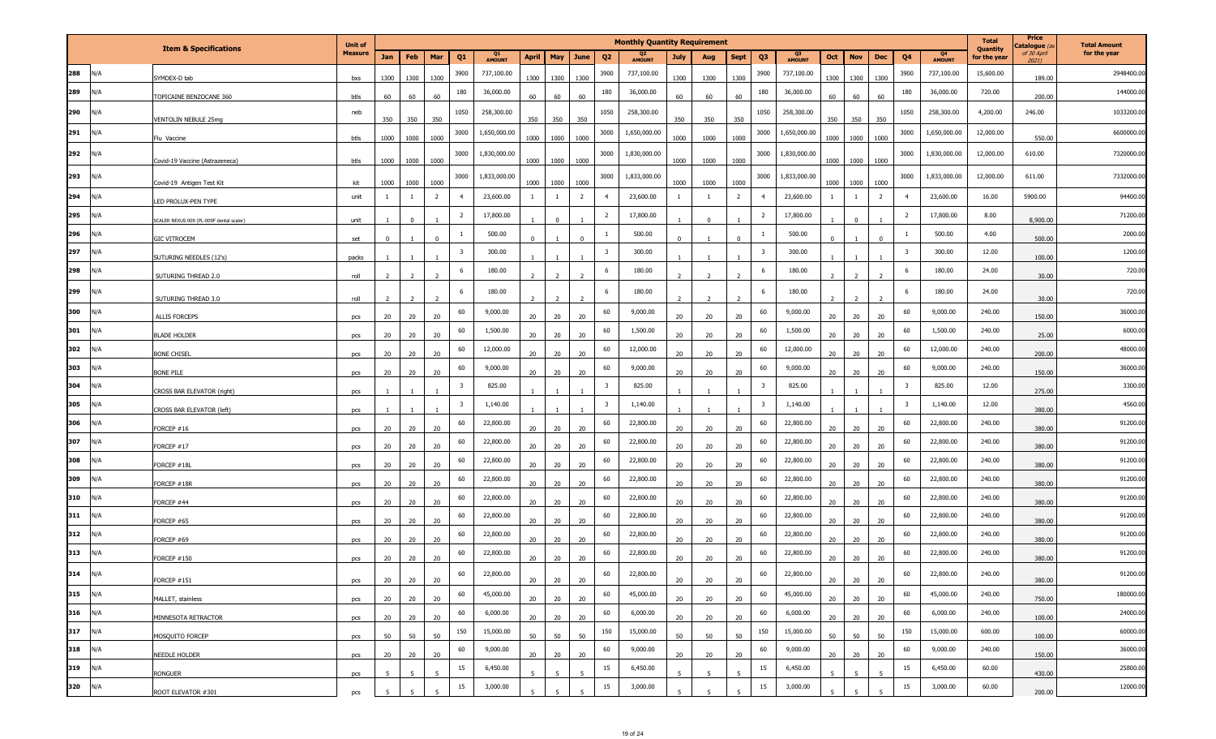|           |     |                                         | <b>Unit of</b> |                |                |                        |                         |                     |                 |                |                        |                         | <b>Monthly Quantity Requirement</b> |                 |                |                        |                         |                     |                 |                      |                        |                         |                     | <b>Total</b>             | Price<br>atalogue (a | <b>Total Amount</b> |
|-----------|-----|-----------------------------------------|----------------|----------------|----------------|------------------------|-------------------------|---------------------|-----------------|----------------|------------------------|-------------------------|-------------------------------------|-----------------|----------------|------------------------|-------------------------|---------------------|-----------------|----------------------|------------------------|-------------------------|---------------------|--------------------------|----------------------|---------------------|
|           |     | <b>Item &amp; Specifications</b>        | <b>Measure</b> | Jan            | Feb            | Mar                    | Q <sub>1</sub>          | Q1<br><b>AMOUNT</b> | <b>April</b>    | May            | June                   | Q <sub>2</sub>          | Q2<br>AMOUNT                        | July            | Aug            | <b>Sept</b>            | Q <sub>3</sub>          | Q3<br><b>AMOUNT</b> | Oct             | <b>Nov</b>           | <b>Dec</b>             | Q4                      | Q4<br><b>AMOUNT</b> | Quantity<br>for the year | of 30 April<br>2021) | for the year        |
| 288       | N/A | YMDEX-D tab                             | bxs            | 1300           | 1300           | 1300                   | 3900                    | 737,100.00          | 1300            | 1300           | 1300                   | 3900                    | 737,100.00                          | 1300            | 1300           | 1300                   | 3900                    | 737,100.00          | 1300            | 1300                 | 1300                   | 3900                    | 737,100.00          | 15,600.00                | 189.00               | 2948400.00          |
| 289       | N/A | OPICAINE BENZOCANE 360                  | btls           | 60             | 60             | 60                     | 180                     | 36,000.00           | 60              | 60             | 60                     | 180                     | 36,000.00                           | 60              | 60             | 60                     | 180                     | 36,000.00           | 60              | 60                   | 60                     | 180                     | 36,000.00           | 720.00                   | 200.00               | 144000.00           |
| 290       | N/A | <b>/ENTOLIN NEBULE 25mg</b>             | neb            | 350            | 350            | 350                    | 1050                    | 258,300.00          | 350             | 350            | 350                    | 1050                    | 258,300.00                          | 350             | 350            | 350                    | 1050                    | 258,300.00          | 350             | 350                  | 350                    | 1050                    | 258,300.00          | 4,200.00                 | 246.00               | 1033200.00          |
| 291       | N/A | Flu Vaccine                             | btls           | 1000           | 1000           | 1000                   | 3000                    | 1,650,000.00        | 1000            | 1000           | 1000                   | 3000                    | 1,650,000.00                        | 1000            | 1000           | 1000                   | 3000                    | 1,650,000.00        | 1000            | 1000                 | 1000                   | 3000                    | 1,650,000.00        | 12,000.00                | 550.00               | 6600000.00          |
| 292       | N/A |                                         |                |                |                |                        | 3000                    | 1,830,000.00        |                 |                |                        | 3000                    | 1,830,000.00                        |                 |                |                        | 3000                    | 1,830,000.00        |                 |                      |                        | 3000                    | 1,830,000.00        | 12,000.00                | 610.00               | 7320000.00          |
| 293       | N/A | Covid-19 Vaccine (Astrazeneca)          | btls           | 1000           | 1000           | 1000                   | 3000                    | 1,833,000.00        | 1000            | 1000           | 1000                   | 3000                    | 1,833,000.00                        | 1000            | 1000           | 1000                   | 3000                    | 1,833,000.00        | 1000            | 1000                 | 1000                   | 3000                    | 1,833,000.00        | 12,000.00                | 611.00               | 7332000.00          |
| 294       | N/A | ovid-19 Antigen Test Kit                | kit<br>unit    | 1000<br>-1     | 1000           | 1000<br>$\overline{2}$ | $\overline{4}$          | 23,600.00           | 1000            | 1000<br>-1     | 1000<br>$\overline{2}$ | $\overline{4}$          | 23,600.00                           | 1000            | 1000<br>- 1    | 1000<br>$\overline{2}$ | $\overline{4}$          | 23,600.00           | 1000            | 1000<br>$\mathbf{1}$ | 1000<br>$\overline{2}$ | $\overline{4}$          | 23,600.00           | 16.00                    | 5900.00              | 94400.00            |
| 295       | N/A | ED PROLUX-PEN TYPE                      |                |                |                |                        | $\overline{2}$          | 17,800.00           |                 |                |                        | $\overline{2}$          | 17,800.00                           |                 |                |                        | $\overline{2}$          | 17,800.00           |                 |                      |                        | $\overline{2}$          | 17,800.00           | 8.00                     |                      | 71200.00            |
| 296       | N/A | CALER NEXUS 009 (PL-009F dental scaler) | unit           |                |                |                        | -1                      | 500.00              |                 |                |                        |                         | 500.00                              |                 |                |                        | 1                       | 500.00              |                 | $\Omega$             |                        | 1                       | 500.00              | 4.00                     | 8,900.00             | 2000.00             |
| 297       | N/A | <b>GIC VITROCEM</b>                     | set            | $\mathbf 0$    |                | $\mathbf 0$            | $\overline{\mathbf{3}}$ | 300.00              | $\mathbf 0$     |                |                        | $\overline{\mathbf{3}}$ | 300.00                              | $\overline{0}$  |                | $\Omega$               | $\overline{\mathbf{3}}$ | 300.00              |                 |                      | $\Omega$               | $\overline{\mathbf{3}}$ | 300.00              | 12.00                    | 500.00               | 1200.00             |
| 298       | N/A | SUTURING NEEDLES (12's)                 | packs          |                |                |                        | 6                       | 180.00              |                 |                |                        | 6                       | 180.00                              |                 |                |                        | 6                       | 180.00              |                 |                      |                        | 6                       | 180.00              | 24.00                    | 100.00               | 720.00              |
| 299       | N/A | SUTURING THREAD 2.0                     | roll           | <sup>2</sup>   | $\overline{2}$ | $\overline{2}$         | 6                       | 180.00              | $\overline{2}$  | $\overline{2}$ | 2                      | 6                       | 180.00                              | 2               | 2              | $\overline{2}$         | 6                       | 180.00              | $\overline{z}$  | $\overline{2}$       | $\overline{2}$         | 6                       | 180.00              | 24.00                    | 30.00                | 720.00              |
|           |     | SUTURING THREAD 3.0                     | roll           | $\overline{2}$ |                | $\overline{2}$         |                         |                     | $\overline{2}$  |                | $\overline{2}$         |                         |                                     | 2               | $\overline{z}$ |                        |                         |                     |                 | $\overline{z}$       | $\overline{z}$         | 60                      |                     |                          | 30.00                | 36000.00            |
| 300       | N/A | <b>ALLIS FORCEPS</b>                    | pcs            | 20             | 20             | 20                     | 60                      | 9,000.00            | 20              | 20             | 20                     | 60                      | 9,000.00                            | 20              | 20             | 20                     | 60                      | 9,000.00            | 20              | 20                   | 20                     | 60                      | 9,000.00            | 240.00                   | 150.00               |                     |
| 301       | N/A | <b>BLADE HOLDER</b>                     | pcs            | 20             | 20             | 20                     | 60                      | 1,500.00            | 20              | 20             | 20                     | 60                      | 1,500.00                            | 20              | 20             | 20                     | 60                      | 1,500.00            | 20              | 20                   | 20                     |                         | 1,500.00            | 240.00                   | 25.00                | 6000.00<br>48000.00 |
| 302       | N/A | <b>BONE CHISEL</b>                      | pcs            | 20             | 20             | 20                     | 60                      | 12,000.00           | 20              | 20             | 20                     | 60                      | 12,000.00                           | 20 <sub>2</sub> | 20             | 20                     | 60                      | 12,000.00           | 20              | 20                   | 20                     | 60                      | 12,000.00           | 240.00                   | 200.00               |                     |
| 303       | N/A | Bone pile                               | pcs            | 20             | 20             | 20                     | 60                      | 9,000.00            | 20              | 20             | 20                     | 60                      | 9,000.00                            | 20              | 20             | 20                     | 60                      | 9,000.00            | 20              | 20                   | 20                     | 60                      | 9,000.00            | 240.00                   | 150.00               | 36000.00            |
| 304       | N/A | <b>CROSS BAR ELEVATOR (right)</b>       | pcs            |                |                |                        | $\overline{\mathbf{3}}$ | 825.00              |                 |                |                        | $\overline{\mathbf{3}}$ | 825.00                              |                 |                |                        | $\overline{\mathbf{3}}$ | 825.00              |                 |                      |                        | $\overline{\mathbf{3}}$ | 825.00              | 12.00                    | 275.00               | 3300.00             |
| 305       | N/A | CROSS BAR ELEVATOR (left)               | pcs            |                |                |                        | $\overline{\mathbf{3}}$ | 1,140.00            |                 |                |                        | $\overline{\mathbf{3}}$ | 1,140.00                            |                 |                |                        | $\overline{\mathbf{3}}$ | 1,140.00            |                 |                      |                        | $\overline{\mathbf{3}}$ | 1,140.00            | 12.00                    | 380.00               | 4560.00             |
| 306       | N/A | ORCEP #16                               | pcs            | 20             | 20             | 20                     | 60                      | 22,800.00           | 20              | 20             | 20                     | 60                      | 22,800.00                           | 20              | 20             | 20                     | 60                      | 22,800.00           | 20              | 20                   | 20                     | 60                      | 22,800.00           | 240.00                   | 380.00               | 91200.00            |
| 307       | N/A | ORCEP #17                               | pcs            | 20             | 20             | 20                     | 60                      | 22,800.00           | 20              | 20             | 20                     | 60                      | 22,800.00                           | 20              | 20             | 20                     | 60                      | 22,800.00           | 20              | 20                   | 20                     | 60                      | 22,800.00           | 240.00                   | 380.00               | 91200.00            |
| 308       | N/A | ORCEP #18L                              | pcs            | 20             | 20             | 20                     | 60                      | 22,800.00           | 20              | 20             | 20                     | 60                      | 22,800.00                           | 20              | 20             | 20                     | 60                      | 22,800.00           | 20              | 20                   | 20                     | 60                      | 22,800.00           | 240.00                   | 380.00               | 91200.00            |
| 309       | N/A | ORCEP #18R                              | pcs            | 20             | 20             | 20                     | 60                      | 22,800.00           | 20              | 20             | 20                     | 60                      | 22,800.00                           | 20              | 20             | 20                     | 60                      | 22,800.00           | 20              | 20                   | 20                     | 60                      | 22,800.00           | 240.00                   | 380.00               | 91200.00            |
| 310       | N/A | ORCEP #44                               | pcs            | 20             | 20             | 20                     | 60                      | 22,800.00           | 20              | 20             | 20                     | 60                      | 22,800.00                           | 20              | 20             | 20                     | 60                      | 22,800.00           | 20              | 20                   | 20                     | 60                      | 22,800.00           | 240.00                   | 380.00               | 91200.00            |
| 311       | N/A | ORCEP #65                               | pcs            | 20             | 20             | 20                     | 60                      | 22,800.00           | 20              | 20             | 20                     | 60                      | 22,800.00                           | 20              | 20             | 20                     | 60                      | 22,800.00           | 20              | 20                   | 20                     | 60                      | 22,800.00           | 240.00                   | 380.00               | 91200.00            |
| 312       | N/A | ORCEP #69                               | pcs            | 20             | 20             | 20                     | 60                      | 22,800.00           | 20              | 20             | 20                     | 60                      | 22,800.00                           | 20              | 20             | 20                     | 60                      | 22,800.00           | 20              | 20                   | 20                     | 60                      | 22,800.00           | 240.00                   | 380.00               | 91200.00            |
| 313       | N/A | ORCEP #150                              | pcs            | 20             | 20             | 20                     | 60                      | 22,800.00           | 20              | 20             | 20                     | 60                      | 22,800.00                           | 20              | 20             | 20                     | 60                      | 22,800.00           | 20              | 20                   | 20                     | 60                      | 22,800.00           | 240.00                   | 380.00               | 91200.00            |
| 314       | N/A | <b>FORCEP #151</b>                      | pcs            | 20             | 20             | 20                     | 60                      | 22,800.00           | 20              | 20             | 20                     | 60                      | 22,800.00                           | 20              | 20             | 20                     | 60                      | 22,800.00           | 20 <sub>2</sub> | 20                   | 20                     | 60                      | 22,800.00           | 240.00                   | 380.00               | 91200.00            |
| 315 $N/A$ |     | MALLET, stainless                       | pcs            | 20             | 20             | 20                     | 60                      | 45,000.00           | 20              | 20             | 20                     | 60                      | 45,000.00                           | 20              | 20             | 20 <sub>2</sub>        | 60                      | 45,000.00           | 20              | 20                   | 20                     | 60                      | 45,000.00           | 240.00                   | 750.00               | 180000.00           |
| 316 N/A   |     | MINNESOTA RETRACTOR                     | pcs            | 20             | 20             | 20                     | 60                      | 6,000.00            | 20              | 20             | 20                     | 60                      | 6,000.00                            | 20              | 20             | 20                     | 60                      | 6,000.00            | 20              | 20                   | 20                     | 60                      | 6,000.00            | 240.00                   | 100.00               | 24000.00            |
| 317 N/A   |     | MOSQUITO FORCEP                         | pcs            | 50             | 50             | 50                     | 150                     | 15,000.00           | 50              | 50             | 50                     | 150                     | 15,000.00                           | 50              | 50             | 50                     | 150                     | 15,000.00           | 50              | 50                   | 50                     | 150                     | 15,000.00           | 600.00                   | 100.00               | 60000.00            |
| 318 N/A   |     | NEEDLE HOLDER                           | pcs            | 20             | 20             | 20                     | 60                      | 9,000.00            | 20              | 20             | 20                     | 60                      | 9,000.00                            | 20              | 20             | 20                     | 60                      | 9,000.00            | 20              | 20                   | 20                     | 60                      | 9,000.00            | 240.00                   | 150.00               | 36000.00            |
| 319 N/A   |     | RONGUER                                 | pcs            | 5 <sup>5</sup> | 5              | 5                      | 15                      | 6,450.00            | $5\overline{5}$ | $\overline{5}$ | 5                      | 15                      | 6,450.00                            | 5 <sup>5</sup>  | -5             | 5                      | 15                      | 6,450.00            | 5 <sup>5</sup>  | 5                    | 5                      | 15                      | 6,450.00            | 60.00                    | 430.00               | 25800.00            |
| 320 N/A   |     | ROOT ELEVATOR #301                      | pcs            |                |                |                        | 15                      | 3,000.00            |                 |                |                        | 15                      | 3,000.00                            |                 |                |                        | 15                      | 3,000.00            |                 |                      |                        | 15                      | 3,000.00            | 60.00                    | 200.00               | 12000.00            |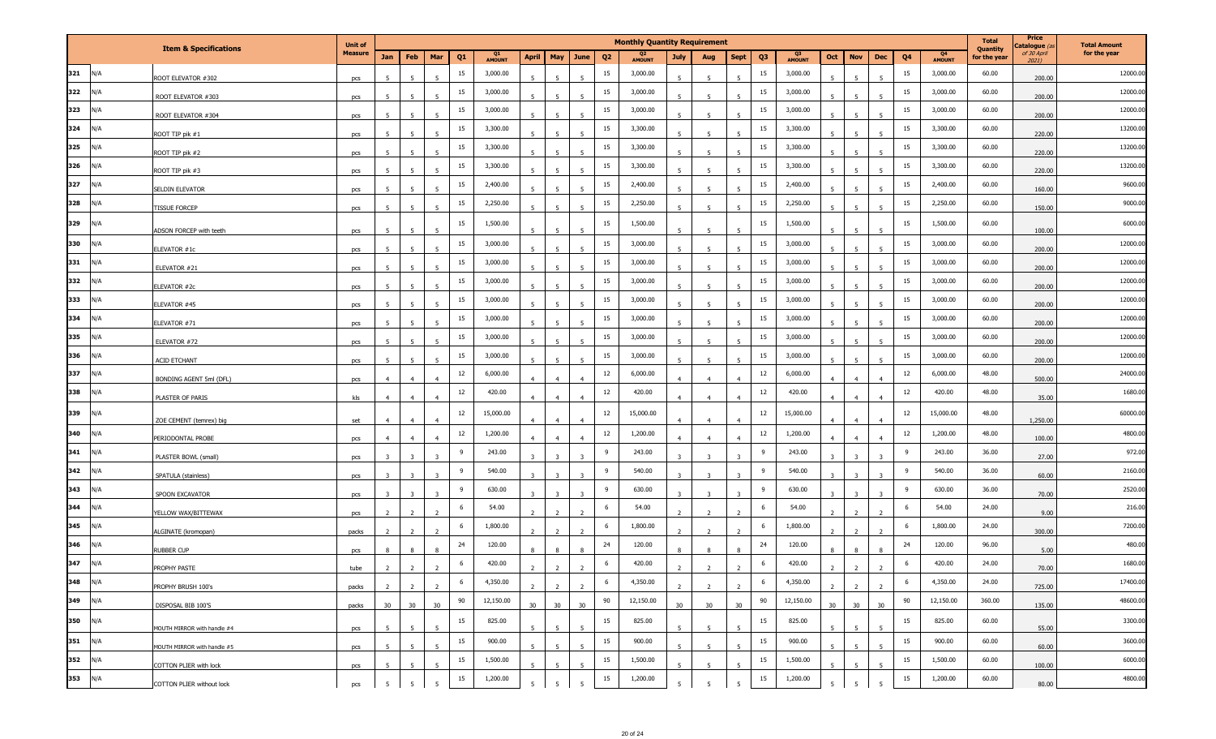|     |     |                                        | <b>Unit of</b> |                 |                |                          |                |              |                         |                |                          |                | <b>Monthly Quantity Requirement</b> |                |                         |                |                |                                 |                |                          |                         |    |                     | Total<br>Quantity | Price<br>Catalogue (as | <b>Total Amount</b> |
|-----|-----|----------------------------------------|----------------|-----------------|----------------|--------------------------|----------------|--------------|-------------------------|----------------|--------------------------|----------------|-------------------------------------|----------------|-------------------------|----------------|----------------|---------------------------------|----------------|--------------------------|-------------------------|----|---------------------|-------------------|------------------------|---------------------|
|     |     | <b>Item &amp; Specifications</b>       | <b>Measure</b> | Jan             | Feb            | Mar                      | Q <sub>1</sub> | Q1<br>AMOUNT | <b>April</b>            | May            | June                     | Q <sub>2</sub> | Q <sub>2</sub><br><b>AMOUNT</b>     | <b>July</b>    | Aug                     | <b>Sept</b>    | Q <sub>3</sub> | Q <sub>3</sub><br><b>AMOUNT</b> | Oct            | <b>Nov</b>               | Dec                     | Q4 | Q4<br><b>AMOUNT</b> | for the year      | of 30 April<br>2021)   | for the year        |
| 321 | N/A | <b>ROOT ELEVATOR #302</b>              | pcs            |                 |                |                          | 15             | 3,000.00     | $\overline{\mathbf{S}}$ |                |                          | 15             | 3,000.00                            |                |                         |                | 15             | 3,000.00                        |                |                          |                         | 15 | 3,000.00            | 60.00             | 200.00                 | 12000.00            |
| 322 | N/A | ROOT ELEVATOR #303                     | pcs            |                 |                |                          | 15             | 3,000.00     |                         |                |                          | 15             | 3,000.00                            |                |                         |                | 15             | 3,000.00                        |                |                          |                         | 15 | 3,000.00            | 60.00             | 200.00                 | 12000.00            |
| 323 | N/A | ROOT ELEVATOR #304                     | pcs            |                 |                | $\overline{\phantom{a}}$ | 15             | 3,000.00     | $\overline{5}$          |                | $\overline{\phantom{a}}$ | 15             | 3,000.00                            | -5             |                         |                | 15             | 3,000.00                        |                |                          | 5                       | 15 | 3,000.00            | 60.00             | 200.00                 | 12000.00            |
| 324 | N/A | ROOT TIP pik #1                        | pcs            |                 |                |                          | 15             | 3,300.00     | $\overline{5}$          |                |                          | 15             | 3,300.00                            | 5              | 5                       |                | 15             | 3,300.00                        |                |                          |                         | 15 | 3,300.00            | 60.00             | 220.00                 | 13200.00            |
| 325 | N/A | ROOT TIP pik #2                        | pcs            |                 |                | $\overline{5}$           | 15             | 3,300.00     | -5                      |                | 5 <sup>2</sup>           | 15             | 3,300.00                            | 5 <sub>1</sub> | -5                      |                | 15             | 3,300.00                        |                | 5                        |                         | 15 | 3,300.00            | 60.00             | 220.00                 | 13200.00            |
| 326 | N/A | ROOT TIP pik #3                        | pcs            | -5              |                | $\overline{\phantom{a}}$ | 15             | 3,300.00     | 5 <sup>1</sup>          |                | $\overline{5}$           | 15             | 3,300.00                            | $\overline{5}$ | -5                      |                | 15             | 3,300.00                        |                | $\overline{\phantom{a}}$ | 5                       | 15 | 3,300.00            | 60.00             | 220.00                 | 13200.00            |
| 327 | N/A | SELDIN ELEVATOR                        | pcs            |                 |                |                          | 15             | 2,400.00     | -5                      |                |                          | 15             | 2,400.00                            |                | .5                      |                | 15             | 2,400.00                        |                |                          |                         | 15 | 2,400.00            | 60.00             | 160.00                 | 9600.00             |
| 328 | N/A | <b>ISSUE FORCEP</b>                    | pcs            | -5              |                | 5 <sub>1</sub>           | 15             | 2,250.00     | 5 <sup>5</sup>          |                | $5^{\circ}$              | 15             | 2,250.00                            | $\overline{5}$ | 5                       |                | 15             | 2,250.00                        | $\mathbf{r}$   | $\overline{\phantom{a}}$ | 5                       | 15 | 2,250.00            | 60.00             | 150.00                 | 9000.00             |
| 329 | N/A |                                        |                |                 |                | 5 <sub>1</sub>           | 15             | 1,500.00     | 5                       |                | $5^{\circ}$              | 15             | 1,500.00                            | -5             | $\overline{5}$          |                | 15             | 1,500.00                        | $\overline{a}$ | $\overline{\phantom{a}}$ | $\overline{5}$          | 15 | 1,500.00            | 60.00             |                        | 6000.00             |
| 330 | N/A | ADSON FORCEP with teeth<br>LEVATOR #1c | pcs<br>pcs     | 5               |                |                          | 15             | 3,000.00     | $\overline{a}$          |                |                          | 15             | 3,000.00                            | 5              |                         |                | 15             | 3,000.00                        |                |                          |                         | 15 | 3,000.00            | 60.00             | 100.00<br>200.00       | 12000.00            |
| 331 | N/A | ELEVATOR #21                           | pcs            | -5              |                | 5                        | 15             | 3,000.00     | 5                       | -5             | 5                        | 15             | 3,000.00                            | -5             | -5                      |                | 15             | 3,000.00                        |                | 5                        | 5                       | 15 | 3,000.00            | 60.00             | 200.00                 | 12000.00            |
| 332 | N/A | LEVATOR #2c                            | pcs            | -5              |                |                          | 15             | 3,000.00     | $\overline{5}$          |                |                          | 15             | 3,000.00                            | $\overline{5}$ | -5                      |                | 15             | 3,000.00                        |                | 5                        |                         | 15 | 3,000.00            | 60.00             | 200.00                 | 12000.00            |
| 333 | N/A | ELEVATOR #45                           | pcs            | -5              | -5             | $\overline{5}$           | 15             | 3,000.00     | 5                       | -5             | -5                       | 15             | 3,000.00                            | 5              | -5                      |                | 15             | 3,000.00                        | -5             | 5 <sup>5</sup>           | -5                      | 15 | 3,000.00            | 60.00             | 200.00                 | 12000.00            |
| 334 | N/A | LEVATOR #71                            | pcs            | 5               |                |                          | 15             | 3,000.00     | $\overline{5}$          |                |                          | 15             | 3,000.00                            | $\overline{5}$ | 5                       |                | 15             | 3,000.00                        |                |                          |                         | 15 | 3,000.00            | 60.00             | 200.00                 | 12000.00            |
| 335 | N/A | ELEVATOR #72                           | pcs            | -5              |                | $\overline{\phantom{a}}$ | 15             | 3,000.00     | 5                       |                | $\overline{5}$           | 15             | 3,000.00                            | 5              | -5                      |                | 15             | 3,000.00                        |                | 5                        | 5                       | 15 | 3,000.00            | 60.00             | 200.00                 | 12000.00            |
| 336 | N/A | <b>ACID ETCHANT</b>                    | pcs            | -5              |                | 5                        | 15             | 3,000.00     | 5 <sup>5</sup>          |                | 5                        | 15             | 3,000.00                            | 5              | -5                      |                | 15             | 3,000.00                        |                | $\overline{5}$           | $\overline{5}$          | 15 | 3,000.00            | 60.00             | 200.00                 | 12000.00            |
| 337 | N/A | BONDING AGENT 5ml (DFL)                | pcs            | $\overline{4}$  |                | $\overline{4}$           | 12             | 6,000.00     | $\overline{4}$          |                |                          | 12             | 6,000.00                            | $\overline{4}$ | $\overline{\mathbf{4}}$ |                | 12             | 6,000.00                        |                | $\overline{4}$           |                         | 12 | 6,000.00            | 48.00             | 500.00                 | 24000.00            |
| 338 | N/A | PLASTER OF PARIS                       | kls            | $\overline{4}$  |                | $\overline{4}$           | 12             | 420.00       | $\overline{4}$          |                | $\overline{4}$           | 12             | 420.00                              | $\overline{4}$ | $\overline{4}$          |                | 12             | 420.00                          |                | $\overline{a}$           | 4                       | 12 | 420.00              | 48.00             | 35.00                  | 1680.00             |
| 339 | N/A | ZOE CEMENT (temrex) big                | set            | $\overline{4}$  |                | $\overline{4}$           | 12             | 15,000.00    | $\overline{4}$          |                | $\overline{4}$           | 12             | 15,000.00                           | $\overline{a}$ | $\overline{4}$          |                | 12             | 15,000.00                       |                | $\overline{4}$           | $\overline{\mathbf{4}}$ | 12 | 15,000.00           | 48.00             | 1,250.00               | 60000.00            |
| 340 | N/A | PERIODONTAL PROBE                      | pcs            | $\overline{4}$  |                | $\overline{4}$           | 12             | 1,200.00     | $\overline{4}$          |                | $\overline{4}$           | 12             | 1,200.00                            | $\overline{a}$ | $\overline{\mathbf{4}}$ |                | 12             | 1,200.00                        |                |                          |                         | 12 | 1,200.00            | 48.00             | 100.00                 | 4800.00             |
| 341 | N/A | PLASTER BOWL (small)                   | pcs            | $\mathbf{R}$    |                | $\overline{\mathbf{z}}$  | 9              | 243.00       | $\overline{3}$          |                | $\overline{\mathbf{3}}$  | 9              | 243.00                              | $\mathbf{R}$   | -3                      |                | 9              | 243.00                          |                | $\overline{\mathbf{z}}$  | $\overline{\mathbf{3}}$ | 9  | 243.00              | 36.00             | 27.00                  | 972.00              |
| 342 | N/A | SPATULA (stainless)                    | pcs            |                 |                |                          | 9              | 540.00       |                         |                |                          | 9              | 540.00                              |                |                         |                | 9              | 540.00                          |                |                          |                         | 9  | 540.00              | 36.00             | 60.00                  | 2160.00             |
| 343 | N/A | SPOON EXCAVATOR                        | pcs            |                 |                |                          | 9              | 630.00       |                         |                |                          | 9              | 630.00                              |                |                         |                | 9              | 630.00                          |                |                          |                         | 9  | 630.00              | 36.00             | 70.00                  | 2520.00             |
| 344 | N/A | ELLOW WAX/BITTEWAX                     | pcs            |                 |                |                          | 6              | 54.00        |                         |                |                          | 6              | 54.00                               |                |                         |                | 6              | 54.00                           |                |                          |                         | 6  | 54.00               | 24.00             | 9.00                   | 216.00              |
| 345 | N/A | <b>LGINATE</b> (kromopan)              | packs          |                 |                |                          | 6              | 1,800.00     |                         |                |                          | 6              | 1,800.00                            |                |                         |                | 6              | 1,800.00                        |                |                          |                         | 6  | 1,800.00            | 24.00             | 300.00                 | 7200.00             |
| 346 | N/A | UBBER CUP                              | pcs            | -8              |                | 8                        | 24             | 120.00       | $\mathbf{8}$            |                | 8                        | 24             | 120.00                              | 8              | 8                       |                | 24             | 120.00                          |                | 8                        | 8                       | 24 | 120.00              | 96.00             | 5.00                   | 480.00              |
| 347 | N/A | PROPHY PASTE                           | tube           |                 |                |                          | 6              | 420.00       |                         |                |                          | 6              | 420.00                              |                |                         |                | 6              | 420.00                          |                |                          |                         | 6  | 420.00              | 24.00             | 70.00                  | 1680.00             |
| 348 | N/A | PROPHY BRUSH 100's                     | packs          | $\overline{2}$  | $\overline{2}$ | 2                        | 6              | 4,350.00     | 2                       | $\overline{2}$ | $\overline{2}$           | 6              | 4,350.00                            | $\overline{2}$ | $\overline{2}$          | $\overline{2}$ | 6              | 4,350.00                        | 2              | $\overline{2}$           | $\overline{2}$          | 6  | 4,350.00            | 24.00             | 725.00                 | 17400.00            |
| 349 | N/A | DISPOSAL BIB 100'S                     | packs          | 30              | 30             | 30                       | 90             | 12,150.00    | 30                      | 30             | 30                       | 90             | 12,150.00                           | 30             | 30                      | 30             | 90             | 12,150.00                       | 30             | 30                       | 30                      | 90 | 12,150.00           | 360.00            | 135.00                 | 48600.00            |
| 350 | N/A | MOUTH MIRROR with handle #4            | pcs            | 5               |                | 5 <sub>1</sub>           | 15             | 825.00       | 5                       |                | 5 <sup>5</sup>           | 15             | 825.00                              | 5 <sup>5</sup> | -5                      |                | 15             | 825.00                          | $\mathbf{r}$   | $\overline{\phantom{a}}$ | 5                       | 15 | 825.00              | 60.00             | 55.00                  | 3300.00             |
| 351 | N/A | MOUTH MIRROR with handle #5            | pcs            | 5               | -5             | 5                        | 15             | 900.00       | 5 <sup>5</sup>          | $\overline{5}$ | 5 <sup>2</sup>           | 15             | 900.00                              | 5 <sup>7</sup> | 5                       |                | 15             | 900.00                          | 5 <sup>5</sup> | 5                        | 5                       | 15 | 900.00              | 60.00             | 60.00                  | 3600.00             |
| 352 | N/A | COTTON PLIER with lock                 | pcs            | 5               | $\overline{5}$ | 5 <sub>1</sub>           | 15             | 1,500.00     | 5                       | 5 <sup>5</sup> | 5 <sup>5</sup>           | 15             | 1,500.00                            | $\overline{5}$ | -5                      |                | 15             | 1,500.00                        | $5^{\circ}$    | $5^{\circ}$              | 5                       | 15 | 1,500.00            | 60.00             | 100.00                 | 6000.00             |
| 353 | N/A | COTTON PLIER without lock              | pcs            | $5\overline{5}$ | 5              | 5                        | 15             | 1,200.00     | 5                       |                | 5                        | 15             | 1,200.00                            | 5              | 5                       |                | 15             | 1,200.00                        | 5              | 5                        |                         | 15 | 1,200.00            | 60.00             | 80.00                  | 4800.00             |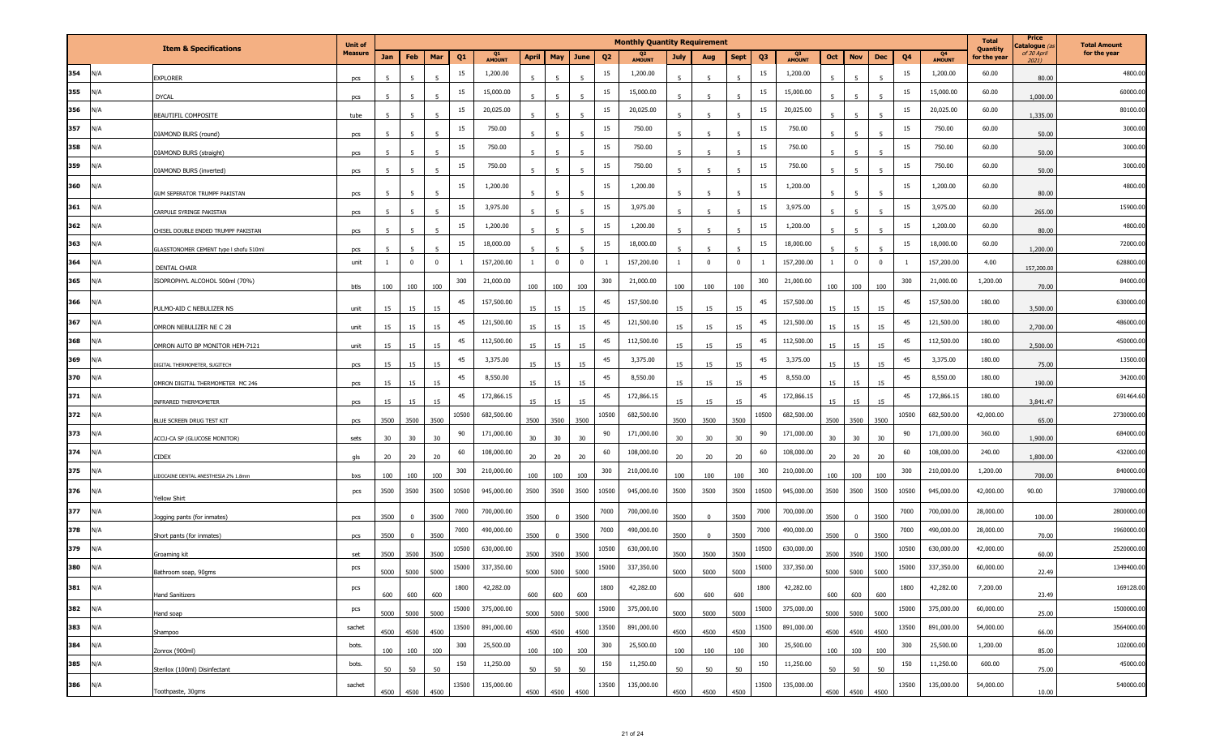|     |     |                                        | <b>Unit of</b> |      |          |                |                |              |                |           |          |                | <b>Monthly Quantity Requirement</b> |                |          |             |                |                     |                          |                         |       |                     | <b>Total</b><br>Quantity | Price<br>C <b>atalogue</b> (a | <b>Total Amount</b> |
|-----|-----|----------------------------------------|----------------|------|----------|----------------|----------------|--------------|----------------|-----------|----------|----------------|-------------------------------------|----------------|----------|-------------|----------------|---------------------|--------------------------|-------------------------|-------|---------------------|--------------------------|-------------------------------|---------------------|
|     |     | <b>Item &amp; Specifications</b>       | <b>Measure</b> | Jan  | Feb      | Mar            | Q <sub>1</sub> | Q1<br>AMOUNT | <b>April</b>   | May       | June     | Q <sub>2</sub> | <b>AMOUNT</b>                       | <b>July</b>    | Aug      | <b>Sept</b> | Q <sub>3</sub> | Q3<br><b>AMOUNT</b> | Oct<br><b>Nov</b>        | Dec                     | Q4    | Q4<br><b>AMOUNT</b> | for the year             | of 30 April<br>2021)          | for the year        |
| 354 | N/A | <b>XPLORER</b>                         | pcs            |      |          |                | 15             | 1,200.00     |                |           |          | 15             | 1,200.00                            |                |          |             | 15             | 1,200.00            |                          |                         | 15    | 1,200.00            | 60.00                    | 80.00                         | 4800.00             |
| 355 | N/A | <b>DYCAL</b>                           | pcs            |      |          |                | 15             | 15,000.00    |                |           |          | 15             | 15,000.00                           |                |          |             | 15             | 15,000.00           |                          |                         | 15    | 15,000.00           | 60.00                    | 1,000.00                      | 60000.00            |
| 356 | N/A | BEAUTIFIL COMPOSITE                    | tube           | 5    |          | $\overline{5}$ | 15             | 20,025.00    |                |           |          | 15             | 20,025.00                           | 5              |          |             | 15             | 20,025.00           |                          |                         | 15    | 20,025.00           | 60.00                    | 1,335.00                      | 80100.00            |
| 357 | N/A | DIAMOND BURS (round)                   | pcs            |      |          |                | 15             | 750.00       | 5              |           |          | 15             | 750.00                              | 5              |          |             | 15             | 750.00              |                          |                         | 15    | 750.00              | 60.00                    | 50.00                         | 3000.00             |
| 358 | N/A | DIAMOND BURS (straight)                | pcs            | -5   |          |                | 15             | 750.00       |                |           |          | 15             | 750.00                              | 5 <sub>1</sub> | -5       |             | 15             | 750.00              |                          |                         | 15    | 750.00              | 60.00                    | 50.00                         | 3000.00             |
| 359 | N/A | DIAMOND BURS (inverted)                | pcs            | 5    |          | $\overline{5}$ | 15             | 750.00       | $\overline{5}$ |           |          | 15             | 750.00                              | $\overline{5}$ | 5        |             | 15             | 750.00              |                          | 5                       | 15    | 750.00              | 60.00                    | 50.00                         | 3000.00             |
| 360 | I/A | GUM SEPERATOR TRUMPF PAKISTAN          | pcs            | -5   |          | $\overline{5}$ | 15             | 1,200.00     | 5 <sup>5</sup> |           |          | 15             | 1,200.00                            | -5             | 5        |             | 15             | 1,200.00            | к                        | 5                       | 15    | 1,200.00            | 60.00                    | 80.00                         | 4800.00             |
| 361 | N/A | CARPULE SYRINGE PAKISTAN               | pcs            | -5   |          |                | 15             | 3,975.00     |                |           |          | 15             | 3,975.00                            | 5              |          |             | 15             | 3,975.00            |                          |                         | 15    | 3,975.00            | 60.00                    | 265.00                        | 15900.00            |
| 362 | N/A | CHISEL DOUBLE ENDED TRUMPF PAKISTAN    | pcs            | 5    |          | 5 <sup>1</sup> | 15             | 1,200.00     | $\overline{5}$ |           | -5       | 15             | 1,200.00                            | -5             | -5       |             | 15             | 1,200.00            | $\overline{\phantom{a}}$ | 5                       | 15    | 1,200.00            | 60.00                    | 80.00                         | 4800.00             |
| 363 | N/A | GLASSTONOMER CEMENT type I shofu 510ml | pcs            |      |          |                | 15             | 18,000.00    |                |           |          | 15             | 18,000.00                           |                |          |             | 15             | 18,000.00           |                          |                         | 15    | 18,000.00           | 60.00                    | 1,200.00                      | 72000.00            |
| 364 | N/A | DENTAL CHAIR                           | unit           | -1   | $\Omega$ | $\mathbf{0}$   |                | 157,200.00   | <sup>1</sup>   | $\Omega$  | $\bf{0}$ |                | 157,200.00                          | -1             | $\bf{0}$ | $\Omega$    | -1             | 157,200.00          | $\mathbf 0$              | $\overline{\mathbf{0}}$ |       | 157,200.00          | 4.00                     | 157,200.00                    | 628800.00           |
| 365 | N/A | ISOPROPHYL ALCOHOL 500ml (70%)         | btls           | 100  | 100      | 100            | 300            | 21,000.00    | 100            | 100       | 100      | 300            | 21,000.00                           | 100            | 100      | 100         | 300            | 21,000.00           | 100<br>100               | 100                     | 300   | 21,000.00           | 1,200.00                 | 70.00                         | 84000.00            |
| 366 | l/A | PULMO-AID C NEBULIZER NS               | unit           | 15   | 15       | 15             | 45             | 157,500.00   | 15             | 15        | 15       | 45             | 157,500.00                          | 15             | 15       | 15          | 45             | 157,500.00          | 15<br>15                 | 15                      | 45    | 157,500.00          | 180.00                   | 3,500.00                      | 630000.00           |
| 367 | N/A | OMRON NEBULIZER NE C 28                | unit           | 15   | 15       | 15             | 45             | 121,500.00   | 15             | 15        | 15       | 45             | 121,500.00                          | 15             | 15       | 15          | 45             | 121,500.00          | 15<br>15                 | 15                      | 45    | 121,500.00          | 180.00                   | 2,700.00                      | 486000.00           |
| 368 | N/A | OMRON AUTO BP MONITOR HEM-7121         | unit           | 15   | 15       | 15             | 45             | 112,500.00   | 15             | 15        | 15       | 45             | 112,500.00                          | 15             | 15       | 15          | 45             | 112,500.00          | 15<br>15                 | 15                      | 45    | 112,500.00          | 180.00                   | 2,500.00                      | 450000.00           |
| 369 | N/A | DIGITAL THERMOMETER, SUGITECH          | pcs            | 15   | 15       | 15             | 45             | 3,375.00     | 15             | 15        | 15       | 45             | 3,375.00                            | 15             | 15       | 15          | 45             | 3,375.00            | 15<br>15                 | 15                      | 45    | 3,375.00            | 180.00                   | 75.00                         | 13500.00            |
| 370 | N/A | OMRON DIGITAL THERMOMETER MC 246       | pcs            | 15   | 15       | 15             | 45             | 8,550.00     | 15             | 15        | 15       | 45             | 8,550.00                            | 15             | 15       | 15          | 45             | 8,550.00            | 15<br>15                 | 15                      | 45    | 8,550.00            | 180.00                   | 190.00                        | 34200.00            |
| 371 | N/A | INFRARED THERMOMETER                   | pcs            | 15   | 15       | 15             | 45             | 172,866.15   | 15             | 15        | 15       | 45             | 172,866.15                          | 15             | 15       | 15          | 45             | 172,866.15          | 15<br>15                 | 15                      | 45    | 172,866.15          | 180.00                   | 3,841.47                      | 691464.60           |
| 372 | N/A | BLUE SCREEN DRUG TEST KIT              | pcs            | 3500 | 3500     | 3500           | 10500          | 682,500.00   | 3500           | 3500      | 3500     | 10500          | 682,500.00                          | 3500           | 3500     | 3500        | 10500          | 682,500.00          | 3500<br>3500             | 3500                    | 10500 | 682,500.00          | 42,000.00                | 65.00                         | 2730000.0           |
| 373 | N/A | ACCU-CA SP (GLUCOSE MONITOR)           | sets           | 30   | 30       | 30             | 90             | 171,000.00   | 30             | 30        | 30       | 90             | 171,000.00                          | 30             | 30       | 30          | 90             | 171,000.00          | 30<br>30                 | 30                      | 90    | 171,000.00          | 360.00                   | 1,900.00                      | 684000.0            |
| 374 | N/A | CIDEX                                  | qls            | 20   | 20       | 20             | 60             | 108,000.00   | 20             | 20        | 20       | 60             | 108,000.00                          | 20             | 20       | 20          | 60             | 108,000.00          | 20<br>20                 | 20                      | 60    | 108,000.00          | 240.00                   | 1,800.00                      | 432000.00           |
| 375 | N/A | IDOCAINE DENTAL ANESTHESIA 2% 1.8mm    | bxs            | 100  | 100      | 100            | 300            | 210,000.00   | 100            | 100       | 100      | 300            | 210,000.00                          | 100            | 100      | 100         | 300            | 210,000.00          | 100<br>100               | 100                     | 300   | 210,000.00          | 1,200.00                 | 700.00                        | 840000.0            |
| 376 | N/A | Yellow Shirt                           | pcs            | 3500 | 3500     | 3500           | 10500          | 945,000.00   | 3500           | 3500      | 3500     | 10500          | 945,000.00                          | 3500           | 3500     | 3500        | 10500          | 945,000.00          | 3500<br>3500             | 3500                    | 10500 | 945,000.00          | 42,000.00                | 90.00                         | 3780000.00          |
| 377 | N/A | logging pants (for inmates)            | pcs            | 3500 |          | 3500           | 7000           | 700,000.00   | 3500           |           | 3500     | 7000           | 700,000.00                          | 3500           | $\Omega$ | 3500        | 7000           | 700,000.00          | 3500                     | 3500                    | 7000  | 700,000.00          | 28,000.00                | 100.00                        | 2800000.00          |
| 378 | N/A | Short pants (for inmates)              | pcs            | 3500 | $\Omega$ | 3500           | 7000           | 490,000.00   | 3500           |           | 3500     | 7000           | 490,000.00                          | 3500           | $\Omega$ | 3500        | 7000           | 490,000.00          | 3500<br>$\Omega$         | 3500                    | 7000  | 490,000.00          | 28,000.00                | 70.00                         | 1960000.0           |
| 379 | N/A | Groaming kit                           | set            | 3500 | 3500     | 3500           | 10500          | 630,000.00   | 3500           | 3500      | 3500     | 10500          | 630,000.00                          | 3500           | 3500     | 3500        | 10500          | 630,000.00          | 3500<br>3500             | 3500                    | 10500 | 630,000.00          | 42,000.00                | 60.00                         | 2520000.00          |
| 380 | N/A | Bathroom soan, 90gms                   | pcs            | 5000 | 5000     | 5000           | 15000          | 337,350.00   | 5000           | 5000      | 5000     | 15000          | 337,350.00                          | 5000           | 5000     | 5000        | 15000          | 337,350.00          | 5000<br>5000             | 5000                    | 15000 | 337,350.00          | 60,000.00                | 22.49                         | 1349400.00          |
| 381 | N/A | <b>Hand Sanitizers</b>                 | pcs            | 600  | 600      | 600            | 1800           | 42,282.00    | 600            | 600       | 600      | 1800           | 42,282.00                           | 600            | 600      | 600         | 1800           | 42,282.00           | 600<br>600               | 600                     | 1800  | 42,282.00           | 7,200.00                 | 23.49                         | 169128.00           |
| 382 | N/A | Hand soap                              | pcs            | 5000 | 5000     | 5000           | 15000          | 375,000.00   | 5000           | 5000      | 5000     | 15000          | 375,000.00                          | 5000           | 5000     | 5000        | 15000          | 375,000.00          | 5000<br>5000             | 5000                    | 15000 | 375,000.00          | 60,000.00                | 25.00                         | 1500000.00          |
| 383 | N/A | Shampoo                                | sachet         | 4500 | 4500     | 4500           | 13500          | 891,000.00   |                | 4500 4500 | 4500     | 13500          | 891,000.00                          | 4500           | 4500     | 4500        | 13500          | 891,000.00          | 4500 4500                | 4500                    | 13500 | 891,000.00          | 54,000.00                | 66.00                         | 3564000.00          |
| 384 | N/A | Zonrox (900ml)                         | bots.          | 100  | 100      | 100            | 300            | 25,500.00    | 100            | 100       | 100      | 300            | 25,500.00                           | 100            | 100      | 100         | 300            | 25,500.00           | 100<br>100               | 100                     | 300   | 25,500.00           | 1,200.00                 | 85.00                         | 102000.00           |
| 385 | N/A | Sterilox (100ml) Disinfectant          | bots.          | 50   | 50       | 50             | 150            | 11,250.00    | 50             | 50        | 50       | 150            | 11,250.00                           | 50             | 50       | 50          | 150            | 11,250.00           | 50<br>50                 | 50                      | 150   | 11,250.00           | 600.00                   | 75.00                         | 45000.00            |
| 386 | N/A | Toothpaste, 30gms                      | sachet         | 4500 | 4500     | 4500           | 13500          | 135,000.00   |                | 4500 4500 | 4500     | 13500          | 135,000.00                          | 4500           | 4500     | 4500        | 13500          | 135,000.00          | 4500 4500                | 4500                    | 13500 | 135,000.00          | 54,000.00                | 10.00                         | 540000.00           |
|     |     |                                        |                |      |          |                |                |              |                |           |          |                |                                     |                |          |             |                |                     |                          |                         |       |                     |                          |                               |                     |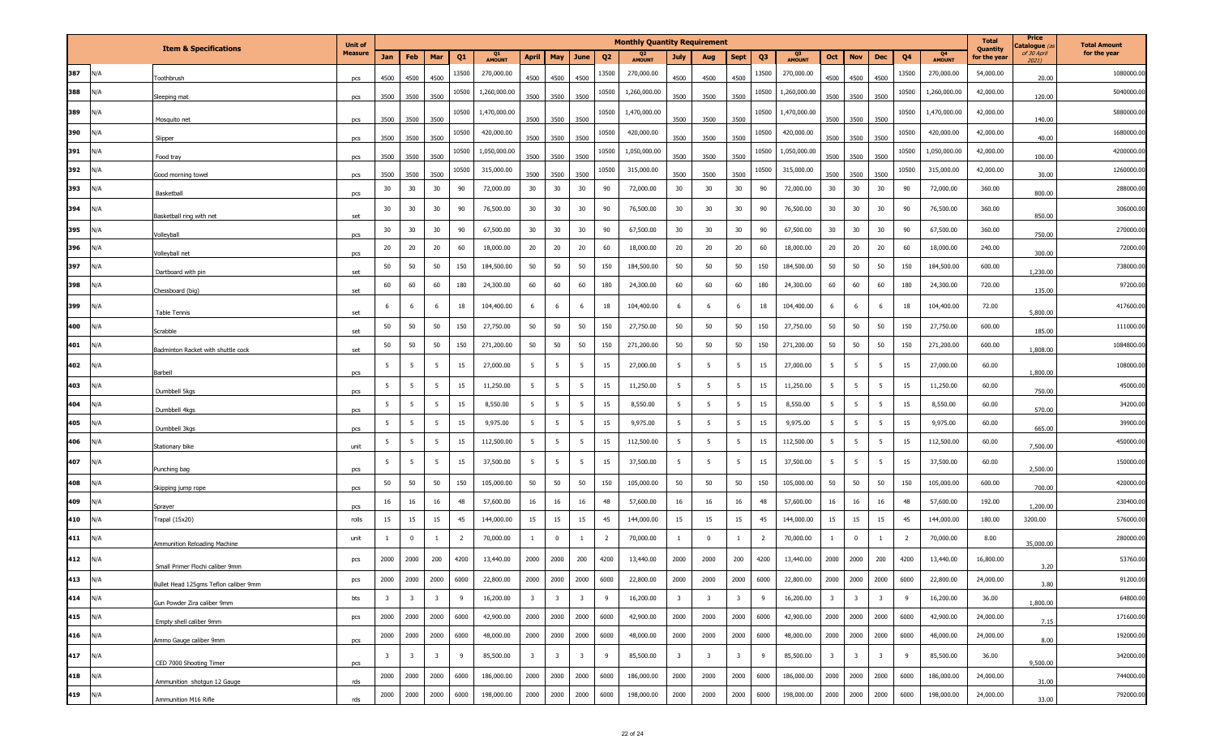|         |     |                                       | <b>Unit of</b> |                         |                         |                         |                |                     |                         |                         |                         |                | <b>Monthly Quantity Requirement</b> |                         |                         |                         |                |              |                         |                         |                         |                |                                 | <b>Total</b>             | Price<br><b>`atalogue</b> (a | <b>Total Amount</b> |
|---------|-----|---------------------------------------|----------------|-------------------------|-------------------------|-------------------------|----------------|---------------------|-------------------------|-------------------------|-------------------------|----------------|-------------------------------------|-------------------------|-------------------------|-------------------------|----------------|--------------|-------------------------|-------------------------|-------------------------|----------------|---------------------------------|--------------------------|------------------------------|---------------------|
|         |     | <b>Item &amp; Specifications</b>      | <b>Measure</b> | Jan                     | Feb                     | Mar                     | Q1             | Q1<br><b>AMOUNT</b> | <b>April</b>            | May                     | June                    | Q <sub>2</sub> | Q2<br><b>AMOUNT</b>                 | July                    | Aug                     | <b>Sept</b>             | Q <sub>3</sub> | Q3<br>AMOUNT | Oct                     | <b>Nov</b>              | <b>Dec</b>              | Q <sub>4</sub> | Q <sub>4</sub><br><b>AMOUNT</b> | Quantity<br>for the year | of 30 April<br>2021)         | for the year        |
| 387     | N/A | oothbrush                             | pcs            | 4500                    | 4500                    | 4500                    | 13500          | 270,000.00          | 4500                    | 4500                    | 4500                    | 13500          | 270,000.00                          | 4500                    | 4500                    | 4500                    | 13500          | 270,000.00   | 4500                    | 4500                    | 4500                    | 13500          | 270,000.00                      | 54,000.00                | 20.00                        | 1080000.00          |
| 388     | N/A | ileeping mat                          | pcs            | 3500                    | 3500                    | 3500                    | 10500          | 1,260,000.00        | 3500                    | 3500                    | 3500                    | 10500          | 1,260,000.00                        | 3500                    | 3500                    | 3500                    | 10500          | 1,260,000.00 | 3500                    | 3500                    | 3500                    | 10500          | 1,260,000.00                    | 42,000.00                | 120.00                       | 5040000.00          |
| 389     | N/A | Mosquito net                          | pcs            | 3500                    | 3500                    | 3500                    | 10500          | 1,470,000.00        | 3500                    | 3500                    | 3500                    | 10500          | 1,470,000.00                        | 3500                    | 3500                    | 3500                    | 10500          | 1,470,000.00 | 3500                    | 3500                    | 3500                    | 10500          | 1,470,000.00                    | 42,000.00                | 140.00                       | 5880000.00          |
| 390     | N/A | Slipper                               |                | 3500                    | 3500                    | 3500                    | 10500          | 420,000.00          | 3500                    | 3500                    | 3500                    | 10500          | 420,000.00                          | 3500                    | 3500                    | 3500                    | 10500          | 420,000.00   | 3500                    | 3500                    | 3500                    | 10500          | 420,000.00                      | 42,000.00                | 40.00                        | 1680000.00          |
| 391     | N/A |                                       | pcs            | 3500                    | 3500                    | 3500                    | 10500          | 1,050,000.00        | 3500                    | 3500                    | 3500                    | 10500          | 1,050,000.00                        | 3500                    | 3500                    | 3500                    | 10500          | 1,050,000.00 | 3500                    | 3500                    | 3500                    | 10500          | 1,050,000.00                    | 42,000.00                | 100.00                       | 4200000.00          |
| 392     | N/A | Food tray                             | pcs            | 3500                    | 3500                    | 3500                    | 10500          | 315,000.00          | 3500                    | 3500                    | 3500                    | 10500          | 315,000.00                          | 3500                    | 3500                    | 3500                    | 10500          | 315,000.00   | 3500                    | 3500                    | 3500                    | 10500          | 315,000.00                      | 42,000.00                | 30.00                        | 1260000.00          |
| 393     | N/A | Good morning towel<br>Basketball      | pcs            | 30                      | 30                      | 30                      | 90             | 72,000.00           | 30                      | 30                      | 30                      | 90             | 72,000.00                           | 30                      | 30                      | $30\,$                  | 90             | 72,000.00    | 30                      | 30                      | 30                      | 90             | 72,000.00                       | 360.00                   | 800.00                       | 288000.00           |
| 394     | N/A |                                       | pcs            | 30                      | 30                      | 30                      | 90             | 76,500.00           | 30                      | 30                      | 30                      | 90             | 76,500.00                           | 30                      | 30                      | 30                      | 90             | 76,500.00    | 30                      | 30                      | 30                      | 90             | 76,500.00                       | 360.00                   |                              | 306000.00           |
| 395     | N/A | Basketball ring with net              | set            | 30                      | 30                      | 30                      | 90             | 67,500.00           | 30                      | 30                      | 30                      | 90             | 67,500.00                           | 30                      | 30                      | 30                      | 90             | 67,500.00    | 30                      | 30                      | 30                      | 90             | 67,500.00                       | 360.00                   | 850.00                       | 270000.00           |
| 396     | N/A | olleyball                             | pcs            | 20                      | 20                      | 20                      | 60             | 18,000.00           | 20                      | 20                      | 20                      | 60             | 18,000.00                           | 20                      | 20                      | 20                      | 60             | 18,000.00    | 20                      | 20                      | 20                      | 60             | 18,000.00                       | 240.00                   | 750.00                       | 72000.00            |
| 397     | N/A | olleyball net                         | pcs            | 50                      | 50                      | 50                      | 150            | 184,500.00          | 50                      | 50                      | 50                      | 150            | 184,500.00                          | 50                      | 50                      | 50                      | 150            | 184,500.00   | 50                      | 50                      | 50                      | 150            | 184,500.00                      | 600.00                   | 300.00                       | 738000.00           |
| 398     | N/A | Dartboard with pin                    | set            | 60                      | 60                      | 60                      | 180            | 24,300.00           | 60                      | 60                      | 60                      | 180            | 24,300.00                           | 60                      | 60                      | 60                      | 180            | 24,300.00    | 60                      | 60                      | 60                      | 180            | 24,300.00                       | 720.00                   | 1,230.00                     | 97200.00            |
| 399     | N/A | Chessboard (big)                      | set            | 6                       | -6                      | 6                       | 18             | 104,400.00          | 6                       | - 6                     | -6                      | 18             | 104,400.00                          | 6                       | -6                      | 6                       | 18             | 104,400.00   | 6                       | - 6                     | 6                       | 18             | 104,400.00                      | 72.00                    | 135.00                       | 417600.00           |
| 400     | N/A | Table Tennis                          | set            | 50                      | 50                      | 50                      | 150            | 27,750.00           | 50                      | 50                      | 50                      | 150            | 27,750.00                           | 50                      | 50                      | 50                      | 150            | 27,750.00    | 50                      | 50                      | 50                      | 150            | 27,750.00                       | 600.00                   | 5,800.00                     | 111000.00           |
| 401     | N/A | Scrabble                              | set            | 50                      | 50                      | 50                      | 150            | 271,200.00          | 50                      | 50                      | 50                      | 150            | 271,200.00                          | 50                      | 50                      | 50                      | 150            | 271,200.00   | 50                      | 50                      | 50                      | 150            | 271,200.00                      | 600.00                   | 185.00                       | 1084800.00          |
| 402     | N/A | Badminton Racket with shuttle cock    | set            | 5                       | 5                       | 5                       | 15             | 27,000.00           | 5 <sub>5</sub>          | 5 <sup>5</sup>          | 5                       | 15             | 27,000.00                           | 5                       | 5                       | 5                       | 15             | 27,000.00    | 5                       | 5                       | 5                       | 15             | 27,000.00                       | 60.00                    | 1,808.00                     | 108000.00           |
| 403     | N/A | Barbell                               | pcs            | 5                       | 5                       | 5                       | 15             | 11,250.00           | 5 <sub>5</sub>          | 5                       | 5                       | 15             | 11,250.00                           | 5                       | - 5                     | 5                       | 15             | 11,250.00    | 5                       | 5                       | 5                       | 15             | 11,250.00                       | 60.00                    | 1,800.00                     | 45000.00            |
| 404     | N/A | Dumbbell 5kgs                         | pcs            | 5                       | 5                       | 5                       | 15             | 8,550.00            | $5\overline{5}$         | 5                       | 5                       | 15             | 8,550.00                            | $5\overline{5}$         | 5                       | 5                       | 15             | 8,550.00     | 5 <sup>5</sup>          | $5^{\circ}$             | 5                       | 15             | 8,550.00                        | 60.00                    | 750.00                       | 34200.00            |
| 405     | N/A | Dumbbell 4kgs                         | <b>DCS</b>     | 5                       | 5                       | 5                       | 15             | 9,975.00            | $5\overline{5}$         | 5 <sup>5</sup>          | 5                       | 15             | 9,975.00                            | 5                       | 5                       | 5                       | 15             | 9,975.00     | 5                       | 5                       | 5                       | 15             | 9,975.00                        | 60.00                    | 570.00                       | 39900.00            |
| 406     | N/A | Dumbbell 3kgs                         | pcs            | 5                       | 5                       | 5                       | 15             | 112,500.00          | 5 <sub>5</sub>          | 5 <sup>5</sup>          | 5                       | 15             | 112,500.00                          | $5\overline{5}$         | - 5                     | 5                       | 15             | 112,500.00   | 5                       | 5                       | 5                       | 15             | 112,500.00                      | 60.00                    | 665.00                       | 450000.00           |
|         |     | Stationary bike                       | unit           |                         | -5                      |                         |                |                     |                         |                         |                         |                |                                     |                         |                         |                         | 15             |              | 5                       |                         |                         | 15             |                                 |                          | 7,500.00                     |                     |
| 407     | N/A | unching bag                           | pcs            | 5                       |                         | 5                       | 15             | 37,500.00           | 5                       | 5 <sup>5</sup>          | 5                       | 15             | 37,500.00                           | $5\overline{5}$         | 5                       | 5                       |                | 37,500.00    |                         | 5                       | 5                       |                | 37,500.00                       | 60.00                    | 2,500.00                     | 150000.00           |
| 408     | N/A | ikipping jump rope                    | pcs            | 50                      | 50                      | 50                      | 150            | 105,000.00          | 50                      | 50                      | 50                      | 150            | 105,000.00                          | 50                      | 50                      | 50                      | 150            | 105,000.00   | 50                      | 50                      | 50                      | 150            | 105,000.00                      | 600.00                   | 700.00                       | 420000.00           |
| 409     | N/A | Sprayer                               | pcs            | 16                      | 16                      | 16                      | 48             | 57,600.00           | 16                      | 16                      | 16                      | 48             | 57,600.00                           | 16                      | 16                      | 16                      | 48             | 57,600.00    | 16                      | 16                      | 16                      | 48             | 57,600.00                       | 192.00                   | 1,200.00                     | 230400.00           |
| 410     | N/A | rapal (15x20)                         | rolls          | 15                      | 15                      | 15                      | 45             | 144,000.00          | 15                      | 15                      | 15                      | 45             | 144,000.00                          | 15                      | 15                      | 15                      | 45             | 144,000.00   | 15                      | 15                      | 15                      | 45             | 144,000.00                      | 180.00                   | 3200.00                      | 576000.00           |
| 411     | N/A | Ammunition Reloading Machine          | unit           | 1                       | $\Omega$                | <sup>1</sup>            | $\overline{2}$ | 70,000.00           | $\mathbf{1}$            | $\overline{0}$          | $\overline{1}$          | $\overline{2}$ | 70,000.00                           | $\mathbf{1}$            | $\Omega$                | $\overline{1}$          | $\overline{2}$ | 70,000.00    | $\mathbf{1}$            | $\overline{\mathbf{0}}$ | 1                       | $\overline{2}$ | 70,000.00                       | 8.00                     | 35,000.00                    | 280000.00           |
| 412     | N/A | Small Primer Flochi caliber 9mm       | pcs            | 2000                    | 2000                    | 200                     | 4200           | 13,440.00           | 2000                    | 2000                    | 200                     | 4200           | 13,440.00                           | 2000                    | 2000                    | 200                     | 4200           | 13,440.00    | 2000                    | 2000                    | 200                     | 4200           | 13,440.00                       | 16,800.00                | 3.20                         | 53760.00            |
| 413 N/A |     | Bullet Head 125gms Teflon caliber 9mm | pcs            | 2000                    | 2000                    | 2000                    | 6000           | 22,800.00           | 2000                    | 2000                    | 2000                    | 6000           | 22,800.00                           | 2000                    | 2000                    | 2000                    | 6000           | 22,800.00    | 2000                    | 2000                    | 2000                    | 6000           | 22,800.00                       | 24,000.00                | 3.80                         | 91200.00            |
| 414 N/A |     | Gun Powder Zira caliber 9mm           | bts            | $\overline{\mathbf{3}}$ | $\overline{\mathbf{3}}$ | $\overline{\mathbf{3}}$ | 9              | 16,200.00           | $\overline{\mathbf{3}}$ | $\overline{\mathbf{3}}$ | $\overline{\mathbf{3}}$ | 9              | 16,200.00                           | $\overline{\mathbf{3}}$ | $\overline{\mathbf{3}}$ | $\overline{\mathbf{3}}$ | 9              | 16,200.00    | $\overline{\mathbf{3}}$ | $\overline{\mathbf{3}}$ | $\overline{\mathbf{3}}$ | 9              | 16,200.00                       | 36.00                    | 1,800.00                     | 64800.00            |
| 415 N/A |     | Empty shell caliber 9mm               | pcs            | 2000                    | 2000                    | 2000                    | 6000           | 42,900.00           | 2000                    | 2000                    | 2000                    | 6000           | 42,900.00                           | 2000                    | 2000                    | 2000                    | 6000           | 42,900.00    |                         | 2000 2000               | 2000                    | 6000           | 42,900.00                       | 24,000.00                | 7.15                         | 171600.00           |
| 416 N/A |     | Ammo Gauge caliber 9mm                | pcs            | 2000                    | 2000                    | 2000                    | 6000           | 48,000.00           | 2000                    | 2000                    | 2000                    | 6000           | 48,000.00                           | 2000                    | 2000                    | 2000                    | 6000           | 48,000.00    |                         | 2000 2000               | 2000                    | 6000           | 48,000.00                       | 24,000.00                | 8.00                         | 192000.00           |
| 417 N/A |     | CED 7000 Shooting Timer               | pcs            | $\overline{\mathbf{3}}$ | $\overline{\mathbf{3}}$ | $\overline{\mathbf{3}}$ | 9              | 85,500.00           | $\overline{\mathbf{3}}$ | $\overline{\mathbf{3}}$ | $\overline{\mathbf{3}}$ | 9              | 85,500.00                           | $\overline{\mathbf{3}}$ | $\overline{\mathbf{3}}$ | $\overline{\mathbf{3}}$ | 9              | 85,500.00    | $\overline{3}$          | $\overline{\mathbf{3}}$ | $\overline{\mathbf{3}}$ | 9              | 85,500.00                       | 36.00                    | 9,500.00                     | 342000.00           |
| 418     | N/A | Ammunition shotgun 12 Gauge           | rds            | 2000                    | 2000                    | 2000                    | 6000           | 186,000.00          | 2000                    | 2000                    | 2000                    | 6000           | 186,000.00                          | 2000                    | 2000                    | 2000                    | 6000           | 186,000.00   | 2000                    | 2000                    | 2000                    | 6000           | 186,000.00                      | 24,000.00                | 31.00                        | 744000.00           |
| 419     | N/A | Ammunition M16 Rifle                  | rds            | 2000                    | 2000                    | 2000                    | 6000           | 198,000.00          | 2000                    | 2000                    | 2000                    | 6000           | 198,000.00                          | 2000                    | 2000                    | 2000                    | 6000           | 198,000.00   | 2000                    | 2000                    | 2000                    | 6000           | 198,000.00                      | 24,000.00                | 33.00                        | 792000.00           |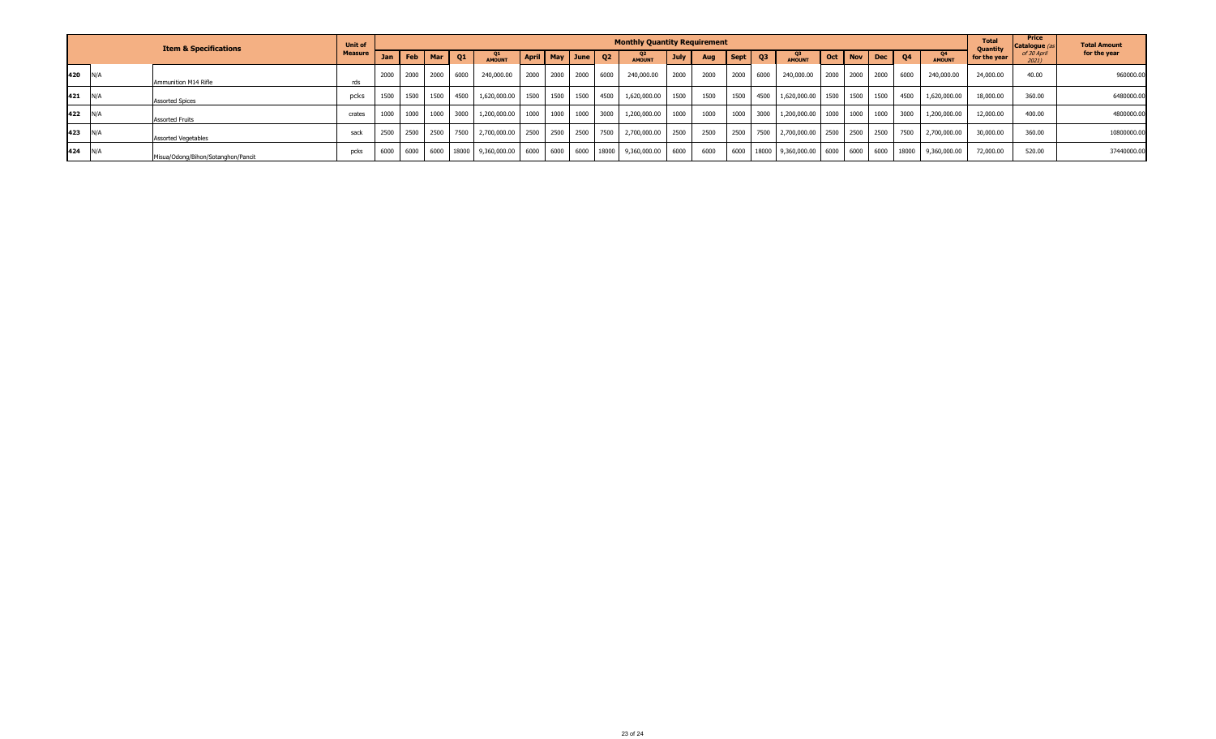|     | <b>Item &amp; Specifications</b> |                                    | <b>Unit of</b> | <b>Monthly Quantity Requirement</b> |     |                |         |                                  |  |                         |  |      |                                                                                     |             |      |                                           |  |                                                                         | <b>Total</b><br><b>Ouantity</b> | Price<br>Catalogue ( | <b>Total Amount</b> |              |             |              |
|-----|----------------------------------|------------------------------------|----------------|-------------------------------------|-----|----------------|---------|----------------------------------|--|-------------------------|--|------|-------------------------------------------------------------------------------------|-------------|------|-------------------------------------------|--|-------------------------------------------------------------------------|---------------------------------|----------------------|---------------------|--------------|-------------|--------------|
|     |                                  |                                    | <b>Measure</b> | Jan                                 | Feb | l Mar          | $_{01}$ | Q1<br><b>AMOUNT</b>              |  | April   May   June   Q2 |  |      | Q2<br><b>AMOUNT</b>                                                                 | <b>July</b> | Aug  | $\left  \right.$ Sept $\left  \right.$ Q3 |  | Q3<br>AMOUNT                                                            | Oct   Nov   Dec                 | $\sqrt{04}$          | Q4<br><b>AMOUNT</b> | for the year | of 30 April | for the year |
| 420 | N/f                              | Ammunition M14 Rifle               | rds            | 2000                                |     | 2000 2000 6000 |         | 240,000.00                       |  | 2000 2000 2000          |  | 6000 | 240,000.00                                                                          | 2000        | 2000 | 2000 6000                                 |  | 240,000.00                                                              | 2000 2000 2000                  | 6000                 | 240,000.00          | 24,000.00    | 40.00       | 960000.00    |
| 421 | N/A                              | <b>Assorted Spices</b>             | pcks           | 1500                                |     |                |         |                                  |  |                         |  |      | 1500   1500   4500   1,620,000.00   1500   1500   1500   4500   1,620,000.00   1500 |             | 1500 |                                           |  | 1500 4500 1,620,000.00 1500 1500 1500                                   |                                 | 4500                 | 1,620,000.00        | 18,000.00    | 360.00      | 6480000.00   |
| 422 | N/f                              | <b>Assorted Fruits</b>             | crates         | 1000                                |     | 1000 1000 3000 |         | 1,200,000.00 1000 1000 1000 3000 |  |                         |  |      | 1,200,000.00 1000                                                                   |             | 1000 |                                           |  | 1000 3000 1,200,000.00 1000 1000 1000 1                                 |                                 | 3000                 | 1,200,000.00        | 12,000.00    | 400.00      | 4800000.00   |
| 423 | N/A                              | <b>Assorted Vegetables</b>         | sack           | 2500                                |     | 2500 2500 7500 |         | 2,700,000.00 2500 2500 2500 7500 |  |                         |  |      | 2,700,000.00 2500                                                                   |             | 2500 |                                           |  | 2500 7500 2,700,000.00 2500 2500 2500                                   |                                 | 7500                 | 2,700,000.00        | 30,000.00    | 360.00      | 10800000.00  |
| 424 | N/A                              | Misua/Odong/Bihon/Sotanghon/Pancit | pcks           | 6000                                |     |                |         |                                  |  |                         |  |      | 6000 6000 18000 9,360,000.00 6000 6000 6000 18000 9,360,000.00 6000                 |             | 6000 |                                           |  | 6000   18000   9,360,000.00   6000   6000   6000   18000   9,360,000.00 |                                 |                      |                     | 72,000.00    | 520.00      | 37440000.00  |